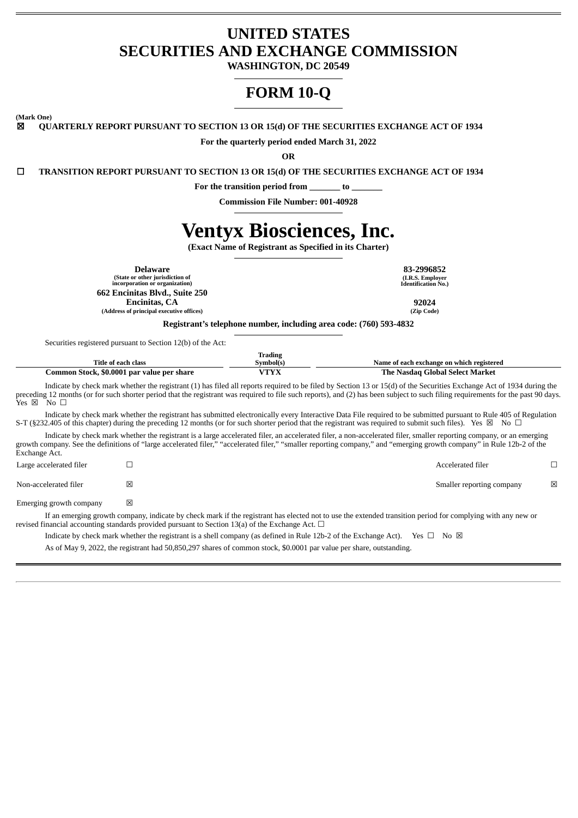## **UNITED STATES SECURITIES AND EXCHANGE COMMISSION**

**WASHINGTON, DC 20549**

# **FORM 10-Q**

**(Mark One)**

☒ **QUARTERLY REPORT PURSUANT TO SECTION 13 OR 15(d) OF THE SECURITIES EXCHANGE ACT OF 1934**

**For the quarterly period ended March 31, 2022**

**OR**

☐ **TRANSITION REPORT PURSUANT TO SECTION 13 OR 15(d) OF THE SECURITIES EXCHANGE ACT OF 1934**

**For the transition period from \_\_\_\_\_\_\_ to \_\_\_\_\_\_\_**

**Commission File Number: 001-40928**

# **Ventyx Biosciences, Inc.**

**(Exact Name of Registrant as Specified in its Charter)**

**Delaware 83-2996852 (State or other jurisdiction of incorporation or organization) (I.R.S. Employer Identification No.) 662 Encinitas Blvd., Suite 250 Encinitas, CA** 92024<br>of principal executive offices) (Zip Code) **(Address of principal executive offices) (Zip Code) Registrant's telephone number, including area code: (760) 593-4832**

Securities registered pursuant to Section 12(b) of the Act:

|                                            | Frading                           |                                           |
|--------------------------------------------|-----------------------------------|-------------------------------------------|
| Title of each class                        | Symbol(s                          | Name of each exchange on which registered |
| Common Stock, \$0.0001 par value per share | VTVV<br>$\mathbf{1}$ $\mathbf{1}$ | The Nasdag Global Select Market           |

Indicate by check mark whether the registrant (1) has filed all reports required to be filed by Section 13 or 15(d) of the Securities Exchange Act of 1934 during the preceding 12 months (or for such shorter period that the registrant was required to file such reports), and (2) has been subject to such filing requirements for the past 90 days.<br>Yes  $\boxtimes$  No  $\Box$  $\mathrm{\bar{Y}}$ es  $\boxtimes$ 

Indicate by check mark whether the registrant has submitted electronically every Interactive Data File required to be submitted pursuant to Rule 405 of Regulation S-T (§232.405 of this chapter) during the preceding 12 months (or for such shorter period that the registrant was required to submit such files). Yes  $\boxtimes$  No  $\Box$ 

Indicate by check mark whether the registrant is a large accelerated filer, an accelerated filer, a non-accelerated filer, smaller reporting company, or an emerging growth company. See the definitions of "large accelerated filer," "accelerated filer," "smaller reporting company," and "emerging growth company" in Rule 12b-2 of the Exchange Act.

| Large accelerated filer |   | Accelerated filer         |   |
|-------------------------|---|---------------------------|---|
| Non-accelerated filer   | ⊠ | Smaller reporting company | 冈 |
| Emerging growth company | ⊠ |                           |   |

If an emerging growth company, indicate by check mark if the registrant has elected not to use the extended transition period for complying with any new or revised financial accounting standards provided pursuant to Section 13(a) of the Exchange Act. □

Indicate by check mark whether the registrant is a shell company (as defined in Rule 12b-2 of the Exchange Act). Yes  $\Box$  No  $\boxtimes$ 

As of May 9, 2022, the registrant had 50,850,297 shares of common stock, \$0.0001 par value per share, outstanding.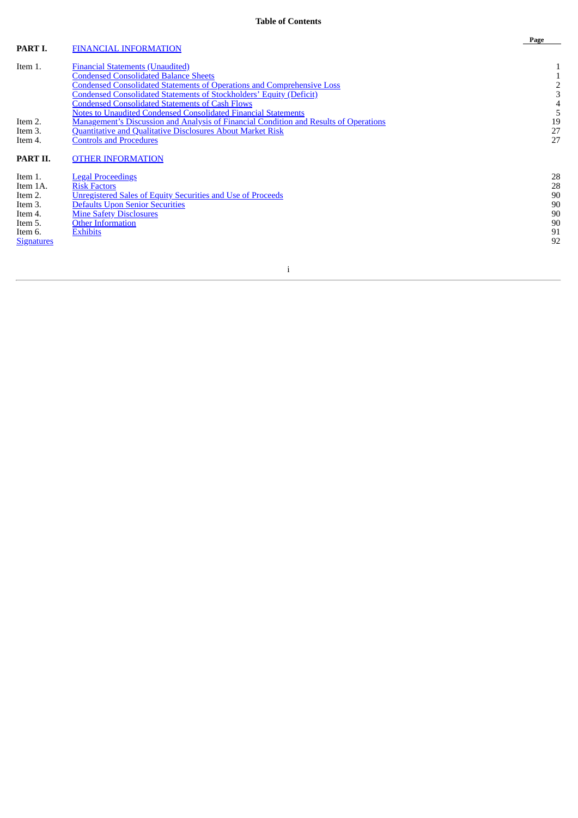| PART I.           | <b>FINANCIAL INFORMATION</b>                                                                 | ---- |
|-------------------|----------------------------------------------------------------------------------------------|------|
| Item 1.           | <b>Financial Statements (Unaudited)</b>                                                      |      |
|                   | <b>Condensed Consolidated Balance Sheets</b>                                                 |      |
|                   | <b>Condensed Consolidated Statements of Operations and Comprehensive Loss</b>                |      |
|                   | <b>Condensed Consolidated Statements of Stockholders' Equity (Deficit)</b>                   |      |
|                   | <b>Condensed Consolidated Statements of Cash Flows</b>                                       |      |
|                   | <b>Notes to Unaudited Condensed Consolidated Financial Statements</b>                        |      |
| Item 2.           | <b>Management's Discussion and Analysis of Financial Condition and Results of Operations</b> | 19   |
| Item 3.           | <b>Quantitative and Qualitative Disclosures About Market Risk</b>                            | 27   |
| Item 4.           | <b>Controls and Procedures</b>                                                               | 27   |
| PART II.          | <b>OTHER INFORMATION</b>                                                                     |      |
| Item 1.           | <b>Legal Proceedings</b>                                                                     | 28   |
| Item 1A.          | <b>Risk Factors</b>                                                                          | 28   |
| Item 2.           | Unregistered Sales of Equity Securities and Use of Proceeds                                  | 90   |
| Item 3.           | <b>Defaults Upon Senior Securities</b>                                                       | 90   |
| Item 4.           | <b>Mine Safety Disclosures</b>                                                               | 90   |
| Item 5.           | <b>Other Information</b>                                                                     | 90   |
| Item 6.           | <b>Exhibits</b>                                                                              | 91   |
| <b>Signatures</b> |                                                                                              | 92   |

i

**Page**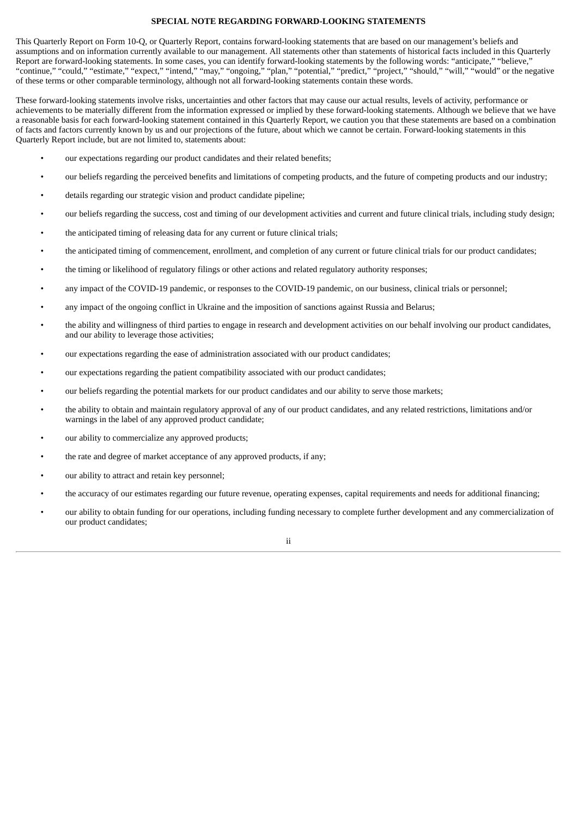## **SPECIAL NOTE REGARDING FORWARD-LOOKING STATEMENTS**

This Quarterly Report on Form 10-Q, or Quarterly Report, contains forward-looking statements that are based on our management's beliefs and assumptions and on information currently available to our management. All statements other than statements of historical facts included in this Quarterly Report are forward-looking statements. In some cases, you can identify forward-looking statements by the following words: "anticipate," "believe," "continue," "could," "estimate," "expect," "intend," "may," "ongoing," "plan," "potential," "predict," "project," "should," "will," "would" or the negative of these terms or other comparable terminology, although not all forward-looking statements contain these words.

These forward-looking statements involve risks, uncertainties and other factors that may cause our actual results, levels of activity, performance or achievements to be materially different from the information expressed or implied by these forward-looking statements. Although we believe that we have a reasonable basis for each forward-looking statement contained in this Quarterly Report, we caution you that these statements are based on a combination of facts and factors currently known by us and our projections of the future, about which we cannot be certain. Forward-looking statements in this Quarterly Report include, but are not limited to, statements about:

- our expectations regarding our product candidates and their related benefits;
- our beliefs regarding the perceived benefits and limitations of competing products, and the future of competing products and our industry;
- details regarding our strategic vision and product candidate pipeline;
- our beliefs regarding the success, cost and timing of our development activities and current and future clinical trials, including study design;
- the anticipated timing of releasing data for any current or future clinical trials;
- the anticipated timing of commencement, enrollment, and completion of any current or future clinical trials for our product candidates;
- the timing or likelihood of regulatory filings or other actions and related regulatory authority responses;
- any impact of the COVID-19 pandemic, or responses to the COVID-19 pandemic, on our business, clinical trials or personnel;
- any impact of the ongoing conflict in Ukraine and the imposition of sanctions against Russia and Belarus;
- the ability and willingness of third parties to engage in research and development activities on our behalf involving our product candidates, and our ability to leverage those activities;
- our expectations regarding the ease of administration associated with our product candidates;
- our expectations regarding the patient compatibility associated with our product candidates;
- our beliefs regarding the potential markets for our product candidates and our ability to serve those markets;
- the ability to obtain and maintain regulatory approval of any of our product candidates, and any related restrictions, limitations and/or warnings in the label of any approved product candidate;
- our ability to commercialize any approved products;
- the rate and degree of market acceptance of any approved products, if any;
- our ability to attract and retain key personnel;
- the accuracy of our estimates regarding our future revenue, operating expenses, capital requirements and needs for additional financing;
- our ability to obtain funding for our operations, including funding necessary to complete further development and any commercialization of our product candidates;

ii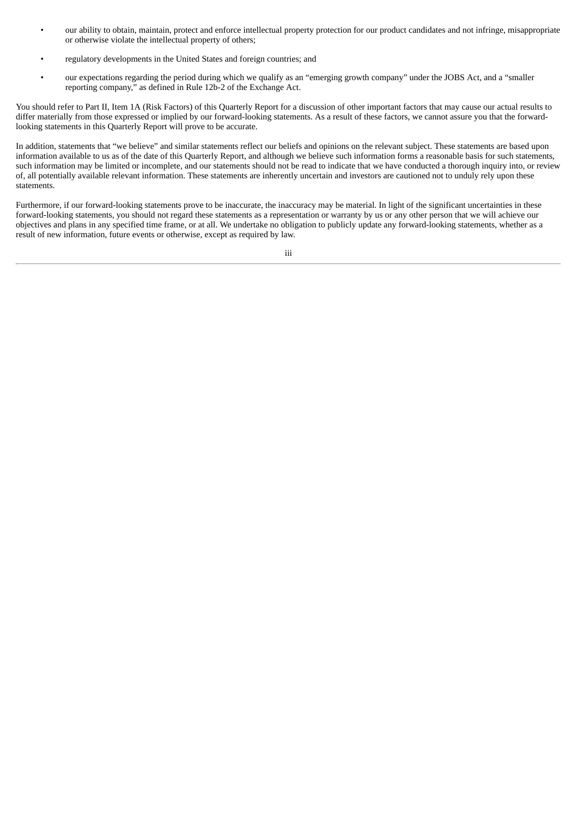- our ability to obtain, maintain, protect and enforce intellectual property protection for our product candidates and not infringe, misappropriate or otherwise violate the intellectual property of others;
- regulatory developments in the United States and foreign countries; and
- our expectations regarding the period during which we qualify as an "emerging growth company" under the JOBS Act, and a "smaller reporting company," as defined in Rule 12b-2 of the Exchange Act.

You should refer to Part II, Item 1A (Risk Factors) of this Quarterly Report for a discussion of other important factors that may cause our actual results to differ materially from those expressed or implied by our forward-looking statements. As a result of these factors, we cannot assure you that the forwardlooking statements in this Quarterly Report will prove to be accurate.

In addition, statements that "we believe" and similar statements reflect our beliefs and opinions on the relevant subject. These statements are based upon information available to us as of the date of this Quarterly Report, and although we believe such information forms a reasonable basis for such statements, such information may be limited or incomplete, and our statements should not be read to indicate that we have conducted a thorough inquiry into, or review of, all potentially available relevant information. These statements are inherently uncertain and investors are cautioned not to unduly rely upon these statements.

Furthermore, if our forward-looking statements prove to be inaccurate, the inaccuracy may be material. In light of the significant uncertainties in these forward-looking statements, you should not regard these statements as a representation or warranty by us or any other person that we will achieve our objectives and plans in any specified time frame, or at all. We undertake no obligation to publicly update any forward-looking statements, whether as a result of new information, future events or otherwise, except as required by law.

iii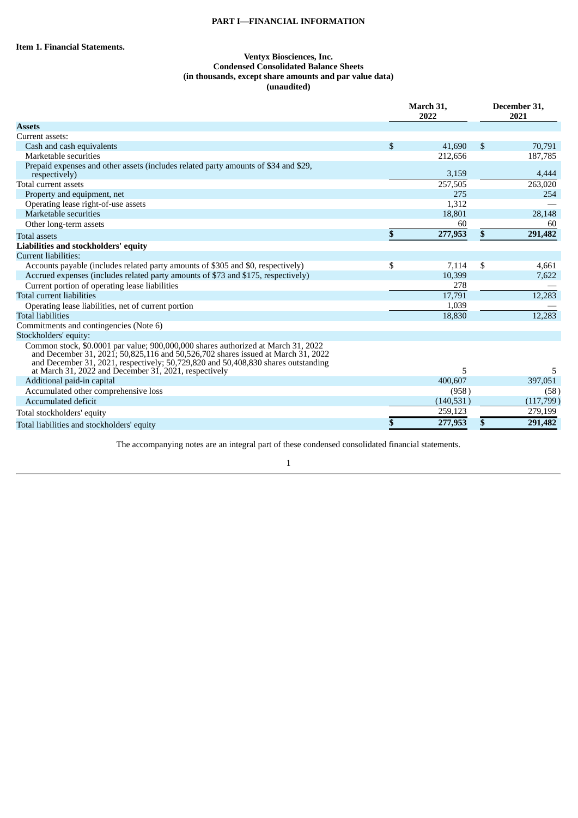## **PART I—FINANCIAL INFORMATION**

## **Ventyx Biosciences, Inc. Condensed Consolidated Balance Sheets (in thousands, except share amounts and par value data) (unaudited)**

<span id="page-4-2"></span><span id="page-4-1"></span><span id="page-4-0"></span>

|                                                                                                                                                                                                                                                                                                                     |              | March 31.<br>2022 |              | December 31.<br>2021 |
|---------------------------------------------------------------------------------------------------------------------------------------------------------------------------------------------------------------------------------------------------------------------------------------------------------------------|--------------|-------------------|--------------|----------------------|
| <b>Assets</b>                                                                                                                                                                                                                                                                                                       |              |                   |              |                      |
| Current assets:                                                                                                                                                                                                                                                                                                     |              |                   |              |                      |
| Cash and cash equivalents                                                                                                                                                                                                                                                                                           | $\mathbb{S}$ | 41.690            | $\mathbb{S}$ | 70,791               |
| Marketable securities                                                                                                                                                                                                                                                                                               |              | 212,656           |              | 187,785              |
| Prepaid expenses and other assets (includes related party amounts of \$34 and \$29,<br>respectively)                                                                                                                                                                                                                |              | 3,159             |              | 4,444                |
| Total current assets                                                                                                                                                                                                                                                                                                |              | 257,505           |              | 263,020              |
| Property and equipment, net                                                                                                                                                                                                                                                                                         |              | 275               |              | 254                  |
| Operating lease right-of-use assets                                                                                                                                                                                                                                                                                 |              | 1,312             |              |                      |
| Marketable securities                                                                                                                                                                                                                                                                                               |              | 18,801            |              | 28.148               |
| Other long-term assets                                                                                                                                                                                                                                                                                              |              | 60                |              | 60                   |
| <b>Total assets</b>                                                                                                                                                                                                                                                                                                 | \$           | 277,953           | \$           | 291,482              |
| Liabilities and stockholders' equity                                                                                                                                                                                                                                                                                |              |                   |              |                      |
| Current liabilities:                                                                                                                                                                                                                                                                                                |              |                   |              |                      |
| Accounts payable (includes related party amounts of \$305 and \$0, respectively)                                                                                                                                                                                                                                    | \$           | 7,114             | \$           | 4,661                |
| Accrued expenses (includes related party amounts of \$73 and \$175, respectively)                                                                                                                                                                                                                                   |              | 10,399            |              | 7,622                |
| Current portion of operating lease liabilities                                                                                                                                                                                                                                                                      |              | 278               |              |                      |
| <b>Total current liabilities</b>                                                                                                                                                                                                                                                                                    |              | 17,791            |              | 12,283               |
| Operating lease liabilities, net of current portion                                                                                                                                                                                                                                                                 |              | 1,039             |              |                      |
| <b>Total liabilities</b>                                                                                                                                                                                                                                                                                            |              | 18,830            |              | 12,283               |
| Commitments and contingencies (Note 6)                                                                                                                                                                                                                                                                              |              |                   |              |                      |
| Stockholders' equity:                                                                                                                                                                                                                                                                                               |              |                   |              |                      |
| Common stock, \$0.0001 par value; 900,000,000 shares authorized at March 31, 2022<br>and December 31, 2021; 50,825,116 and 50,526,702 shares issued at March 31, 2022<br>and December 31, 2021, respectively; 50,729,820 and 50,408,830 shares outstanding<br>at March 31, 2022 and December 31, 2021, respectively |              | 5                 |              | 5                    |
| Additional paid-in capital                                                                                                                                                                                                                                                                                          |              | 400.607           |              | 397,051              |
| Accumulated other comprehensive loss                                                                                                                                                                                                                                                                                |              | (958)             |              | (58)                 |
| Accumulated deficit                                                                                                                                                                                                                                                                                                 |              | (140, 531)        |              | (117,799)            |
|                                                                                                                                                                                                                                                                                                                     |              | 259,123           |              | 279,199              |
| Total stockholders' equity                                                                                                                                                                                                                                                                                          |              |                   |              |                      |
| Total liabilities and stockholders' equity                                                                                                                                                                                                                                                                          | \$           | 277,953           | \$           | 291,482              |

The accompanying notes are an integral part of these condensed consolidated financial statements.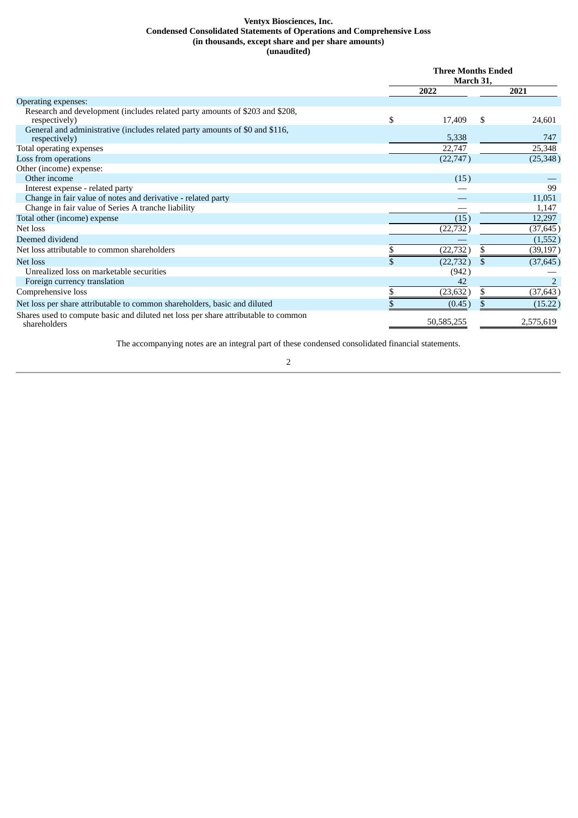## **Ventyx Biosciences, Inc. Condensed Consolidated Statements of Operations and Comprehensive Loss (in thousands, except share and per share amounts) (unaudited)**

<span id="page-5-0"></span>

|                                                                                                    | <b>Three Months Ended</b><br>March 31, |     |           |  |  |
|----------------------------------------------------------------------------------------------------|----------------------------------------|-----|-----------|--|--|
|                                                                                                    | 2022                                   |     | 2021      |  |  |
| Operating expenses:                                                                                |                                        |     |           |  |  |
| Research and development (includes related party amounts of \$203 and \$208,<br>respectively)      | \$<br>17,409                           | \$  | 24,601    |  |  |
| General and administrative (includes related party amounts of \$0 and \$116,<br>respectively)      | 5,338                                  |     | 747       |  |  |
| Total operating expenses                                                                           | 22,747                                 |     | 25,348    |  |  |
| Loss from operations                                                                               | (22, 747)                              |     | (25, 348) |  |  |
| Other (income) expense:                                                                            |                                        |     |           |  |  |
| Other income                                                                                       | (15)                                   |     |           |  |  |
| Interest expense - related party                                                                   |                                        |     | 99        |  |  |
| Change in fair value of notes and derivative - related party                                       |                                        |     | 11,051    |  |  |
| Change in fair value of Series A tranche liability                                                 |                                        |     | 1,147     |  |  |
| Total other (income) expense                                                                       | (15)                                   |     | 12,297    |  |  |
| Net loss                                                                                           | (22, 732)                              |     | (37, 645) |  |  |
| Deemed dividend                                                                                    |                                        |     | (1,552)   |  |  |
| Net loss attributable to common shareholders                                                       | (22, 732)                              | \$  | (39, 197) |  |  |
| Net loss                                                                                           | \$<br>(22, 732)                        | \$  | (37, 645) |  |  |
| Unrealized loss on marketable securities                                                           | (942)                                  |     |           |  |  |
| Foreign currency translation                                                                       | 42                                     |     |           |  |  |
| Comprehensive loss                                                                                 | (23, 632)                              | \$  | (37, 643) |  |  |
| Net loss per share attributable to common shareholders, basic and diluted                          | (0.45)                                 | SS. | (15.22)   |  |  |
| Shares used to compute basic and diluted net loss per share attributable to common<br>shareholders | 50,585,255                             |     | 2,575,619 |  |  |

The accompanying notes are an integral part of these condensed consolidated financial statements.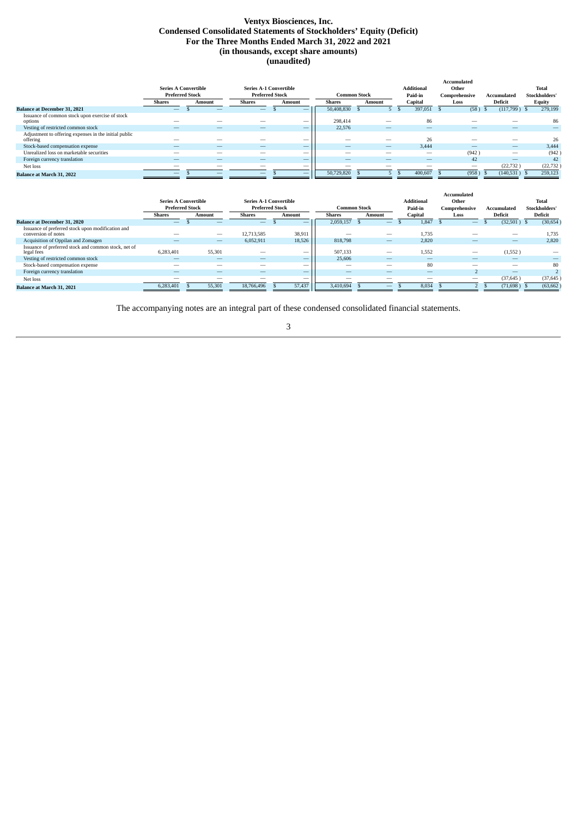## **Ventyx Biosciences, Inc. Condensed Consolidated Statements of Stockholders' Equity (Deficit) For the Three Months Ended March 31, 2022 and 2021 (in thousands, except share amounts) (unaudited)**

<span id="page-6-0"></span>

|                                                                   |                             |        |               |                               |                          |                          |                          | Accumulated              |                          |               |
|-------------------------------------------------------------------|-----------------------------|--------|---------------|-------------------------------|--------------------------|--------------------------|--------------------------|--------------------------|--------------------------|---------------|
|                                                                   | <b>Series A Convertible</b> |        |               | <b>Series A-1 Convertible</b> |                          |                          | <b>Additional</b>        | Other                    |                          | <b>Total</b>  |
|                                                                   | <b>Preferred Stock</b>      |        |               | <b>Preferred Stock</b>        |                          | <b>Common Stock</b>      | Paid-in                  | Comprehensive            | Accumulated              | Stockholders' |
|                                                                   | <b>Shares</b>               | Amount | <b>Shares</b> | Amount                        | <b>Shares</b>            | Amount                   | Capital                  | Loss                     | Deficit                  | Equity        |
| <b>Balance at December 31, 2021</b>                               |                             |        |               |                               | 50,408,830               |                          | 397,051                  | (58)                     | $(117,799)$ \$           | 279,199       |
| Issuance of common stock upon exercise of stock<br>options        |                             |        |               |                               | 298,414                  | _                        | 86                       | $\overline{\phantom{a}}$ | $\overline{\phantom{0}}$ | 86            |
| Vesting of restricted common stock                                | _                           |        |               |                               | 22,576                   | _                        | _                        |                          | _                        |               |
| Adjustment to offering expenses in the initial public<br>offering |                             |        |               |                               |                          |                          | 26                       |                          |                          | 26            |
| Stock-based compensation expense                                  | $\overline{\phantom{0}}$    | $-$    | –             | $\overline{\phantom{a}}$      | $\overline{\phantom{0}}$ | $\overline{\phantom{0}}$ | 3,444                    | $\overline{\phantom{0}}$ | $\overline{\phantom{0}}$ | 3,444         |
| Unrealized loss on marketable securities                          |                             |        |               |                               | _                        |                          |                          | (942)                    | $\overline{\phantom{0}}$ | (942)         |
| Foreign currency translation                                      | –                           |        |               | $\overline{\phantom{a}}$      | $\overline{\phantom{a}}$ |                          | $-$                      | 42                       | $-$                      | 42            |
| Net loss                                                          | $\overline{\phantom{0}}$    |        | $-$           | $\overline{\phantom{a}}$      |                          | —                        | $\overline{\phantom{0}}$ | $\overline{\phantom{m}}$ | (22, 732)                | (22, 732)     |
| <b>Balance at March 31, 2022</b>                                  | $\overline{\phantom{0}}$    |        |               |                               | 50,729,820               |                          | 400,607                  | (958)                    | (140, 531)               | 259,123       |

|                                                                          |                             |                          |                               |                                           |                     |                          |                   | Accumulated              |                          |               |  |
|--------------------------------------------------------------------------|-----------------------------|--------------------------|-------------------------------|-------------------------------------------|---------------------|--------------------------|-------------------|--------------------------|--------------------------|---------------|--|
|                                                                          | <b>Series A Convertible</b> |                          | <b>Series A-1 Convertible</b> |                                           |                     |                          | <b>Additional</b> | Other                    |                          | <b>Total</b>  |  |
|                                                                          | <b>Preferred Stock</b>      |                          | <b>Preferred Stock</b>        |                                           | <b>Common Stock</b> |                          | Paid-in           | Comprehensive            | Accumulated              | Stockholders' |  |
|                                                                          | <b>Shares</b>               | Amount                   | <b>Shares</b>                 | Amount                                    | Shares              | Amount                   | Capital           | Loss                     | Deficit                  | Deficit       |  |
| <b>Balance at December 31, 2020</b>                                      | $\overline{\phantom{0}}$    |                          |                               |                                           | 2,059,157           |                          | 1,847             |                          | (32,501)                 | (30,654)      |  |
| Issuance of preferred stock upon modification and<br>conversion of notes |                             |                          | 12.713.585                    | 38,911                                    |                     |                          | 1.735             |                          | $\overline{\phantom{0}}$ | 1,735         |  |
| Acquisition of Oppilan and Zomagen                                       |                             |                          | 6,052,911                     | 18,526                                    | 818,798             |                          | 2,820             | $-$                      | $\overline{\phantom{0}}$ | 2,820         |  |
| Issuance of preferred stock and common stock, net of<br>legal fees       | 6,283,401                   | 55,301                   | —                             |                                           | 507,133             |                          | 1,552             | $\overline{\phantom{0}}$ | (1,552)                  |               |  |
| Vesting of restricted common stock                                       |                             |                          |                               |                                           | 25,606              |                          |                   |                          | –                        |               |  |
| Stock-based compensation expense                                         |                             |                          |                               |                                           | _                   | –                        | 80                | _                        | –                        | 80            |  |
| Foreign currency translation                                             | $\overline{\phantom{0}}$    | $\overline{\phantom{a}}$ | __                            | $\qquad \qquad \overline{\qquad \qquad }$ |                     | $\overline{\phantom{0}}$ |                   |                          | $\overline{\phantom{0}}$ | $\mathcal{D}$ |  |
| Net loss                                                                 | $\overline{\phantom{a}}$    | _                        | _                             |                                           | $-$                 |                          |                   | $\overline{\phantom{0}}$ | (37, 645)                | (37, 645)     |  |
| <b>Balance at March 31, 2021</b>                                         | 6,283,401                   | 55,301                   | 18,766,496                    | 57,437                                    | 3.410.694           |                          | 8,034             |                          | (71,698)                 | (63, 662)     |  |

The accompanying notes are an integral part of these condensed consolidated financial statements.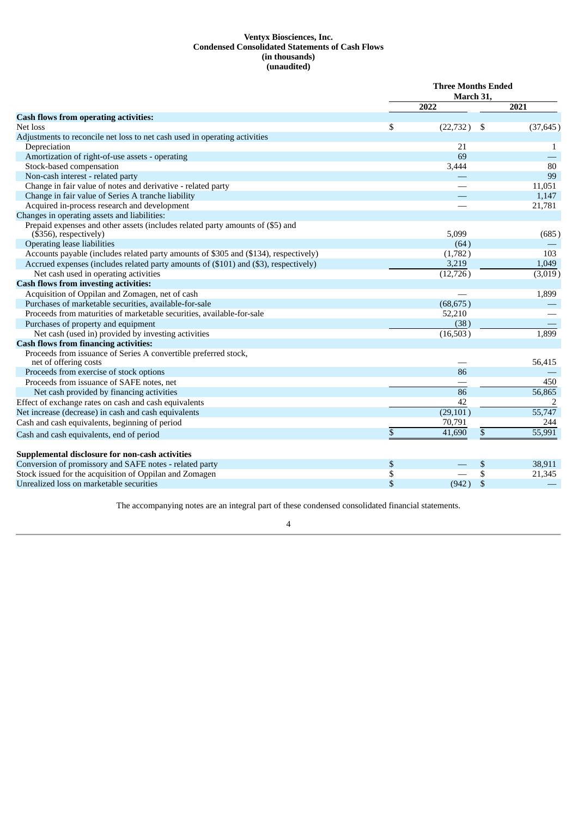## **Ventyx Biosciences, Inc. Condensed Consolidated Statements of Cash Flows (in thousands) (unaudited)**

<span id="page-7-0"></span>

|                                                                                          | <b>Three Months Ended</b><br>March 31, |           |    |           |  |  |  |
|------------------------------------------------------------------------------------------|----------------------------------------|-----------|----|-----------|--|--|--|
|                                                                                          |                                        | 2022      |    | 2021      |  |  |  |
| <b>Cash flows from operating activities:</b>                                             |                                        |           |    |           |  |  |  |
| Net loss                                                                                 | \$                                     | (22, 732) | \$ | (37, 645) |  |  |  |
| Adjustments to reconcile net loss to net cash used in operating activities               |                                        |           |    |           |  |  |  |
| Depreciation                                                                             |                                        | 21        |    | 1         |  |  |  |
| Amortization of right-of-use assets - operating                                          |                                        | 69        |    |           |  |  |  |
| Stock-based compensation                                                                 |                                        | 3,444     |    | 80        |  |  |  |
| Non-cash interest - related party                                                        |                                        |           |    | 99        |  |  |  |
| Change in fair value of notes and derivative - related party                             |                                        |           |    | 11,051    |  |  |  |
| Change in fair value of Series A tranche liability                                       |                                        |           |    | 1,147     |  |  |  |
| Acquired in-process research and development                                             |                                        |           |    | 21,781    |  |  |  |
| Changes in operating assets and liabilities:                                             |                                        |           |    |           |  |  |  |
| Prepaid expenses and other assets (includes related party amounts of (\$5) and           |                                        |           |    |           |  |  |  |
| (\$356), respectively)                                                                   |                                        | 5,099     |    | (685)     |  |  |  |
| <b>Operating lease liabilities</b>                                                       |                                        | (64)      |    |           |  |  |  |
| Accounts payable (includes related party amounts of \$305 and (\$134), respectively)     |                                        | (1,782)   |    | 103       |  |  |  |
| Accrued expenses (includes related party amounts of (\$101) and (\$3), respectively)     |                                        | 3,219     |    | 1,049     |  |  |  |
| Net cash used in operating activities                                                    |                                        | (12, 726) |    | (3,019)   |  |  |  |
| <b>Cash flows from investing activities:</b>                                             |                                        |           |    |           |  |  |  |
| Acquisition of Oppilan and Zomagen, net of cash                                          |                                        |           |    | 1,899     |  |  |  |
| Purchases of marketable securities, available-for-sale                                   |                                        | (68, 675) |    |           |  |  |  |
| Proceeds from maturities of marketable securities, available-for-sale                    |                                        | 52,210    |    |           |  |  |  |
| Purchases of property and equipment                                                      |                                        | (38)      |    |           |  |  |  |
| Net cash (used in) provided by investing activities                                      |                                        | (16,503)  |    | 1,899     |  |  |  |
| <b>Cash flows from financing activities:</b>                                             |                                        |           |    |           |  |  |  |
| Proceeds from issuance of Series A convertible preferred stock,<br>net of offering costs |                                        |           |    | 56,415    |  |  |  |
| Proceeds from exercise of stock options                                                  |                                        | 86        |    |           |  |  |  |
| Proceeds from issuance of SAFE notes, net                                                |                                        |           |    | 450       |  |  |  |
| Net cash provided by financing activities                                                |                                        | 86        |    | 56,865    |  |  |  |
| Effect of exchange rates on cash and cash equivalents                                    |                                        | 42        |    | 2         |  |  |  |
| Net increase (decrease) in cash and cash equivalents                                     |                                        | (29, 101) |    | 55,747    |  |  |  |
| Cash and cash equivalents, beginning of period                                           |                                        | 70,791    |    | 244       |  |  |  |
| Cash and cash equivalents, end of period                                                 | \$                                     | 41,690    | \$ | 55,991    |  |  |  |
|                                                                                          |                                        |           |    |           |  |  |  |
| Supplemental disclosure for non-cash activities                                          |                                        |           |    |           |  |  |  |
| Conversion of promissory and SAFE notes - related party                                  | \$                                     |           | \$ | 38,911    |  |  |  |
| Stock issued for the acquisition of Oppilan and Zomagen                                  | \$                                     |           | \$ | 21,345    |  |  |  |
| Unrealized loss on marketable securities                                                 | \$                                     | (942)     | \$ |           |  |  |  |

The accompanying notes are an integral part of these condensed consolidated financial statements.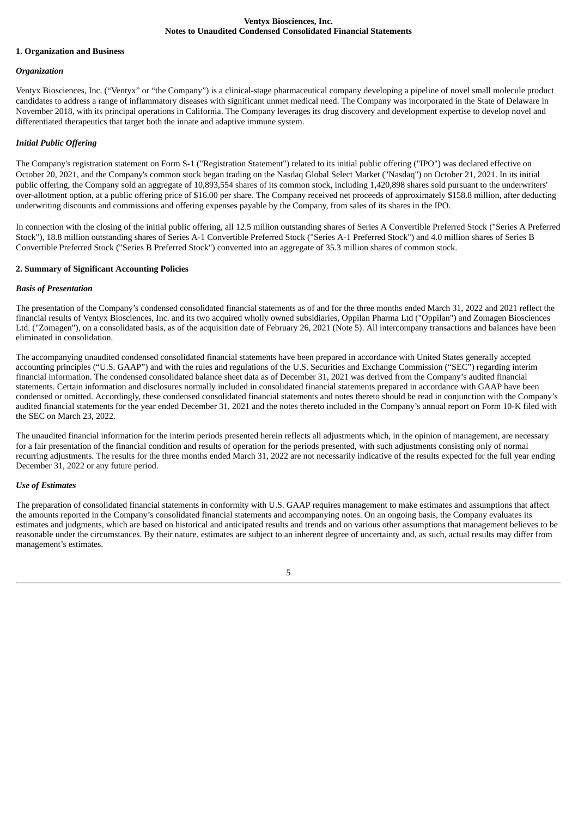#### **Ventyx Biosciences, Inc. Notes to Unaudited Condensed Consolidated Financial Statements**

## <span id="page-8-0"></span>**1. Organization and Business**

## *Organization*

Ventyx Biosciences, Inc. ("Ventyx" or "the Company") is a clinical-stage pharmaceutical company developing a pipeline of novel small molecule product candidates to address a range of inflammatory diseases with significant unmet medical need. The Company was incorporated in the State of Delaware in November 2018, with its principal operations in California. The Company leverages its drug discovery and development expertise to develop novel and differentiated therapeutics that target both the innate and adaptive immune system.

## *Initial Public Offering*

The Company's registration statement on Form S-1 ("Registration Statement") related to its initial public offering ("IPO") was declared effective on October 20, 2021, and the Company's common stock began trading on the Nasdaq Global Select Market ("Nasdaq") on October 21, 2021. In its initial public offering, the Company sold an aggregate of 10,893,554 shares of its common stock, including 1,420,898 shares sold pursuant to the underwriters' over-allotment option, at a public offering price of \$16.00 per share. The Company received net proceeds of approximately \$158.8 million, after deducting underwriting discounts and commissions and offering expenses payable by the Company, from sales of its shares in the IPO.

In connection with the closing of the initial public offering, all 12.5 million outstanding shares of Series A Convertible Preferred Stock ("Series A Preferred Stock"), 18.8 million outstanding shares of Series A-1 Convertible Preferred Stock ("Series A-1 Preferred Stock") and 4.0 million shares of Series B Convertible Preferred Stock ("Series B Preferred Stock") converted into an aggregate of 35.3 million shares of common stock.

## **2. Summary of Significant Accounting Policies**

## *Basis of Presentation*

The presentation of the Company's condensed consolidated financial statements as of and for the three months ended March 31, 2022 and 2021 reflect the financial results of Ventyx Biosciences, Inc. and its two acquired wholly owned subsidiaries, Oppilan Pharma Ltd ("Oppilan") and Zomagen Biosciences Ltd. ("Zomagen"), on a consolidated basis, as of the acquisition date of February 26, 2021 (Note 5). All intercompany transactions and balances have been eliminated in consolidation.

The accompanying unaudited condensed consolidated financial statements have been prepared in accordance with United States generally accepted accounting principles ("U.S. GAAP") and with the rules and regulations of the U.S. Securities and Exchange Commission ("SEC") regarding interim financial information. The condensed consolidated balance sheet data as of December 31, 2021 was derived from the Company's audited financial statements. Certain information and disclosures normally included in consolidated financial statements prepared in accordance with GAAP have been condensed or omitted. Accordingly, these condensed consolidated financial statements and notes thereto should be read in conjunction with the Company's audited financial statements for the year ended December 31, 2021 and the notes thereto included in the Company's annual report on Form 10-K filed with the SEC on March 23, 2022.

The unaudited financial information for the interim periods presented herein reflects all adjustments which, in the opinion of management, are necessary for a fair presentation of the financial condition and results of operation for the periods presented, with such adjustments consisting only of normal recurring adjustments. The results for the three months ended March 31, 2022 are not necessarily indicative of the results expected for the full year ending December 31, 2022 or any future period.

## *Use of Estimates*

The preparation of consolidated financial statements in conformity with U.S. GAAP requires management to make estimates and assumptions that affect the amounts reported in the Company's consolidated financial statements and accompanying notes. On an ongoing basis, the Company evaluates its estimates and judgments, which are based on historical and anticipated results and trends and on various other assumptions that management believes to be reasonable under the circumstances. By their nature, estimates are subject to an inherent degree of uncertainty and, as such, actual results may differ from management's estimates.

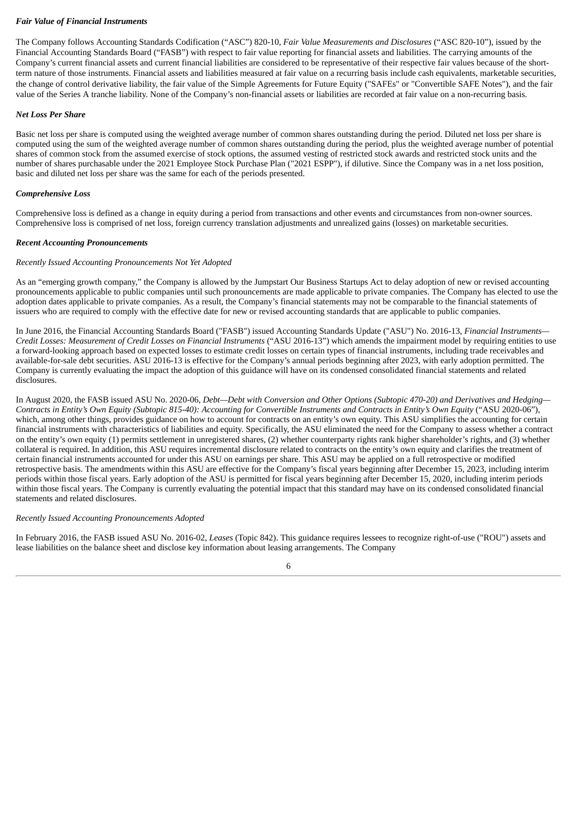## *Fair Value of Financial Instruments*

The Company follows Accounting Standards Codification ("ASC") 820-10, *Fair Value Measurements and Disclosures* ("ASC 820-10"), issued by the Financial Accounting Standards Board ("FASB") with respect to fair value reporting for financial assets and liabilities. The carrying amounts of the Company's current financial assets and current financial liabilities are considered to be representative of their respective fair values because of the shortterm nature of those instruments. Financial assets and liabilities measured at fair value on a recurring basis include cash equivalents, marketable securities, the change of control derivative liability, the fair value of the Simple Agreements for Future Equity ("SAFEs" or "Convertible SAFE Notes"), and the fair value of the Series A tranche liability. None of the Company's non-financial assets or liabilities are recorded at fair value on a non-recurring basis.

## *Net Loss Per Share*

Basic net loss per share is computed using the weighted average number of common shares outstanding during the period. Diluted net loss per share is computed using the sum of the weighted average number of common shares outstanding during the period, plus the weighted average number of potential shares of common stock from the assumed exercise of stock options, the assumed vesting of restricted stock awards and restricted stock units and the number of shares purchasable under the 2021 Employee Stock Purchase Plan ("2021 ESPP"), if dilutive. Since the Company was in a net loss position, basic and diluted net loss per share was the same for each of the periods presented.

## *Comprehensive Loss*

Comprehensive loss is defined as a change in equity during a period from transactions and other events and circumstances from non-owner sources. Comprehensive loss is comprised of net loss, foreign currency translation adjustments and unrealized gains (losses) on marketable securities.

## *Recent Accounting Pronouncements*

## *Recently Issued Accounting Pronouncements Not Yet Adopted*

As an "emerging growth company," the Company is allowed by the Jumpstart Our Business Startups Act to delay adoption of new or revised accounting pronouncements applicable to public companies until such pronouncements are made applicable to private companies. The Company has elected to use the adoption dates applicable to private companies. As a result, the Company's financial statements may not be comparable to the financial statements of issuers who are required to comply with the effective date for new or revised accounting standards that are applicable to public companies.

In June 2016, the Financial Accounting Standards Board ("FASB") issued Accounting Standards Update ("ASU") No. 2016-13, *Financial Instruments— Credit Losses: Measurement of Credit Losses on Financial Instruments* ("ASU 2016-13") which amends the impairment model by requiring entities to use a forward-looking approach based on expected losses to estimate credit losses on certain types of financial instruments, including trade receivables and available-for-sale debt securities. ASU 2016-13 is effective for the Company's annual periods beginning after 2023, with early adoption permitted. The Company is currently evaluating the impact the adoption of this guidance will have on its condensed consolidated financial statements and related disclosures.

In August 2020, the FASB issued ASU No. 2020-06, *Debt—Debt with Conversion and Other Options (Subtopic 470-20) and Derivatives and Hedging—* Contracts in Entity's Own Equity (Subtopic 815-40): Accounting for Convertible Instruments and Contracts in Entity's Own Equity ("ASU 2020-06"), which, among other things, provides guidance on how to account for contracts on an entity's own equity. This ASU simplifies the accounting for certain financial instruments with characteristics of liabilities and equity. Specifically, the ASU eliminated the need for the Company to assess whether a contract on the entity's own equity (1) permits settlement in unregistered shares, (2) whether counterparty rights rank higher shareholder's rights, and (3) whether collateral is required. In addition, this ASU requires incremental disclosure related to contracts on the entity's own equity and clarifies the treatment of certain financial instruments accounted for under this ASU on earnings per share. This ASU may be applied on a full retrospective or modified retrospective basis. The amendments within this ASU are effective for the Company's fiscal years beginning after December 15, 2023, including interim periods within those fiscal years. Early adoption of the ASU is permitted for fiscal years beginning after December 15, 2020, including interim periods within those fiscal years. The Company is currently evaluating the potential impact that this standard may have on its condensed consolidated financial statements and related disclosures.

## *Recently Issued Accounting Pronouncements Adopted*

In February 2016, the FASB issued ASU No. 2016-02, *Leases* (Topic 842). This guidance requires lessees to recognize right-of-use ("ROU") assets and lease liabilities on the balance sheet and disclose key information about leasing arrangements. The Company

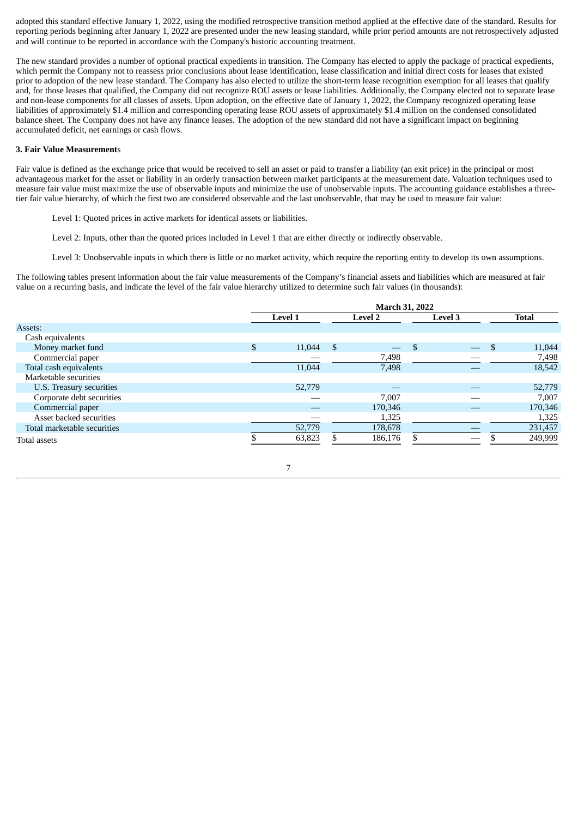adopted this standard effective January 1, 2022, using the modified retrospective transition method applied at the effective date of the standard. Results for reporting periods beginning after January 1, 2022 are presented under the new leasing standard, while prior period amounts are not retrospectively adjusted and will continue to be reported in accordance with the Company's historic accounting treatment.

The new standard provides a number of optional practical expedients in transition. The Company has elected to apply the package of practical expedients, which permit the Company not to reassess prior conclusions about lease identification, lease classification and initial direct costs for leases that existed prior to adoption of the new lease standard. The Company has also elected to utilize the short-term lease recognition exemption for all leases that qualify and, for those leases that qualified, the Company did not recognize ROU assets or lease liabilities. Additionally, the Company elected not to separate lease and non-lease components for all classes of assets. Upon adoption, on the effective date of January 1, 2022, the Company recognized operating lease liabilities of approximately \$1.4 million and corresponding operating lease ROU assets of approximately \$1.4 million on the condensed consolidated balance sheet. The Company does not have any finance leases. The adoption of the new standard did not have a significant impact on beginning accumulated deficit, net earnings or cash flows.

#### **3. Fair Value Measurement**s

Fair value is defined as the exchange price that would be received to sell an asset or paid to transfer a liability (an exit price) in the principal or most advantageous market for the asset or liability in an orderly transaction between market participants at the measurement date. Valuation techniques used to measure fair value must maximize the use of observable inputs and minimize the use of unobservable inputs. The accounting guidance establishes a threetier fair value hierarchy, of which the first two are considered observable and the last unobservable, that may be used to measure fair value:

Level 1: Quoted prices in active markets for identical assets or liabilities.

Level 2: Inputs, other than the quoted prices included in Level 1 that are either directly or indirectly observable.

Level 3: Unobservable inputs in which there is little or no market activity, which require the reporting entity to develop its own assumptions.

The following tables present information about the fair value measurements of the Company's financial assets and liabilities which are measured at fair value on a recurring basis, and indicate the level of the fair value hierarchy utilized to determine such fair values (in thousands):

|                             | <b>March 31, 2022</b> |                |      |                |    |                |               |              |  |
|-----------------------------|-----------------------|----------------|------|----------------|----|----------------|---------------|--------------|--|
|                             |                       | <b>Level 1</b> |      | <b>Level 2</b> |    | <b>Level 3</b> |               | <b>Total</b> |  |
| Assets:                     |                       |                |      |                |    |                |               |              |  |
| Cash equivalents            |                       |                |      |                |    |                |               |              |  |
| Money market fund           | $\mathcal{S}$         | 11,044         | - \$ |                | \$ |                | <sup>\$</sup> | 11,044       |  |
| Commercial paper            |                       |                |      | 7,498          |    |                |               | 7,498        |  |
| Total cash equivalents      |                       | 11,044         |      | 7,498          |    |                |               | 18,542       |  |
| Marketable securities       |                       |                |      |                |    |                |               |              |  |
| U.S. Treasury securities    |                       | 52,779         |      | __             |    |                |               | 52,779       |  |
| Corporate debt securities   |                       |                |      | 7,007          |    |                |               | 7,007        |  |
| Commercial paper            |                       |                |      | 170,346        |    |                |               | 170,346      |  |
| Asset backed securities     |                       |                |      | 1,325          |    |                |               | 1,325        |  |
| Total marketable securities |                       | 52,779         |      | 178,678        |    |                |               | 231,457      |  |
| Total assets                |                       | 63,823         |      | 186,176        |    |                |               | 249,999      |  |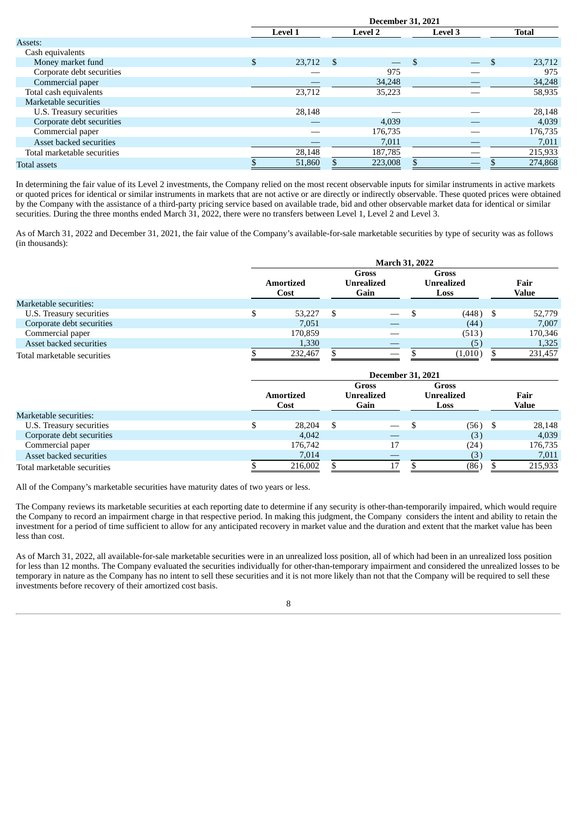|                             | <b>December 31, 2021</b> |        |                |                          |                |  |   |              |  |
|-----------------------------|--------------------------|--------|----------------|--------------------------|----------------|--|---|--------------|--|
|                             | <b>Level 1</b>           |        | <b>Level 2</b> |                          | <b>Level 3</b> |  |   | <b>Total</b> |  |
| Assets:                     |                          |        |                |                          |                |  |   |              |  |
| Cash equivalents            |                          |        |                |                          |                |  |   |              |  |
| Money market fund           | \$                       | 23,712 | $^{\circ}$     | $\overline{\phantom{0}}$ | \$.            |  | S | 23,712       |  |
| Corporate debt securities   |                          |        |                | 975                      |                |  |   | 975          |  |
| Commercial paper            |                          |        |                | 34,248                   |                |  |   | 34,248       |  |
| Total cash equivalents      |                          | 23,712 |                | 35,223                   |                |  |   | 58,935       |  |
| Marketable securities       |                          |        |                |                          |                |  |   |              |  |
| U.S. Treasury securities    |                          | 28,148 |                |                          |                |  |   | 28,148       |  |
| Corporate debt securities   |                          |        |                | 4,039                    |                |  |   | 4,039        |  |
| Commercial paper            |                          |        |                | 176,735                  |                |  |   | 176,735      |  |
| Asset backed securities     |                          |        |                | 7,011                    |                |  |   | 7,011        |  |
| Total marketable securities |                          | 28,148 |                | 187,785                  |                |  |   | 215,933      |  |
| Total assets                |                          | 51,860 |                | 223,008                  |                |  |   | 274,868      |  |

In determining the fair value of its Level 2 investments, the Company relied on the most recent observable inputs for similar instruments in active markets or quoted prices for identical or similar instruments in markets that are not active or are directly or indirectly observable. These quoted prices were obtained by the Company with the assistance of a third-party pricing service based on available trade, bid and other observable market data for identical or similar securities. During the three months ended March 31, 2022, there were no transfers between Level 1, Level 2 and Level 3.

As of March 31, 2022 and December 31, 2021, the fair value of the Company's available-for-sale marketable securities by type of security was as follows (in thousands):

|                             | <b>March 31, 2022</b>    |      |                             |  |                                    |  |                      |  |  |  |
|-----------------------------|--------------------------|------|-----------------------------|--|------------------------------------|--|----------------------|--|--|--|
|                             | <b>Amortized</b><br>Cost |      | Gross<br>Unrealized<br>Gain |  | Gross<br><b>Unrealized</b><br>Loss |  | Fair<br><b>Value</b> |  |  |  |
| Marketable securities:      |                          |      |                             |  |                                    |  |                      |  |  |  |
| U.S. Treasury securities    | 53,227                   | - \$ |                             |  | $(448)$ \$                         |  | 52,779               |  |  |  |
| Corporate debt securities   | 7,051                    |      |                             |  | (44)                               |  | 7,007                |  |  |  |
| Commercial paper            | 170,859                  |      |                             |  | (513)                              |  | 170,346              |  |  |  |
| Asset backed securities     | 1,330                    |      |                             |  | (5                                 |  | 1,325                |  |  |  |
| Total marketable securities | 232,467                  |      |                             |  | (1,010)                            |  | 231,457              |  |  |  |

|                             | <b>December 31, 2021</b> |  |                                    |  |                                    |  |                      |  |  |
|-----------------------------|--------------------------|--|------------------------------------|--|------------------------------------|--|----------------------|--|--|
|                             | Amortized<br>Cost        |  | Gross<br><b>Unrealized</b><br>Gain |  | Gross<br><b>Unrealized</b><br>Loss |  | Fair<br><b>Value</b> |  |  |
| Marketable securities:      |                          |  |                                    |  |                                    |  |                      |  |  |
| U.S. Treasury securities    | 28,204                   |  |                                    |  | $(56)$ \$                          |  | 28,148               |  |  |
| Corporate debt securities   | 4.042                    |  |                                    |  | (3)                                |  | 4,039                |  |  |
| Commercial paper            | 176,742                  |  | 17                                 |  | (24)                               |  | 176,735              |  |  |
| Asset backed securities     | 7,014                    |  |                                    |  |                                    |  | 7,011                |  |  |
| Total marketable securities | 216,002                  |  | 17                                 |  | (86`                               |  | 215,933              |  |  |

All of the Company's marketable securities have maturity dates of two years or less.

The Company reviews its marketable securities at each reporting date to determine if any security is other-than-temporarily impaired, which would require the Company to record an impairment charge in that respective period. In making this judgment, the Company considers the intent and ability to retain the investment for a period of time sufficient to allow for any anticipated recovery in market value and the duration and extent that the market value has been less than cost.

As of March 31, 2022, all available-for-sale marketable securities were in an unrealized loss position, all of which had been in an unrealized loss position for less than 12 months. The Company evaluated the securities individually for other-than-temporary impairment and considered the unrealized losses to be temporary in nature as the Company has no intent to sell these securities and it is not more likely than not that the Company will be required to sell these investments before recovery of their amortized cost basis.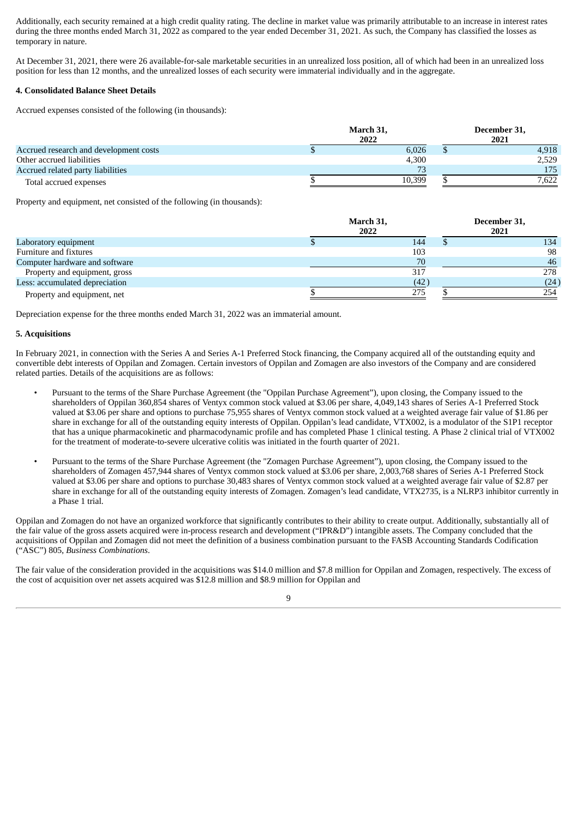Additionally, each security remained at a high credit quality rating. The decline in market value was primarily attributable to an increase in interest rates during the three months ended March 31, 2022 as compared to the year ended December 31, 2021. As such, the Company has classified the losses as temporary in nature.

At December 31, 2021, there were 26 available-for-sale marketable securities in an unrealized loss position, all of which had been in an unrealized loss position for less than 12 months, and the unrealized losses of each security were immaterial individually and in the aggregate.

## **4. Consolidated Balance Sheet Details**

Accrued expenses consisted of the following (in thousands):

|                                        | March 31,<br>2022 |        |  | December 31,<br>2021 |  |  |  |
|----------------------------------------|-------------------|--------|--|----------------------|--|--|--|
| Accrued research and development costs |                   | 6,026  |  | 4.918                |  |  |  |
| Other accrued liabilities              |                   | 4,300  |  | 2,529                |  |  |  |
| Accrued related party liabilities      |                   | 73     |  | 175                  |  |  |  |
| Total accrued expenses                 |                   | 10,399 |  | 7,622                |  |  |  |

Property and equipment, net consisted of the following (in thousands):

|                                | March 31,<br>2022 |      |  | December 31,<br>2021 |  |  |  |
|--------------------------------|-------------------|------|--|----------------------|--|--|--|
| Laboratory equipment           |                   | 144  |  | 134                  |  |  |  |
| Furniture and fixtures         |                   | 103  |  | 98                   |  |  |  |
| Computer hardware and software |                   | 70   |  | 46                   |  |  |  |
| Property and equipment, gross  |                   | 317  |  | 278                  |  |  |  |
| Less: accumulated depreciation |                   | (42) |  | (24)                 |  |  |  |
| Property and equipment, net    |                   | 275  |  | 254                  |  |  |  |

Depreciation expense for the three months ended March 31, 2022 was an immaterial amount.

## **5. Acquisitions**

In February 2021, in connection with the Series A and Series A-1 Preferred Stock financing, the Company acquired all of the outstanding equity and convertible debt interests of Oppilan and Zomagen. Certain investors of Oppilan and Zomagen are also investors of the Company and are considered related parties. Details of the acquisitions are as follows:

- Pursuant to the terms of the Share Purchase Agreement (the "Oppilan Purchase Agreement"), upon closing, the Company issued to the shareholders of Oppilan 360,854 shares of Ventyx common stock valued at \$3.06 per share, 4,049,143 shares of Series A-1 Preferred Stock valued at \$3.06 per share and options to purchase 75,955 shares of Ventyx common stock valued at a weighted average fair value of \$1.86 per share in exchange for all of the outstanding equity interests of Oppilan. Oppilan's lead candidate, VTX002, is a modulator of the S1P1 receptor that has a unique pharmacokinetic and pharmacodynamic profile and has completed Phase 1 clinical testing. A Phase 2 clinical trial of VTX002 for the treatment of moderate-to-severe ulcerative colitis was initiated in the fourth quarter of 2021.
- Pursuant to the terms of the Share Purchase Agreement (the "Zomagen Purchase Agreement"), upon closing, the Company issued to the shareholders of Zomagen 457,944 shares of Ventyx common stock valued at \$3.06 per share, 2,003,768 shares of Series A-1 Preferred Stock valued at \$3.06 per share and options to purchase 30,483 shares of Ventyx common stock valued at a weighted average fair value of \$2.87 per share in exchange for all of the outstanding equity interests of Zomagen. Zomagen's lead candidate, VTX2735, is a NLRP3 inhibitor currently in a Phase 1 trial.

Oppilan and Zomagen do not have an organized workforce that significantly contributes to their ability to create output. Additionally, substantially all of the fair value of the gross assets acquired were in-process research and development ("IPR&D") intangible assets. The Company concluded that the acquisitions of Oppilan and Zomagen did not meet the definition of a business combination pursuant to the FASB Accounting Standards Codification ("ASC") 805, *Business Combinations*.

The fair value of the consideration provided in the acquisitions was \$14.0 million and \$7.8 million for Oppilan and Zomagen, respectively. The excess of the cost of acquisition over net assets acquired was \$12.8 million and \$8.9 million for Oppilan and

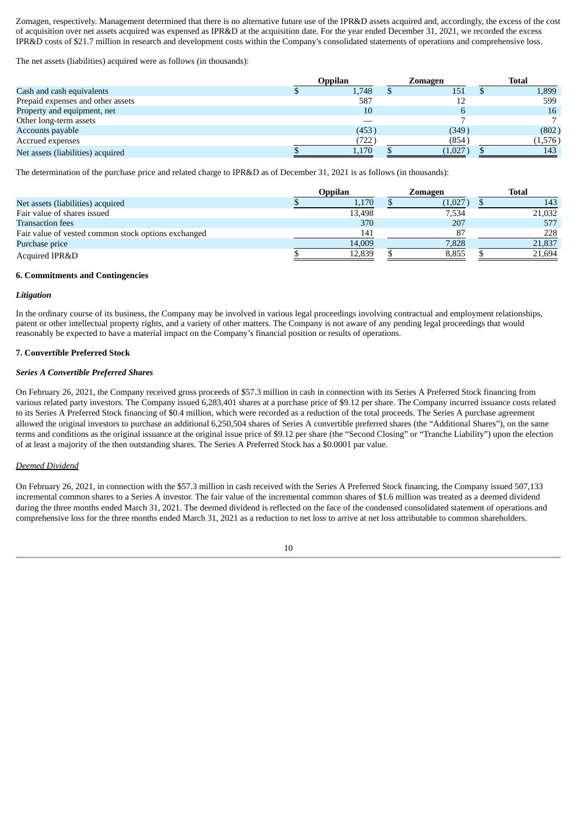Zomagen, respectively. Management determined that there is no alternative future use of the IPR&D assets acquired and, accordingly, the excess of the cost of acquisition over net assets acquired was expensed as IPR&D at the acquisition date. For the year ended December 31, 2021, we recorded the excess IPR&D costs of \$21.7 million in research and development costs within the Company's consolidated statements of operations and comprehensive loss.

The net assets (liabilities) acquired were as follows (in thousands):

|                                   | Oppilan | Zomagen | <b>Total</b> |
|-----------------------------------|---------|---------|--------------|
| Cash and cash equivalents         | 1,748   | 151     | 1,899        |
| Prepaid expenses and other assets | 587     |         | 599          |
| Property and equipment, net       | 10      |         | 16           |
| Other long-term assets            |         |         |              |
| Accounts payable                  | (453)   | (349)   | (802)        |
| Accrued expenses                  | (722)   | (854)   | (1,576)      |
| Net assets (liabilities) acquired | 1,170   | (1,027) | 143          |

The determination of the purchase price and related charge to IPR&D as of December 31, 2021 is as follows (in thousands):

|                                                     | <b>Oppilan</b> |        | Zomagen | <b>Total</b> |        |
|-----------------------------------------------------|----------------|--------|---------|--------------|--------|
| Net assets (liabilities) acquired                   |                | 1,170  |         | (1,027)      | 143    |
| Fair value of shares issued                         |                | 13,498 |         | 7,534        | 21,032 |
| <b>Transaction fees</b>                             |                | 370    |         | 207          | 577    |
| Fair value of vested common stock options exchanged |                | 141    |         | 87           | 228    |
| Purchase price                                      |                | 14,009 |         | 7.828        | 21,837 |
| Acquired IPR&D                                      |                | 12,839 |         | 8,855        | 21,694 |

## **6. Commitments and Contingencies**

## *Litigation*

In the ordinary course of its business, the Company may be involved in various legal proceedings involving contractual and employment relationships, patent or other intellectual property rights, and a variety of other matters. The Company is not aware of any pending legal proceedings that would reasonably be expected to have a material impact on the Company's financial position or results of operations.

## **7. Convertible Preferred Stock**

## *Series A Convertible Preferred Shares*

On February 26, 2021, the Company received gross proceeds of \$57.3 million in cash in connection with its Series A Preferred Stock financing from various related party investors. The Company issued 6,283,401 shares at a purchase price of \$9.12 per share. The Company incurred issuance costs related to its Series A Preferred Stock financing of \$0.4 million, which were recorded as a reduction of the total proceeds. The Series A purchase agreement allowed the original investors to purchase an additional 6,250,504 shares of Series A convertible preferred shares (the "Additional Shares"), on the same terms and conditions as the original issuance at the original issue price of \$9.12 per share (the "Second Closing" or "Tranche Liability") upon the election of at least a majority of the then outstanding shares. The Series A Preferred Stock has a \$0.0001 par value.

## *Deemed Dividend*

On February 26, 2021, in connection with the \$57.3 million in cash received with the Series A Preferred Stock financing, the Company issued 507,133 incremental common shares to a Series A investor. The fair value of the incremental common shares of \$1.6 million was treated as a deemed dividend during the three months ended March 31, 2021. The deemed dividend is reflected on the face of the condensed consolidated statement of operations and comprehensive loss for the three months ended March 31, 2021 as a reduction to net loss to arrive at net loss attributable to common shareholders.

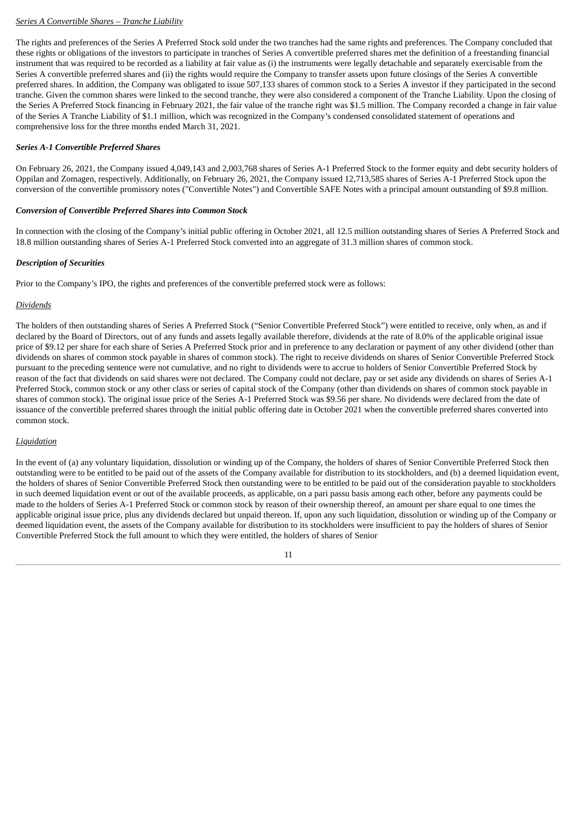## *Series A Convertible Shares – Tranche Liability*

The rights and preferences of the Series A Preferred Stock sold under the two tranches had the same rights and preferences. The Company concluded that these rights or obligations of the investors to participate in tranches of Series A convertible preferred shares met the definition of a freestanding financial instrument that was required to be recorded as a liability at fair value as (i) the instruments were legally detachable and separately exercisable from the Series A convertible preferred shares and (ii) the rights would require the Company to transfer assets upon future closings of the Series A convertible preferred shares. In addition, the Company was obligated to issue 507,133 shares of common stock to a Series A investor if they participated in the second tranche. Given the common shares were linked to the second tranche, they were also considered a component of the Tranche Liability. Upon the closing of the Series A Preferred Stock financing in February 2021, the fair value of the tranche right was \$1.5 million. The Company recorded a change in fair value of the Series A Tranche Liability of \$1.1 million, which was recognized in the Company's condensed consolidated statement of operations and comprehensive loss for the three months ended March 31, 2021.

## *Series A-1 Convertible Preferred Shares*

On February 26, 2021, the Company issued 4,049,143 and 2,003,768 shares of Series A-1 Preferred Stock to the former equity and debt security holders of Oppilan and Zomagen, respectively. Additionally, on February 26, 2021, the Company issued 12,713,585 shares of Series A-1 Preferred Stock upon the conversion of the convertible promissory notes ("Convertible Notes") and Convertible SAFE Notes with a principal amount outstanding of \$9.8 million.

## *Conversion of Convertible Preferred Shares into Common Stock*

In connection with the closing of the Company's initial public offering in October 2021, all 12.5 million outstanding shares of Series A Preferred Stock and 18.8 million outstanding shares of Series A-1 Preferred Stock converted into an aggregate of 31.3 million shares of common stock.

## *Description of Securities*

Prior to the Company's IPO, the rights and preferences of the convertible preferred stock were as follows:

## *Dividends*

The holders of then outstanding shares of Series A Preferred Stock ("Senior Convertible Preferred Stock") were entitled to receive, only when, as and if declared by the Board of Directors, out of any funds and assets legally available therefore, dividends at the rate of 8.0% of the applicable original issue price of \$9.12 per share for each share of Series A Preferred Stock prior and in preference to any declaration or payment of any other dividend (other than dividends on shares of common stock payable in shares of common stock). The right to receive dividends on shares of Senior Convertible Preferred Stock pursuant to the preceding sentence were not cumulative, and no right to dividends were to accrue to holders of Senior Convertible Preferred Stock by reason of the fact that dividends on said shares were not declared. The Company could not declare, pay or set aside any dividends on shares of Series A-1 Preferred Stock, common stock or any other class or series of capital stock of the Company (other than dividends on shares of common stock payable in shares of common stock). The original issue price of the Series A-1 Preferred Stock was \$9.56 per share. No dividends were declared from the date of issuance of the convertible preferred shares through the initial public offering date in October 2021 when the convertible preferred shares converted into common stock.

## *Liquidation*

In the event of (a) any voluntary liquidation, dissolution or winding up of the Company, the holders of shares of Senior Convertible Preferred Stock then outstanding were to be entitled to be paid out of the assets of the Company available for distribution to its stockholders, and (b) a deemed liquidation event, the holders of shares of Senior Convertible Preferred Stock then outstanding were to be entitled to be paid out of the consideration payable to stockholders in such deemed liquidation event or out of the available proceeds, as applicable, on a pari passu basis among each other, before any payments could be made to the holders of Series A-1 Preferred Stock or common stock by reason of their ownership thereof, an amount per share equal to one times the applicable original issue price, plus any dividends declared but unpaid thereon. If, upon any such liquidation, dissolution or winding up of the Company or deemed liquidation event, the assets of the Company available for distribution to its stockholders were insufficient to pay the holders of shares of Senior Convertible Preferred Stock the full amount to which they were entitled, the holders of shares of Senior

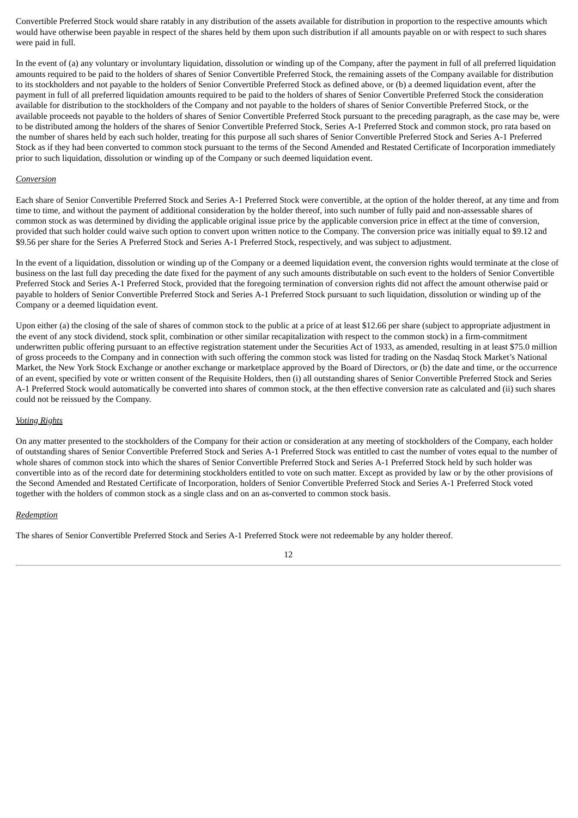Convertible Preferred Stock would share ratably in any distribution of the assets available for distribution in proportion to the respective amounts which would have otherwise been payable in respect of the shares held by them upon such distribution if all amounts payable on or with respect to such shares were paid in full.

In the event of (a) any voluntary or involuntary liquidation, dissolution or winding up of the Company, after the payment in full of all preferred liquidation amounts required to be paid to the holders of shares of Senior Convertible Preferred Stock, the remaining assets of the Company available for distribution to its stockholders and not payable to the holders of Senior Convertible Preferred Stock as defined above, or (b) a deemed liquidation event, after the payment in full of all preferred liquidation amounts required to be paid to the holders of shares of Senior Convertible Preferred Stock the consideration available for distribution to the stockholders of the Company and not payable to the holders of shares of Senior Convertible Preferred Stock, or the available proceeds not payable to the holders of shares of Senior Convertible Preferred Stock pursuant to the preceding paragraph, as the case may be, were to be distributed among the holders of the shares of Senior Convertible Preferred Stock, Series A-1 Preferred Stock and common stock, pro rata based on the number of shares held by each such holder, treating for this purpose all such shares of Senior Convertible Preferred Stock and Series A-1 Preferred Stock as if they had been converted to common stock pursuant to the terms of the Second Amended and Restated Certificate of Incorporation immediately prior to such liquidation, dissolution or winding up of the Company or such deemed liquidation event.

## *Conversion*

Each share of Senior Convertible Preferred Stock and Series A-1 Preferred Stock were convertible, at the option of the holder thereof, at any time and from time to time, and without the payment of additional consideration by the holder thereof, into such number of fully paid and non-assessable shares of common stock as was determined by dividing the applicable original issue price by the applicable conversion price in effect at the time of conversion, provided that such holder could waive such option to convert upon written notice to the Company. The conversion price was initially equal to \$9.12 and \$9.56 per share for the Series A Preferred Stock and Series A-1 Preferred Stock, respectively, and was subject to adjustment.

In the event of a liquidation, dissolution or winding up of the Company or a deemed liquidation event, the conversion rights would terminate at the close of business on the last full day preceding the date fixed for the payment of any such amounts distributable on such event to the holders of Senior Convertible Preferred Stock and Series A-1 Preferred Stock, provided that the foregoing termination of conversion rights did not affect the amount otherwise paid or payable to holders of Senior Convertible Preferred Stock and Series A-1 Preferred Stock pursuant to such liquidation, dissolution or winding up of the Company or a deemed liquidation event.

Upon either (a) the closing of the sale of shares of common stock to the public at a price of at least \$12.66 per share (subject to appropriate adjustment in the event of any stock dividend, stock split, combination or other similar recapitalization with respect to the common stock) in a firm-commitment underwritten public offering pursuant to an effective registration statement under the Securities Act of 1933, as amended, resulting in at least \$75.0 million of gross proceeds to the Company and in connection with such offering the common stock was listed for trading on the Nasdaq Stock Market's National Market, the New York Stock Exchange or another exchange or marketplace approved by the Board of Directors, or (b) the date and time, or the occurrence of an event, specified by vote or written consent of the Requisite Holders, then (i) all outstanding shares of Senior Convertible Preferred Stock and Series A-1 Preferred Stock would automatically be converted into shares of common stock, at the then effective conversion rate as calculated and (ii) such shares could not be reissued by the Company.

## *Voting Rights*

On any matter presented to the stockholders of the Company for their action or consideration at any meeting of stockholders of the Company, each holder of outstanding shares of Senior Convertible Preferred Stock and Series A-1 Preferred Stock was entitled to cast the number of votes equal to the number of whole shares of common stock into which the shares of Senior Convertible Preferred Stock and Series A-1 Preferred Stock held by such holder was convertible into as of the record date for determining stockholders entitled to vote on such matter. Except as provided by law or by the other provisions of the Second Amended and Restated Certificate of Incorporation, holders of Senior Convertible Preferred Stock and Series A-1 Preferred Stock voted together with the holders of common stock as a single class and on an as-converted to common stock basis.

#### *Redemption*

The shares of Senior Convertible Preferred Stock and Series A-1 Preferred Stock were not redeemable by any holder thereof.

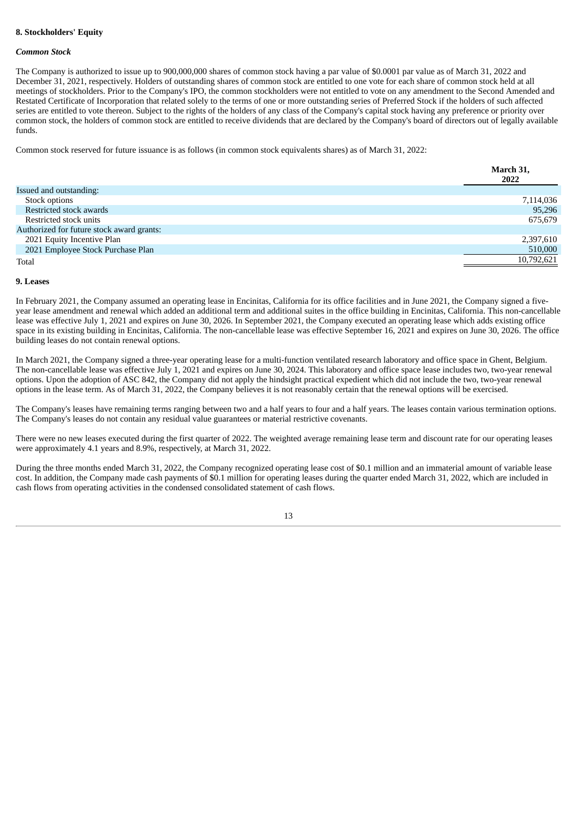## **8. Stockholders' Equity**

#### *Common Stock*

The Company is authorized to issue up to 900,000,000 shares of common stock having a par value of \$0.0001 par value as of March 31, 2022 and December 31, 2021, respectively. Holders of outstanding shares of common stock are entitled to one vote for each share of common stock held at all meetings of stockholders. Prior to the Company's IPO, the common stockholders were not entitled to vote on any amendment to the Second Amended and Restated Certificate of Incorporation that related solely to the terms of one or more outstanding series of Preferred Stock if the holders of such affected series are entitled to vote thereon. Subject to the rights of the holders of any class of the Company's capital stock having any preference or priority over common stock, the holders of common stock are entitled to receive dividends that are declared by the Company's board of directors out of legally available funds.

Common stock reserved for future issuance is as follows (in common stock equivalents shares) as of March 31, 2022:

|                                           | March 31,<br>2022 |
|-------------------------------------------|-------------------|
| Issued and outstanding:                   |                   |
| Stock options                             | 7,114,036         |
| Restricted stock awards                   | 95,296            |
| Restricted stock units                    | 675,679           |
| Authorized for future stock award grants: |                   |
| 2021 Equity Incentive Plan                | 2,397,610         |
| 2021 Employee Stock Purchase Plan         | 510,000           |
| Total                                     | 10,792,621        |

#### **9. Leases**

In February 2021, the Company assumed an operating lease in Encinitas, California for its office facilities and in June 2021, the Company signed a fiveyear lease amendment and renewal which added an additional term and additional suites in the office building in Encinitas, California. This non-cancellable lease was effective July 1, 2021 and expires on June 30, 2026. In September 2021, the Company executed an operating lease which adds existing office space in its existing building in Encinitas, California. The non-cancellable lease was effective September 16, 2021 and expires on June 30, 2026. The office building leases do not contain renewal options.

In March 2021, the Company signed a three-year operating lease for a multi-function ventilated research laboratory and office space in Ghent, Belgium. The non-cancellable lease was effective July 1, 2021 and expires on June 30, 2024. This laboratory and office space lease includes two, two-year renewal options. Upon the adoption of ASC 842, the Company did not apply the hindsight practical expedient which did not include the two, two-year renewal options in the lease term. As of March 31, 2022, the Company believes it is not reasonably certain that the renewal options will be exercised.

The Company's leases have remaining terms ranging between two and a half years to four and a half years. The leases contain various termination options. The Company's leases do not contain any residual value guarantees or material restrictive covenants.

There were no new leases executed during the first quarter of 2022. The weighted average remaining lease term and discount rate for our operating leases were approximately 4.1 years and 8.9%, respectively, at March 31, 2022.

During the three months ended March 31, 2022, the Company recognized operating lease cost of \$0.1 million and an immaterial amount of variable lease cost. In addition, the Company made cash payments of \$0.1 million for operating leases during the quarter ended March 31, 2022, which are included in cash flows from operating activities in the condensed consolidated statement of cash flows.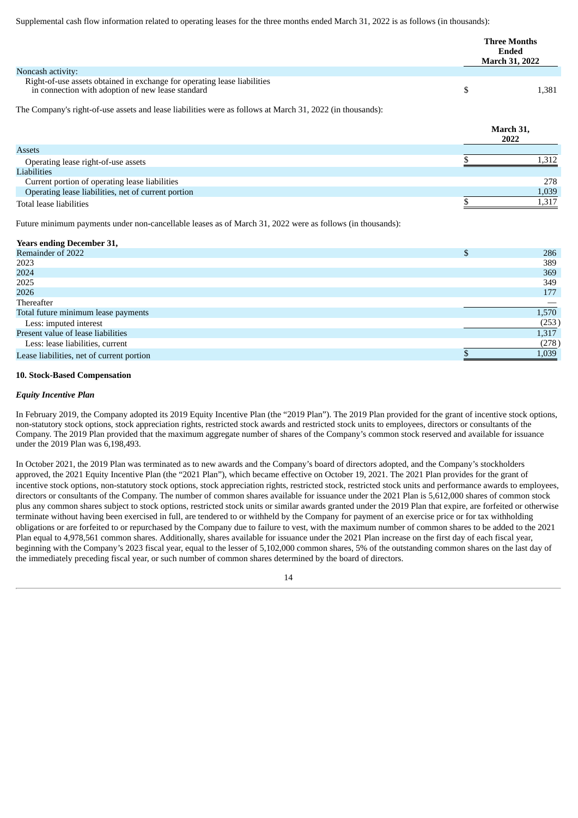Supplemental cash flow information related to operating leases for the three months ended March 31, 2022 is as follows (in thousands):

|                                                                                                                               | <b>Three Months</b><br>Ended<br><b>March 31, 2022</b> |
|-------------------------------------------------------------------------------------------------------------------------------|-------------------------------------------------------|
| Noncash activity:                                                                                                             |                                                       |
| Right-of-use assets obtained in exchange for operating lease liabilities<br>in connection with adoption of new lease standard | 1.381                                                 |
| The Company's right-of-use assets and lease liabilities were as follows at March 31, 2022 (in thousands):                     |                                                       |

|                                                     | March 31,<br>2022 |       |
|-----------------------------------------------------|-------------------|-------|
| <b>Assets</b>                                       |                   |       |
| Operating lease right-of-use assets                 |                   | 1.312 |
| Liabilities                                         |                   |       |
| Current portion of operating lease liabilities      |                   | 278   |
| Operating lease liabilities, net of current portion |                   | 1,039 |
| Total lease liabilities                             |                   | 1,317 |

Future minimum payments under non-cancellable leases as of March 31, 2022 were as follows (in thousands):

| <b>Years ending December 31,</b>          |       |
|-------------------------------------------|-------|
| Remainder of 2022                         | 286   |
| 2023                                      | 389   |
| 2024                                      | 369   |
| 2025                                      | 349   |
| 2026                                      | 177   |
| Thereafter                                |       |
| Total future minimum lease payments       | 1,570 |
| Less: imputed interest                    | (253) |
| Present value of lease liabilities        | 1,317 |
| Less: lease liabilities, current          | (278) |
| Lease liabilities, net of current portion | 1,039 |

## **10. Stock-Based Compensation**

## *Equity Incentive Plan*

In February 2019, the Company adopted its 2019 Equity Incentive Plan (the "2019 Plan"). The 2019 Plan provided for the grant of incentive stock options, non-statutory stock options, stock appreciation rights, restricted stock awards and restricted stock units to employees, directors or consultants of the Company. The 2019 Plan provided that the maximum aggregate number of shares of the Company's common stock reserved and available for issuance under the 2019 Plan was 6,198,493.

In October 2021, the 2019 Plan was terminated as to new awards and the Company's board of directors adopted, and the Company's stockholders approved, the 2021 Equity Incentive Plan (the "2021 Plan"), which became effective on October 19, 2021. The 2021 Plan provides for the grant of incentive stock options, non-statutory stock options, stock appreciation rights, restricted stock, restricted stock units and performance awards to employees, directors or consultants of the Company. The number of common shares available for issuance under the 2021 Plan is 5,612,000 shares of common stock plus any common shares subject to stock options, restricted stock units or similar awards granted under the 2019 Plan that expire, are forfeited or otherwise terminate without having been exercised in full, are tendered to or withheld by the Company for payment of an exercise price or for tax withholding obligations or are forfeited to or repurchased by the Company due to failure to vest, with the maximum number of common shares to be added to the 2021 Plan equal to 4,978,561 common shares. Additionally, shares available for issuance under the 2021 Plan increase on the first day of each fiscal year, beginning with the Company's 2023 fiscal year, equal to the lesser of 5,102,000 common shares, 5% of the outstanding common shares on the last day of the immediately preceding fiscal year, or such number of common shares determined by the board of directors.

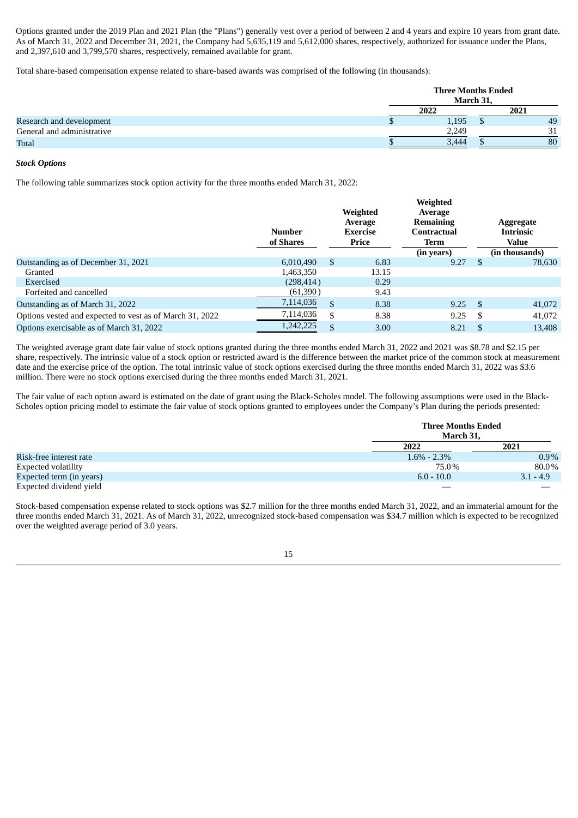Options granted under the 2019 Plan and 2021 Plan (the "Plans") generally vest over a period of between 2 and 4 years and expire 10 years from grant date. As of March 31, 2022 and December 31, 2021, the Company had 5,635,119 and 5,612,000 shares, respectively, authorized for issuance under the Plans, and 2,397,610 and 3,799,570 shares, respectively, remained available for grant.

Total share-based compensation expense related to share-based awards was comprised of the following (in thousands):

|                            | <b>Three Months Ended</b> | March 31. |      |
|----------------------------|---------------------------|-----------|------|
|                            | 2022                      |           | 2021 |
| Research and development   | 1,195                     |           | 49   |
| General and administrative | 2,249                     |           | 21   |
| <b>Total</b>               | 3,444                     |           | 80   |

## *Stock Options*

The following table summarizes stock option activity for the three months ended March 31, 2022:

|                                                          | <b>Number</b><br>of Shares |               | Weighted<br>Average<br><b>Exercise</b><br>Price | Weighted<br>Average<br><b>Remaining</b><br>Contractual<br>Term<br>(in years) |      | Aggregate<br><b>Intrinsic</b><br>Value<br>(in thousands) |
|----------------------------------------------------------|----------------------------|---------------|-------------------------------------------------|------------------------------------------------------------------------------|------|----------------------------------------------------------|
| Outstanding as of December 31, 2021                      | 6,010,490                  | -S            | 6.83                                            | 9.27                                                                         |      | 78,630                                                   |
| Granted                                                  | 1,463,350                  |               | 13.15                                           |                                                                              |      |                                                          |
| Exercised                                                | (298, 414)                 |               | 0.29                                            |                                                                              |      |                                                          |
| Forfeited and cancelled                                  | (61,390)                   |               | 9.43                                            |                                                                              |      |                                                          |
| Outstanding as of March 31, 2022                         | 7,114,036                  | <sup>\$</sup> | 8.38                                            | 9.25                                                                         | - \$ | 41,072                                                   |
| Options vested and expected to vest as of March 31, 2022 | 7,114,036                  | .S            | 8.38                                            | 9.25                                                                         | -S   | 41,072                                                   |
| Options exercisable as of March 31, 2022                 | 1,242,225                  |               | 3.00                                            | 8.21                                                                         | S    | 13,408                                                   |

The weighted average grant date fair value of stock options granted during the three months ended March 31, 2022 and 2021 was \$8.78 and \$2.15 per share, respectively. The intrinsic value of a stock option or restricted award is the difference between the market price of the common stock at measurement date and the exercise price of the option. The total intrinsic value of stock options exercised during the three months ended March 31, 2022 was \$3.6 million. There were no stock options exercised during the three months ended March 31, 2021.

The fair value of each option award is estimated on the date of grant using the Black-Scholes model. The following assumptions were used in the Black-Scholes option pricing model to estimate the fair value of stock options granted to employees under the Company's Plan during the periods presented:

|                            | <b>Three Months Ended</b><br>March 31. |             |
|----------------------------|----------------------------------------|-------------|
|                            | 2022                                   | 2021        |
| Risk-free interest rate    | $1.6\% - 2.3\%$                        | $0.9\%$     |
| <b>Expected volatility</b> | 75.0%                                  | 80.0%       |
| Expected term (in years)   | $6.0 - 10.0$                           | $3.1 - 4.9$ |
| Expected dividend yield    |                                        |             |

Stock-based compensation expense related to stock options was \$2.7 million for the three months ended March 31, 2022, and an immaterial amount for the three months ended March 31, 2021. As of March 31, 2022, unrecognized stock-based compensation was \$34.7 million which is expected to be recognized over the weighted average period of 3.0 years.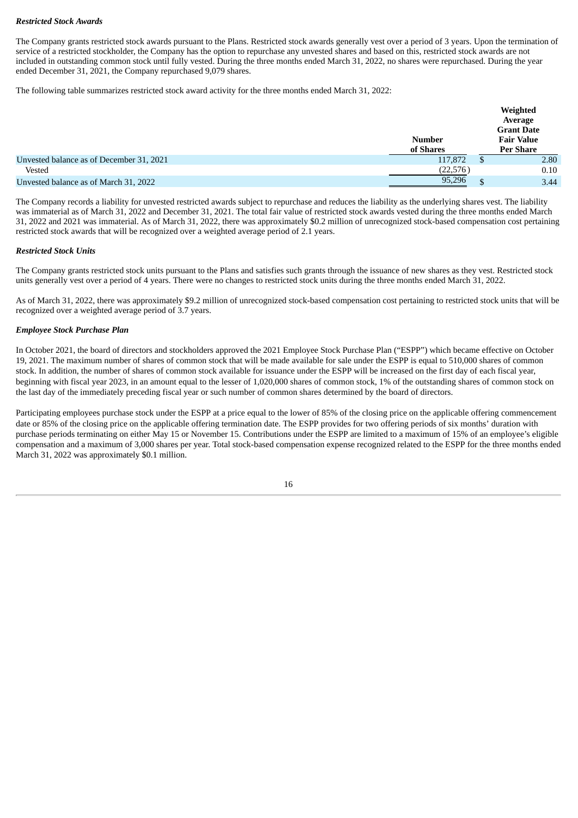#### *Restricted Stock Awards*

The Company grants restricted stock awards pursuant to the Plans. Restricted stock awards generally vest over a period of 3 years. Upon the termination of service of a restricted stockholder, the Company has the option to repurchase any unvested shares and based on this, restricted stock awards are not included in outstanding common stock until fully vested. During the three months ended March 31, 2022, no shares were repurchased. During the year ended December 31, 2021, the Company repurchased 9,079 shares.

The following table summarizes restricted stock award activity for the three months ended March 31, 2022:

|                                          | <b>Number</b><br>of Shares | Weighted<br>Average<br><b>Grant Date</b><br><b>Fair Value</b><br><b>Per Share</b> |
|------------------------------------------|----------------------------|-----------------------------------------------------------------------------------|
| Unvested balance as of December 31, 2021 | 117,872                    | 2.80                                                                              |
| Vested                                   | (22, 576)                  | 0.10                                                                              |
| Unvested balance as of March 31, 2022    | 95,296                     | \$<br>3.44                                                                        |

The Company records a liability for unvested restricted awards subject to repurchase and reduces the liability as the underlying shares vest. The liability was immaterial as of March 31, 2022 and December 31, 2021. The total fair value of restricted stock awards vested during the three months ended March 31, 2022 and 2021 was immaterial. As of March 31, 2022, there was approximately \$0.2 million of unrecognized stock-based compensation cost pertaining restricted stock awards that will be recognized over a weighted average period of 2.1 years.

## *Restricted Stock Units*

The Company grants restricted stock units pursuant to the Plans and satisfies such grants through the issuance of new shares as they vest. Restricted stock units generally vest over a period of 4 years. There were no changes to restricted stock units during the three months ended March 31, 2022.

As of March 31, 2022, there was approximately \$9.2 million of unrecognized stock-based compensation cost pertaining to restricted stock units that will be recognized over a weighted average period of 3.7 years.

## *Employee Stock Purchase Plan*

In October 2021, the board of directors and stockholders approved the 2021 Employee Stock Purchase Plan ("ESPP") which became effective on October 19, 2021. The maximum number of shares of common stock that will be made available for sale under the ESPP is equal to 510,000 shares of common stock. In addition, the number of shares of common stock available for issuance under the ESPP will be increased on the first day of each fiscal year, beginning with fiscal year 2023, in an amount equal to the lesser of 1,020,000 shares of common stock, 1% of the outstanding shares of common stock on the last day of the immediately preceding fiscal year or such number of common shares determined by the board of directors.

Participating employees purchase stock under the ESPP at a price equal to the lower of 85% of the closing price on the applicable offering commencement date or 85% of the closing price on the applicable offering termination date. The ESPP provides for two offering periods of six months' duration with purchase periods terminating on either May 15 or November 15. Contributions under the ESPP are limited to a maximum of 15% of an employee's eligible compensation and a maximum of 3,000 shares per year. Total stock-based compensation expense recognized related to the ESPP for the three months ended March 31, 2022 was approximately \$0.1 million.

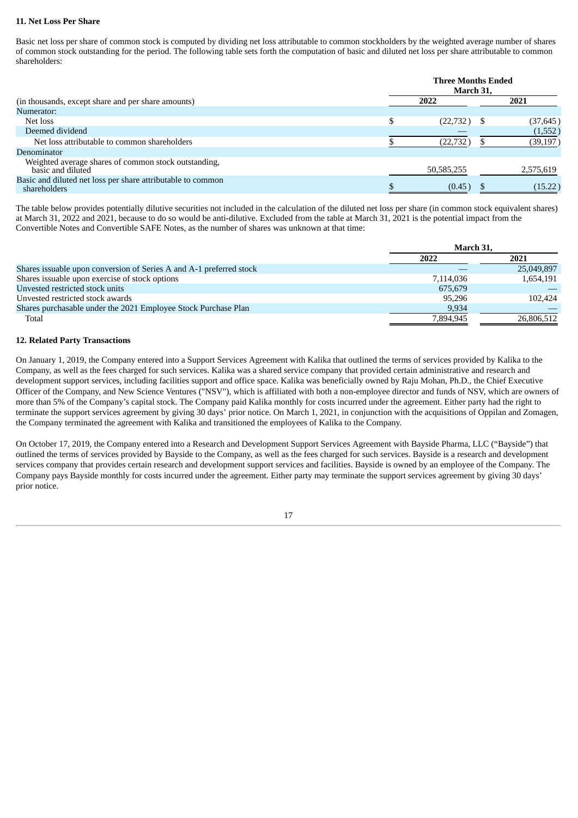## **11. Net Loss Per Share**

Basic net loss per share of common stock is computed by dividing net loss attributable to common stockholders by the weighted average number of shares of common stock outstanding for the period. The following table sets forth the computation of basic and diluted net loss per share attributable to common shareholders:

|                                                                             |  | <b>Three Months Ended</b><br>March 31, |      |           |  |  |
|-----------------------------------------------------------------------------|--|----------------------------------------|------|-----------|--|--|
| (in thousands, except share and per share amounts)                          |  | 2022                                   | 2021 |           |  |  |
| Numerator:                                                                  |  |                                        |      |           |  |  |
| Net loss                                                                    |  | $(22, 732)$ \$                         |      | (37, 645) |  |  |
| Deemed dividend                                                             |  |                                        |      | (1,552)   |  |  |
| Net loss attributable to common shareholders                                |  | (22, 732)                              |      | (39, 197) |  |  |
| Denominator                                                                 |  |                                        |      |           |  |  |
| Weighted average shares of common stock outstanding,<br>basic and diluted   |  | 50,585,255                             |      | 2,575,619 |  |  |
| Basic and diluted net loss per share attributable to common<br>shareholders |  | (0.45)                                 |      | (15.22)   |  |  |

The table below provides potentially dilutive securities not included in the calculation of the diluted net loss per share (in common stock equivalent shares) at March 31, 2022 and 2021, because to do so would be anti-dilutive. Excluded from the table at March 31, 2021 is the potential impact from the Convertible Notes and Convertible SAFE Notes, as the number of shares was unknown at that time:

|                                                                     | March 31. |            |  |
|---------------------------------------------------------------------|-----------|------------|--|
|                                                                     | 2022      | 2021       |  |
| Shares issuable upon conversion of Series A and A-1 preferred stock |           | 25,049,897 |  |
| Shares issuable upon exercise of stock options                      | 7.114.036 | 1,654,191  |  |
| Unvested restricted stock units                                     | 675,679   |            |  |
| Unvested restricted stock awards                                    | 95.296    | 102,424    |  |
| Shares purchasable under the 2021 Employee Stock Purchase Plan      | 9.934     |            |  |
| Total                                                               | 7,894,945 | 26,806,512 |  |

## **12. Related Party Transactions**

On January 1, 2019, the Company entered into a Support Services Agreement with Kalika that outlined the terms of services provided by Kalika to the Company, as well as the fees charged for such services. Kalika was a shared service company that provided certain administrative and research and development support services, including facilities support and office space. Kalika was beneficially owned by Raju Mohan, Ph.D., the Chief Executive Officer of the Company, and New Science Ventures ("NSV"), which is affiliated with both a non-employee director and funds of NSV, which are owners of more than 5% of the Company's capital stock. The Company paid Kalika monthly for costs incurred under the agreement. Either party had the right to terminate the support services agreement by giving 30 days' prior notice. On March 1, 2021, in conjunction with the acquisitions of Oppilan and Zomagen, the Company terminated the agreement with Kalika and transitioned the employees of Kalika to the Company.

On October 17, 2019, the Company entered into a Research and Development Support Services Agreement with Bayside Pharma, LLC ("Bayside") that outlined the terms of services provided by Bayside to the Company, as well as the fees charged for such services. Bayside is a research and development services company that provides certain research and development support services and facilities. Bayside is owned by an employee of the Company. The Company pays Bayside monthly for costs incurred under the agreement. Either party may terminate the support services agreement by giving 30 days' prior notice.

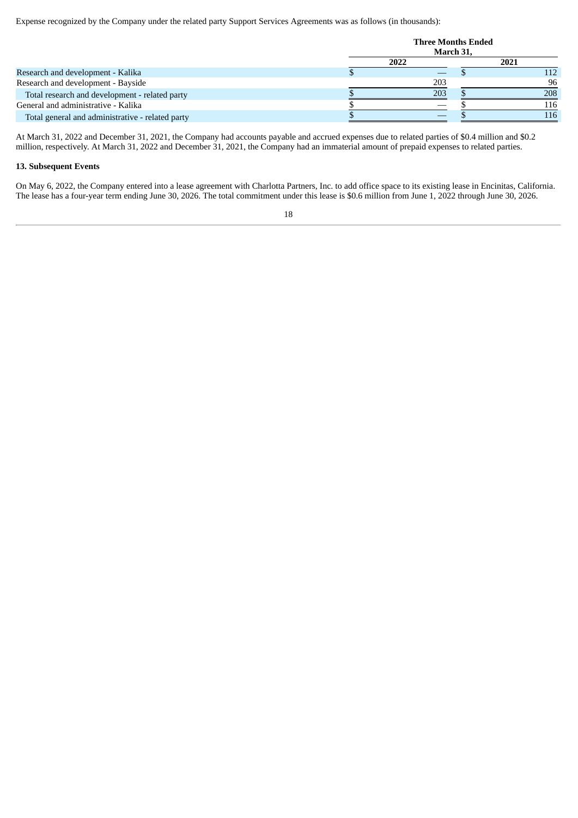Expense recognized by the Company under the related party Support Services Agreements was as follows (in thousands):

|                                                  | <b>Three Months Ended</b><br>March 31, |  |      |  |
|--------------------------------------------------|----------------------------------------|--|------|--|
|                                                  | 2022                                   |  | 2021 |  |
| Research and development - Kalika                |                                        |  | 112  |  |
| Research and development - Bayside               | 203                                    |  | 96   |  |
| Total research and development - related party   | 203                                    |  | 208  |  |
| General and administrative - Kalika              |                                        |  | 116  |  |
| Total general and administrative - related party |                                        |  | 116  |  |

At March 31, 2022 and December 31, 2021, the Company had accounts payable and accrued expenses due to related parties of \$0.4 million and \$0.2 million, respectively. At March 31, 2022 and December 31, 2021, the Company had an immaterial amount of prepaid expenses to related parties.

## **13. Subsequent Events**

On May 6, 2022, the Company entered into a lease agreement with Charlotta Partners, Inc. to add office space to its existing lease in Encinitas, California. The lease has a four-year term ending June 30, 2026. The total commitment under this lease is \$0.6 million from June 1, 2022 through June 30, 2026.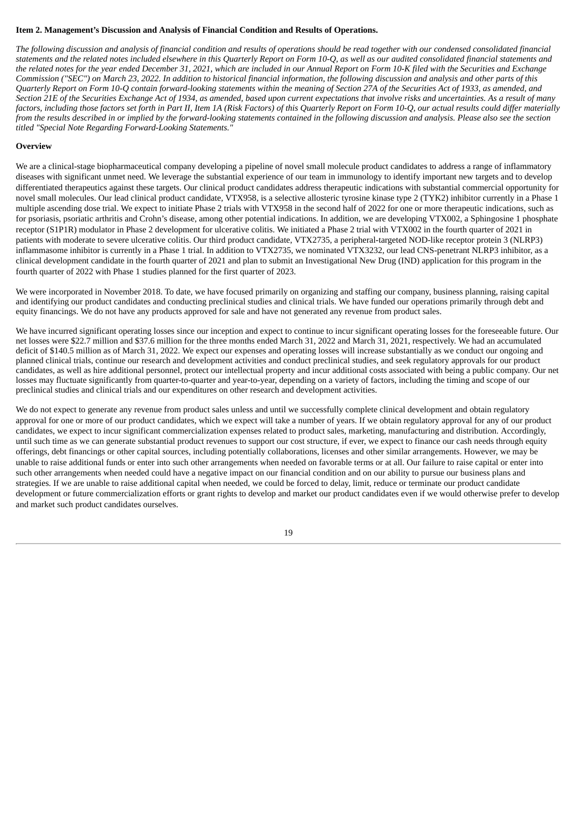## <span id="page-22-0"></span>**Item 2. Management's Discussion and Analysis of Financial Condition and Results of Operations.**

The following discussion and analysis of financial condition and results of operations should be read together with our condensed consolidated financial statements and the related notes included elsewhere in this Quarterly Report on Form 10-Q, as well as our audited consolidated financial statements and the related notes for the year ended December 31, 2021, which are included in our Annual Report on Form 10-K filed with the Securities and Exchange Commission ("SEC") on March 23, 2022. In addition to historical financial information, the following discussion and analysis and other parts of this Quarterly Report on Form 10-Q contain forward-looking statements within the meaning of Section 27A of the Securities Act of 1933, as amended, and Section 21E of the Securities Exchange Act of 1934, as amended, based upon current expectations that involve risks and uncertainties. As a result of many factors, including those factors set forth in Part II, Item 1A (Risk Factors) of this Quarterly Report on Form 10-Q, our actual results could differ materially from the results described in or implied by the forward-looking statements contained in the following discussion and analysis. Please also see the section *titled "Special Note Regarding Forward-Looking Statements."*

## **Overview**

We are a clinical-stage biopharmaceutical company developing a pipeline of novel small molecule product candidates to address a range of inflammatory diseases with significant unmet need. We leverage the substantial experience of our team in immunology to identify important new targets and to develop differentiated therapeutics against these targets. Our clinical product candidates address therapeutic indications with substantial commercial opportunity for novel small molecules. Our lead clinical product candidate, VTX958, is a selective allosteric tyrosine kinase type 2 (TYK2) inhibitor currently in a Phase 1 multiple ascending dose trial. We expect to initiate Phase 2 trials with VTX958 in the second half of 2022 for one or more therapeutic indications, such as for psoriasis, psoriatic arthritis and Crohn's disease, among other potential indications. In addition, we are developing VTX002, a Sphingosine 1 phosphate receptor (S1P1R) modulator in Phase 2 development for ulcerative colitis. We initiated a Phase 2 trial with VTX002 in the fourth quarter of 2021 in patients with moderate to severe ulcerative colitis. Our third product candidate, VTX2735, a peripheral-targeted NOD-like receptor protein 3 (NLRP3) inflammasome inhibitor is currently in a Phase 1 trial. In addition to VTX2735, we nominated VTX3232, our lead CNS-penetrant NLRP3 inhibitor, as a clinical development candidate in the fourth quarter of 2021 and plan to submit an Investigational New Drug (IND) application for this program in the fourth quarter of 2022 with Phase 1 studies planned for the first quarter of 2023.

We were incorporated in November 2018. To date, we have focused primarily on organizing and staffing our company, business planning, raising capital and identifying our product candidates and conducting preclinical studies and clinical trials. We have funded our operations primarily through debt and equity financings. We do not have any products approved for sale and have not generated any revenue from product sales.

We have incurred significant operating losses since our inception and expect to continue to incur significant operating losses for the foreseeable future. Our net losses were \$22.7 million and \$37.6 million for the three months ended March 31, 2022 and March 31, 2021, respectively. We had an accumulated deficit of \$140.5 million as of March 31, 2022. We expect our expenses and operating losses will increase substantially as we conduct our ongoing and planned clinical trials, continue our research and development activities and conduct preclinical studies, and seek regulatory approvals for our product candidates, as well as hire additional personnel, protect our intellectual property and incur additional costs associated with being a public company. Our net losses may fluctuate significantly from quarter-to-quarter and year-to-year, depending on a variety of factors, including the timing and scope of our preclinical studies and clinical trials and our expenditures on other research and development activities.

We do not expect to generate any revenue from product sales unless and until we successfully complete clinical development and obtain regulatory approval for one or more of our product candidates, which we expect will take a number of years. If we obtain regulatory approval for any of our product candidates, we expect to incur significant commercialization expenses related to product sales, marketing, manufacturing and distribution. Accordingly, until such time as we can generate substantial product revenues to support our cost structure, if ever, we expect to finance our cash needs through equity offerings, debt financings or other capital sources, including potentially collaborations, licenses and other similar arrangements. However, we may be unable to raise additional funds or enter into such other arrangements when needed on favorable terms or at all. Our failure to raise capital or enter into such other arrangements when needed could have a negative impact on our financial condition and on our ability to pursue our business plans and strategies. If we are unable to raise additional capital when needed, we could be forced to delay, limit, reduce or terminate our product candidate development or future commercialization efforts or grant rights to develop and market our product candidates even if we would otherwise prefer to develop and market such product candidates ourselves.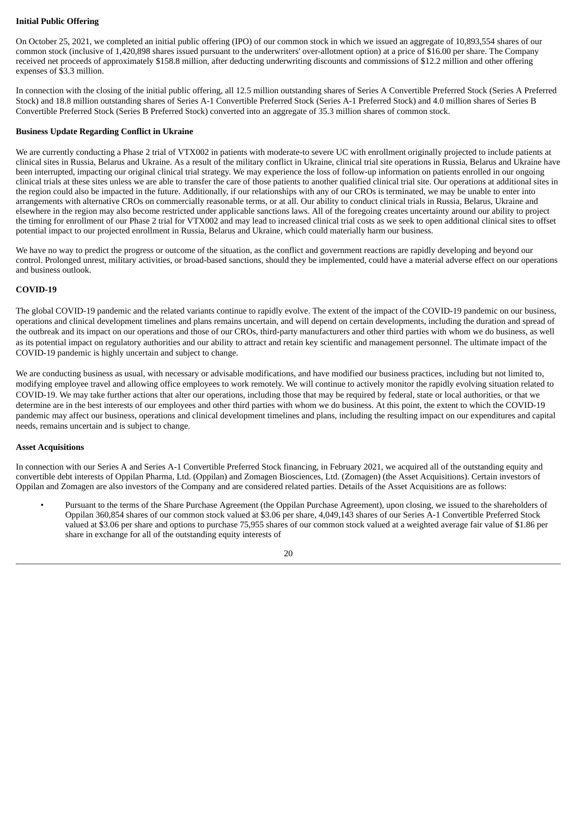## **Initial Public Offering**

On October 25, 2021, we completed an initial public offering (IPO) of our common stock in which we issued an aggregate of 10,893,554 shares of our common stock (inclusive of 1,420,898 shares issued pursuant to the underwriters' over-allotment option) at a price of \$16.00 per share. The Company received net proceeds of approximately \$158.8 million, after deducting underwriting discounts and commissions of \$12.2 million and other offering expenses of \$3.3 million.

In connection with the closing of the initial public offering, all 12.5 million outstanding shares of Series A Convertible Preferred Stock (Series A Preferred Stock) and 18.8 million outstanding shares of Series A-1 Convertible Preferred Stock (Series A-1 Preferred Stock) and 4.0 million shares of Series B Convertible Preferred Stock (Series B Preferred Stock) converted into an aggregate of 35.3 million shares of common stock.

## **Business Update Regarding Conflict in Ukraine**

We are currently conducting a Phase 2 trial of VTX002 in patients with moderate-to severe UC with enrollment originally projected to include patients at clinical sites in Russia, Belarus and Ukraine. As a result of the military conflict in Ukraine, clinical trial site operations in Russia, Belarus and Ukraine have been interrupted, impacting our original clinical trial strategy. We may experience the loss of follow-up information on patients enrolled in our ongoing clinical trials at these sites unless we are able to transfer the care of those patients to another qualified clinical trial site. Our operations at additional sites in the region could also be impacted in the future. Additionally, if our relationships with any of our CROs is terminated, we may be unable to enter into arrangements with alternative CROs on commercially reasonable terms, or at all. Our ability to conduct clinical trials in Russia, Belarus, Ukraine and elsewhere in the region may also become restricted under applicable sanctions laws. All of the foregoing creates uncertainty around our ability to project the timing for enrollment of our Phase 2 trial for VTX002 and may lead to increased clinical trial costs as we seek to open additional clinical sites to offset potential impact to our projected enrollment in Russia, Belarus and Ukraine, which could materially harm our business.

We have no way to predict the progress or outcome of the situation, as the conflict and government reactions are rapidly developing and beyond our control. Prolonged unrest, military activities, or broad-based sanctions, should they be implemented, could have a material adverse effect on our operations and business outlook.

## **COVID-19**

The global COVID-19 pandemic and the related variants continue to rapidly evolve. The extent of the impact of the COVID-19 pandemic on our business, operations and clinical development timelines and plans remains uncertain, and will depend on certain developments, including the duration and spread of the outbreak and its impact on our operations and those of our CROs, third-party manufacturers and other third parties with whom we do business, as well as its potential impact on regulatory authorities and our ability to attract and retain key scientific and management personnel. The ultimate impact of the COVID-19 pandemic is highly uncertain and subject to change.

We are conducting business as usual, with necessary or advisable modifications, and have modified our business practices, including but not limited to, modifying employee travel and allowing office employees to work remotely. We will continue to actively monitor the rapidly evolving situation related to COVID-19. We may take further actions that alter our operations, including those that may be required by federal, state or local authorities, or that we determine are in the best interests of our employees and other third parties with whom we do business. At this point, the extent to which the COVID-19 pandemic may affect our business, operations and clinical development timelines and plans, including the resulting impact on our expenditures and capital needs, remains uncertain and is subject to change.

## **Asset Acquisitions**

In connection with our Series A and Series A-1 Convertible Preferred Stock financing, in February 2021, we acquired all of the outstanding equity and convertible debt interests of Oppilan Pharma, Ltd. (Oppilan) and Zomagen Biosciences, Ltd. (Zomagen) (the Asset Acquisitions). Certain investors of Oppilan and Zomagen are also investors of the Company and are considered related parties. Details of the Asset Acquisitions are as follows:

• Pursuant to the terms of the Share Purchase Agreement (the Oppilan Purchase Agreement), upon closing, we issued to the shareholders of Oppilan 360,854 shares of our common stock valued at \$3.06 per share, 4,049,143 shares of our Series A-1 Convertible Preferred Stock valued at \$3.06 per share and options to purchase 75,955 shares of our common stock valued at a weighted average fair value of \$1.86 per share in exchange for all of the outstanding equity interests of

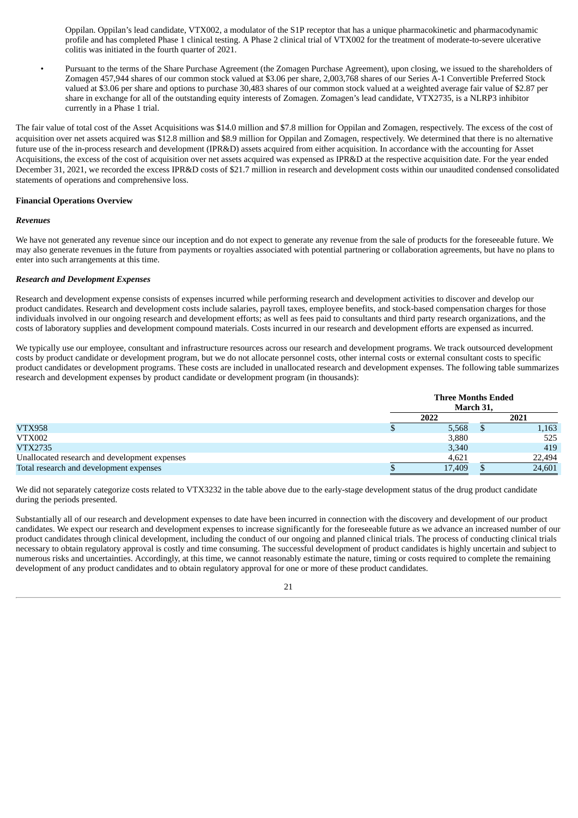Oppilan. Oppilan's lead candidate, VTX002, a modulator of the S1P receptor that has a unique pharmacokinetic and pharmacodynamic profile and has completed Phase 1 clinical testing. A Phase 2 clinical trial of VTX002 for the treatment of moderate-to-severe ulcerative colitis was initiated in the fourth quarter of 2021.

• Pursuant to the terms of the Share Purchase Agreement (the Zomagen Purchase Agreement), upon closing, we issued to the shareholders of Zomagen 457,944 shares of our common stock valued at \$3.06 per share, 2,003,768 shares of our Series A-1 Convertible Preferred Stock valued at \$3.06 per share and options to purchase 30,483 shares of our common stock valued at a weighted average fair value of \$2.87 per share in exchange for all of the outstanding equity interests of Zomagen. Zomagen's lead candidate, VTX2735, is a NLRP3 inhibitor currently in a Phase 1 trial.

The fair value of total cost of the Asset Acquisitions was \$14.0 million and \$7.8 million for Oppilan and Zomagen, respectively. The excess of the cost of acquisition over net assets acquired was \$12.8 million and \$8.9 million for Oppilan and Zomagen, respectively. We determined that there is no alternative future use of the in-process research and development (IPR&D) assets acquired from either acquisition. In accordance with the accounting for Asset Acquisitions, the excess of the cost of acquisition over net assets acquired was expensed as IPR&D at the respective acquisition date. For the year ended December 31, 2021, we recorded the excess IPR&D costs of \$21.7 million in research and development costs within our unaudited condensed consolidated statements of operations and comprehensive loss.

#### **Financial Operations Overview**

#### *Revenues*

We have not generated any revenue since our inception and do not expect to generate any revenue from the sale of products for the foreseeable future. We may also generate revenues in the future from payments or royalties associated with potential partnering or collaboration agreements, but have no plans to enter into such arrangements at this time.

#### *Research and Development Expenses*

Research and development expense consists of expenses incurred while performing research and development activities to discover and develop our product candidates. Research and development costs include salaries, payroll taxes, employee benefits, and stock-based compensation charges for those individuals involved in our ongoing research and development efforts; as well as fees paid to consultants and third party research organizations, and the costs of laboratory supplies and development compound materials. Costs incurred in our research and development efforts are expensed as incurred.

We typically use our employee, consultant and infrastructure resources across our research and development programs. We track outsourced development costs by product candidate or development program, but we do not allocate personnel costs, other internal costs or external consultant costs to specific product candidates or development programs. These costs are included in unallocated research and development expenses. The following table summarizes research and development expenses by product candidate or development program (in thousands):

|                                               | <b>Three Months Ended</b><br>March 31, |  |        |  |
|-----------------------------------------------|----------------------------------------|--|--------|--|
|                                               | 2022                                   |  | 2021   |  |
| <b>VTX958</b>                                 | 5,568                                  |  | 1,163  |  |
| <b>VTX002</b>                                 | 3,880                                  |  | 525    |  |
| VTX2735                                       | 3,340                                  |  | 419    |  |
| Unallocated research and development expenses | 4,621                                  |  | 22,494 |  |
| Total research and development expenses       | 17,409                                 |  | 24,601 |  |

We did not separately categorize costs related to VTX3232 in the table above due to the early-stage development status of the drug product candidate during the periods presented.

Substantially all of our research and development expenses to date have been incurred in connection with the discovery and development of our product candidates. We expect our research and development expenses to increase significantly for the foreseeable future as we advance an increased number of our product candidates through clinical development, including the conduct of our ongoing and planned clinical trials. The process of conducting clinical trials necessary to obtain regulatory approval is costly and time consuming. The successful development of product candidates is highly uncertain and subject to numerous risks and uncertainties. Accordingly, at this time, we cannot reasonably estimate the nature, timing or costs required to complete the remaining development of any product candidates and to obtain regulatory approval for one or more of these product candidates.

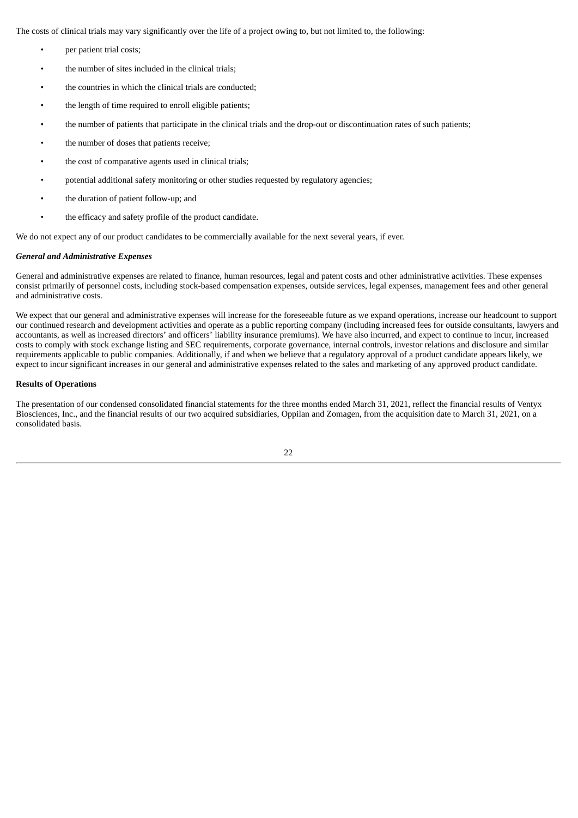The costs of clinical trials may vary significantly over the life of a project owing to, but not limited to, the following:

- per patient trial costs;
- the number of sites included in the clinical trials:
- the countries in which the clinical trials are conducted;
- the length of time required to enroll eligible patients;
- the number of patients that participate in the clinical trials and the drop-out or discontinuation rates of such patients;
- the number of doses that patients receive;
- the cost of comparative agents used in clinical trials;
- potential additional safety monitoring or other studies requested by regulatory agencies;
- the duration of patient follow-up; and
- the efficacy and safety profile of the product candidate.

We do not expect any of our product candidates to be commercially available for the next several years, if ever.

## *General and Administrative Expenses*

General and administrative expenses are related to finance, human resources, legal and patent costs and other administrative activities. These expenses consist primarily of personnel costs, including stock-based compensation expenses, outside services, legal expenses, management fees and other general and administrative costs.

We expect that our general and administrative expenses will increase for the foreseeable future as we expand operations, increase our headcount to support our continued research and development activities and operate as a public reporting company (including increased fees for outside consultants, lawyers and accountants, as well as increased directors' and officers' liability insurance premiums). We have also incurred, and expect to continue to incur, increased costs to comply with stock exchange listing and SEC requirements, corporate governance, internal controls, investor relations and disclosure and similar requirements applicable to public companies. Additionally, if and when we believe that a regulatory approval of a product candidate appears likely, we expect to incur significant increases in our general and administrative expenses related to the sales and marketing of any approved product candidate.

## **Results of Operations**

The presentation of our condensed consolidated financial statements for the three months ended March 31, 2021, reflect the financial results of Ventyx Biosciences, Inc., and the financial results of our two acquired subsidiaries, Oppilan and Zomagen, from the acquisition date to March 31, 2021, on a consolidated basis.

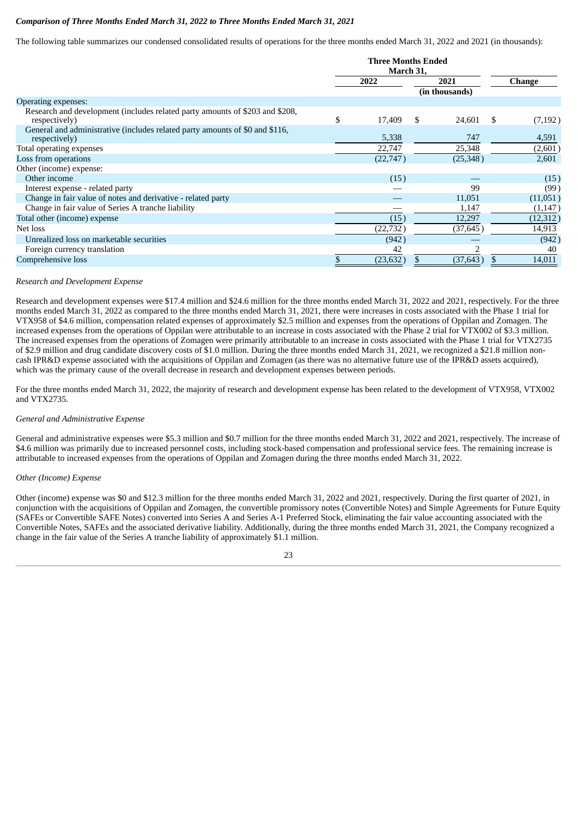## *Comparison of Three Months Ended March 31, 2022 to Three Months Ended March 31, 2021*

The following table summarizes our condensed consolidated results of operations for the three months ended March 31, 2022 and 2021 (in thousands):

|                                                                                               | <b>Three Months Ended</b><br>March 31, |           |      |                |               |           |
|-----------------------------------------------------------------------------------------------|----------------------------------------|-----------|------|----------------|---------------|-----------|
|                                                                                               | 2022                                   |           | 2021 |                | <b>Change</b> |           |
|                                                                                               |                                        |           |      | (in thousands) |               |           |
| Operating expenses:                                                                           |                                        |           |      |                |               |           |
| Research and development (includes related party amounts of \$203 and \$208,<br>respectively) | \$                                     | 17,409    | S    | 24,601         | S             | (7, 192)  |
| General and administrative (includes related party amounts of \$0 and \$116,<br>respectively) |                                        | 5,338     |      | 747            |               | 4,591     |
| Total operating expenses                                                                      |                                        | 22,747    |      | 25,348         |               | (2,601)   |
| Loss from operations                                                                          |                                        | (22, 747) |      | (25, 348)      |               | 2,601     |
| Other (income) expense:                                                                       |                                        |           |      |                |               |           |
| Other income                                                                                  |                                        | (15)      |      |                |               | (15)      |
| Interest expense - related party                                                              |                                        |           |      | 99             |               | (99)      |
| Change in fair value of notes and derivative - related party                                  |                                        |           |      | 11,051         |               | (11,051)  |
| Change in fair value of Series A tranche liability                                            |                                        |           |      | 1,147          |               | (1,147)   |
| Total other (income) expense                                                                  |                                        | (15)      |      | 12,297         |               | (12, 312) |
| Net loss                                                                                      |                                        | (22, 732) |      | (37, 645)      |               | 14,913    |
| Unrealized loss on marketable securities                                                      |                                        | (942)     |      |                |               | (942)     |
| Foreign currency translation                                                                  |                                        | 42        |      |                |               | 40        |
| Comprehensive loss                                                                            |                                        | (23, 632) |      | (37, 643)      | \$.           | 14,011    |

#### *Research and Development Expense*

Research and development expenses were \$17.4 million and \$24.6 million for the three months ended March 31, 2022 and 2021, respectively. For the three months ended March 31, 2022 as compared to the three months ended March 31, 2021, there were increases in costs associated with the Phase 1 trial for VTX958 of \$4.6 million, compensation related expenses of approximately \$2.5 million and expenses from the operations of Oppilan and Zomagen. The increased expenses from the operations of Oppilan were attributable to an increase in costs associated with the Phase 2 trial for VTX002 of \$3.3 million. The increased expenses from the operations of Zomagen were primarily attributable to an increase in costs associated with the Phase 1 trial for VTX2735 of \$2.9 million and drug candidate discovery costs of \$1.0 million. During the three months ended March 31, 2021, we recognized a \$21.8 million noncash IPR&D expense associated with the acquisitions of Oppilan and Zomagen (as there was no alternative future use of the IPR&D assets acquired), which was the primary cause of the overall decrease in research and development expenses between periods.

For the three months ended March 31, 2022, the majority of research and development expense has been related to the development of VTX958, VTX002 and VTX2735.

#### *General and Administrative Expense*

General and administrative expenses were \$5.3 million and \$0.7 million for the three months ended March 31, 2022 and 2021, respectively. The increase of \$4.6 million was primarily due to increased personnel costs, including stock-based compensation and professional service fees. The remaining increase is attributable to increased expenses from the operations of Oppilan and Zomagen during the three months ended March 31, 2022.

#### *Other (Income) Expense*

Other (income) expense was \$0 and \$12.3 million for the three months ended March 31, 2022 and 2021, respectively. During the first quarter of 2021, in conjunction with the acquisitions of Oppilan and Zomagen, the convertible promissory notes (Convertible Notes) and Simple Agreements for Future Equity (SAFEs or Convertible SAFE Notes) converted into Series A and Series A-1 Preferred Stock, eliminating the fair value accounting associated with the Convertible Notes, SAFEs and the associated derivative liability. Additionally, during the three months ended March 31, 2021, the Company recognized a change in the fair value of the Series A tranche liability of approximately \$1.1 million.

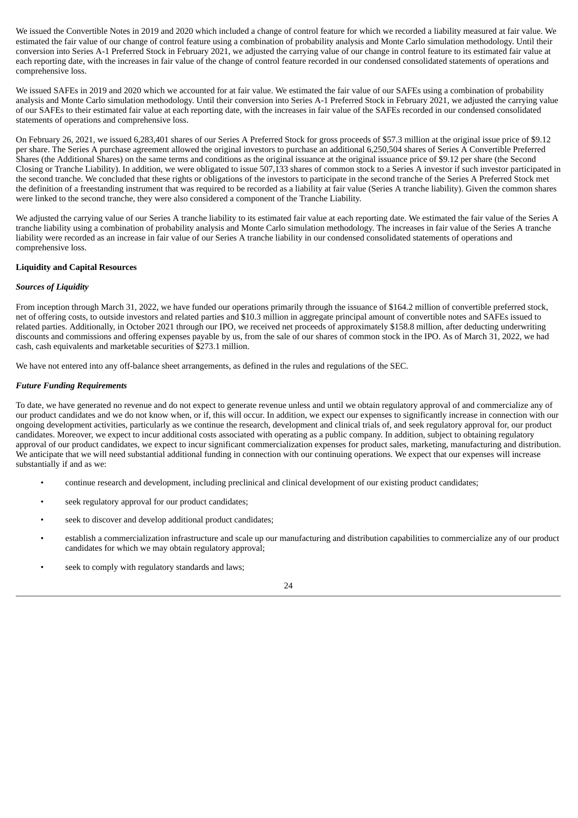We issued the Convertible Notes in 2019 and 2020 which included a change of control feature for which we recorded a liability measured at fair value. We estimated the fair value of our change of control feature using a combination of probability analysis and Monte Carlo simulation methodology. Until their conversion into Series A-1 Preferred Stock in February 2021, we adjusted the carrying value of our change in control feature to its estimated fair value at each reporting date, with the increases in fair value of the change of control feature recorded in our condensed consolidated statements of operations and comprehensive loss.

We issued SAFEs in 2019 and 2020 which we accounted for at fair value. We estimated the fair value of our SAFEs using a combination of probability analysis and Monte Carlo simulation methodology. Until their conversion into Series A-1 Preferred Stock in February 2021, we adjusted the carrying value of our SAFEs to their estimated fair value at each reporting date, with the increases in fair value of the SAFEs recorded in our condensed consolidated statements of operations and comprehensive loss.

On February 26, 2021, we issued 6,283,401 shares of our Series A Preferred Stock for gross proceeds of \$57.3 million at the original issue price of \$9.12 per share. The Series A purchase agreement allowed the original investors to purchase an additional 6,250,504 shares of Series A Convertible Preferred Shares (the Additional Shares) on the same terms and conditions as the original issuance at the original issuance price of \$9.12 per share (the Second Closing or Tranche Liability). In addition, we were obligated to issue 507,133 shares of common stock to a Series A investor if such investor participated in the second tranche. We concluded that these rights or obligations of the investors to participate in the second tranche of the Series A Preferred Stock met the definition of a freestanding instrument that was required to be recorded as a liability at fair value (Series A tranche liability). Given the common shares were linked to the second tranche, they were also considered a component of the Tranche Liability.

We adjusted the carrying value of our Series A tranche liability to its estimated fair value at each reporting date. We estimated the fair value of the Series A tranche liability using a combination of probability analysis and Monte Carlo simulation methodology. The increases in fair value of the Series A tranche liability were recorded as an increase in fair value of our Series A tranche liability in our condensed consolidated statements of operations and comprehensive loss.

## **Liquidity and Capital Resources**

## *Sources of Liquidity*

From inception through March 31, 2022, we have funded our operations primarily through the issuance of \$164.2 million of convertible preferred stock, net of offering costs, to outside investors and related parties and \$10.3 million in aggregate principal amount of convertible notes and SAFEs issued to related parties. Additionally, in October 2021 through our IPO, we received net proceeds of approximately \$158.8 million, after deducting underwriting discounts and commissions and offering expenses payable by us, from the sale of our shares of common stock in the IPO. As of March 31, 2022, we had cash, cash equivalents and marketable securities of \$273.1 million.

We have not entered into any off-balance sheet arrangements, as defined in the rules and regulations of the SEC.

#### *Future Funding Requirements*

To date, we have generated no revenue and do not expect to generate revenue unless and until we obtain regulatory approval of and commercialize any of our product candidates and we do not know when, or if, this will occur. In addition, we expect our expenses to significantly increase in connection with our ongoing development activities, particularly as we continue the research, development and clinical trials of, and seek regulatory approval for, our product candidates. Moreover, we expect to incur additional costs associated with operating as a public company. In addition, subject to obtaining regulatory approval of our product candidates, we expect to incur significant commercialization expenses for product sales, marketing, manufacturing and distribution. We anticipate that we will need substantial additional funding in connection with our continuing operations. We expect that our expenses will increase substantially if and as we:

- continue research and development, including preclinical and clinical development of our existing product candidates;
- seek regulatory approval for our product candidates;
- seek to discover and develop additional product candidates;
- establish a commercialization infrastructure and scale up our manufacturing and distribution capabilities to commercialize any of our product candidates for which we may obtain regulatory approval;
- seek to comply with regulatory standards and laws;

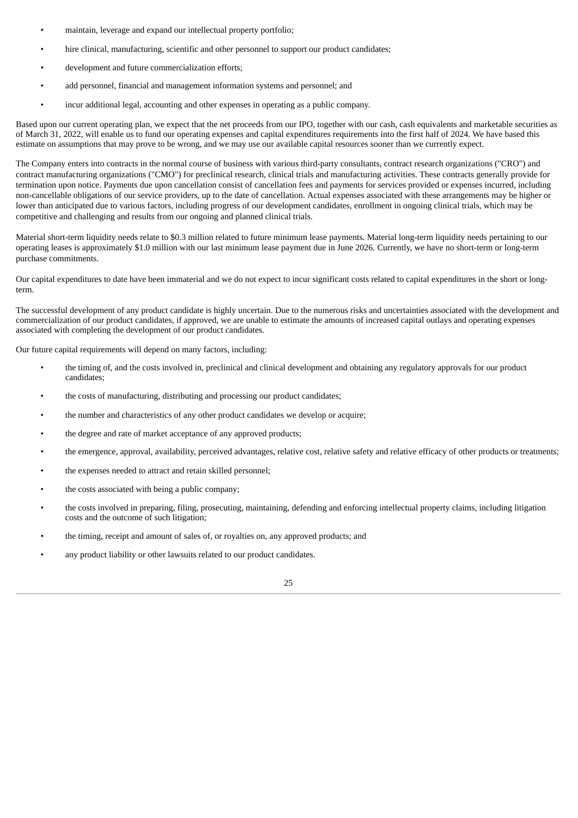- maintain, leverage and expand our intellectual property portfolio;
- hire clinical, manufacturing, scientific and other personnel to support our product candidates;
- development and future commercialization efforts;
- add personnel, financial and management information systems and personnel; and
- incur additional legal, accounting and other expenses in operating as a public company.

Based upon our current operating plan, we expect that the net proceeds from our IPO, together with our cash, cash equivalents and marketable securities as of March 31, 2022, will enable us to fund our operating expenses and capital expenditures requirements into the first half of 2024. We have based this estimate on assumptions that may prove to be wrong, and we may use our available capital resources sooner than we currently expect.

The Company enters into contracts in the normal course of business with various third-party consultants, contract research organizations ("CRO") and contract manufacturing organizations ("CMO") for preclinical research, clinical trials and manufacturing activities. These contracts generally provide for termination upon notice. Payments due upon cancellation consist of cancellation fees and payments for services provided or expenses incurred, including non-cancellable obligations of our service providers, up to the date of cancellation. Actual expenses associated with these arrangements may be higher or lower than anticipated due to various factors, including progress of our development candidates, enrollment in ongoing clinical trials, which may be competitive and challenging and results from our ongoing and planned clinical trials.

Material short-term liquidity needs relate to \$0.3 million related to future minimum lease payments. Material long-term liquidity needs pertaining to our operating leases is approximately \$1.0 million with our last minimum lease payment due in June 2026. Currently, we have no short-term or long-term purchase commitments.

Our capital expenditures to date have been immaterial and we do not expect to incur significant costs related to capital expenditures in the short or longterm.

The successful development of any product candidate is highly uncertain. Due to the numerous risks and uncertainties associated with the development and commercialization of our product candidates, if approved, we are unable to estimate the amounts of increased capital outlays and operating expenses associated with completing the development of our product candidates.

Our future capital requirements will depend on many factors, including:

- the timing of, and the costs involved in, preclinical and clinical development and obtaining any regulatory approvals for our product candidates;
- the costs of manufacturing, distributing and processing our product candidates;
- the number and characteristics of any other product candidates we develop or acquire;
- the degree and rate of market acceptance of any approved products;
- the emergence, approval, availability, perceived advantages, relative cost, relative safety and relative efficacy of other products or treatments;
- the expenses needed to attract and retain skilled personnel;
- the costs associated with being a public company;
- the costs involved in preparing, filing, prosecuting, maintaining, defending and enforcing intellectual property claims, including litigation costs and the outcome of such litigation;
- the timing, receipt and amount of sales of, or royalties on, any approved products; and
- any product liability or other lawsuits related to our product candidates.

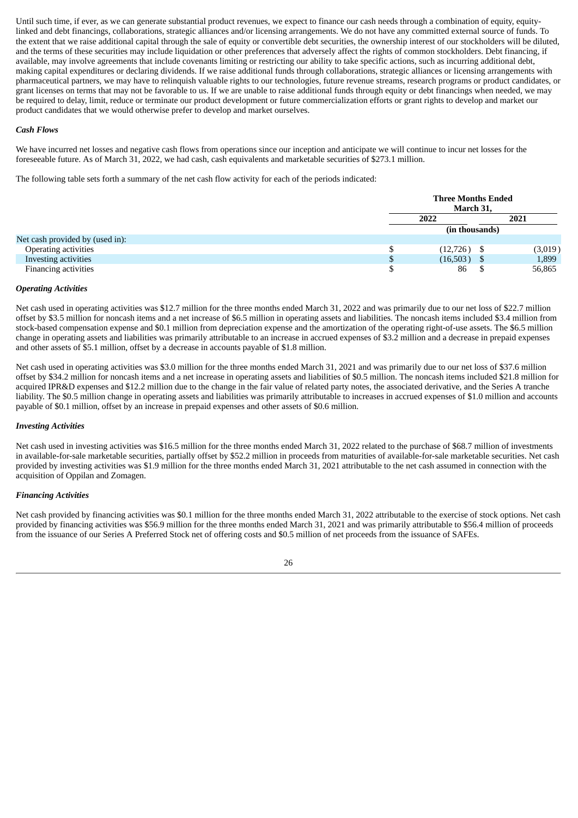Until such time, if ever, as we can generate substantial product revenues, we expect to finance our cash needs through a combination of equity, equitylinked and debt financings, collaborations, strategic alliances and/or licensing arrangements. We do not have any committed external source of funds. To the extent that we raise additional capital through the sale of equity or convertible debt securities, the ownership interest of our stockholders will be diluted, and the terms of these securities may include liquidation or other preferences that adversely affect the rights of common stockholders. Debt financing, if available, may involve agreements that include covenants limiting or restricting our ability to take specific actions, such as incurring additional debt, making capital expenditures or declaring dividends. If we raise additional funds through collaborations, strategic alliances or licensing arrangements with pharmaceutical partners, we may have to relinquish valuable rights to our technologies, future revenue streams, research programs or product candidates, or grant licenses on terms that may not be favorable to us. If we are unable to raise additional funds through equity or debt financings when needed, we may be required to delay, limit, reduce or terminate our product development or future commercialization efforts or grant rights to develop and market our product candidates that we would otherwise prefer to develop and market ourselves.

#### *Cash Flows*

We have incurred net losses and negative cash flows from operations since our inception and anticipate we will continue to incur net losses for the foreseeable future. As of March 31, 2022, we had cash, cash equivalents and marketable securities of \$273.1 million.

The following table sets forth a summary of the net cash flow activity for each of the periods indicated:

|                                 | <b>Three Months Ended</b><br>March 31, |  |         |  |  |
|---------------------------------|----------------------------------------|--|---------|--|--|
|                                 | 2021<br>2022                           |  |         |  |  |
|                                 | (in thousands)                         |  |         |  |  |
| Net cash provided by (used in): |                                        |  |         |  |  |
| Operating activities            | $(12,726)$ \$                          |  | (3,019) |  |  |
| Investing activities            | (16,503)                               |  | 1,899   |  |  |
| Financing activities            | 86                                     |  | 56,865  |  |  |

#### *Operating Activities*

Net cash used in operating activities was \$12.7 million for the three months ended March 31, 2022 and was primarily due to our net loss of \$22.7 million offset by \$3.5 million for noncash items and a net increase of \$6.5 million in operating assets and liabilities. The noncash items included \$3.4 million from stock-based compensation expense and \$0.1 million from depreciation expense and the amortization of the operating right-of-use assets. The \$6.5 million change in operating assets and liabilities was primarily attributable to an increase in accrued expenses of \$3.2 million and a decrease in prepaid expenses and other assets of \$5.1 million, offset by a decrease in accounts payable of \$1.8 million.

Net cash used in operating activities was \$3.0 million for the three months ended March 31, 2021 and was primarily due to our net loss of \$37.6 million offset by \$34.2 million for noncash items and a net increase in operating assets and liabilities of \$0.5 million. The noncash items included \$21.8 million for acquired IPR&D expenses and \$12.2 million due to the change in the fair value of related party notes, the associated derivative, and the Series A tranche liability. The \$0.5 million change in operating assets and liabilities was primarily attributable to increases in accrued expenses of \$1.0 million and accounts payable of \$0.1 million, offset by an increase in prepaid expenses and other assets of \$0.6 million.

#### *Investing Activities*

Net cash used in investing activities was \$16.5 million for the three months ended March 31, 2022 related to the purchase of \$68.7 million of investments in available-for-sale marketable securities, partially offset by \$52.2 million in proceeds from maturities of available-for-sale marketable securities. Net cash provided by investing activities was \$1.9 million for the three months ended March 31, 2021 attributable to the net cash assumed in connection with the acquisition of Oppilan and Zomagen.

#### *Financing Activities*

Net cash provided by financing activities was \$0.1 million for the three months ended March 31, 2022 attributable to the exercise of stock options. Net cash provided by financing activities was \$56.9 million for the three months ended March 31, 2021 and was primarily attributable to \$56.4 million of proceeds from the issuance of our Series A Preferred Stock net of offering costs and \$0.5 million of net proceeds from the issuance of SAFEs.

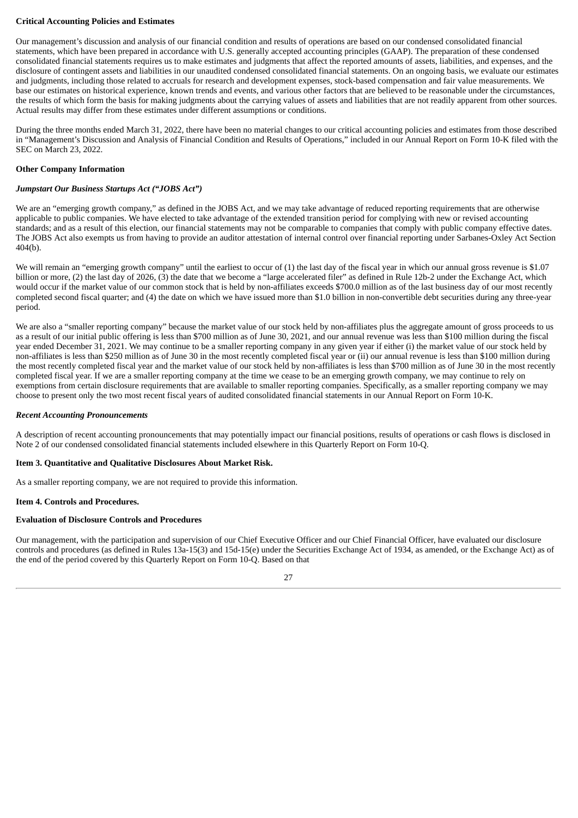## **Critical Accounting Policies and Estimates**

Our management's discussion and analysis of our financial condition and results of operations are based on our condensed consolidated financial statements, which have been prepared in accordance with U.S. generally accepted accounting principles (GAAP). The preparation of these condensed consolidated financial statements requires us to make estimates and judgments that affect the reported amounts of assets, liabilities, and expenses, and the disclosure of contingent assets and liabilities in our unaudited condensed consolidated financial statements. On an ongoing basis, we evaluate our estimates and judgments, including those related to accruals for research and development expenses, stock-based compensation and fair value measurements. We base our estimates on historical experience, known trends and events, and various other factors that are believed to be reasonable under the circumstances, the results of which form the basis for making judgments about the carrying values of assets and liabilities that are not readily apparent from other sources. Actual results may differ from these estimates under different assumptions or conditions.

During the three months ended March 31, 2022, there have been no material changes to our critical accounting policies and estimates from those described in "Management's Discussion and Analysis of Financial Condition and Results of Operations," included in our Annual Report on Form 10-K filed with the SEC on March 23, 2022.

## **Other Company Information**

## *Jumpstart Our Business Startups Act ("JOBS Act")*

We are an "emerging growth company," as defined in the JOBS Act, and we may take advantage of reduced reporting requirements that are otherwise applicable to public companies. We have elected to take advantage of the extended transition period for complying with new or revised accounting standards; and as a result of this election, our financial statements may not be comparable to companies that comply with public company effective dates. The JOBS Act also exempts us from having to provide an auditor attestation of internal control over financial reporting under Sarbanes-Oxley Act Section 404(b).

We will remain an "emerging growth company" until the earliest to occur of (1) the last day of the fiscal year in which our annual gross revenue is \$1.07 billion or more, (2) the last day of 2026, (3) the date that we become a "large accelerated filer" as defined in Rule 12b-2 under the Exchange Act, which would occur if the market value of our common stock that is held by non-affiliates exceeds \$700.0 million as of the last business day of our most recently completed second fiscal quarter; and (4) the date on which we have issued more than \$1.0 billion in non-convertible debt securities during any three-year period.

We are also a "smaller reporting company" because the market value of our stock held by non-affiliates plus the aggregate amount of gross proceeds to us as a result of our initial public offering is less than \$700 million as of June 30, 2021, and our annual revenue was less than \$100 million during the fiscal year ended December 31, 2021. We may continue to be a smaller reporting company in any given year if either (i) the market value of our stock held by non-affiliates is less than \$250 million as of June 30 in the most recently completed fiscal year or (ii) our annual revenue is less than \$100 million during the most recently completed fiscal year and the market value of our stock held by non-affiliates is less than \$700 million as of June 30 in the most recently completed fiscal year. If we are a smaller reporting company at the time we cease to be an emerging growth company, we may continue to rely on exemptions from certain disclosure requirements that are available to smaller reporting companies. Specifically, as a smaller reporting company we may choose to present only the two most recent fiscal years of audited consolidated financial statements in our Annual Report on Form 10-K.

#### *Recent Accounting Pronouncements*

A description of recent accounting pronouncements that may potentially impact our financial positions, results of operations or cash flows is disclosed in Note 2 of our condensed consolidated financial statements included elsewhere in this Quarterly Report on Form 10-Q.

## <span id="page-30-0"></span>**Item 3. Quantitative and Qualitative Disclosures About Market Risk.**

As a smaller reporting company, we are not required to provide this information.

## <span id="page-30-1"></span>**Item 4. Controls and Procedures.**

#### **Evaluation of Disclosure Controls and Procedures**

Our management, with the participation and supervision of our Chief Executive Officer and our Chief Financial Officer, have evaluated our disclosure controls and procedures (as defined in Rules 13a-15(3) and 15d-15(e) under the Securities Exchange Act of 1934, as amended, or the Exchange Act) as of the end of the period covered by this Quarterly Report on Form 10-Q. Based on that

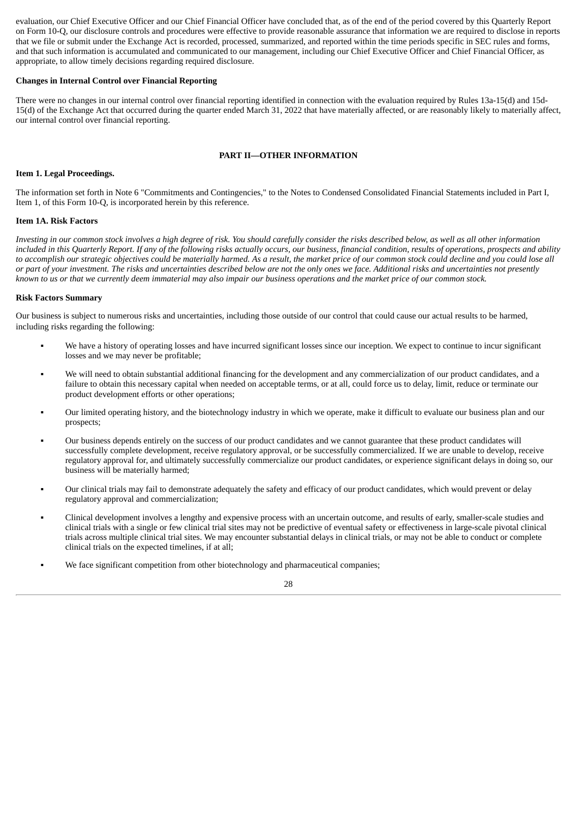evaluation, our Chief Executive Officer and our Chief Financial Officer have concluded that, as of the end of the period covered by this Quarterly Report on Form 10-Q, our disclosure controls and procedures were effective to provide reasonable assurance that information we are required to disclose in reports that we file or submit under the Exchange Act is recorded, processed, summarized, and reported within the time periods specific in SEC rules and forms, and that such information is accumulated and communicated to our management, including our Chief Executive Officer and Chief Financial Officer, as appropriate, to allow timely decisions regarding required disclosure.

## **Changes in Internal Control over Financial Reporting**

There were no changes in our internal control over financial reporting identified in connection with the evaluation required by Rules 13a-15(d) and 15d-15(d) of the Exchange Act that occurred during the quarter ended March 31, 2022 that have materially affected, or are reasonably likely to materially affect, our internal control over financial reporting.

#### **PART II—OTHER INFORMATION**

## <span id="page-31-1"></span><span id="page-31-0"></span>**Item 1. Legal Proceedings.**

The information set forth in Note 6 "Commitments and Contingencies," to the Notes to Condensed Consolidated Financial Statements included in Part I, Item 1, of this Form 10-Q, is incorporated herein by this reference.

## <span id="page-31-2"></span>**Item 1A. Risk Factors**

Investing in our common stock involves a high degree of risk. You should carefully consider the risks described below, as well as all other information included in this Quarterly Report. If any of the following risks actually occurs, our business, financial condition, results of operations, prospects and ability to accomplish our strategic objectives could be materially harmed. As a result, the market price of our common stock could decline and you could lose all or part of your investment. The risks and uncertainties described below are not the only ones we face. Additional risks and uncertainties not presently known to us or that we currently deem immaterial may also impair our business operations and the market price of our common stock.

## **Risk Factors Summary**

Our business is subject to numerous risks and uncertainties, including those outside of our control that could cause our actual results to be harmed, including risks regarding the following:

- We have a history of operating losses and have incurred significant losses since our inception. We expect to continue to incur significant losses and we may never be profitable;
- We will need to obtain substantial additional financing for the development and any commercialization of our product candidates, and a failure to obtain this necessary capital when needed on acceptable terms, or at all, could force us to delay, limit, reduce or terminate our product development efforts or other operations;
- Our limited operating history, and the biotechnology industry in which we operate, make it difficult to evaluate our business plan and our prospects;
- Our business depends entirely on the success of our product candidates and we cannot guarantee that these product candidates will successfully complete development, receive regulatory approval, or be successfully commercialized. If we are unable to develop, receive regulatory approval for, and ultimately successfully commercialize our product candidates, or experience significant delays in doing so, our business will be materially harmed;
- Our clinical trials may fail to demonstrate adequately the safety and efficacy of our product candidates, which would prevent or delay regulatory approval and commercialization;
- Clinical development involves a lengthy and expensive process with an uncertain outcome, and results of early, smaller-scale studies and clinical trials with a single or few clinical trial sites may not be predictive of eventual safety or effectiveness in large-scale pivotal clinical trials across multiple clinical trial sites. We may encounter substantial delays in clinical trials, or may not be able to conduct or complete clinical trials on the expected timelines, if at all;
- We face significant competition from other biotechnology and pharmaceutical companies;

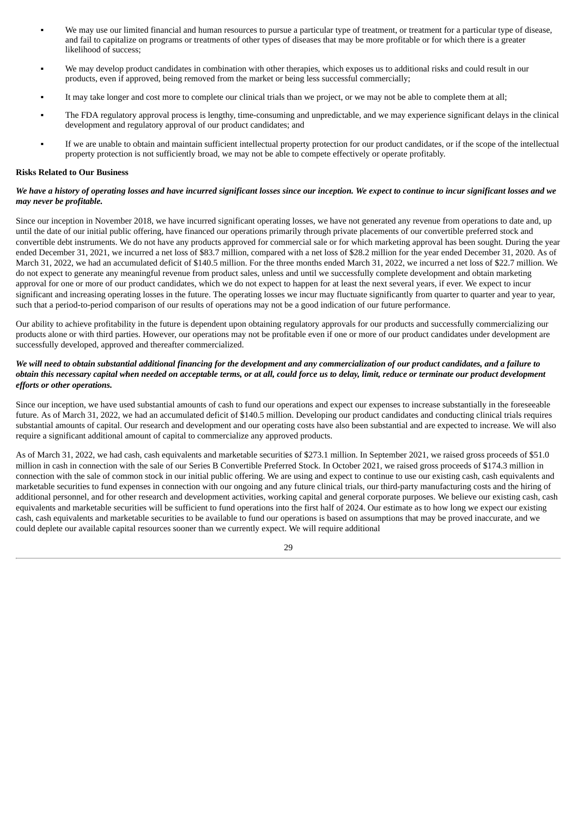- We may use our limited financial and human resources to pursue a particular type of treatment, or treatment for a particular type of disease, and fail to capitalize on programs or treatments of other types of diseases that may be more profitable or for which there is a greater likelihood of success;
- We may develop product candidates in combination with other therapies, which exposes us to additional risks and could result in our products, even if approved, being removed from the market or being less successful commercially;
- It may take longer and cost more to complete our clinical trials than we project, or we may not be able to complete them at all;
- The FDA regulatory approval process is lengthy, time-consuming and unpredictable, and we may experience significant delays in the clinical development and regulatory approval of our product candidates; and
- If we are unable to obtain and maintain sufficient intellectual property protection for our product candidates, or if the scope of the intellectual property protection is not sufficiently broad, we may not be able to compete effectively or operate profitably.

## **Risks Related to Our Business**

## We have a history of operating losses and have incurred significant losses since our inception. We expect to continue to incur significant losses and we *may never be profitable.*

Since our inception in November 2018, we have incurred significant operating losses, we have not generated any revenue from operations to date and, up until the date of our initial public offering, have financed our operations primarily through private placements of our convertible preferred stock and convertible debt instruments. We do not have any products approved for commercial sale or for which marketing approval has been sought. During the year ended December 31, 2021, we incurred a net loss of \$83.7 million, compared with a net loss of \$28.2 million for the year ended December 31, 2020. As of March 31, 2022, we had an accumulated deficit of \$140.5 million. For the three months ended March 31, 2022, we incurred a net loss of \$22.7 million. We do not expect to generate any meaningful revenue from product sales, unless and until we successfully complete development and obtain marketing approval for one or more of our product candidates, which we do not expect to happen for at least the next several years, if ever. We expect to incur significant and increasing operating losses in the future. The operating losses we incur may fluctuate significantly from quarter to quarter and year to year, such that a period-to-period comparison of our results of operations may not be a good indication of our future performance.

Our ability to achieve profitability in the future is dependent upon obtaining regulatory approvals for our products and successfully commercializing our products alone or with third parties. However, our operations may not be profitable even if one or more of our product candidates under development are successfully developed, approved and thereafter commercialized.

## We will need to obtain substantial additional financing for the development and any commercialization of our product candidates, and a failure to obtain this necessary capital when needed on acceptable terms, or at all, could force us to delay, limit, reduce or terminate our product development *efforts or other operations.*

Since our inception, we have used substantial amounts of cash to fund our operations and expect our expenses to increase substantially in the foreseeable future. As of March 31, 2022, we had an accumulated deficit of \$140.5 million. Developing our product candidates and conducting clinical trials requires substantial amounts of capital. Our research and development and our operating costs have also been substantial and are expected to increase. We will also require a significant additional amount of capital to commercialize any approved products.

As of March 31, 2022, we had cash, cash equivalents and marketable securities of \$273.1 million. In September 2021, we raised gross proceeds of \$51.0 million in cash in connection with the sale of our Series B Convertible Preferred Stock. In October 2021, we raised gross proceeds of \$174.3 million in connection with the sale of common stock in our initial public offering. We are using and expect to continue to use our existing cash, cash equivalents and marketable securities to fund expenses in connection with our ongoing and any future clinical trials, our third-party manufacturing costs and the hiring of additional personnel, and for other research and development activities, working capital and general corporate purposes. We believe our existing cash, cash equivalents and marketable securities will be sufficient to fund operations into the first half of 2024. Our estimate as to how long we expect our existing cash, cash equivalents and marketable securities to be available to fund our operations is based on assumptions that may be proved inaccurate, and we could deplete our available capital resources sooner than we currently expect. We will require additional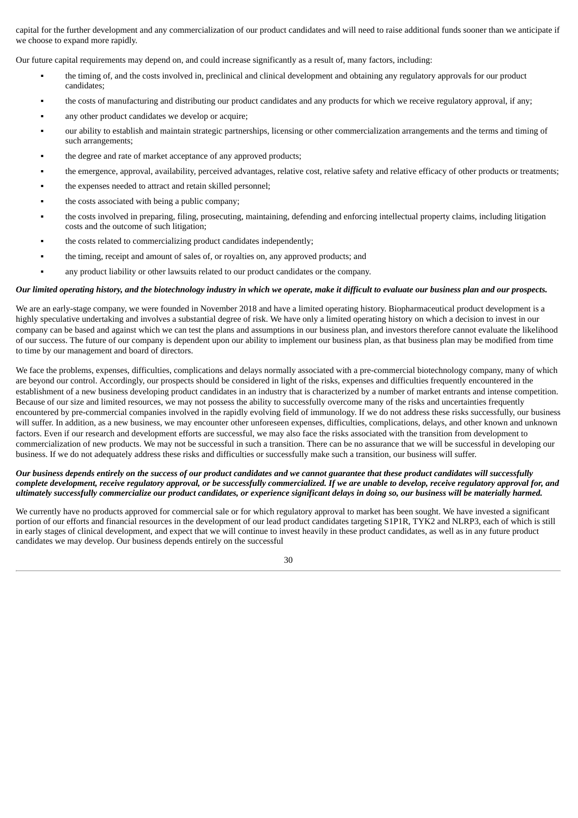capital for the further development and any commercialization of our product candidates and will need to raise additional funds sooner than we anticipate if we choose to expand more rapidly.

Our future capital requirements may depend on, and could increase significantly as a result of, many factors, including:

- the timing of, and the costs involved in, preclinical and clinical development and obtaining any regulatory approvals for our product candidates;
- the costs of manufacturing and distributing our product candidates and any products for which we receive regulatory approval, if any;
- any other product candidates we develop or acquire;
- our ability to establish and maintain strategic partnerships, licensing or other commercialization arrangements and the terms and timing of such arrangements;
- the degree and rate of market acceptance of any approved products;
- the emergence, approval, availability, perceived advantages, relative cost, relative safety and relative efficacy of other products or treatments;
- the expenses needed to attract and retain skilled personnel;
- the costs associated with being a public company;
- the costs involved in preparing, filing, prosecuting, maintaining, defending and enforcing intellectual property claims, including litigation costs and the outcome of such litigation;
- the costs related to commercializing product candidates independently;
- the timing, receipt and amount of sales of, or royalties on, any approved products; and
- any product liability or other lawsuits related to our product candidates or the company.

#### Our limited operating history, and the biotechnology industry in which we operate, make it difficult to evaluate our business plan and our prospects.

We are an early-stage company, we were founded in November 2018 and have a limited operating history. Biopharmaceutical product development is a highly speculative undertaking and involves a substantial degree of risk. We have only a limited operating history on which a decision to invest in our company can be based and against which we can test the plans and assumptions in our business plan, and investors therefore cannot evaluate the likelihood of our success. The future of our company is dependent upon our ability to implement our business plan, as that business plan may be modified from time to time by our management and board of directors.

We face the problems, expenses, difficulties, complications and delays normally associated with a pre-commercial biotechnology company, many of which are beyond our control. Accordingly, our prospects should be considered in light of the risks, expenses and difficulties frequently encountered in the establishment of a new business developing product candidates in an industry that is characterized by a number of market entrants and intense competition. Because of our size and limited resources, we may not possess the ability to successfully overcome many of the risks and uncertainties frequently encountered by pre-commercial companies involved in the rapidly evolving field of immunology. If we do not address these risks successfully, our business will suffer. In addition, as a new business, we may encounter other unforeseen expenses, difficulties, complications, delays, and other known and unknown factors. Even if our research and development efforts are successful, we may also face the risks associated with the transition from development to commercialization of new products. We may not be successful in such a transition. There can be no assurance that we will be successful in developing our business. If we do not adequately address these risks and difficulties or successfully make such a transition, our business will suffer.

## Our business depends entirely on the success of our product candidates and we cannot guarantee that these product candidates will successfully complete development, receive requiatory approval, or be successfully commercialized. If we are unable to develop, receive requiatory approval for, and ultimately successfully commercialize our product candidates, or experience significant delays in doing so, our business will be materially harmed.

We currently have no products approved for commercial sale or for which regulatory approval to market has been sought. We have invested a significant portion of our efforts and financial resources in the development of our lead product candidates targeting S1P1R, TYK2 and NLRP3, each of which is still in early stages of clinical development, and expect that we will continue to invest heavily in these product candidates, as well as in any future product candidates we may develop. Our business depends entirely on the successful

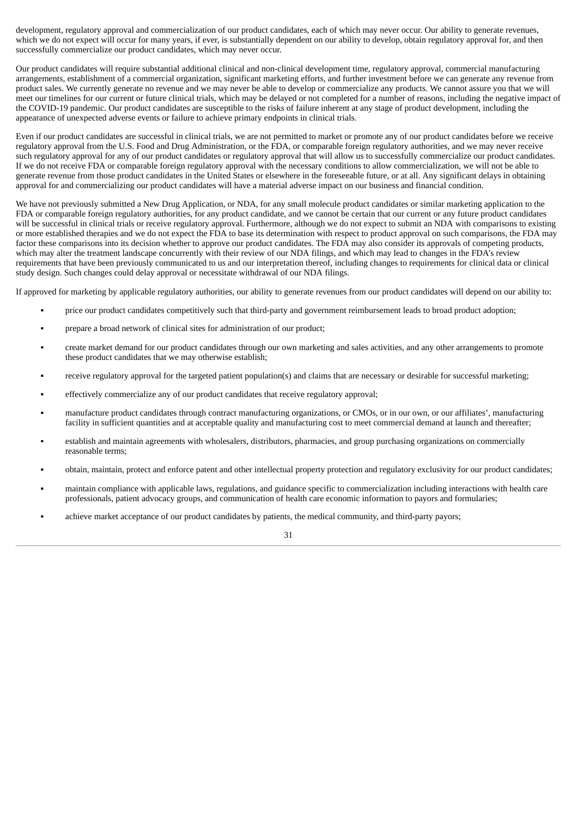development, regulatory approval and commercialization of our product candidates, each of which may never occur. Our ability to generate revenues, which we do not expect will occur for many years, if ever, is substantially dependent on our ability to develop, obtain regulatory approval for, and then successfully commercialize our product candidates, which may never occur.

Our product candidates will require substantial additional clinical and non-clinical development time, regulatory approval, commercial manufacturing arrangements, establishment of a commercial organization, significant marketing efforts, and further investment before we can generate any revenue from product sales. We currently generate no revenue and we may never be able to develop or commercialize any products. We cannot assure you that we will meet our timelines for our current or future clinical trials, which may be delayed or not completed for a number of reasons, including the negative impact of the COVID-19 pandemic. Our product candidates are susceptible to the risks of failure inherent at any stage of product development, including the appearance of unexpected adverse events or failure to achieve primary endpoints in clinical trials.

Even if our product candidates are successful in clinical trials, we are not permitted to market or promote any of our product candidates before we receive regulatory approval from the U.S. Food and Drug Administration, or the FDA, or comparable foreign regulatory authorities, and we may never receive such regulatory approval for any of our product candidates or regulatory approval that will allow us to successfully commercialize our product candidates. If we do not receive FDA or comparable foreign regulatory approval with the necessary conditions to allow commercialization, we will not be able to generate revenue from those product candidates in the United States or elsewhere in the foreseeable future, or at all. Any significant delays in obtaining approval for and commercializing our product candidates will have a material adverse impact on our business and financial condition.

We have not previously submitted a New Drug Application, or NDA, for any small molecule product candidates or similar marketing application to the FDA or comparable foreign regulatory authorities, for any product candidate, and we cannot be certain that our current or any future product candidates will be successful in clinical trials or receive regulatory approval. Furthermore, although we do not expect to submit an NDA with comparisons to existing or more established therapies and we do not expect the FDA to base its determination with respect to product approval on such comparisons, the FDA may factor these comparisons into its decision whether to approve our product candidates. The FDA may also consider its approvals of competing products, which may alter the treatment landscape concurrently with their review of our NDA filings, and which may lead to changes in the FDA's review requirements that have been previously communicated to us and our interpretation thereof, including changes to requirements for clinical data or clinical study design. Such changes could delay approval or necessitate withdrawal of our NDA filings.

If approved for marketing by applicable regulatory authorities, our ability to generate revenues from our product candidates will depend on our ability to:

- price our product candidates competitively such that third-party and government reimbursement leads to broad product adoption;
- **•** prepare a broad network of clinical sites for administration of our product;
- create market demand for our product candidates through our own marketing and sales activities, and any other arrangements to promote these product candidates that we may otherwise establish;
- receive regulatory approval for the targeted patient population(s) and claims that are necessary or desirable for successful marketing;
- effectively commercialize any of our product candidates that receive regulatory approval;
- manufacture product candidates through contract manufacturing organizations, or CMOs, or in our own, or our affiliates', manufacturing facility in sufficient quantities and at acceptable quality and manufacturing cost to meet commercial demand at launch and thereafter;
- establish and maintain agreements with wholesalers, distributors, pharmacies, and group purchasing organizations on commercially reasonable terms;
- obtain, maintain, protect and enforce patent and other intellectual property protection and regulatory exclusivity for our product candidates;
- maintain compliance with applicable laws, regulations, and guidance specific to commercialization including interactions with health care professionals, patient advocacy groups, and communication of health care economic information to payors and formularies;
- achieve market acceptance of our product candidates by patients, the medical community, and third-party payors;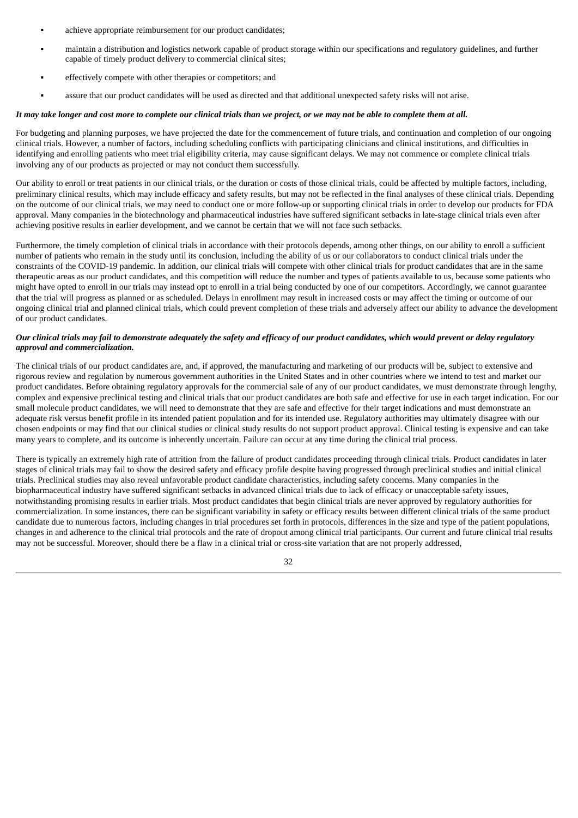- achieve appropriate reimbursement for our product candidates:
- maintain a distribution and logistics network capable of product storage within our specifications and regulatory guidelines, and further capable of timely product delivery to commercial clinical sites;
- effectively compete with other therapies or competitors; and
- assure that our product candidates will be used as directed and that additional unexpected safety risks will not arise.

## It may take longer and cost more to complete our clinical trials than we project, or we may not be able to complete them at all.

For budgeting and planning purposes, we have projected the date for the commencement of future trials, and continuation and completion of our ongoing clinical trials. However, a number of factors, including scheduling conflicts with participating clinicians and clinical institutions, and difficulties in identifying and enrolling patients who meet trial eligibility criteria, may cause significant delays. We may not commence or complete clinical trials involving any of our products as projected or may not conduct them successfully.

Our ability to enroll or treat patients in our clinical trials, or the duration or costs of those clinical trials, could be affected by multiple factors, including, preliminary clinical results, which may include efficacy and safety results, but may not be reflected in the final analyses of these clinical trials. Depending on the outcome of our clinical trials, we may need to conduct one or more follow-up or supporting clinical trials in order to develop our products for FDA approval. Many companies in the biotechnology and pharmaceutical industries have suffered significant setbacks in late-stage clinical trials even after achieving positive results in earlier development, and we cannot be certain that we will not face such setbacks.

Furthermore, the timely completion of clinical trials in accordance with their protocols depends, among other things, on our ability to enroll a sufficient number of patients who remain in the study until its conclusion, including the ability of us or our collaborators to conduct clinical trials under the constraints of the COVID-19 pandemic. In addition, our clinical trials will compete with other clinical trials for product candidates that are in the same therapeutic areas as our product candidates, and this competition will reduce the number and types of patients available to us, because some patients who might have opted to enroll in our trials may instead opt to enroll in a trial being conducted by one of our competitors. Accordingly, we cannot guarantee that the trial will progress as planned or as scheduled. Delays in enrollment may result in increased costs or may affect the timing or outcome of our ongoing clinical trial and planned clinical trials, which could prevent completion of these trials and adversely affect our ability to advance the development of our product candidates.

## Our clinical trials may fail to demonstrate adequately the safety and efficacy of our product candidates, which would prevent or delay regulatory *approval and commercialization.*

The clinical trials of our product candidates are, and, if approved, the manufacturing and marketing of our products will be, subject to extensive and rigorous review and regulation by numerous government authorities in the United States and in other countries where we intend to test and market our product candidates. Before obtaining regulatory approvals for the commercial sale of any of our product candidates, we must demonstrate through lengthy, complex and expensive preclinical testing and clinical trials that our product candidates are both safe and effective for use in each target indication. For our small molecule product candidates, we will need to demonstrate that they are safe and effective for their target indications and must demonstrate an adequate risk versus benefit profile in its intended patient population and for its intended use. Regulatory authorities may ultimately disagree with our chosen endpoints or may find that our clinical studies or clinical study results do not support product approval. Clinical testing is expensive and can take many years to complete, and its outcome is inherently uncertain. Failure can occur at any time during the clinical trial process.

There is typically an extremely high rate of attrition from the failure of product candidates proceeding through clinical trials. Product candidates in later stages of clinical trials may fail to show the desired safety and efficacy profile despite having progressed through preclinical studies and initial clinical trials. Preclinical studies may also reveal unfavorable product candidate characteristics, including safety concerns. Many companies in the biopharmaceutical industry have suffered significant setbacks in advanced clinical trials due to lack of efficacy or unacceptable safety issues, notwithstanding promising results in earlier trials. Most product candidates that begin clinical trials are never approved by regulatory authorities for commercialization. In some instances, there can be significant variability in safety or efficacy results between different clinical trials of the same product candidate due to numerous factors, including changes in trial procedures set forth in protocols, differences in the size and type of the patient populations, changes in and adherence to the clinical trial protocols and the rate of dropout among clinical trial participants. Our current and future clinical trial results may not be successful. Moreover, should there be a flaw in a clinical trial or cross-site variation that are not properly addressed,

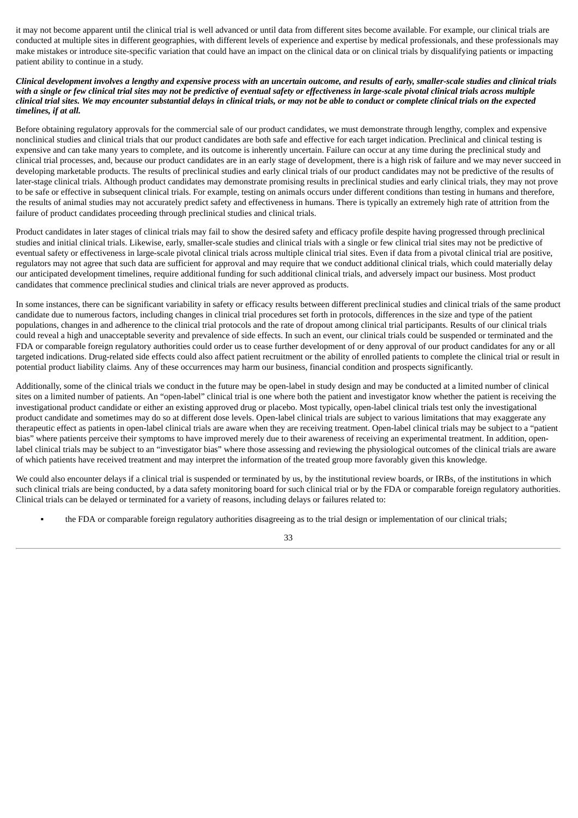it may not become apparent until the clinical trial is well advanced or until data from different sites become available. For example, our clinical trials are conducted at multiple sites in different geographies, with different levels of experience and expertise by medical professionals, and these professionals may make mistakes or introduce site-specific variation that could have an impact on the clinical data or on clinical trials by disqualifying patients or impacting patient ability to continue in a study.

Clinical development involves a lengthy and expensive process with an uncertain outcome, and results of early, smaller-scale studies and clinical trials with a single or few clinical trial sites may not be predictive of eventual safety or effectiveness in large-scale pivotal clinical trials across multiple clinical trial sites. We may encounter substantial delays in clinical trials, or may not be able to conduct or complete clinical trials on the expected *timelines, if at all.*

Before obtaining regulatory approvals for the commercial sale of our product candidates, we must demonstrate through lengthy, complex and expensive nonclinical studies and clinical trials that our product candidates are both safe and effective for each target indication. Preclinical and clinical testing is expensive and can take many years to complete, and its outcome is inherently uncertain. Failure can occur at any time during the preclinical study and clinical trial processes, and, because our product candidates are in an early stage of development, there is a high risk of failure and we may never succeed in developing marketable products. The results of preclinical studies and early clinical trials of our product candidates may not be predictive of the results of later-stage clinical trials. Although product candidates may demonstrate promising results in preclinical studies and early clinical trials, they may not prove to be safe or effective in subsequent clinical trials. For example, testing on animals occurs under different conditions than testing in humans and therefore, the results of animal studies may not accurately predict safety and effectiveness in humans. There is typically an extremely high rate of attrition from the failure of product candidates proceeding through preclinical studies and clinical trials.

Product candidates in later stages of clinical trials may fail to show the desired safety and efficacy profile despite having progressed through preclinical studies and initial clinical trials. Likewise, early, smaller-scale studies and clinical trials with a single or few clinical trial sites may not be predictive of eventual safety or effectiveness in large-scale pivotal clinical trials across multiple clinical trial sites. Even if data from a pivotal clinical trial are positive, regulators may not agree that such data are sufficient for approval and may require that we conduct additional clinical trials, which could materially delay our anticipated development timelines, require additional funding for such additional clinical trials, and adversely impact our business. Most product candidates that commence preclinical studies and clinical trials are never approved as products.

In some instances, there can be significant variability in safety or efficacy results between different preclinical studies and clinical trials of the same product candidate due to numerous factors, including changes in clinical trial procedures set forth in protocols, differences in the size and type of the patient populations, changes in and adherence to the clinical trial protocols and the rate of dropout among clinical trial participants. Results of our clinical trials could reveal a high and unacceptable severity and prevalence of side effects. In such an event, our clinical trials could be suspended or terminated and the FDA or comparable foreign regulatory authorities could order us to cease further development of or deny approval of our product candidates for any or all targeted indications. Drug-related side effects could also affect patient recruitment or the ability of enrolled patients to complete the clinical trial or result in potential product liability claims. Any of these occurrences may harm our business, financial condition and prospects significantly.

Additionally, some of the clinical trials we conduct in the future may be open-label in study design and may be conducted at a limited number of clinical sites on a limited number of patients. An "open-label" clinical trial is one where both the patient and investigator know whether the patient is receiving the investigational product candidate or either an existing approved drug or placebo. Most typically, open-label clinical trials test only the investigational product candidate and sometimes may do so at different dose levels. Open-label clinical trials are subject to various limitations that may exaggerate any therapeutic effect as patients in open-label clinical trials are aware when they are receiving treatment. Open-label clinical trials may be subject to a "patient bias" where patients perceive their symptoms to have improved merely due to their awareness of receiving an experimental treatment. In addition, openlabel clinical trials may be subject to an "investigator bias" where those assessing and reviewing the physiological outcomes of the clinical trials are aware of which patients have received treatment and may interpret the information of the treated group more favorably given this knowledge.

We could also encounter delays if a clinical trial is suspended or terminated by us, by the institutional review boards, or IRBs, of the institutions in which such clinical trials are being conducted, by a data safety monitoring board for such clinical trial or by the FDA or comparable foreign regulatory authorities. Clinical trials can be delayed or terminated for a variety of reasons, including delays or failures related to:

the FDA or comparable foreign regulatory authorities disagreeing as to the trial design or implementation of our clinical trials;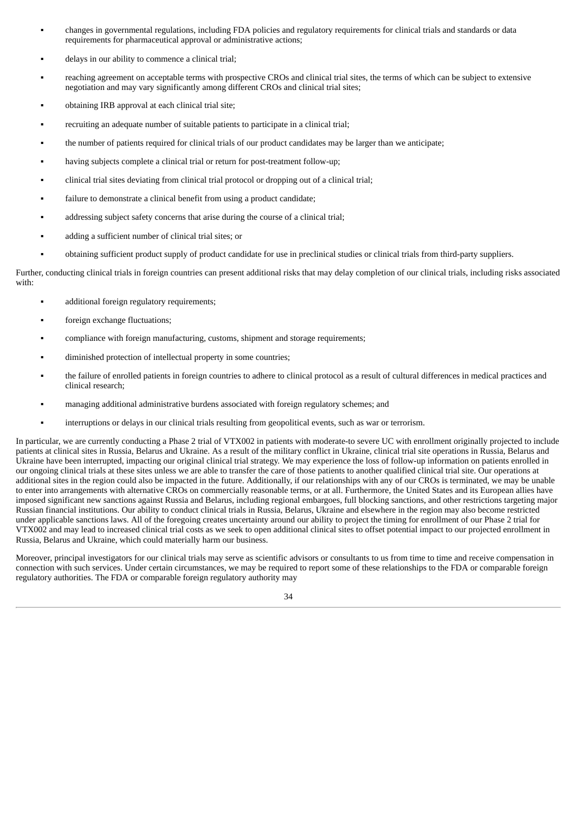- changes in governmental regulations, including FDA policies and regulatory requirements for clinical trials and standards or data requirements for pharmaceutical approval or administrative actions;
- delays in our ability to commence a clinical trial;
- reaching agreement on acceptable terms with prospective CROs and clinical trial sites, the terms of which can be subject to extensive negotiation and may vary significantly among different CROs and clinical trial sites;
- obtaining IRB approval at each clinical trial site;
- recruiting an adequate number of suitable patients to participate in a clinical trial;
- the number of patients required for clinical trials of our product candidates may be larger than we anticipate;
- having subjects complete a clinical trial or return for post-treatment follow-up;
- clinical trial sites deviating from clinical trial protocol or dropping out of a clinical trial;
- failure to demonstrate a clinical benefit from using a product candidate;
- addressing subject safety concerns that arise during the course of a clinical trial;
- adding a sufficient number of clinical trial sites; or
- obtaining sufficient product supply of product candidate for use in preclinical studies or clinical trials from third-party suppliers.

Further, conducting clinical trials in foreign countries can present additional risks that may delay completion of our clinical trials, including risks associated with:

- additional foreign regulatory requirements;
- foreign exchange fluctuations:
- compliance with foreign manufacturing, customs, shipment and storage requirements;
- diminished protection of intellectual property in some countries;
- the failure of enrolled patients in foreign countries to adhere to clinical protocol as a result of cultural differences in medical practices and clinical research;
- managing additional administrative burdens associated with foreign regulatory schemes; and
- interruptions or delays in our clinical trials resulting from geopolitical events, such as war or terrorism.

In particular, we are currently conducting a Phase 2 trial of VTX002 in patients with moderate-to severe UC with enrollment originally projected to include patients at clinical sites in Russia, Belarus and Ukraine. As a result of the military conflict in Ukraine, clinical trial site operations in Russia, Belarus and Ukraine have been interrupted, impacting our original clinical trial strategy. We may experience the loss of follow-up information on patients enrolled in our ongoing clinical trials at these sites unless we are able to transfer the care of those patients to another qualified clinical trial site. Our operations at additional sites in the region could also be impacted in the future. Additionally, if our relationships with any of our CROs is terminated, we may be unable to enter into arrangements with alternative CROs on commercially reasonable terms, or at all. Furthermore, the United States and its European allies have imposed significant new sanctions against Russia and Belarus, including regional embargoes, full blocking sanctions, and other restrictions targeting major Russian financial institutions. Our ability to conduct clinical trials in Russia, Belarus, Ukraine and elsewhere in the region may also become restricted under applicable sanctions laws. All of the foregoing creates uncertainty around our ability to project the timing for enrollment of our Phase 2 trial for VTX002 and may lead to increased clinical trial costs as we seek to open additional clinical sites to offset potential impact to our projected enrollment in Russia, Belarus and Ukraine, which could materially harm our business.

Moreover, principal investigators for our clinical trials may serve as scientific advisors or consultants to us from time to time and receive compensation in connection with such services. Under certain circumstances, we may be required to report some of these relationships to the FDA or comparable foreign regulatory authorities. The FDA or comparable foreign regulatory authority may

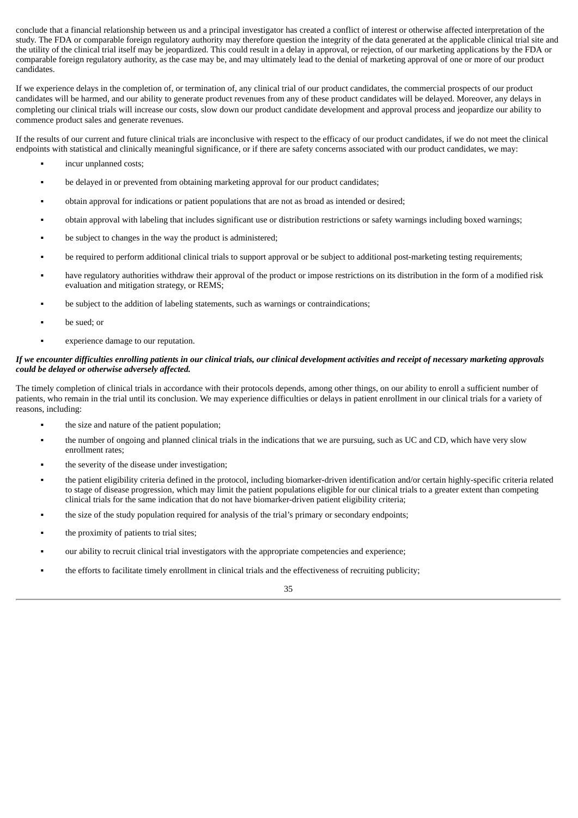conclude that a financial relationship between us and a principal investigator has created a conflict of interest or otherwise affected interpretation of the study. The FDA or comparable foreign regulatory authority may therefore question the integrity of the data generated at the applicable clinical trial site and the utility of the clinical trial itself may be jeopardized. This could result in a delay in approval, or rejection, of our marketing applications by the FDA or comparable foreign regulatory authority, as the case may be, and may ultimately lead to the denial of marketing approval of one or more of our product candidates.

If we experience delays in the completion of, or termination of, any clinical trial of our product candidates, the commercial prospects of our product candidates will be harmed, and our ability to generate product revenues from any of these product candidates will be delayed. Moreover, any delays in completing our clinical trials will increase our costs, slow down our product candidate development and approval process and jeopardize our ability to commence product sales and generate revenues.

If the results of our current and future clinical trials are inconclusive with respect to the efficacy of our product candidates, if we do not meet the clinical endpoints with statistical and clinically meaningful significance, or if there are safety concerns associated with our product candidates, we may:

- incur unplanned costs;
- be delayed in or prevented from obtaining marketing approval for our product candidates;
- obtain approval for indications or patient populations that are not as broad as intended or desired;
- obtain approval with labeling that includes significant use or distribution restrictions or safety warnings including boxed warnings;
- be subject to changes in the way the product is administered;
- be required to perform additional clinical trials to support approval or be subject to additional post-marketing testing requirements;
- have regulatory authorities withdraw their approval of the product or impose restrictions on its distribution in the form of a modified risk evaluation and mitigation strategy, or REMS;
- be subject to the addition of labeling statements, such as warnings or contraindications;
- be sued; or
- experience damage to our reputation.

#### If we encounter difficulties enrolling patients in our clinical trials, our clinical development activities and receipt of necessary marketing approvals *could be delayed or otherwise adversely affected.*

The timely completion of clinical trials in accordance with their protocols depends, among other things, on our ability to enroll a sufficient number of patients, who remain in the trial until its conclusion. We may experience difficulties or delays in patient enrollment in our clinical trials for a variety of reasons, including:

- the size and nature of the patient population;
- the number of ongoing and planned clinical trials in the indications that we are pursuing, such as UC and CD, which have very slow enrollment rates;
- the severity of the disease under investigation;
- the patient eligibility criteria defined in the protocol, including biomarker-driven identification and/or certain highly-specific criteria related to stage of disease progression, which may limit the patient populations eligible for our clinical trials to a greater extent than competing clinical trials for the same indication that do not have biomarker-driven patient eligibility criteria;
- the size of the study population required for analysis of the trial's primary or secondary endpoints;
- the proximity of patients to trial sites;
- our ability to recruit clinical trial investigators with the appropriate competencies and experience;
- the efforts to facilitate timely enrollment in clinical trials and the effectiveness of recruiting publicity;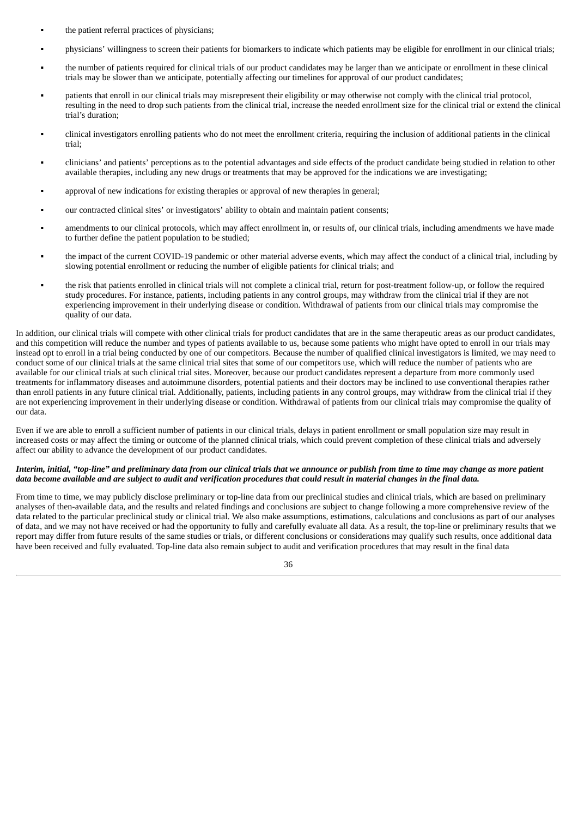- the patient referral practices of physicians:
- physicians' willingness to screen their patients for biomarkers to indicate which patients may be eligible for enrollment in our clinical trials;
- the number of patients required for clinical trials of our product candidates may be larger than we anticipate or enrollment in these clinical trials may be slower than we anticipate, potentially affecting our timelines for approval of our product candidates;
- patients that enroll in our clinical trials may misrepresent their eligibility or may otherwise not comply with the clinical trial protocol, resulting in the need to drop such patients from the clinical trial, increase the needed enrollment size for the clinical trial or extend the clinical trial's duration;
- clinical investigators enrolling patients who do not meet the enrollment criteria, requiring the inclusion of additional patients in the clinical trial;
- clinicians' and patients' perceptions as to the potential advantages and side effects of the product candidate being studied in relation to other available therapies, including any new drugs or treatments that may be approved for the indications we are investigating;
- approval of new indications for existing therapies or approval of new therapies in general;
- our contracted clinical sites' or investigators' ability to obtain and maintain patient consents;
- amendments to our clinical protocols, which may affect enrollment in, or results of, our clinical trials, including amendments we have made to further define the patient population to be studied;
- the impact of the current COVID-19 pandemic or other material adverse events, which may affect the conduct of a clinical trial, including by slowing potential enrollment or reducing the number of eligible patients for clinical trials; and
- the risk that patients enrolled in clinical trials will not complete a clinical trial, return for post-treatment follow-up, or follow the required study procedures. For instance, patients, including patients in any control groups, may withdraw from the clinical trial if they are not experiencing improvement in their underlying disease or condition. Withdrawal of patients from our clinical trials may compromise the quality of our data.

In addition, our clinical trials will compete with other clinical trials for product candidates that are in the same therapeutic areas as our product candidates, and this competition will reduce the number and types of patients available to us, because some patients who might have opted to enroll in our trials may instead opt to enroll in a trial being conducted by one of our competitors. Because the number of qualified clinical investigators is limited, we may need to conduct some of our clinical trials at the same clinical trial sites that some of our competitors use, which will reduce the number of patients who are available for our clinical trials at such clinical trial sites. Moreover, because our product candidates represent a departure from more commonly used treatments for inflammatory diseases and autoimmune disorders, potential patients and their doctors may be inclined to use conventional therapies rather than enroll patients in any future clinical trial. Additionally, patients, including patients in any control groups, may withdraw from the clinical trial if they are not experiencing improvement in their underlying disease or condition. Withdrawal of patients from our clinical trials may compromise the quality of our data.

Even if we are able to enroll a sufficient number of patients in our clinical trials, delays in patient enrollment or small population size may result in increased costs or may affect the timing or outcome of the planned clinical trials, which could prevent completion of these clinical trials and adversely affect our ability to advance the development of our product candidates.

#### Interim, initial, "top-line" and preliminary data from our clinical trials that we announce or publish from time to time may change as more patient data become available and are subject to audit and verification procedures that could result in material changes in the final data.

From time to time, we may publicly disclose preliminary or top-line data from our preclinical studies and clinical trials, which are based on preliminary analyses of then-available data, and the results and related findings and conclusions are subject to change following a more comprehensive review of the data related to the particular preclinical study or clinical trial. We also make assumptions, estimations, calculations and conclusions as part of our analyses of data, and we may not have received or had the opportunity to fully and carefully evaluate all data. As a result, the top-line or preliminary results that we report may differ from future results of the same studies or trials, or different conclusions or considerations may qualify such results, once additional data have been received and fully evaluated. Top-line data also remain subject to audit and verification procedures that may result in the final data

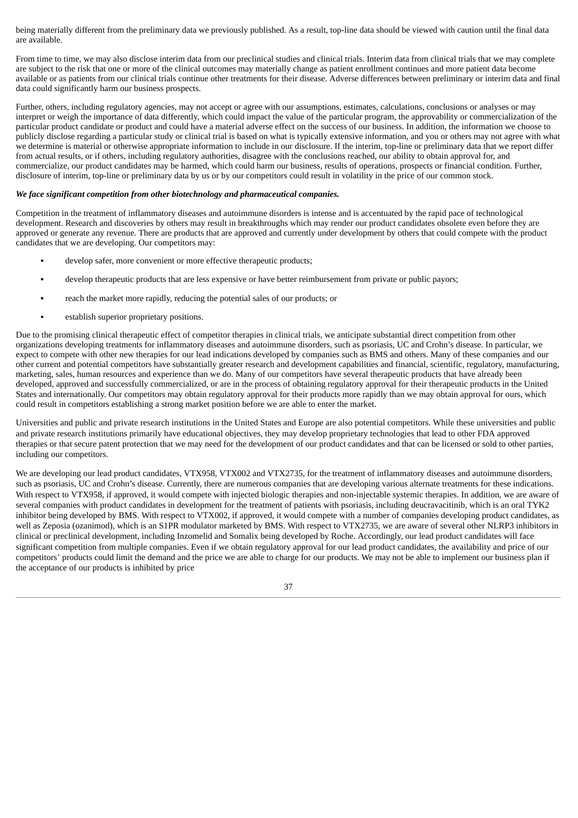being materially different from the preliminary data we previously published. As a result, top-line data should be viewed with caution until the final data are available.

From time to time, we may also disclose interim data from our preclinical studies and clinical trials. Interim data from clinical trials that we may complete are subject to the risk that one or more of the clinical outcomes may materially change as patient enrollment continues and more patient data become available or as patients from our clinical trials continue other treatments for their disease. Adverse differences between preliminary or interim data and final data could significantly harm our business prospects.

Further, others, including regulatory agencies, may not accept or agree with our assumptions, estimates, calculations, conclusions or analyses or may interpret or weigh the importance of data differently, which could impact the value of the particular program, the approvability or commercialization of the particular product candidate or product and could have a material adverse effect on the success of our business. In addition, the information we choose to publicly disclose regarding a particular study or clinical trial is based on what is typically extensive information, and you or others may not agree with what we determine is material or otherwise appropriate information to include in our disclosure. If the interim, top-line or preliminary data that we report differ from actual results, or if others, including regulatory authorities, disagree with the conclusions reached, our ability to obtain approval for, and commercialize, our product candidates may be harmed, which could harm our business, results of operations, prospects or financial condition. Further, disclosure of interim, top-line or preliminary data by us or by our competitors could result in volatility in the price of our common stock.

#### *We face significant competition from other biotechnology and pharmaceutical companies.*

Competition in the treatment of inflammatory diseases and autoimmune disorders is intense and is accentuated by the rapid pace of technological development. Research and discoveries by others may result in breakthroughs which may render our product candidates obsolete even before they are approved or generate any revenue. There are products that are approved and currently under development by others that could compete with the product candidates that we are developing. Our competitors may:

- develop safer, more convenient or more effective therapeutic products;
- develop therapeutic products that are less expensive or have better reimbursement from private or public payors;
- reach the market more rapidly, reducing the potential sales of our products; or
- establish superior proprietary positions.

Due to the promising clinical therapeutic effect of competitor therapies in clinical trials, we anticipate substantial direct competition from other organizations developing treatments for inflammatory diseases and autoimmune disorders, such as psoriasis, UC and Crohn's disease. In particular, we expect to compete with other new therapies for our lead indications developed by companies such as BMS and others. Many of these companies and our other current and potential competitors have substantially greater research and development capabilities and financial, scientific, regulatory, manufacturing, marketing, sales, human resources and experience than we do. Many of our competitors have several therapeutic products that have already been developed, approved and successfully commercialized, or are in the process of obtaining regulatory approval for their therapeutic products in the United States and internationally. Our competitors may obtain regulatory approval for their products more rapidly than we may obtain approval for ours, which could result in competitors establishing a strong market position before we are able to enter the market.

Universities and public and private research institutions in the United States and Europe are also potential competitors. While these universities and public and private research institutions primarily have educational objectives, they may develop proprietary technologies that lead to other FDA approved therapies or that secure patent protection that we may need for the development of our product candidates and that can be licensed or sold to other parties, including our competitors.

We are developing our lead product candidates, VTX958, VTX002 and VTX2735, for the treatment of inflammatory diseases and autoimmune disorders, such as psoriasis, UC and Crohn's disease. Currently, there are numerous companies that are developing various alternate treatments for these indications. With respect to VTX958, if approved, it would compete with injected biologic therapies and non-injectable systemic therapies. In addition, we are aware of several companies with product candidates in development for the treatment of patients with psoriasis, including deucravacitinib, which is an oral TYK2 inhibitor being developed by BMS. With respect to VTX002, if approved, it would compete with a number of companies developing product candidates, as well as Zeposia (ozanimod), which is an S1PR modulator marketed by BMS. With respect to VTX2735, we are aware of several other NLRP3 inhibitors in clinical or preclinical development, including Inzomelid and Somalix being developed by Roche. Accordingly, our lead product candidates will face significant competition from multiple companies. Even if we obtain regulatory approval for our lead product candidates, the availability and price of our competitors' products could limit the demand and the price we are able to charge for our products. We may not be able to implement our business plan if the acceptance of our products is inhibited by price

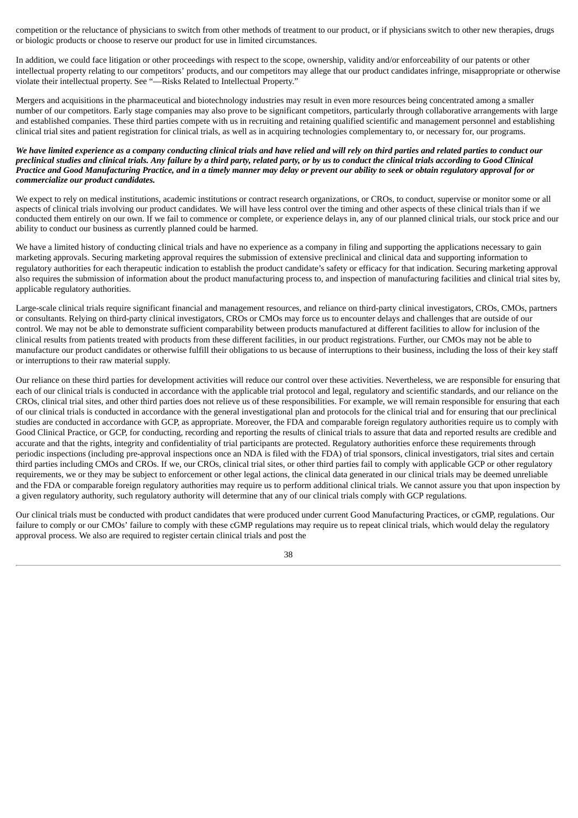competition or the reluctance of physicians to switch from other methods of treatment to our product, or if physicians switch to other new therapies, drugs or biologic products or choose to reserve our product for use in limited circumstances.

In addition, we could face litigation or other proceedings with respect to the scope, ownership, validity and/or enforceability of our patents or other intellectual property relating to our competitors' products, and our competitors may allege that our product candidates infringe, misappropriate or otherwise violate their intellectual property. See "—Risks Related to Intellectual Property."

Mergers and acquisitions in the pharmaceutical and biotechnology industries may result in even more resources being concentrated among a smaller number of our competitors. Early stage companies may also prove to be significant competitors, particularly through collaborative arrangements with large and established companies. These third parties compete with us in recruiting and retaining qualified scientific and management personnel and establishing clinical trial sites and patient registration for clinical trials, as well as in acquiring technologies complementary to, or necessary for, our programs.

### We have limited experience as a company conducting clinical trials and have relied and will rely on third parties and related parties to conduct our preclinical studies and clinical trials. Any failure by a third party, related party, or by us to conduct the clinical trials according to Good Clinical Practice and Good Manufacturing Practice, and in a timely manner may delay or prevent our ability to seek or obtain regulatory approval for or *commercialize our product candidates.*

We expect to rely on medical institutions, academic institutions or contract research organizations, or CROs, to conduct, supervise or monitor some or all aspects of clinical trials involving our product candidates. We will have less control over the timing and other aspects of these clinical trials than if we conducted them entirely on our own. If we fail to commence or complete, or experience delays in, any of our planned clinical trials, our stock price and our ability to conduct our business as currently planned could be harmed.

We have a limited history of conducting clinical trials and have no experience as a company in filing and supporting the applications necessary to gain marketing approvals. Securing marketing approval requires the submission of extensive preclinical and clinical data and supporting information to regulatory authorities for each therapeutic indication to establish the product candidate's safety or efficacy for that indication. Securing marketing approval also requires the submission of information about the product manufacturing process to, and inspection of manufacturing facilities and clinical trial sites by, applicable regulatory authorities.

Large-scale clinical trials require significant financial and management resources, and reliance on third-party clinical investigators, CROs, CMOs, partners or consultants. Relying on third-party clinical investigators, CROs or CMOs may force us to encounter delays and challenges that are outside of our control. We may not be able to demonstrate sufficient comparability between products manufactured at different facilities to allow for inclusion of the clinical results from patients treated with products from these different facilities, in our product registrations. Further, our CMOs may not be able to manufacture our product candidates or otherwise fulfill their obligations to us because of interruptions to their business, including the loss of their key staff or interruptions to their raw material supply.

Our reliance on these third parties for development activities will reduce our control over these activities. Nevertheless, we are responsible for ensuring that each of our clinical trials is conducted in accordance with the applicable trial protocol and legal, regulatory and scientific standards, and our reliance on the CROs, clinical trial sites, and other third parties does not relieve us of these responsibilities. For example, we will remain responsible for ensuring that each of our clinical trials is conducted in accordance with the general investigational plan and protocols for the clinical trial and for ensuring that our preclinical studies are conducted in accordance with GCP, as appropriate. Moreover, the FDA and comparable foreign regulatory authorities require us to comply with Good Clinical Practice, or GCP, for conducting, recording and reporting the results of clinical trials to assure that data and reported results are credible and accurate and that the rights, integrity and confidentiality of trial participants are protected. Regulatory authorities enforce these requirements through periodic inspections (including pre-approval inspections once an NDA is filed with the FDA) of trial sponsors, clinical investigators, trial sites and certain third parties including CMOs and CROs. If we, our CROs, clinical trial sites, or other third parties fail to comply with applicable GCP or other regulatory requirements, we or they may be subject to enforcement or other legal actions, the clinical data generated in our clinical trials may be deemed unreliable and the FDA or comparable foreign regulatory authorities may require us to perform additional clinical trials. We cannot assure you that upon inspection by a given regulatory authority, such regulatory authority will determine that any of our clinical trials comply with GCP regulations.

Our clinical trials must be conducted with product candidates that were produced under current Good Manufacturing Practices, or cGMP, regulations. Our failure to comply or our CMOs' failure to comply with these cGMP regulations may require us to repeat clinical trials, which would delay the regulatory approval process. We also are required to register certain clinical trials and post the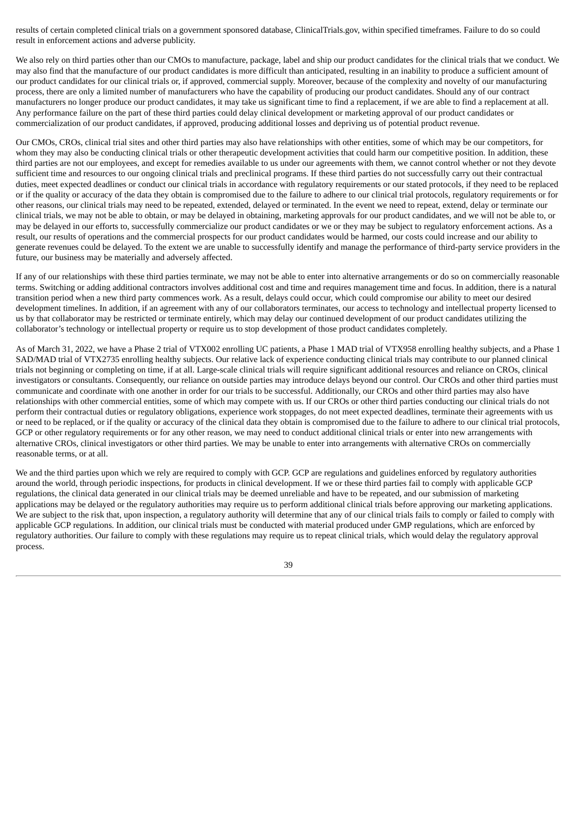results of certain completed clinical trials on a government sponsored database, ClinicalTrials.gov, within specified timeframes. Failure to do so could result in enforcement actions and adverse publicity.

We also rely on third parties other than our CMOs to manufacture, package, label and ship our product candidates for the clinical trials that we conduct. We may also find that the manufacture of our product candidates is more difficult than anticipated, resulting in an inability to produce a sufficient amount of our product candidates for our clinical trials or, if approved, commercial supply. Moreover, because of the complexity and novelty of our manufacturing process, there are only a limited number of manufacturers who have the capability of producing our product candidates. Should any of our contract manufacturers no longer produce our product candidates, it may take us significant time to find a replacement, if we are able to find a replacement at all. Any performance failure on the part of these third parties could delay clinical development or marketing approval of our product candidates or commercialization of our product candidates, if approved, producing additional losses and depriving us of potential product revenue.

Our CMOs, CROs, clinical trial sites and other third parties may also have relationships with other entities, some of which may be our competitors, for whom they may also be conducting clinical trials or other therapeutic development activities that could harm our competitive position. In addition, these third parties are not our employees, and except for remedies available to us under our agreements with them, we cannot control whether or not they devote sufficient time and resources to our ongoing clinical trials and preclinical programs. If these third parties do not successfully carry out their contractual duties, meet expected deadlines or conduct our clinical trials in accordance with regulatory requirements or our stated protocols, if they need to be replaced or if the quality or accuracy of the data they obtain is compromised due to the failure to adhere to our clinical trial protocols, regulatory requirements or for other reasons, our clinical trials may need to be repeated, extended, delayed or terminated. In the event we need to repeat, extend, delay or terminate our clinical trials, we may not be able to obtain, or may be delayed in obtaining, marketing approvals for our product candidates, and we will not be able to, or may be delayed in our efforts to, successfully commercialize our product candidates or we or they may be subject to regulatory enforcement actions. As a result, our results of operations and the commercial prospects for our product candidates would be harmed, our costs could increase and our ability to generate revenues could be delayed. To the extent we are unable to successfully identify and manage the performance of third-party service providers in the future, our business may be materially and adversely affected.

If any of our relationships with these third parties terminate, we may not be able to enter into alternative arrangements or do so on commercially reasonable terms. Switching or adding additional contractors involves additional cost and time and requires management time and focus. In addition, there is a natural transition period when a new third party commences work. As a result, delays could occur, which could compromise our ability to meet our desired development timelines. In addition, if an agreement with any of our collaborators terminates, our access to technology and intellectual property licensed to us by that collaborator may be restricted or terminate entirely, which may delay our continued development of our product candidates utilizing the collaborator's technology or intellectual property or require us to stop development of those product candidates completely.

As of March 31, 2022, we have a Phase 2 trial of VTX002 enrolling UC patients, a Phase 1 MAD trial of VTX958 enrolling healthy subjects, and a Phase 1 SAD/MAD trial of VTX2735 enrolling healthy subjects. Our relative lack of experience conducting clinical trials may contribute to our planned clinical trials not beginning or completing on time, if at all. Large-scale clinical trials will require significant additional resources and reliance on CROs, clinical investigators or consultants. Consequently, our reliance on outside parties may introduce delays beyond our control. Our CROs and other third parties must communicate and coordinate with one another in order for our trials to be successful. Additionally, our CROs and other third parties may also have relationships with other commercial entities, some of which may compete with us. If our CROs or other third parties conducting our clinical trials do not perform their contractual duties or regulatory obligations, experience work stoppages, do not meet expected deadlines, terminate their agreements with us or need to be replaced, or if the quality or accuracy of the clinical data they obtain is compromised due to the failure to adhere to our clinical trial protocols, GCP or other regulatory requirements or for any other reason, we may need to conduct additional clinical trials or enter into new arrangements with alternative CROs, clinical investigators or other third parties. We may be unable to enter into arrangements with alternative CROs on commercially reasonable terms, or at all.

We and the third parties upon which we rely are required to comply with GCP. GCP are regulations and guidelines enforced by regulatory authorities around the world, through periodic inspections, for products in clinical development. If we or these third parties fail to comply with applicable GCP regulations, the clinical data generated in our clinical trials may be deemed unreliable and have to be repeated, and our submission of marketing applications may be delayed or the regulatory authorities may require us to perform additional clinical trials before approving our marketing applications. We are subject to the risk that, upon inspection, a regulatory authority will determine that any of our clinical trials fails to comply or failed to comply with applicable GCP regulations. In addition, our clinical trials must be conducted with material produced under GMP regulations, which are enforced by regulatory authorities. Our failure to comply with these regulations may require us to repeat clinical trials, which would delay the regulatory approval process.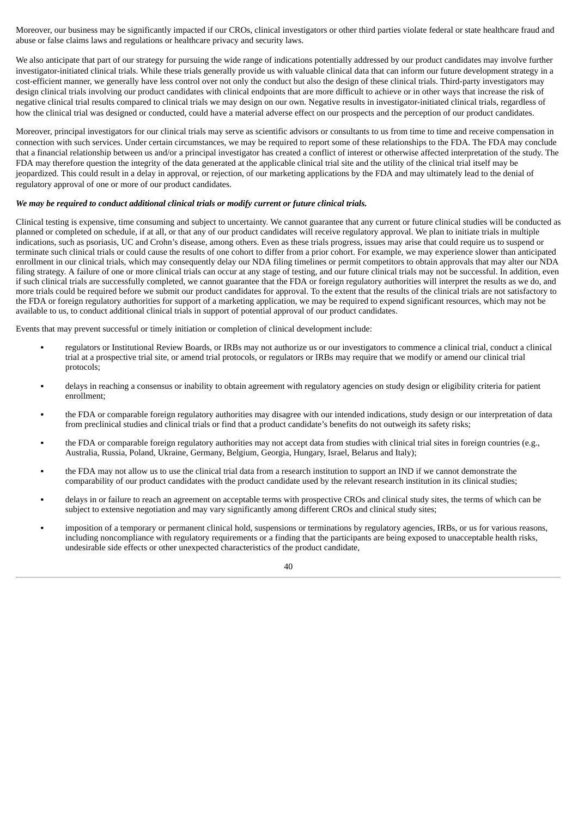Moreover, our business may be significantly impacted if our CROs, clinical investigators or other third parties violate federal or state healthcare fraud and abuse or false claims laws and regulations or healthcare privacy and security laws.

We also anticipate that part of our strategy for pursuing the wide range of indications potentially addressed by our product candidates may involve further investigator-initiated clinical trials. While these trials generally provide us with valuable clinical data that can inform our future development strategy in a cost-efficient manner, we generally have less control over not only the conduct but also the design of these clinical trials. Third-party investigators may design clinical trials involving our product candidates with clinical endpoints that are more difficult to achieve or in other ways that increase the risk of negative clinical trial results compared to clinical trials we may design on our own. Negative results in investigator-initiated clinical trials, regardless of how the clinical trial was designed or conducted, could have a material adverse effect on our prospects and the perception of our product candidates.

Moreover, principal investigators for our clinical trials may serve as scientific advisors or consultants to us from time to time and receive compensation in connection with such services. Under certain circumstances, we may be required to report some of these relationships to the FDA. The FDA may conclude that a financial relationship between us and/or a principal investigator has created a conflict of interest or otherwise affected interpretation of the study. The FDA may therefore question the integrity of the data generated at the applicable clinical trial site and the utility of the clinical trial itself may be jeopardized. This could result in a delay in approval, or rejection, of our marketing applications by the FDA and may ultimately lead to the denial of regulatory approval of one or more of our product candidates.

#### *We may be required to conduct additional clinical trials or modify current or future clinical trials.*

Clinical testing is expensive, time consuming and subject to uncertainty. We cannot guarantee that any current or future clinical studies will be conducted as planned or completed on schedule, if at all, or that any of our product candidates will receive regulatory approval. We plan to initiate trials in multiple indications, such as psoriasis, UC and Crohn's disease, among others. Even as these trials progress, issues may arise that could require us to suspend or terminate such clinical trials or could cause the results of one cohort to differ from a prior cohort. For example, we may experience slower than anticipated enrollment in our clinical trials, which may consequently delay our NDA filing timelines or permit competitors to obtain approvals that may alter our NDA filing strategy. A failure of one or more clinical trials can occur at any stage of testing, and our future clinical trials may not be successful. In addition, even if such clinical trials are successfully completed, we cannot guarantee that the FDA or foreign regulatory authorities will interpret the results as we do, and more trials could be required before we submit our product candidates for approval. To the extent that the results of the clinical trials are not satisfactory to the FDA or foreign regulatory authorities for support of a marketing application, we may be required to expend significant resources, which may not be available to us, to conduct additional clinical trials in support of potential approval of our product candidates.

Events that may prevent successful or timely initiation or completion of clinical development include:

- regulators or Institutional Review Boards, or IRBs may not authorize us or our investigators to commence a clinical trial, conduct a clinical trial at a prospective trial site, or amend trial protocols, or regulators or IRBs may require that we modify or amend our clinical trial protocols;
- delays in reaching a consensus or inability to obtain agreement with regulatory agencies on study design or eligibility criteria for patient enrollment;
- the FDA or comparable foreign regulatory authorities may disagree with our intended indications, study design or our interpretation of data from preclinical studies and clinical trials or find that a product candidate's benefits do not outweigh its safety risks;
- the FDA or comparable foreign regulatory authorities may not accept data from studies with clinical trial sites in foreign countries (e.g., Australia, Russia, Poland, Ukraine, Germany, Belgium, Georgia, Hungary, Israel, Belarus and Italy);
- the FDA may not allow us to use the clinical trial data from a research institution to support an IND if we cannot demonstrate the comparability of our product candidates with the product candidate used by the relevant research institution in its clinical studies;
- delays in or failure to reach an agreement on acceptable terms with prospective CROs and clinical study sites, the terms of which can be subject to extensive negotiation and may vary significantly among different CROs and clinical study sites;
- imposition of a temporary or permanent clinical hold, suspensions or terminations by regulatory agencies, IRBs, or us for various reasons, including noncompliance with regulatory requirements or a finding that the participants are being exposed to unacceptable health risks, undesirable side effects or other unexpected characteristics of the product candidate,

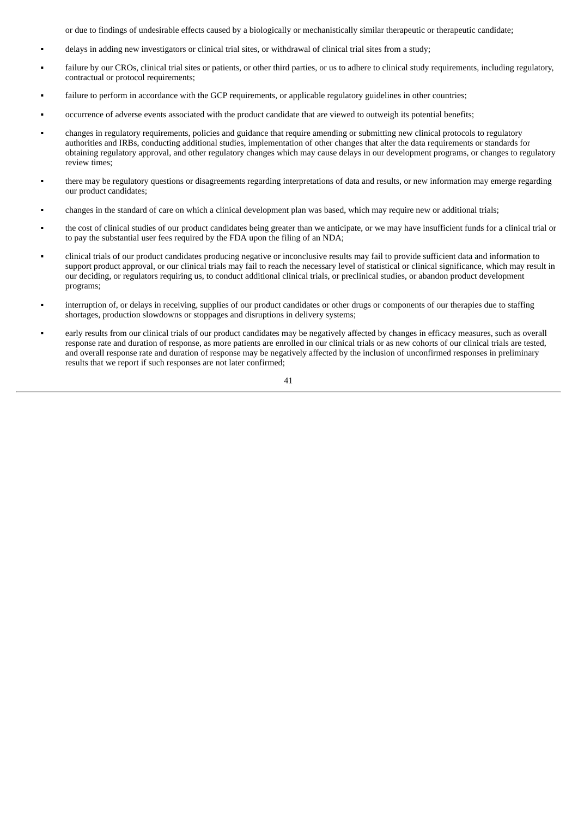or due to findings of undesirable effects caused by a biologically or mechanistically similar therapeutic or therapeutic candidate;

- delays in adding new investigators or clinical trial sites, or withdrawal of clinical trial sites from a study;
- failure by our CROs, clinical trial sites or patients, or other third parties, or us to adhere to clinical study requirements, including regulatory, contractual or protocol requirements;
- failure to perform in accordance with the GCP requirements, or applicable regulatory guidelines in other countries;
- occurrence of adverse events associated with the product candidate that are viewed to outweigh its potential benefits;
- changes in regulatory requirements, policies and guidance that require amending or submitting new clinical protocols to regulatory authorities and IRBs, conducting additional studies, implementation of other changes that alter the data requirements or standards for obtaining regulatory approval, and other regulatory changes which may cause delays in our development programs, or changes to regulatory review times;
- there may be regulatory questions or disagreements regarding interpretations of data and results, or new information may emerge regarding our product candidates;
- changes in the standard of care on which a clinical development plan was based, which may require new or additional trials;
- the cost of clinical studies of our product candidates being greater than we anticipate, or we may have insufficient funds for a clinical trial or to pay the substantial user fees required by the FDA upon the filing of an NDA;
- clinical trials of our product candidates producing negative or inconclusive results may fail to provide sufficient data and information to support product approval, or our clinical trials may fail to reach the necessary level of statistical or clinical significance, which may result in our deciding, or regulators requiring us, to conduct additional clinical trials, or preclinical studies, or abandon product development programs;
- interruption of, or delays in receiving, supplies of our product candidates or other drugs or components of our therapies due to staffing shortages, production slowdowns or stoppages and disruptions in delivery systems;
- early results from our clinical trials of our product candidates may be negatively affected by changes in efficacy measures, such as overall response rate and duration of response, as more patients are enrolled in our clinical trials or as new cohorts of our clinical trials are tested, and overall response rate and duration of response may be negatively affected by the inclusion of unconfirmed responses in preliminary results that we report if such responses are not later confirmed;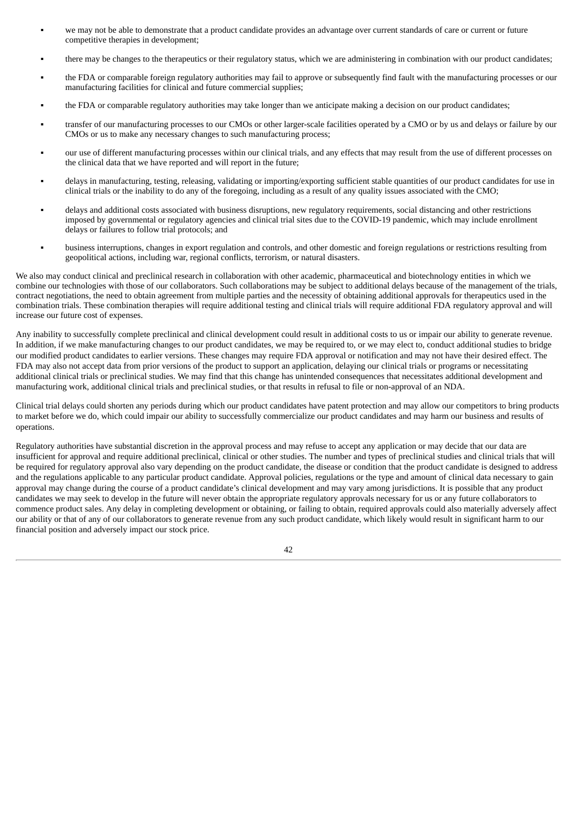- we may not be able to demonstrate that a product candidate provides an advantage over current standards of care or current or future competitive therapies in development;
- there may be changes to the therapeutics or their regulatory status, which we are administering in combination with our product candidates;
- the FDA or comparable foreign regulatory authorities may fail to approve or subsequently find fault with the manufacturing processes or our manufacturing facilities for clinical and future commercial supplies;
- the FDA or comparable regulatory authorities may take longer than we anticipate making a decision on our product candidates;
- transfer of our manufacturing processes to our CMOs or other larger-scale facilities operated by a CMO or by us and delays or failure by our CMOs or us to make any necessary changes to such manufacturing process;
- our use of different manufacturing processes within our clinical trials, and any effects that may result from the use of different processes on the clinical data that we have reported and will report in the future;
- delays in manufacturing, testing, releasing, validating or importing/exporting sufficient stable quantities of our product candidates for use in clinical trials or the inability to do any of the foregoing, including as a result of any quality issues associated with the CMO;
- delays and additional costs associated with business disruptions, new regulatory requirements, social distancing and other restrictions imposed by governmental or regulatory agencies and clinical trial sites due to the COVID-19 pandemic, which may include enrollment delays or failures to follow trial protocols; and
- business interruptions, changes in export regulation and controls, and other domestic and foreign regulations or restrictions resulting from geopolitical actions, including war, regional conflicts, terrorism, or natural disasters.

We also may conduct clinical and preclinical research in collaboration with other academic, pharmaceutical and biotechnology entities in which we combine our technologies with those of our collaborators. Such collaborations may be subject to additional delays because of the management of the trials, contract negotiations, the need to obtain agreement from multiple parties and the necessity of obtaining additional approvals for therapeutics used in the combination trials. These combination therapies will require additional testing and clinical trials will require additional FDA regulatory approval and will increase our future cost of expenses.

Any inability to successfully complete preclinical and clinical development could result in additional costs to us or impair our ability to generate revenue. In addition, if we make manufacturing changes to our product candidates, we may be required to, or we may elect to, conduct additional studies to bridge our modified product candidates to earlier versions. These changes may require FDA approval or notification and may not have their desired effect. The FDA may also not accept data from prior versions of the product to support an application, delaying our clinical trials or programs or necessitating additional clinical trials or preclinical studies. We may find that this change has unintended consequences that necessitates additional development and manufacturing work, additional clinical trials and preclinical studies, or that results in refusal to file or non-approval of an NDA.

Clinical trial delays could shorten any periods during which our product candidates have patent protection and may allow our competitors to bring products to market before we do, which could impair our ability to successfully commercialize our product candidates and may harm our business and results of operations.

Regulatory authorities have substantial discretion in the approval process and may refuse to accept any application or may decide that our data are insufficient for approval and require additional preclinical, clinical or other studies. The number and types of preclinical studies and clinical trials that will be required for regulatory approval also vary depending on the product candidate, the disease or condition that the product candidate is designed to address and the regulations applicable to any particular product candidate. Approval policies, regulations or the type and amount of clinical data necessary to gain approval may change during the course of a product candidate's clinical development and may vary among jurisdictions. It is possible that any product candidates we may seek to develop in the future will never obtain the appropriate regulatory approvals necessary for us or any future collaborators to commence product sales. Any delay in completing development or obtaining, or failing to obtain, required approvals could also materially adversely affect our ability or that of any of our collaborators to generate revenue from any such product candidate, which likely would result in significant harm to our financial position and adversely impact our stock price.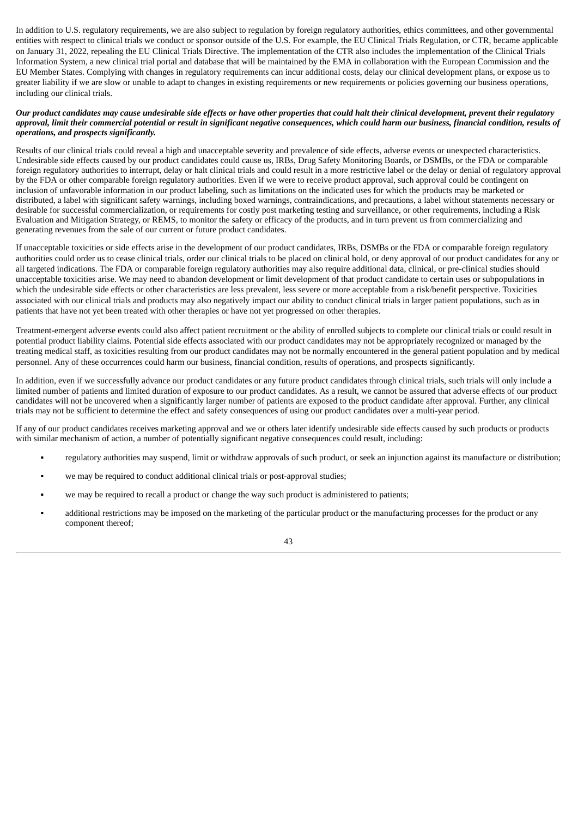In addition to U.S. regulatory requirements, we are also subject to regulation by foreign regulatory authorities, ethics committees, and other governmental entities with respect to clinical trials we conduct or sponsor outside of the U.S. For example, the EU Clinical Trials Regulation, or CTR, became applicable on January 31, 2022, repealing the EU Clinical Trials Directive. The implementation of the CTR also includes the implementation of the Clinical Trials Information System, a new clinical trial portal and database that will be maintained by the EMA in collaboration with the European Commission and the EU Member States. Complying with changes in regulatory requirements can incur additional costs, delay our clinical development plans, or expose us to greater liability if we are slow or unable to adapt to changes in existing requirements or new requirements or policies governing our business operations, including our clinical trials.

#### Our product candidates may cause undesirable side effects or have other properties that could halt their clinical development, prevent their regulatory approval, limit their commercial potential or result in significant negative consequences, which could harm our business, financial condition, results of *operations, and prospects significantly.*

Results of our clinical trials could reveal a high and unacceptable severity and prevalence of side effects, adverse events or unexpected characteristics. Undesirable side effects caused by our product candidates could cause us, IRBs, Drug Safety Monitoring Boards, or DSMBs, or the FDA or comparable foreign regulatory authorities to interrupt, delay or halt clinical trials and could result in a more restrictive label or the delay or denial of regulatory approval by the FDA or other comparable foreign regulatory authorities. Even if we were to receive product approval, such approval could be contingent on inclusion of unfavorable information in our product labeling, such as limitations on the indicated uses for which the products may be marketed or distributed, a label with significant safety warnings, including boxed warnings, contraindications, and precautions, a label without statements necessary or desirable for successful commercialization, or requirements for costly post marketing testing and surveillance, or other requirements, including a Risk Evaluation and Mitigation Strategy, or REMS, to monitor the safety or efficacy of the products, and in turn prevent us from commercializing and generating revenues from the sale of our current or future product candidates.

If unacceptable toxicities or side effects arise in the development of our product candidates, IRBs, DSMBs or the FDA or comparable foreign regulatory authorities could order us to cease clinical trials, order our clinical trials to be placed on clinical hold, or deny approval of our product candidates for any or all targeted indications. The FDA or comparable foreign regulatory authorities may also require additional data, clinical, or pre-clinical studies should unacceptable toxicities arise. We may need to abandon development or limit development of that product candidate to certain uses or subpopulations in which the undesirable side effects or other characteristics are less prevalent, less severe or more acceptable from a risk/benefit perspective. Toxicities associated with our clinical trials and products may also negatively impact our ability to conduct clinical trials in larger patient populations, such as in patients that have not yet been treated with other therapies or have not yet progressed on other therapies.

Treatment-emergent adverse events could also affect patient recruitment or the ability of enrolled subjects to complete our clinical trials or could result in potential product liability claims. Potential side effects associated with our product candidates may not be appropriately recognized or managed by the treating medical staff, as toxicities resulting from our product candidates may not be normally encountered in the general patient population and by medical personnel. Any of these occurrences could harm our business, financial condition, results of operations, and prospects significantly.

In addition, even if we successfully advance our product candidates or any future product candidates through clinical trials, such trials will only include a limited number of patients and limited duration of exposure to our product candidates. As a result, we cannot be assured that adverse effects of our product candidates will not be uncovered when a significantly larger number of patients are exposed to the product candidate after approval. Further, any clinical trials may not be sufficient to determine the effect and safety consequences of using our product candidates over a multi-year period.

If any of our product candidates receives marketing approval and we or others later identify undesirable side effects caused by such products or products with similar mechanism of action, a number of potentially significant negative consequences could result, including:

- regulatory authorities may suspend, limit or withdraw approvals of such product, or seek an injunction against its manufacture or distribution;
- we may be required to conduct additional clinical trials or post-approval studies;
- we may be required to recall a product or change the way such product is administered to patients;
- additional restrictions may be imposed on the marketing of the particular product or the manufacturing processes for the product or any component thereof;

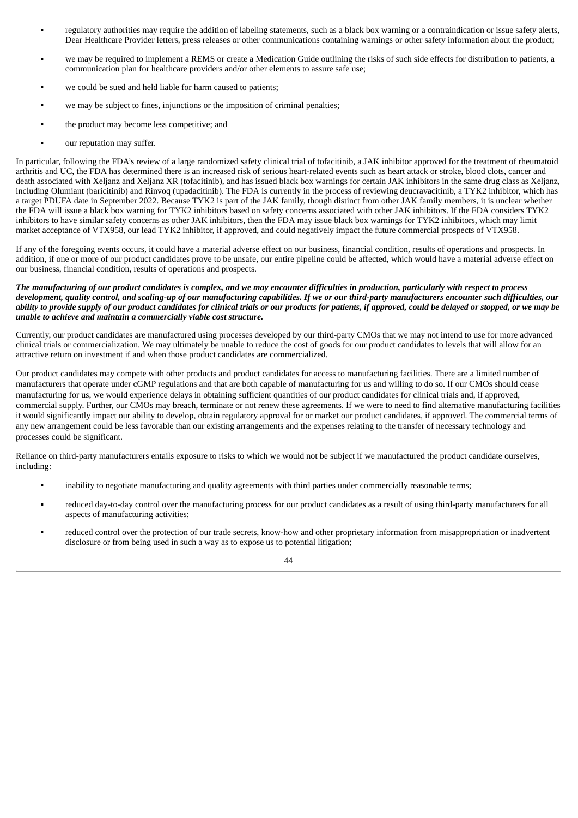- regulatory authorities may require the addition of labeling statements, such as a black box warning or a contraindication or issue safety alerts, Dear Healthcare Provider letters, press releases or other communications containing warnings or other safety information about the product;
- we may be required to implement a REMS or create a Medication Guide outlining the risks of such side effects for distribution to patients, a communication plan for healthcare providers and/or other elements to assure safe use;
- we could be sued and held liable for harm caused to patients;
- we may be subject to fines, injunctions or the imposition of criminal penalties;
- the product may become less competitive; and
- our reputation may suffer.

In particular, following the FDA's review of a large randomized safety clinical trial of tofacitinib, a JAK inhibitor approved for the treatment of rheumatoid arthritis and UC, the FDA has determined there is an increased risk of serious heart-related events such as heart attack or stroke, blood clots, cancer and death associated with Xeljanz and Xeljanz XR (tofacitinib), and has issued black box warnings for certain JAK inhibitors in the same drug class as Xeljanz, including Olumiant (baricitinib) and Rinvoq (upadacitinib). The FDA is currently in the process of reviewing deucravacitinib, a TYK2 inhibitor, which has a target PDUFA date in September 2022. Because TYK2 is part of the JAK family, though distinct from other JAK family members, it is unclear whether the FDA will issue a black box warning for TYK2 inhibitors based on safety concerns associated with other JAK inhibitors. If the FDA considers TYK2 inhibitors to have similar safety concerns as other JAK inhibitors, then the FDA may issue black box warnings for TYK2 inhibitors, which may limit market acceptance of VTX958, our lead TYK2 inhibitor, if approved, and could negatively impact the future commercial prospects of VTX958.

If any of the foregoing events occurs, it could have a material adverse effect on our business, financial condition, results of operations and prospects. In addition, if one or more of our product candidates prove to be unsafe, our entire pipeline could be affected, which would have a material adverse effect on our business, financial condition, results of operations and prospects.

#### The manufacturing of our product candidates is complex, and we may encounter difficulties in production, particularly with respect to process development, quality control, and scaling-up of our manufacturing capabilities. If we or our third-party manufacturers encounter such difficulties, our ability to provide supply of our product candidates for clinical trials or our products for patients, if approved, could be delayed or stopped, or we may be *unable to achieve and maintain a commercially viable cost structure.*

Currently, our product candidates are manufactured using processes developed by our third-party CMOs that we may not intend to use for more advanced clinical trials or commercialization. We may ultimately be unable to reduce the cost of goods for our product candidates to levels that will allow for an attractive return on investment if and when those product candidates are commercialized.

Our product candidates may compete with other products and product candidates for access to manufacturing facilities. There are a limited number of manufacturers that operate under cGMP regulations and that are both capable of manufacturing for us and willing to do so. If our CMOs should cease manufacturing for us, we would experience delays in obtaining sufficient quantities of our product candidates for clinical trials and, if approved, commercial supply. Further, our CMOs may breach, terminate or not renew these agreements. If we were to need to find alternative manufacturing facilities it would significantly impact our ability to develop, obtain regulatory approval for or market our product candidates, if approved. The commercial terms of any new arrangement could be less favorable than our existing arrangements and the expenses relating to the transfer of necessary technology and processes could be significant.

Reliance on third-party manufacturers entails exposure to risks to which we would not be subject if we manufactured the product candidate ourselves, including:

- inability to negotiate manufacturing and quality agreements with third parties under commercially reasonable terms;
- reduced day-to-day control over the manufacturing process for our product candidates as a result of using third-party manufacturers for all aspects of manufacturing activities;
- reduced control over the protection of our trade secrets, know-how and other proprietary information from misappropriation or inadvertent disclosure or from being used in such a way as to expose us to potential litigation;

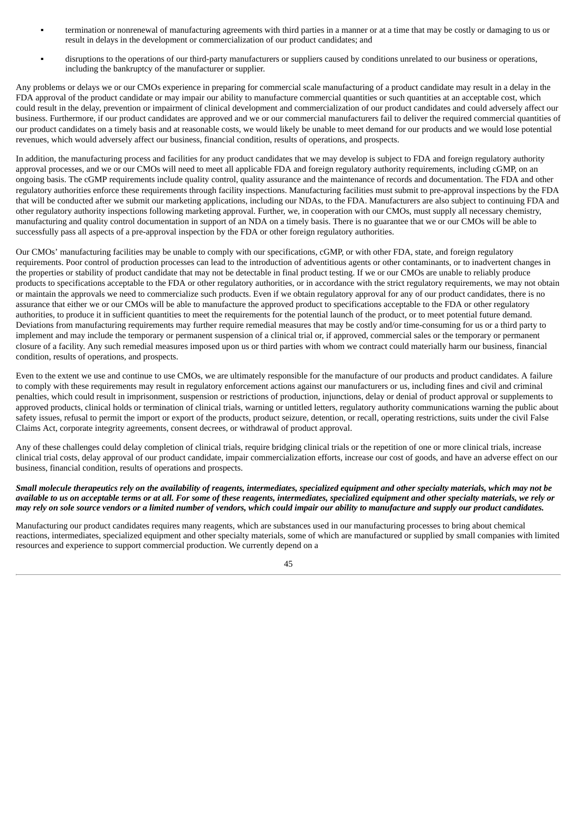- termination or nonrenewal of manufacturing agreements with third parties in a manner or at a time that may be costly or damaging to us or result in delays in the development or commercialization of our product candidates; and
- disruptions to the operations of our third-party manufacturers or suppliers caused by conditions unrelated to our business or operations, including the bankruptcy of the manufacturer or supplier.

Any problems or delays we or our CMOs experience in preparing for commercial scale manufacturing of a product candidate may result in a delay in the FDA approval of the product candidate or may impair our ability to manufacture commercial quantities or such quantities at an acceptable cost, which could result in the delay, prevention or impairment of clinical development and commercialization of our product candidates and could adversely affect our business. Furthermore, if our product candidates are approved and we or our commercial manufacturers fail to deliver the required commercial quantities of our product candidates on a timely basis and at reasonable costs, we would likely be unable to meet demand for our products and we would lose potential revenues, which would adversely affect our business, financial condition, results of operations, and prospects.

In addition, the manufacturing process and facilities for any product candidates that we may develop is subject to FDA and foreign regulatory authority approval processes, and we or our CMOs will need to meet all applicable FDA and foreign regulatory authority requirements, including cGMP, on an ongoing basis. The cGMP requirements include quality control, quality assurance and the maintenance of records and documentation. The FDA and other regulatory authorities enforce these requirements through facility inspections. Manufacturing facilities must submit to pre-approval inspections by the FDA that will be conducted after we submit our marketing applications, including our NDAs, to the FDA. Manufacturers are also subject to continuing FDA and other regulatory authority inspections following marketing approval. Further, we, in cooperation with our CMOs, must supply all necessary chemistry, manufacturing and quality control documentation in support of an NDA on a timely basis. There is no guarantee that we or our CMOs will be able to successfully pass all aspects of a pre-approval inspection by the FDA or other foreign regulatory authorities.

Our CMOs' manufacturing facilities may be unable to comply with our specifications, cGMP, or with other FDA, state, and foreign regulatory requirements. Poor control of production processes can lead to the introduction of adventitious agents or other contaminants, or to inadvertent changes in the properties or stability of product candidate that may not be detectable in final product testing. If we or our CMOs are unable to reliably produce products to specifications acceptable to the FDA or other regulatory authorities, or in accordance with the strict regulatory requirements, we may not obtain or maintain the approvals we need to commercialize such products. Even if we obtain regulatory approval for any of our product candidates, there is no assurance that either we or our CMOs will be able to manufacture the approved product to specifications acceptable to the FDA or other regulatory authorities, to produce it in sufficient quantities to meet the requirements for the potential launch of the product, or to meet potential future demand. Deviations from manufacturing requirements may further require remedial measures that may be costly and/or time-consuming for us or a third party to implement and may include the temporary or permanent suspension of a clinical trial or, if approved, commercial sales or the temporary or permanent closure of a facility. Any such remedial measures imposed upon us or third parties with whom we contract could materially harm our business, financial condition, results of operations, and prospects.

Even to the extent we use and continue to use CMOs, we are ultimately responsible for the manufacture of our products and product candidates. A failure to comply with these requirements may result in regulatory enforcement actions against our manufacturers or us, including fines and civil and criminal penalties, which could result in imprisonment, suspension or restrictions of production, injunctions, delay or denial of product approval or supplements to approved products, clinical holds or termination of clinical trials, warning or untitled letters, regulatory authority communications warning the public about safety issues, refusal to permit the import or export of the products, product seizure, detention, or recall, operating restrictions, suits under the civil False Claims Act, corporate integrity agreements, consent decrees, or withdrawal of product approval.

Any of these challenges could delay completion of clinical trials, require bridging clinical trials or the repetition of one or more clinical trials, increase clinical trial costs, delay approval of our product candidate, impair commercialization efforts, increase our cost of goods, and have an adverse effect on our business, financial condition, results of operations and prospects.

Small molecule therapeutics rely on the availability of reagents, intermediates, specialized equipment and other specialty materials, which may not be available to us on acceptable terms or at all. For some of these reagents, intermediates, specialized equipment and other specialty materials, we rely or may rely on sole source vendors or a limited number of vendors, which could impair our ability to manufacture and supply our product candidates.

Manufacturing our product candidates requires many reagents, which are substances used in our manufacturing processes to bring about chemical reactions, intermediates, specialized equipment and other specialty materials, some of which are manufactured or supplied by small companies with limited resources and experience to support commercial production. We currently depend on a

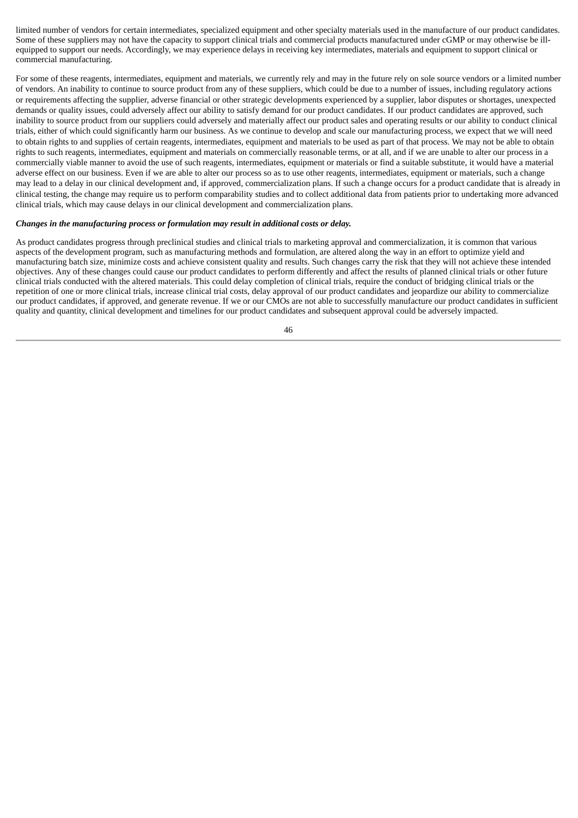limited number of vendors for certain intermediates, specialized equipment and other specialty materials used in the manufacture of our product candidates. Some of these suppliers may not have the capacity to support clinical trials and commercial products manufactured under cGMP or may otherwise be illequipped to support our needs. Accordingly, we may experience delays in receiving key intermediates, materials and equipment to support clinical or commercial manufacturing.

For some of these reagents, intermediates, equipment and materials, we currently rely and may in the future rely on sole source vendors or a limited number of vendors. An inability to continue to source product from any of these suppliers, which could be due to a number of issues, including regulatory actions or requirements affecting the supplier, adverse financial or other strategic developments experienced by a supplier, labor disputes or shortages, unexpected demands or quality issues, could adversely affect our ability to satisfy demand for our product candidates. If our product candidates are approved, such inability to source product from our suppliers could adversely and materially affect our product sales and operating results or our ability to conduct clinical trials, either of which could significantly harm our business. As we continue to develop and scale our manufacturing process, we expect that we will need to obtain rights to and supplies of certain reagents, intermediates, equipment and materials to be used as part of that process. We may not be able to obtain rights to such reagents, intermediates, equipment and materials on commercially reasonable terms, or at all, and if we are unable to alter our process in a commercially viable manner to avoid the use of such reagents, intermediates, equipment or materials or find a suitable substitute, it would have a material adverse effect on our business. Even if we are able to alter our process so as to use other reagents, intermediates, equipment or materials, such a change may lead to a delay in our clinical development and, if approved, commercialization plans. If such a change occurs for a product candidate that is already in clinical testing, the change may require us to perform comparability studies and to collect additional data from patients prior to undertaking more advanced clinical trials, which may cause delays in our clinical development and commercialization plans.

#### *Changes in the manufacturing process or formulation may result in additional costs or delay.*

As product candidates progress through preclinical studies and clinical trials to marketing approval and commercialization, it is common that various aspects of the development program, such as manufacturing methods and formulation, are altered along the way in an effort to optimize yield and manufacturing batch size, minimize costs and achieve consistent quality and results. Such changes carry the risk that they will not achieve these intended objectives. Any of these changes could cause our product candidates to perform differently and affect the results of planned clinical trials or other future clinical trials conducted with the altered materials. This could delay completion of clinical trials, require the conduct of bridging clinical trials or the repetition of one or more clinical trials, increase clinical trial costs, delay approval of our product candidates and jeopardize our ability to commercialize our product candidates, if approved, and generate revenue. If we or our CMOs are not able to successfully manufacture our product candidates in sufficient quality and quantity, clinical development and timelines for our product candidates and subsequent approval could be adversely impacted.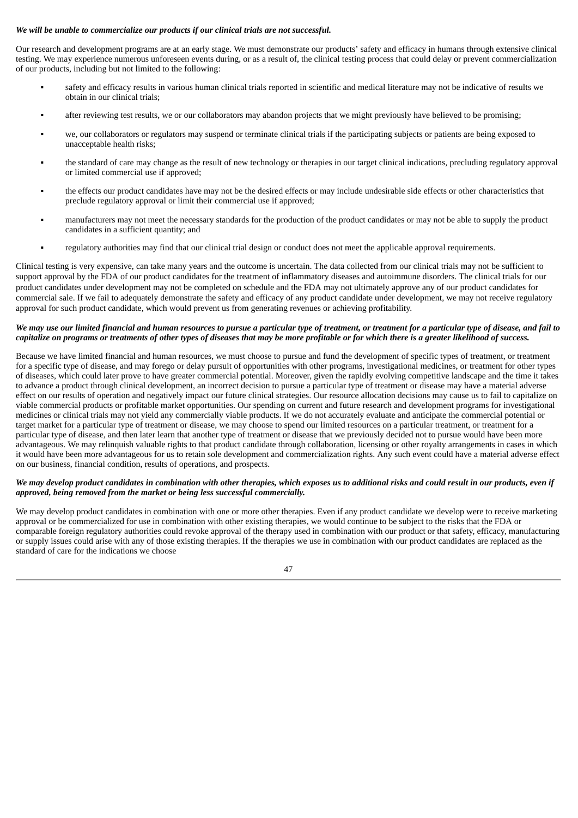#### *We will be unable to commercialize our products if our clinical trials are not successful.*

Our research and development programs are at an early stage. We must demonstrate our products' safety and efficacy in humans through extensive clinical testing. We may experience numerous unforeseen events during, or as a result of, the clinical testing process that could delay or prevent commercialization of our products, including but not limited to the following:

- safety and efficacy results in various human clinical trials reported in scientific and medical literature may not be indicative of results we obtain in our clinical trials;
- after reviewing test results, we or our collaborators may abandon projects that we might previously have believed to be promising;
- we, our collaborators or regulators may suspend or terminate clinical trials if the participating subjects or patients are being exposed to unacceptable health risks;
- the standard of care may change as the result of new technology or therapies in our target clinical indications, precluding regulatory approval or limited commercial use if approved;
- the effects our product candidates have may not be the desired effects or may include undesirable side effects or other characteristics that preclude regulatory approval or limit their commercial use if approved;
- manufacturers may not meet the necessary standards for the production of the product candidates or may not be able to supply the product candidates in a sufficient quantity; and
- regulatory authorities may find that our clinical trial design or conduct does not meet the applicable approval requirements.

Clinical testing is very expensive, can take many years and the outcome is uncertain. The data collected from our clinical trials may not be sufficient to support approval by the FDA of our product candidates for the treatment of inflammatory diseases and autoimmune disorders. The clinical trials for our product candidates under development may not be completed on schedule and the FDA may not ultimately approve any of our product candidates for commercial sale. If we fail to adequately demonstrate the safety and efficacy of any product candidate under development, we may not receive regulatory approval for such product candidate, which would prevent us from generating revenues or achieving profitability.

## We may use our limited financial and human resources to pursue a particular type of treatment, or treatment for a particular type of disease, and fail to capitalize on programs or treatments of other types of diseases that may be more profitable or for which there is a greater likelihood of success.

Because we have limited financial and human resources, we must choose to pursue and fund the development of specific types of treatment, or treatment for a specific type of disease, and may forego or delay pursuit of opportunities with other programs, investigational medicines, or treatment for other types of diseases, which could later prove to have greater commercial potential. Moreover, given the rapidly evolving competitive landscape and the time it takes to advance a product through clinical development, an incorrect decision to pursue a particular type of treatment or disease may have a material adverse effect on our results of operation and negatively impact our future clinical strategies. Our resource allocation decisions may cause us to fail to capitalize on viable commercial products or profitable market opportunities. Our spending on current and future research and development programs for investigational medicines or clinical trials may not yield any commercially viable products. If we do not accurately evaluate and anticipate the commercial potential or target market for a particular type of treatment or disease, we may choose to spend our limited resources on a particular treatment, or treatment for a particular type of disease, and then later learn that another type of treatment or disease that we previously decided not to pursue would have been more advantageous. We may relinquish valuable rights to that product candidate through collaboration, licensing or other royalty arrangements in cases in which it would have been more advantageous for us to retain sole development and commercialization rights. Any such event could have a material adverse effect on our business, financial condition, results of operations, and prospects.

## We may develop product candidates in combination with other therapies, which exposes us to additional risks and could result in our products, even if *approved, being removed from the market or being less successful commercially.*

We may develop product candidates in combination with one or more other therapies. Even if any product candidate we develop were to receive marketing approval or be commercialized for use in combination with other existing therapies, we would continue to be subject to the risks that the FDA or comparable foreign regulatory authorities could revoke approval of the therapy used in combination with our product or that safety, efficacy, manufacturing or supply issues could arise with any of those existing therapies. If the therapies we use in combination with our product candidates are replaced as the standard of care for the indications we choose

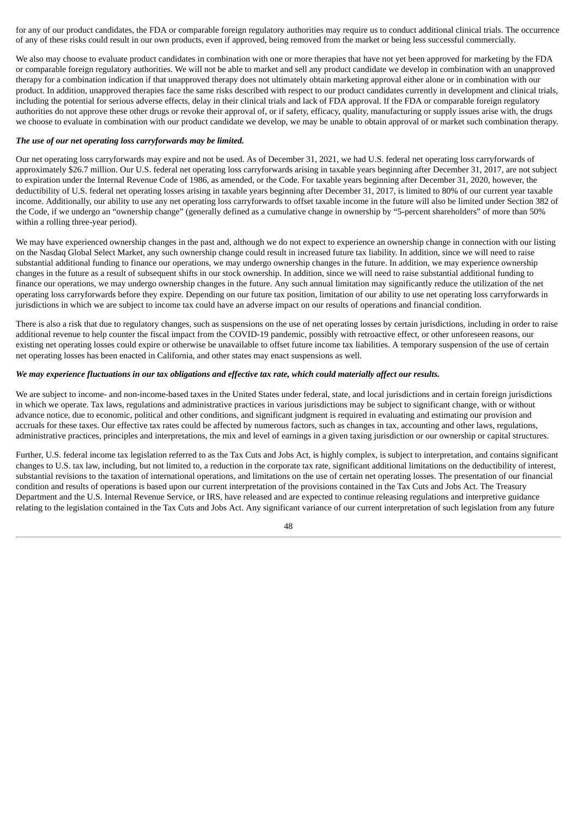for any of our product candidates, the FDA or comparable foreign regulatory authorities may require us to conduct additional clinical trials. The occurrence of any of these risks could result in our own products, even if approved, being removed from the market or being less successful commercially.

We also may choose to evaluate product candidates in combination with one or more therapies that have not yet been approved for marketing by the FDA or comparable foreign regulatory authorities. We will not be able to market and sell any product candidate we develop in combination with an unapproved therapy for a combination indication if that unapproved therapy does not ultimately obtain marketing approval either alone or in combination with our product. In addition, unapproved therapies face the same risks described with respect to our product candidates currently in development and clinical trials, including the potential for serious adverse effects, delay in their clinical trials and lack of FDA approval. If the FDA or comparable foreign regulatory authorities do not approve these other drugs or revoke their approval of, or if safety, efficacy, quality, manufacturing or supply issues arise with, the drugs we choose to evaluate in combination with our product candidate we develop, we may be unable to obtain approval of or market such combination therapy.

#### *The use of our net operating loss carryforwards may be limited.*

Our net operating loss carryforwards may expire and not be used. As of December 31, 2021, we had U.S. federal net operating loss carryforwards of approximately \$26.7 million. Our U.S. federal net operating loss carryforwards arising in taxable years beginning after December 31, 2017, are not subject to expiration under the Internal Revenue Code of 1986, as amended, or the Code. For taxable years beginning after December 31, 2020, however, the deductibility of U.S. federal net operating losses arising in taxable years beginning after December 31, 2017, is limited to 80% of our current year taxable income. Additionally, our ability to use any net operating loss carryforwards to offset taxable income in the future will also be limited under Section 382 of the Code, if we undergo an "ownership change" (generally defined as a cumulative change in ownership by "5-percent shareholders" of more than 50% within a rolling three-year period).

We may have experienced ownership changes in the past and, although we do not expect to experience an ownership change in connection with our listing on the Nasdaq Global Select Market, any such ownership change could result in increased future tax liability. In addition, since we will need to raise substantial additional funding to finance our operations, we may undergo ownership changes in the future. In addition, we may experience ownership changes in the future as a result of subsequent shifts in our stock ownership. In addition, since we will need to raise substantial additional funding to finance our operations, we may undergo ownership changes in the future. Any such annual limitation may significantly reduce the utilization of the net operating loss carryforwards before they expire. Depending on our future tax position, limitation of our ability to use net operating loss carryforwards in jurisdictions in which we are subject to income tax could have an adverse impact on our results of operations and financial condition.

There is also a risk that due to regulatory changes, such as suspensions on the use of net operating losses by certain jurisdictions, including in order to raise additional revenue to help counter the fiscal impact from the COVID-19 pandemic, possibly with retroactive effect, or other unforeseen reasons, our existing net operating losses could expire or otherwise be unavailable to offset future income tax liabilities. A temporary suspension of the use of certain net operating losses has been enacted in California, and other states may enact suspensions as well.

# We may experience fluctuations in our tax obligations and effective tax rate, which could materially affect our results.

We are subject to income- and non-income-based taxes in the United States under federal, state, and local jurisdictions and in certain foreign jurisdictions in which we operate. Tax laws, regulations and administrative practices in various jurisdictions may be subject to significant change, with or without advance notice, due to economic, political and other conditions, and significant judgment is required in evaluating and estimating our provision and accruals for these taxes. Our effective tax rates could be affected by numerous factors, such as changes in tax, accounting and other laws, regulations, administrative practices, principles and interpretations, the mix and level of earnings in a given taxing jurisdiction or our ownership or capital structures.

Further, U.S. federal income tax legislation referred to as the Tax Cuts and Jobs Act, is highly complex, is subject to interpretation, and contains significant changes to U.S. tax law, including, but not limited to, a reduction in the corporate tax rate, significant additional limitations on the deductibility of interest, substantial revisions to the taxation of international operations, and limitations on the use of certain net operating losses. The presentation of our financial condition and results of operations is based upon our current interpretation of the provisions contained in the Tax Cuts and Jobs Act. The Treasury Department and the U.S. Internal Revenue Service, or IRS, have released and are expected to continue releasing regulations and interpretive guidance relating to the legislation contained in the Tax Cuts and Jobs Act. Any significant variance of our current interpretation of such legislation from any future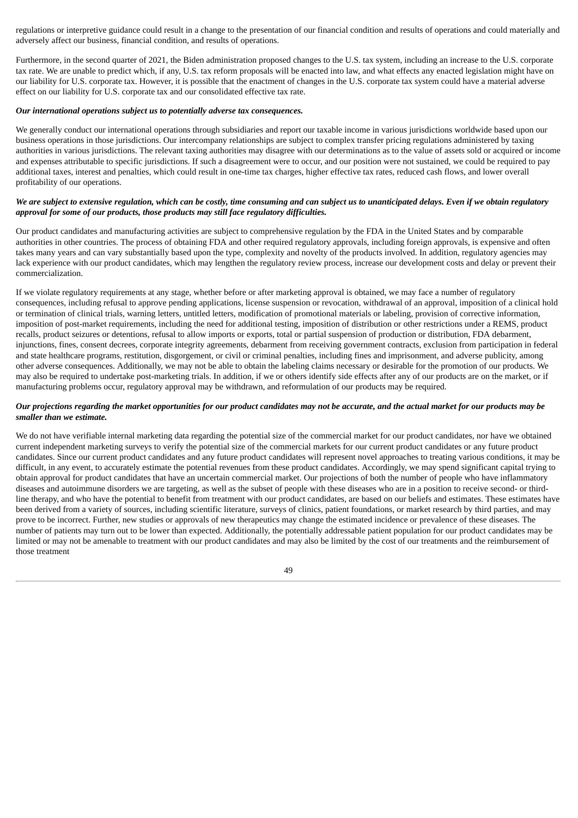regulations or interpretive guidance could result in a change to the presentation of our financial condition and results of operations and could materially and adversely affect our business, financial condition, and results of operations.

Furthermore, in the second quarter of 2021, the Biden administration proposed changes to the U.S. tax system, including an increase to the U.S. corporate tax rate. We are unable to predict which, if any, U.S. tax reform proposals will be enacted into law, and what effects any enacted legislation might have on our liability for U.S. corporate tax. However, it is possible that the enactment of changes in the U.S. corporate tax system could have a material adverse effect on our liability for U.S. corporate tax and our consolidated effective tax rate.

#### *Our international operations subject us to potentially adverse tax consequences.*

We generally conduct our international operations through subsidiaries and report our taxable income in various jurisdictions worldwide based upon our business operations in those jurisdictions. Our intercompany relationships are subject to complex transfer pricing regulations administered by taxing authorities in various jurisdictions. The relevant taxing authorities may disagree with our determinations as to the value of assets sold or acquired or income and expenses attributable to specific jurisdictions. If such a disagreement were to occur, and our position were not sustained, we could be required to pay additional taxes, interest and penalties, which could result in one-time tax charges, higher effective tax rates, reduced cash flows, and lower overall profitability of our operations.

## We are subject to extensive regulation, which can be costly, time consuming and can subject us to unanticipated delays. Even if we obtain regulatory *approval for some of our products, those products may still face regulatory difficulties.*

Our product candidates and manufacturing activities are subject to comprehensive regulation by the FDA in the United States and by comparable authorities in other countries. The process of obtaining FDA and other required regulatory approvals, including foreign approvals, is expensive and often takes many years and can vary substantially based upon the type, complexity and novelty of the products involved. In addition, regulatory agencies may lack experience with our product candidates, which may lengthen the regulatory review process, increase our development costs and delay or prevent their commercialization.

If we violate regulatory requirements at any stage, whether before or after marketing approval is obtained, we may face a number of regulatory consequences, including refusal to approve pending applications, license suspension or revocation, withdrawal of an approval, imposition of a clinical hold or termination of clinical trials, warning letters, untitled letters, modification of promotional materials or labeling, provision of corrective information, imposition of post-market requirements, including the need for additional testing, imposition of distribution or other restrictions under a REMS, product recalls, product seizures or detentions, refusal to allow imports or exports, total or partial suspension of production or distribution, FDA debarment, injunctions, fines, consent decrees, corporate integrity agreements, debarment from receiving government contracts, exclusion from participation in federal and state healthcare programs, restitution, disgorgement, or civil or criminal penalties, including fines and imprisonment, and adverse publicity, among other adverse consequences. Additionally, we may not be able to obtain the labeling claims necessary or desirable for the promotion of our products. We may also be required to undertake post-marketing trials. In addition, if we or others identify side effects after any of our products are on the market, or if manufacturing problems occur, regulatory approval may be withdrawn, and reformulation of our products may be required.

# Our projections regarding the market opportunities for our product candidates may not be accurate, and the actual market for our products may be *smaller than we estimate.*

We do not have verifiable internal marketing data regarding the potential size of the commercial market for our product candidates, nor have we obtained current independent marketing surveys to verify the potential size of the commercial markets for our current product candidates or any future product candidates. Since our current product candidates and any future product candidates will represent novel approaches to treating various conditions, it may be difficult, in any event, to accurately estimate the potential revenues from these product candidates. Accordingly, we may spend significant capital trying to obtain approval for product candidates that have an uncertain commercial market. Our projections of both the number of people who have inflammatory diseases and autoimmune disorders we are targeting, as well as the subset of people with these diseases who are in a position to receive second- or thirdline therapy, and who have the potential to benefit from treatment with our product candidates, are based on our beliefs and estimates. These estimates have been derived from a variety of sources, including scientific literature, surveys of clinics, patient foundations, or market research by third parties, and may prove to be incorrect. Further, new studies or approvals of new therapeutics may change the estimated incidence or prevalence of these diseases. The number of patients may turn out to be lower than expected. Additionally, the potentially addressable patient population for our product candidates may be limited or may not be amenable to treatment with our product candidates and may also be limited by the cost of our treatments and the reimbursement of those treatment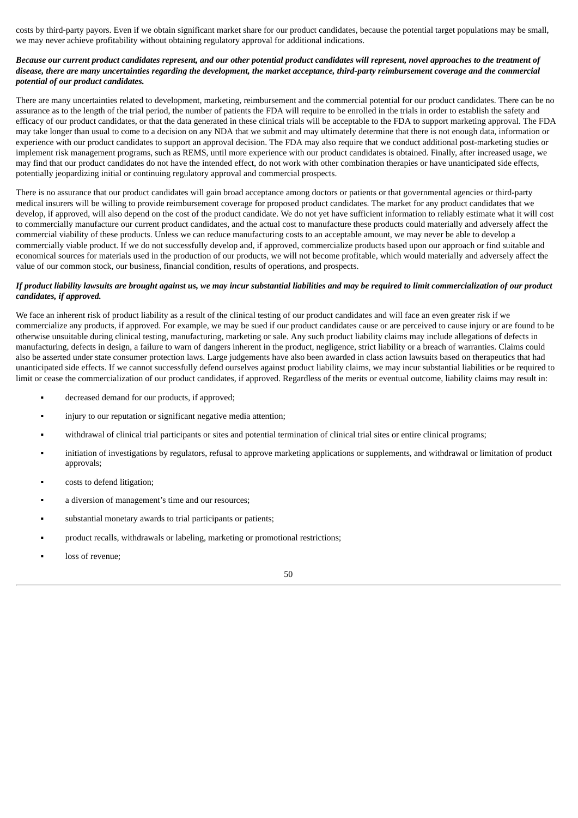costs by third-party payors. Even if we obtain significant market share for our product candidates, because the potential target populations may be small, we may never achieve profitability without obtaining regulatory approval for additional indications.

# Because our current product candidates represent, and our other potential product candidates will represent, novel approaches to the treatment of disease, there are many uncertainties regarding the development, the market acceptance, third-party reimbursement coverage and the commercial *potential of our product candidates.*

There are many uncertainties related to development, marketing, reimbursement and the commercial potential for our product candidates. There can be no assurance as to the length of the trial period, the number of patients the FDA will require to be enrolled in the trials in order to establish the safety and efficacy of our product candidates, or that the data generated in these clinical trials will be acceptable to the FDA to support marketing approval. The FDA may take longer than usual to come to a decision on any NDA that we submit and may ultimately determine that there is not enough data, information or experience with our product candidates to support an approval decision. The FDA may also require that we conduct additional post-marketing studies or implement risk management programs, such as REMS, until more experience with our product candidates is obtained. Finally, after increased usage, we may find that our product candidates do not have the intended effect, do not work with other combination therapies or have unanticipated side effects, potentially jeopardizing initial or continuing regulatory approval and commercial prospects.

There is no assurance that our product candidates will gain broad acceptance among doctors or patients or that governmental agencies or third-party medical insurers will be willing to provide reimbursement coverage for proposed product candidates. The market for any product candidates that we develop, if approved, will also depend on the cost of the product candidate. We do not yet have sufficient information to reliably estimate what it will cost to commercially manufacture our current product candidates, and the actual cost to manufacture these products could materially and adversely affect the commercial viability of these products. Unless we can reduce manufacturing costs to an acceptable amount, we may never be able to develop a commercially viable product. If we do not successfully develop and, if approved, commercialize products based upon our approach or find suitable and economical sources for materials used in the production of our products, we will not become profitable, which would materially and adversely affect the value of our common stock, our business, financial condition, results of operations, and prospects.

#### If product liability lawsuits are brought against us, we may incur substantial liabilities and may be required to limit commercialization of our product *candidates, if approved.*

We face an inherent risk of product liability as a result of the clinical testing of our product candidates and will face an even greater risk if we commercialize any products, if approved. For example, we may be sued if our product candidates cause or are perceived to cause injury or are found to be otherwise unsuitable during clinical testing, manufacturing, marketing or sale. Any such product liability claims may include allegations of defects in manufacturing, defects in design, a failure to warn of dangers inherent in the product, negligence, strict liability or a breach of warranties. Claims could also be asserted under state consumer protection laws. Large judgements have also been awarded in class action lawsuits based on therapeutics that had unanticipated side effects. If we cannot successfully defend ourselves against product liability claims, we may incur substantial liabilities or be required to limit or cease the commercialization of our product candidates, if approved. Regardless of the merits or eventual outcome, liability claims may result in:

- decreased demand for our products, if approved;
- injury to our reputation or significant negative media attention;
- withdrawal of clinical trial participants or sites and potential termination of clinical trial sites or entire clinical programs;
- initiation of investigations by regulators, refusal to approve marketing applications or supplements, and withdrawal or limitation of product approvals;
- costs to defend litigation;
- a diversion of management's time and our resources;
- substantial monetary awards to trial participants or patients;
- product recalls, withdrawals or labeling, marketing or promotional restrictions;
- loss of revenue:

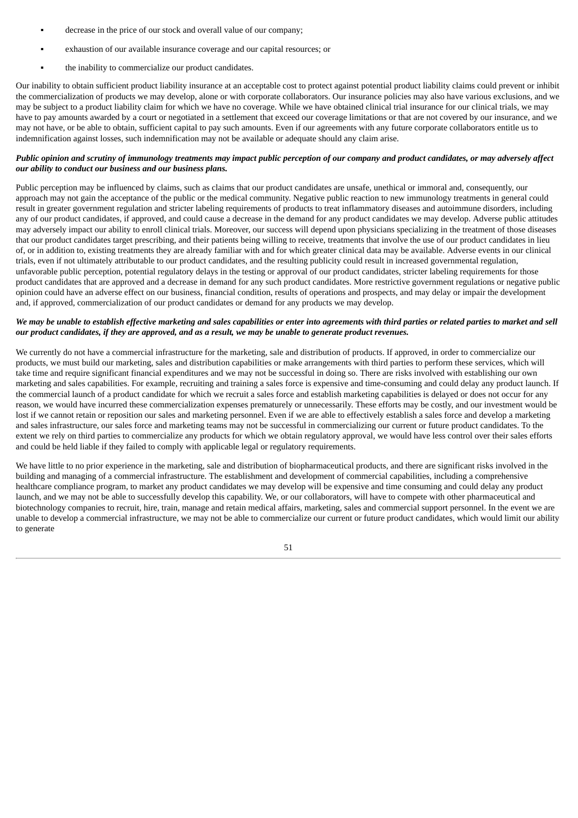- decrease in the price of our stock and overall value of our company:
- exhaustion of our available insurance coverage and our capital resources; or
- the inability to commercialize our product candidates.

Our inability to obtain sufficient product liability insurance at an acceptable cost to protect against potential product liability claims could prevent or inhibit the commercialization of products we may develop, alone or with corporate collaborators. Our insurance policies may also have various exclusions, and we may be subject to a product liability claim for which we have no coverage. While we have obtained clinical trial insurance for our clinical trials, we may have to pay amounts awarded by a court or negotiated in a settlement that exceed our coverage limitations or that are not covered by our insurance, and we may not have, or be able to obtain, sufficient capital to pay such amounts. Even if our agreements with any future corporate collaborators entitle us to indemnification against losses, such indemnification may not be available or adequate should any claim arise.

## Public opinion and scrutiny of immunology treatments may impact public perception of our company and product candidates, or may adversely affect *our ability to conduct our business and our business plans.*

Public perception may be influenced by claims, such as claims that our product candidates are unsafe, unethical or immoral and, consequently, our approach may not gain the acceptance of the public or the medical community. Negative public reaction to new immunology treatments in general could result in greater government regulation and stricter labeling requirements of products to treat inflammatory diseases and autoimmune disorders, including any of our product candidates, if approved, and could cause a decrease in the demand for any product candidates we may develop. Adverse public attitudes may adversely impact our ability to enroll clinical trials. Moreover, our success will depend upon physicians specializing in the treatment of those diseases that our product candidates target prescribing, and their patients being willing to receive, treatments that involve the use of our product candidates in lieu of, or in addition to, existing treatments they are already familiar with and for which greater clinical data may be available. Adverse events in our clinical trials, even if not ultimately attributable to our product candidates, and the resulting publicity could result in increased governmental regulation, unfavorable public perception, potential regulatory delays in the testing or approval of our product candidates, stricter labeling requirements for those product candidates that are approved and a decrease in demand for any such product candidates. More restrictive government regulations or negative public opinion could have an adverse effect on our business, financial condition, results of operations and prospects, and may delay or impair the development and, if approved, commercialization of our product candidates or demand for any products we may develop.

### We may be unable to establish effective marketing and sales capabilities or enter into agreements with third parties or related parties to market and sell our product candidates, if they are approved, and as a result, we may be unable to generate product revenues.

We currently do not have a commercial infrastructure for the marketing, sale and distribution of products. If approved, in order to commercialize our products, we must build our marketing, sales and distribution capabilities or make arrangements with third parties to perform these services, which will take time and require significant financial expenditures and we may not be successful in doing so. There are risks involved with establishing our own marketing and sales capabilities. For example, recruiting and training a sales force is expensive and time-consuming and could delay any product launch. If the commercial launch of a product candidate for which we recruit a sales force and establish marketing capabilities is delayed or does not occur for any reason, we would have incurred these commercialization expenses prematurely or unnecessarily. These efforts may be costly, and our investment would be lost if we cannot retain or reposition our sales and marketing personnel. Even if we are able to effectively establish a sales force and develop a marketing and sales infrastructure, our sales force and marketing teams may not be successful in commercializing our current or future product candidates. To the extent we rely on third parties to commercialize any products for which we obtain regulatory approval, we would have less control over their sales efforts and could be held liable if they failed to comply with applicable legal or regulatory requirements.

We have little to no prior experience in the marketing, sale and distribution of biopharmaceutical products, and there are significant risks involved in the building and managing of a commercial infrastructure. The establishment and development of commercial capabilities, including a comprehensive healthcare compliance program, to market any product candidates we may develop will be expensive and time consuming and could delay any product launch, and we may not be able to successfully develop this capability. We, or our collaborators, will have to compete with other pharmaceutical and biotechnology companies to recruit, hire, train, manage and retain medical affairs, marketing, sales and commercial support personnel. In the event we are unable to develop a commercial infrastructure, we may not be able to commercialize our current or future product candidates, which would limit our ability to generate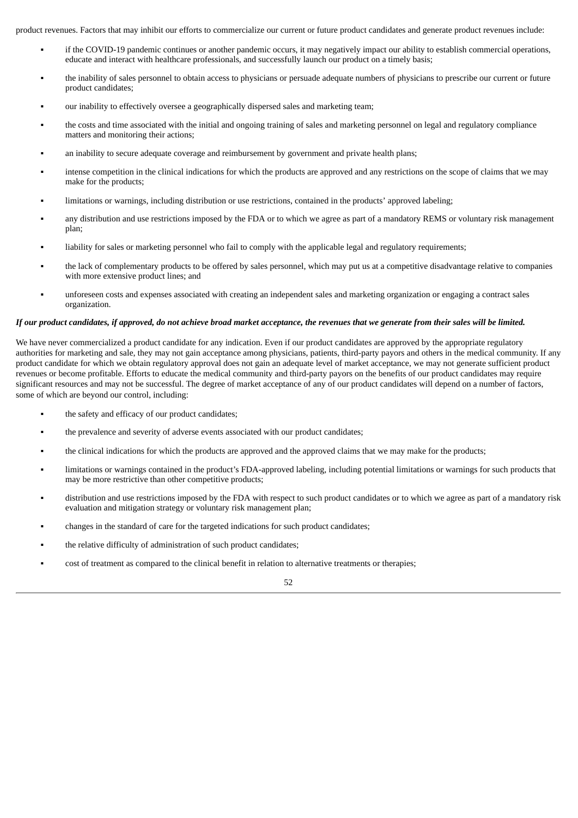product revenues. Factors that may inhibit our efforts to commercialize our current or future product candidates and generate product revenues include:

- if the COVID-19 pandemic continues or another pandemic occurs, it may negatively impact our ability to establish commercial operations, educate and interact with healthcare professionals, and successfully launch our product on a timely basis;
- the inability of sales personnel to obtain access to physicians or persuade adequate numbers of physicians to prescribe our current or future product candidates;
- our inability to effectively oversee a geographically dispersed sales and marketing team;
- the costs and time associated with the initial and ongoing training of sales and marketing personnel on legal and regulatory compliance matters and monitoring their actions;
- an inability to secure adequate coverage and reimbursement by government and private health plans;
- intense competition in the clinical indications for which the products are approved and any restrictions on the scope of claims that we may make for the products;
- limitations or warnings, including distribution or use restrictions, contained in the products' approved labeling;
- any distribution and use restrictions imposed by the FDA or to which we agree as part of a mandatory REMS or voluntary risk management plan;
- liability for sales or marketing personnel who fail to comply with the applicable legal and regulatory requirements;
- the lack of complementary products to be offered by sales personnel, which may put us at a competitive disadvantage relative to companies with more extensive product lines; and
- unforeseen costs and expenses associated with creating an independent sales and marketing organization or engaging a contract sales organization.

## If our product candidates, if approved, do not achieve broad market acceptance, the revenues that we generate from their sales will be limited.

We have never commercialized a product candidate for any indication. Even if our product candidates are approved by the appropriate regulatory authorities for marketing and sale, they may not gain acceptance among physicians, patients, third-party payors and others in the medical community. If any product candidate for which we obtain regulatory approval does not gain an adequate level of market acceptance, we may not generate sufficient product revenues or become profitable. Efforts to educate the medical community and third-party payors on the benefits of our product candidates may require significant resources and may not be successful. The degree of market acceptance of any of our product candidates will depend on a number of factors, some of which are beyond our control, including:

- the safety and efficacy of our product candidates;
- the prevalence and severity of adverse events associated with our product candidates;
- the clinical indications for which the products are approved and the approved claims that we may make for the products;
- limitations or warnings contained in the product's FDA-approved labeling, including potential limitations or warnings for such products that may be more restrictive than other competitive products;
- distribution and use restrictions imposed by the FDA with respect to such product candidates or to which we agree as part of a mandatory risk evaluation and mitigation strategy or voluntary risk management plan;
- changes in the standard of care for the targeted indications for such product candidates;
- the relative difficulty of administration of such product candidates;
- cost of treatment as compared to the clinical benefit in relation to alternative treatments or therapies;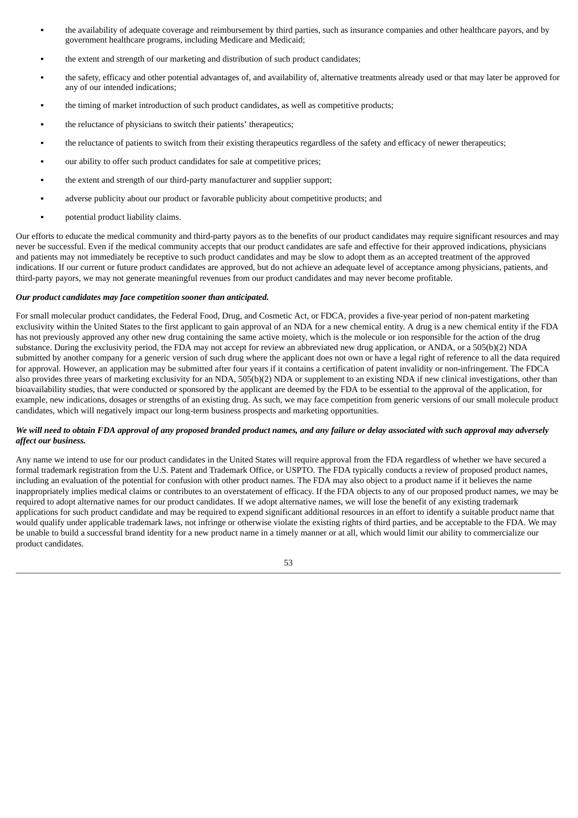- the availability of adequate coverage and reimbursement by third parties, such as insurance companies and other healthcare payors, and by government healthcare programs, including Medicare and Medicaid;
- the extent and strength of our marketing and distribution of such product candidates;
- the safety, efficacy and other potential advantages of, and availability of, alternative treatments already used or that may later be approved for any of our intended indications;
- the timing of market introduction of such product candidates, as well as competitive products;
- the reluctance of physicians to switch their patients' therapeutics;
- the reluctance of patients to switch from their existing therapeutics regardless of the safety and efficacy of newer therapeutics;
- our ability to offer such product candidates for sale at competitive prices:
- the extent and strength of our third-party manufacturer and supplier support;
- adverse publicity about our product or favorable publicity about competitive products; and
- potential product liability claims.

Our efforts to educate the medical community and third-party payors as to the benefits of our product candidates may require significant resources and may never be successful. Even if the medical community accepts that our product candidates are safe and effective for their approved indications, physicians and patients may not immediately be receptive to such product candidates and may be slow to adopt them as an accepted treatment of the approved indications. If our current or future product candidates are approved, but do not achieve an adequate level of acceptance among physicians, patients, and third-party payors, we may not generate meaningful revenues from our product candidates and may never become profitable.

#### *Our product candidates may face competition sooner than anticipated.*

For small molecular product candidates, the Federal Food, Drug, and Cosmetic Act, or FDCA, provides a five-year period of non-patent marketing exclusivity within the United States to the first applicant to gain approval of an NDA for a new chemical entity. A drug is a new chemical entity if the FDA has not previously approved any other new drug containing the same active moiety, which is the molecule or ion responsible for the action of the drug substance. During the exclusivity period, the FDA may not accept for review an abbreviated new drug application, or ANDA, or a 505(b)(2) NDA submitted by another company for a generic version of such drug where the applicant does not own or have a legal right of reference to all the data required for approval. However, an application may be submitted after four years if it contains a certification of patent invalidity or non-infringement. The FDCA also provides three years of marketing exclusivity for an NDA, 505(b)(2) NDA or supplement to an existing NDA if new clinical investigations, other than bioavailability studies, that were conducted or sponsored by the applicant are deemed by the FDA to be essential to the approval of the application, for example, new indications, dosages or strengths of an existing drug. As such, we may face competition from generic versions of our small molecule product candidates, which will negatively impact our long-term business prospects and marketing opportunities.

# We will need to obtain FDA approval of any proposed branded product names, and any failure or delay associated with such approval may adversely *affect our business.*

Any name we intend to use for our product candidates in the United States will require approval from the FDA regardless of whether we have secured a formal trademark registration from the U.S. Patent and Trademark Office, or USPTO. The FDA typically conducts a review of proposed product names, including an evaluation of the potential for confusion with other product names. The FDA may also object to a product name if it believes the name inappropriately implies medical claims or contributes to an overstatement of efficacy. If the FDA objects to any of our proposed product names, we may be required to adopt alternative names for our product candidates. If we adopt alternative names, we will lose the benefit of any existing trademark applications for such product candidate and may be required to expend significant additional resources in an effort to identify a suitable product name that would qualify under applicable trademark laws, not infringe or otherwise violate the existing rights of third parties, and be acceptable to the FDA. We may be unable to build a successful brand identity for a new product name in a timely manner or at all, which would limit our ability to commercialize our product candidates.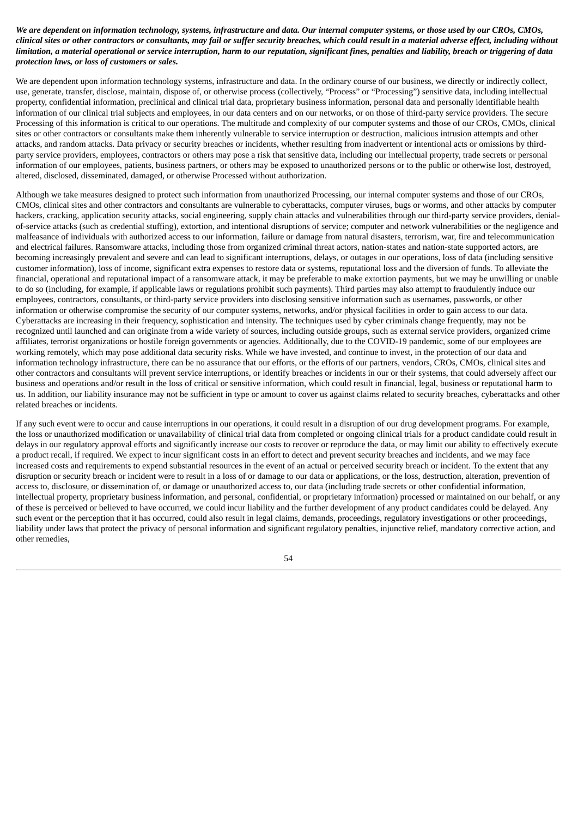# We are dependent on information technology, systems, infrastructure and data. Our internal computer systems, or those used by our CROs, CMOs, clinical sites or other contractors or consultants, may fail or suffer security breaches, which could result in a material adverse effect, including without limitation, a material operational or service interruption, harm to our reputation, significant fines, penalties and liability, breach or triggering of data *protection laws, or loss of customers or sales.*

We are dependent upon information technology systems, infrastructure and data. In the ordinary course of our business, we directly or indirectly collect, use, generate, transfer, disclose, maintain, dispose of, or otherwise process (collectively, "Process" or "Processing") sensitive data, including intellectual property, confidential information, preclinical and clinical trial data, proprietary business information, personal data and personally identifiable health information of our clinical trial subjects and employees, in our data centers and on our networks, or on those of third-party service providers. The secure Processing of this information is critical to our operations. The multitude and complexity of our computer systems and those of our CROs, CMOs, clinical sites or other contractors or consultants make them inherently vulnerable to service interruption or destruction, malicious intrusion attempts and other attacks, and random attacks. Data privacy or security breaches or incidents, whether resulting from inadvertent or intentional acts or omissions by thirdparty service providers, employees, contractors or others may pose a risk that sensitive data, including our intellectual property, trade secrets or personal information of our employees, patients, business partners, or others may be exposed to unauthorized persons or to the public or otherwise lost, destroyed, altered, disclosed, disseminated, damaged, or otherwise Processed without authorization.

Although we take measures designed to protect such information from unauthorized Processing, our internal computer systems and those of our CROs, CMOs, clinical sites and other contractors and consultants are vulnerable to cyberattacks, computer viruses, bugs or worms, and other attacks by computer hackers, cracking, application security attacks, social engineering, supply chain attacks and vulnerabilities through our third-party service providers, denialof-service attacks (such as credential stuffing), extortion, and intentional disruptions of service; computer and network vulnerabilities or the negligence and malfeasance of individuals with authorized access to our information, failure or damage from natural disasters, terrorism, war, fire and telecommunication and electrical failures. Ransomware attacks, including those from organized criminal threat actors, nation-states and nation-state supported actors, are becoming increasingly prevalent and severe and can lead to significant interruptions, delays, or outages in our operations, loss of data (including sensitive customer information), loss of income, significant extra expenses to restore data or systems, reputational loss and the diversion of funds. To alleviate the financial, operational and reputational impact of a ransomware attack, it may be preferable to make extortion payments, but we may be unwilling or unable to do so (including, for example, if applicable laws or regulations prohibit such payments). Third parties may also attempt to fraudulently induce our employees, contractors, consultants, or third-party service providers into disclosing sensitive information such as usernames, passwords, or other information or otherwise compromise the security of our computer systems, networks, and/or physical facilities in order to gain access to our data. Cyberattacks are increasing in their frequency, sophistication and intensity. The techniques used by cyber criminals change frequently, may not be recognized until launched and can originate from a wide variety of sources, including outside groups, such as external service providers, organized crime affiliates, terrorist organizations or hostile foreign governments or agencies. Additionally, due to the COVID-19 pandemic, some of our employees are working remotely, which may pose additional data security risks. While we have invested, and continue to invest, in the protection of our data and information technology infrastructure, there can be no assurance that our efforts, or the efforts of our partners, vendors, CROs, CMOs, clinical sites and other contractors and consultants will prevent service interruptions, or identify breaches or incidents in our or their systems, that could adversely affect our business and operations and/or result in the loss of critical or sensitive information, which could result in financial, legal, business or reputational harm to us. In addition, our liability insurance may not be sufficient in type or amount to cover us against claims related to security breaches, cyberattacks and other related breaches or incidents.

If any such event were to occur and cause interruptions in our operations, it could result in a disruption of our drug development programs. For example, the loss or unauthorized modification or unavailability of clinical trial data from completed or ongoing clinical trials for a product candidate could result in delays in our regulatory approval efforts and significantly increase our costs to recover or reproduce the data, or may limit our ability to effectively execute a product recall, if required. We expect to incur significant costs in an effort to detect and prevent security breaches and incidents, and we may face increased costs and requirements to expend substantial resources in the event of an actual or perceived security breach or incident. To the extent that any disruption or security breach or incident were to result in a loss of or damage to our data or applications, or the loss, destruction, alteration, prevention of access to, disclosure, or dissemination of, or damage or unauthorized access to, our data (including trade secrets or other confidential information, intellectual property, proprietary business information, and personal, confidential, or proprietary information) processed or maintained on our behalf, or any of these is perceived or believed to have occurred, we could incur liability and the further development of any product candidates could be delayed. Any such event or the perception that it has occurred, could also result in legal claims, demands, proceedings, regulatory investigations or other proceedings, liability under laws that protect the privacy of personal information and significant regulatory penalties, injunctive relief, mandatory corrective action, and other remedies,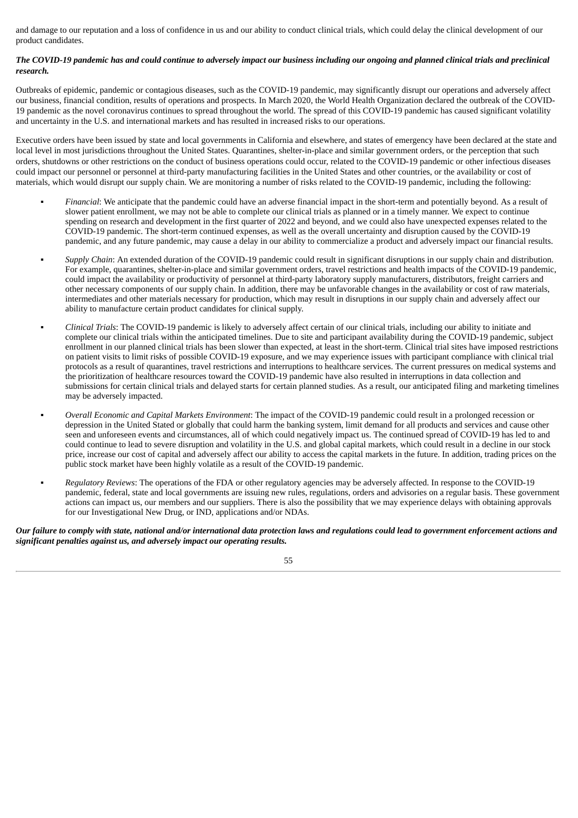and damage to our reputation and a loss of confidence in us and our ability to conduct clinical trials, which could delay the clinical development of our product candidates.

# The COVID-19 pandemic has and could continue to adversely impact our business including our ongoing and planned clinical trials and preclinical *research.*

Outbreaks of epidemic, pandemic or contagious diseases, such as the COVID-19 pandemic, may significantly disrupt our operations and adversely affect our business, financial condition, results of operations and prospects. In March 2020, the World Health Organization declared the outbreak of the COVID-19 pandemic as the novel coronavirus continues to spread throughout the world. The spread of this COVID-19 pandemic has caused significant volatility and uncertainty in the U.S. and international markets and has resulted in increased risks to our operations.

Executive orders have been issued by state and local governments in California and elsewhere, and states of emergency have been declared at the state and local level in most jurisdictions throughout the United States. Quarantines, shelter-in-place and similar government orders, or the perception that such orders, shutdowns or other restrictions on the conduct of business operations could occur, related to the COVID-19 pandemic or other infectious diseases could impact our personnel or personnel at third-party manufacturing facilities in the United States and other countries, or the availability or cost of materials, which would disrupt our supply chain. We are monitoring a number of risks related to the COVID-19 pandemic, including the following:

- Financial: We anticipate that the pandemic could have an adverse financial impact in the short-term and potentially beyond. As a result of slower patient enrollment, we may not be able to complete our clinical trials as planned or in a timely manner. We expect to continue spending on research and development in the first quarter of 2022 and beyond, and we could also have unexpected expenses related to the COVID-19 pandemic. The short-term continued expenses, as well as the overall uncertainty and disruption caused by the COVID-19 pandemic, and any future pandemic, may cause a delay in our ability to commercialize a product and adversely impact our financial results.
- Supply *Chain*: An extended duration of the COVID-19 pandemic could result in significant disruptions in our supply chain and distribution. For example, quarantines, shelter-in-place and similar government orders, travel restrictions and health impacts of the COVID-19 pandemic, could impact the availability or productivity of personnel at third-party laboratory supply manufacturers, distributors, freight carriers and other necessary components of our supply chain. In addition, there may be unfavorable changes in the availability or cost of raw materials, intermediates and other materials necessary for production, which may result in disruptions in our supply chain and adversely affect our ability to manufacture certain product candidates for clinical supply.
- *Clinical Trials*: The COVID-19 pandemic is likely to adversely affect certain of our clinical trials, including our ability to initiate and complete our clinical trials within the anticipated timelines. Due to site and participant availability during the COVID-19 pandemic, subject enrollment in our planned clinical trials has been slower than expected, at least in the short-term. Clinical trial sites have imposed restrictions on patient visits to limit risks of possible COVID-19 exposure, and we may experience issues with participant compliance with clinical trial protocols as a result of quarantines, travel restrictions and interruptions to healthcare services. The current pressures on medical systems and the prioritization of healthcare resources toward the COVID-19 pandemic have also resulted in interruptions in data collection and submissions for certain clinical trials and delayed starts for certain planned studies. As a result, our anticipated filing and marketing timelines may be adversely impacted.
- *Overall Economic and Capital Markets Environment*: The impact of the COVID-19 pandemic could result in a prolonged recession or depression in the United Stated or globally that could harm the banking system, limit demand for all products and services and cause other seen and unforeseen events and circumstances, all of which could negatively impact us. The continued spread of COVID-19 has led to and could continue to lead to severe disruption and volatility in the U.S. and global capital markets, which could result in a decline in our stock price, increase our cost of capital and adversely affect our ability to access the capital markets in the future. In addition, trading prices on the public stock market have been highly volatile as a result of the COVID-19 pandemic.
- *Regulatory Reviews*: The operations of the FDA or other regulatory agencies may be adversely affected. In response to the COVID-19 pandemic, federal, state and local governments are issuing new rules, regulations, orders and advisories on a regular basis. These government actions can impact us, our members and our suppliers. There is also the possibility that we may experience delays with obtaining approvals for our Investigational New Drug, or IND, applications and/or NDAs.

Our failure to comply with state, national and/or international data protection laws and regulations could lead to government enforcement actions and *significant penalties against us, and adversely impact our operating results.*

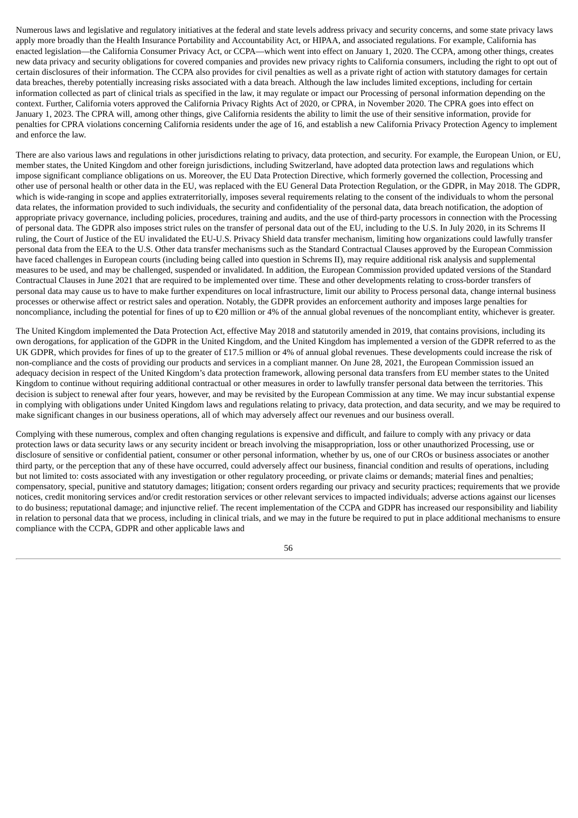Numerous laws and legislative and regulatory initiatives at the federal and state levels address privacy and security concerns, and some state privacy laws apply more broadly than the Health Insurance Portability and Accountability Act, or HIPAA, and associated regulations. For example, California has enacted legislation—the California Consumer Privacy Act, or CCPA—which went into effect on January 1, 2020. The CCPA, among other things, creates new data privacy and security obligations for covered companies and provides new privacy rights to California consumers, including the right to opt out of certain disclosures of their information. The CCPA also provides for civil penalties as well as a private right of action with statutory damages for certain data breaches, thereby potentially increasing risks associated with a data breach. Although the law includes limited exceptions, including for certain information collected as part of clinical trials as specified in the law, it may regulate or impact our Processing of personal information depending on the context. Further, California voters approved the California Privacy Rights Act of 2020, or CPRA, in November 2020. The CPRA goes into effect on January 1, 2023. The CPRA will, among other things, give California residents the ability to limit the use of their sensitive information, provide for penalties for CPRA violations concerning California residents under the age of 16, and establish a new California Privacy Protection Agency to implement and enforce the law.

There are also various laws and regulations in other jurisdictions relating to privacy, data protection, and security. For example, the European Union, or EU, member states, the United Kingdom and other foreign jurisdictions, including Switzerland, have adopted data protection laws and regulations which impose significant compliance obligations on us. Moreover, the EU Data Protection Directive, which formerly governed the collection, Processing and other use of personal health or other data in the EU, was replaced with the EU General Data Protection Regulation, or the GDPR, in May 2018. The GDPR, which is wide-ranging in scope and applies extraterritorially, imposes several requirements relating to the consent of the individuals to whom the personal data relates, the information provided to such individuals, the security and confidentiality of the personal data, data breach notification, the adoption of appropriate privacy governance, including policies, procedures, training and audits, and the use of third-party processors in connection with the Processing of personal data. The GDPR also imposes strict rules on the transfer of personal data out of the EU, including to the U.S. In July 2020, in its Schrems II ruling, the Court of Justice of the EU invalidated the EU-U.S. Privacy Shield data transfer mechanism, limiting how organizations could lawfully transfer personal data from the EEA to the U.S. Other data transfer mechanisms such as the Standard Contractual Clauses approved by the European Commission have faced challenges in European courts (including being called into question in Schrems II), may require additional risk analysis and supplemental measures to be used, and may be challenged, suspended or invalidated. In addition, the European Commission provided updated versions of the Standard Contractual Clauses in June 2021 that are required to be implemented over time. These and other developments relating to cross-border transfers of personal data may cause us to have to make further expenditures on local infrastructure, limit our ability to Process personal data, change internal business processes or otherwise affect or restrict sales and operation. Notably, the GDPR provides an enforcement authority and imposes large penalties for noncompliance, including the potential for fines of up to €20 million or 4% of the annual global revenues of the noncompliant entity, whichever is greater.

The United Kingdom implemented the Data Protection Act, effective May 2018 and statutorily amended in 2019, that contains provisions, including its own derogations, for application of the GDPR in the United Kingdom, and the United Kingdom has implemented a version of the GDPR referred to as the UK GDPR, which provides for fines of up to the greater of £17.5 million or 4% of annual global revenues. These developments could increase the risk of non-compliance and the costs of providing our products and services in a compliant manner. On June 28, 2021, the European Commission issued an adequacy decision in respect of the United Kingdom's data protection framework, allowing personal data transfers from EU member states to the United Kingdom to continue without requiring additional contractual or other measures in order to lawfully transfer personal data between the territories. This decision is subject to renewal after four years, however, and may be revisited by the European Commission at any time. We may incur substantial expense in complying with obligations under United Kingdom laws and regulations relating to privacy, data protection, and data security, and we may be required to make significant changes in our business operations, all of which may adversely affect our revenues and our business overall.

Complying with these numerous, complex and often changing regulations is expensive and difficult, and failure to comply with any privacy or data protection laws or data security laws or any security incident or breach involving the misappropriation, loss or other unauthorized Processing, use or disclosure of sensitive or confidential patient, consumer or other personal information, whether by us, one of our CROs or business associates or another third party, or the perception that any of these have occurred, could adversely affect our business, financial condition and results of operations, including but not limited to: costs associated with any investigation or other regulatory proceeding, or private claims or demands; material fines and penalties; compensatory, special, punitive and statutory damages; litigation; consent orders regarding our privacy and security practices; requirements that we provide notices, credit monitoring services and/or credit restoration services or other relevant services to impacted individuals; adverse actions against our licenses to do business; reputational damage; and injunctive relief. The recent implementation of the CCPA and GDPR has increased our responsibility and liability in relation to personal data that we process, including in clinical trials, and we may in the future be required to put in place additional mechanisms to ensure compliance with the CCPA, GDPR and other applicable laws and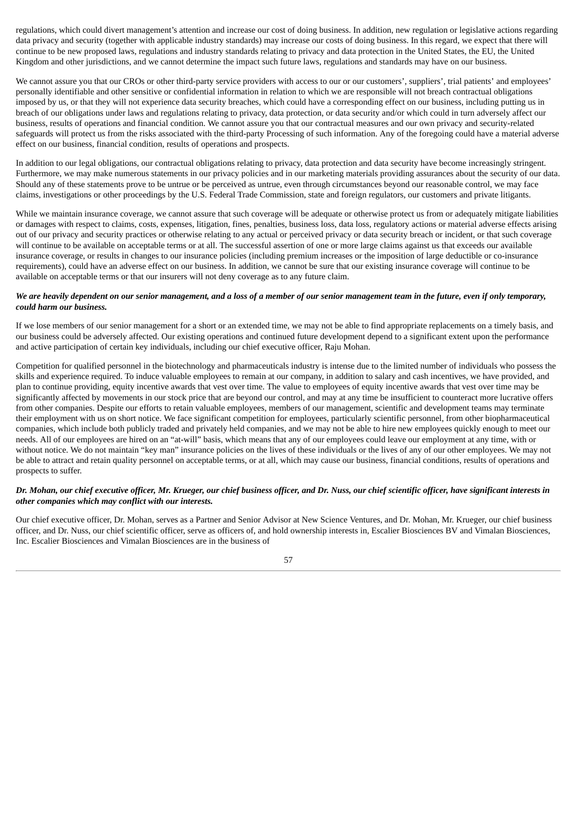regulations, which could divert management's attention and increase our cost of doing business. In addition, new regulation or legislative actions regarding data privacy and security (together with applicable industry standards) may increase our costs of doing business. In this regard, we expect that there will continue to be new proposed laws, regulations and industry standards relating to privacy and data protection in the United States, the EU, the United Kingdom and other jurisdictions, and we cannot determine the impact such future laws, regulations and standards may have on our business.

We cannot assure you that our CROs or other third-party service providers with access to our or our customers', suppliers', trial patients' and employees' personally identifiable and other sensitive or confidential information in relation to which we are responsible will not breach contractual obligations imposed by us, or that they will not experience data security breaches, which could have a corresponding effect on our business, including putting us in breach of our obligations under laws and regulations relating to privacy, data protection, or data security and/or which could in turn adversely affect our business, results of operations and financial condition. We cannot assure you that our contractual measures and our own privacy and security-related safeguards will protect us from the risks associated with the third-party Processing of such information. Any of the foregoing could have a material adverse effect on our business, financial condition, results of operations and prospects.

In addition to our legal obligations, our contractual obligations relating to privacy, data protection and data security have become increasingly stringent. Furthermore, we may make numerous statements in our privacy policies and in our marketing materials providing assurances about the security of our data. Should any of these statements prove to be untrue or be perceived as untrue, even through circumstances beyond our reasonable control, we may face claims, investigations or other proceedings by the U.S. Federal Trade Commission, state and foreign regulators, our customers and private litigants.

While we maintain insurance coverage, we cannot assure that such coverage will be adequate or otherwise protect us from or adequately mitigate liabilities or damages with respect to claims, costs, expenses, litigation, fines, penalties, business loss, data loss, regulatory actions or material adverse effects arising out of our privacy and security practices or otherwise relating to any actual or perceived privacy or data security breach or incident, or that such coverage will continue to be available on acceptable terms or at all. The successful assertion of one or more large claims against us that exceeds our available insurance coverage, or results in changes to our insurance policies (including premium increases or the imposition of large deductible or co-insurance requirements), could have an adverse effect on our business. In addition, we cannot be sure that our existing insurance coverage will continue to be available on acceptable terms or that our insurers will not deny coverage as to any future claim.

#### We are heavily dependent on our senior management, and a loss of a member of our senior management team in the future, even if only temporary, *could harm our business.*

If we lose members of our senior management for a short or an extended time, we may not be able to find appropriate replacements on a timely basis, and our business could be adversely affected. Our existing operations and continued future development depend to a significant extent upon the performance and active participation of certain key individuals, including our chief executive officer, Raju Mohan.

Competition for qualified personnel in the biotechnology and pharmaceuticals industry is intense due to the limited number of individuals who possess the skills and experience required. To induce valuable employees to remain at our company, in addition to salary and cash incentives, we have provided, and plan to continue providing, equity incentive awards that vest over time. The value to employees of equity incentive awards that vest over time may be significantly affected by movements in our stock price that are beyond our control, and may at any time be insufficient to counteract more lucrative offers from other companies. Despite our efforts to retain valuable employees, members of our management, scientific and development teams may terminate their employment with us on short notice. We face significant competition for employees, particularly scientific personnel, from other biopharmaceutical companies, which include both publicly traded and privately held companies, and we may not be able to hire new employees quickly enough to meet our needs. All of our employees are hired on an "at-will" basis, which means that any of our employees could leave our employment at any time, with or without notice. We do not maintain "key man" insurance policies on the lives of these individuals or the lives of any of our other employees. We may not be able to attract and retain quality personnel on acceptable terms, or at all, which may cause our business, financial conditions, results of operations and prospects to suffer.

# Dr. Mohan, our chief executive officer, Mr. Krueger, our chief business officer, and Dr. Nuss, our chief scientific officer, have significant interests in *other companies which may conflict with our interests.*

Our chief executive officer, Dr. Mohan, serves as a Partner and Senior Advisor at New Science Ventures, and Dr. Mohan, Mr. Krueger, our chief business officer, and Dr. Nuss, our chief scientific officer, serve as officers of, and hold ownership interests in, Escalier Biosciences BV and Vimalan Biosciences, Inc. Escalier Biosciences and Vimalan Biosciences are in the business of

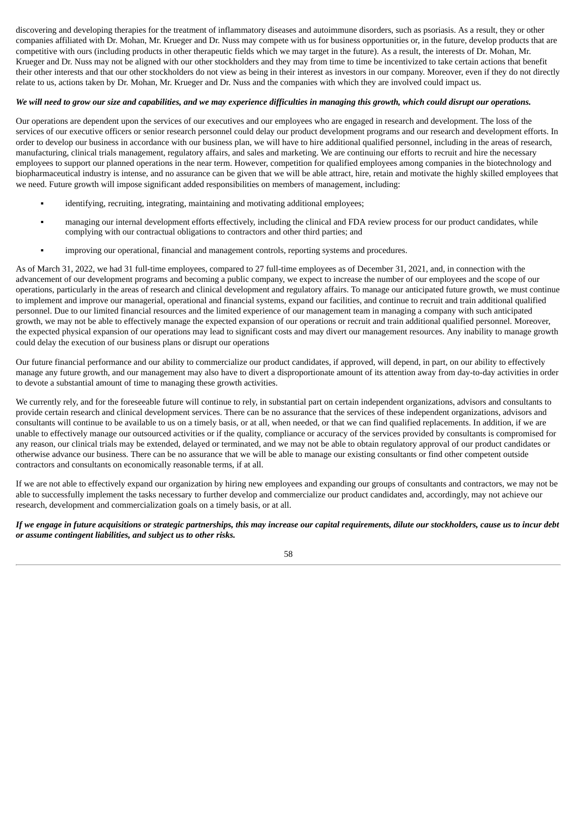discovering and developing therapies for the treatment of inflammatory diseases and autoimmune disorders, such as psoriasis. As a result, they or other companies affiliated with Dr. Mohan, Mr. Krueger and Dr. Nuss may compete with us for business opportunities or, in the future, develop products that are competitive with ours (including products in other therapeutic fields which we may target in the future). As a result, the interests of Dr. Mohan, Mr. Krueger and Dr. Nuss may not be aligned with our other stockholders and they may from time to time be incentivized to take certain actions that benefit their other interests and that our other stockholders do not view as being in their interest as investors in our company. Moreover, even if they do not directly relate to us, actions taken by Dr. Mohan, Mr. Krueger and Dr. Nuss and the companies with which they are involved could impact us.

#### We will need to grow our size and capabilities, and we may experience difficulties in managing this growth, which could disrupt our operations.

Our operations are dependent upon the services of our executives and our employees who are engaged in research and development. The loss of the services of our executive officers or senior research personnel could delay our product development programs and our research and development efforts. In order to develop our business in accordance with our business plan, we will have to hire additional qualified personnel, including in the areas of research, manufacturing, clinical trials management, regulatory affairs, and sales and marketing. We are continuing our efforts to recruit and hire the necessary employees to support our planned operations in the near term. However, competition for qualified employees among companies in the biotechnology and biopharmaceutical industry is intense, and no assurance can be given that we will be able attract, hire, retain and motivate the highly skilled employees that we need. Future growth will impose significant added responsibilities on members of management, including:

- identifying, recruiting, integrating, maintaining and motivating additional employees;
- managing our internal development efforts effectively, including the clinical and FDA review process for our product candidates, while complying with our contractual obligations to contractors and other third parties; and
- improving our operational, financial and management controls, reporting systems and procedures.

As of March 31, 2022, we had 31 full-time employees, compared to 27 full-time employees as of December 31, 2021, and, in connection with the advancement of our development programs and becoming a public company, we expect to increase the number of our employees and the scope of our operations, particularly in the areas of research and clinical development and regulatory affairs. To manage our anticipated future growth, we must continue to implement and improve our managerial, operational and financial systems, expand our facilities, and continue to recruit and train additional qualified personnel. Due to our limited financial resources and the limited experience of our management team in managing a company with such anticipated growth, we may not be able to effectively manage the expected expansion of our operations or recruit and train additional qualified personnel. Moreover, the expected physical expansion of our operations may lead to significant costs and may divert our management resources. Any inability to manage growth could delay the execution of our business plans or disrupt our operations

Our future financial performance and our ability to commercialize our product candidates, if approved, will depend, in part, on our ability to effectively manage any future growth, and our management may also have to divert a disproportionate amount of its attention away from day-to-day activities in order to devote a substantial amount of time to managing these growth activities.

We currently rely, and for the foreseeable future will continue to rely, in substantial part on certain independent organizations, advisors and consultants to provide certain research and clinical development services. There can be no assurance that the services of these independent organizations, advisors and consultants will continue to be available to us on a timely basis, or at all, when needed, or that we can find qualified replacements. In addition, if we are unable to effectively manage our outsourced activities or if the quality, compliance or accuracy of the services provided by consultants is compromised for any reason, our clinical trials may be extended, delayed or terminated, and we may not be able to obtain regulatory approval of our product candidates or otherwise advance our business. There can be no assurance that we will be able to manage our existing consultants or find other competent outside contractors and consultants on economically reasonable terms, if at all.

If we are not able to effectively expand our organization by hiring new employees and expanding our groups of consultants and contractors, we may not be able to successfully implement the tasks necessary to further develop and commercialize our product candidates and, accordingly, may not achieve our research, development and commercialization goals on a timely basis, or at all.

If we engage in future acquisitions or strategic partnerships, this may increase our capital requirements, dilute our stockholders, cause us to incur debt *or assume contingent liabilities, and subject us to other risks.*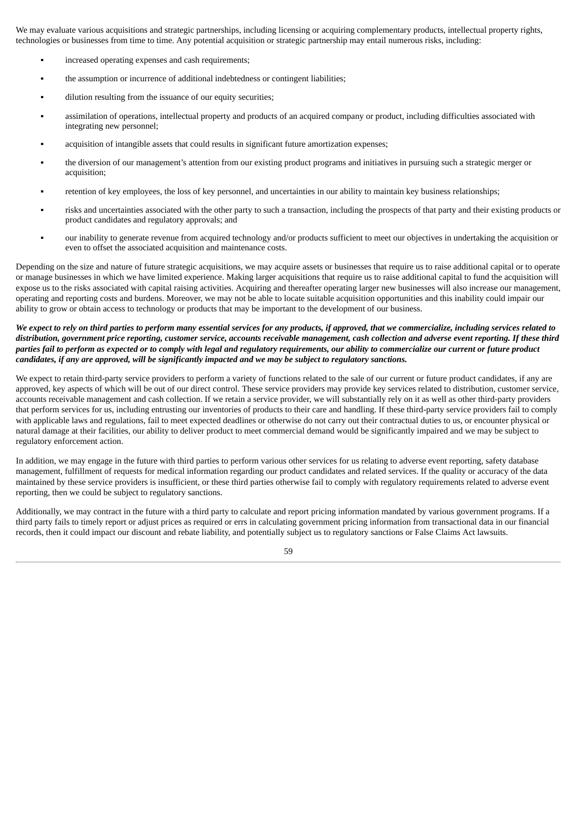We may evaluate various acquisitions and strategic partnerships, including licensing or acquiring complementary products, intellectual property rights, technologies or businesses from time to time. Any potential acquisition or strategic partnership may entail numerous risks, including:

- increased operating expenses and cash requirements;
- the assumption or incurrence of additional indebtedness or contingent liabilities;
- dilution resulting from the issuance of our equity securities;
- assimilation of operations, intellectual property and products of an acquired company or product, including difficulties associated with integrating new personnel;
- acquisition of intangible assets that could results in significant future amortization expenses;
- the diversion of our management's attention from our existing product programs and initiatives in pursuing such a strategic merger or acquisition;
- retention of key employees, the loss of key personnel, and uncertainties in our ability to maintain key business relationships;
- risks and uncertainties associated with the other party to such a transaction, including the prospects of that party and their existing products or product candidates and regulatory approvals; and
- our inability to generate revenue from acquired technology and/or products sufficient to meet our objectives in undertaking the acquisition or even to offset the associated acquisition and maintenance costs.

Depending on the size and nature of future strategic acquisitions, we may acquire assets or businesses that require us to raise additional capital or to operate or manage businesses in which we have limited experience. Making larger acquisitions that require us to raise additional capital to fund the acquisition will expose us to the risks associated with capital raising activities. Acquiring and thereafter operating larger new businesses will also increase our management, operating and reporting costs and burdens. Moreover, we may not be able to locate suitable acquisition opportunities and this inability could impair our ability to grow or obtain access to technology or products that may be important to the development of our business.

# We expect to rely on third parties to perform many essential services for any products, if approved, that we commercialize, including services related to distribution, government price reporting, customer service, accounts receivable management, cash collection and adverse event reporting. If these third parties fail to perform as expected or to comply with legal and regulatory requirements, our ability to commercialize our current or future product candidates, if any are approved, will be significantly impacted and we may be subject to regulatory sanctions.

We expect to retain third-party service providers to perform a variety of functions related to the sale of our current or future product candidates, if any are approved, key aspects of which will be out of our direct control. These service providers may provide key services related to distribution, customer service, accounts receivable management and cash collection. If we retain a service provider, we will substantially rely on it as well as other third-party providers that perform services for us, including entrusting our inventories of products to their care and handling. If these third-party service providers fail to comply with applicable laws and regulations, fail to meet expected deadlines or otherwise do not carry out their contractual duties to us, or encounter physical or natural damage at their facilities, our ability to deliver product to meet commercial demand would be significantly impaired and we may be subject to regulatory enforcement action.

In addition, we may engage in the future with third parties to perform various other services for us relating to adverse event reporting, safety database management, fulfillment of requests for medical information regarding our product candidates and related services. If the quality or accuracy of the data maintained by these service providers is insufficient, or these third parties otherwise fail to comply with regulatory requirements related to adverse event reporting, then we could be subject to regulatory sanctions.

Additionally, we may contract in the future with a third party to calculate and report pricing information mandated by various government programs. If a third party fails to timely report or adjust prices as required or errs in calculating government pricing information from transactional data in our financial records, then it could impact our discount and rebate liability, and potentially subject us to regulatory sanctions or False Claims Act lawsuits.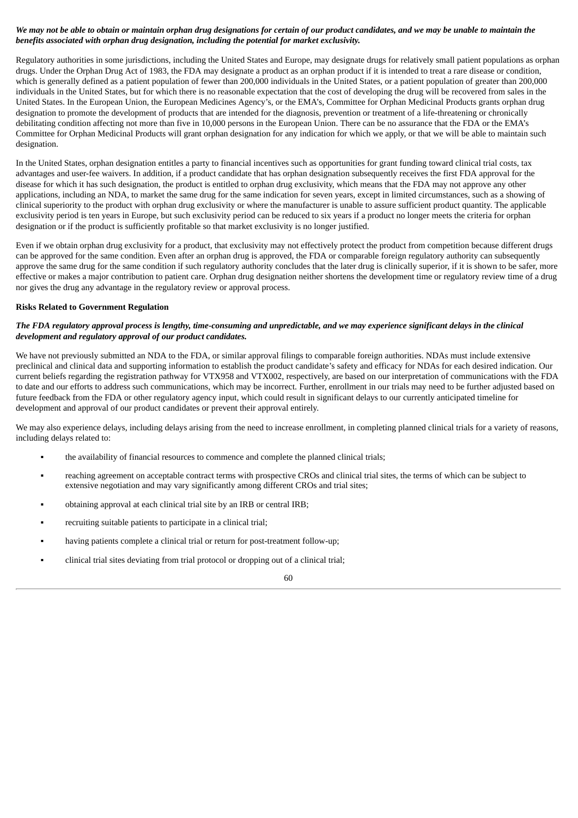# We may not be able to obtain or maintain orphan drua desianations for certain of our product candidates, and we may be unable to maintain the *benefits associated with orphan drug designation, including the potential for market exclusivity.*

Regulatory authorities in some jurisdictions, including the United States and Europe, may designate drugs for relatively small patient populations as orphan drugs. Under the Orphan Drug Act of 1983, the FDA may designate a product as an orphan product if it is intended to treat a rare disease or condition, which is generally defined as a patient population of fewer than 200,000 individuals in the United States, or a patient population of greater than 200,000 individuals in the United States, but for which there is no reasonable expectation that the cost of developing the drug will be recovered from sales in the United States. In the European Union, the European Medicines Agency's, or the EMA's, Committee for Orphan Medicinal Products grants orphan drug designation to promote the development of products that are intended for the diagnosis, prevention or treatment of a life-threatening or chronically debilitating condition affecting not more than five in 10,000 persons in the European Union. There can be no assurance that the FDA or the EMA's Committee for Orphan Medicinal Products will grant orphan designation for any indication for which we apply, or that we will be able to maintain such designation.

In the United States, orphan designation entitles a party to financial incentives such as opportunities for grant funding toward clinical trial costs, tax advantages and user-fee waivers. In addition, if a product candidate that has orphan designation subsequently receives the first FDA approval for the disease for which it has such designation, the product is entitled to orphan drug exclusivity, which means that the FDA may not approve any other applications, including an NDA, to market the same drug for the same indication for seven years, except in limited circumstances, such as a showing of clinical superiority to the product with orphan drug exclusivity or where the manufacturer is unable to assure sufficient product quantity. The applicable exclusivity period is ten years in Europe, but such exclusivity period can be reduced to six years if a product no longer meets the criteria for orphan designation or if the product is sufficiently profitable so that market exclusivity is no longer justified.

Even if we obtain orphan drug exclusivity for a product, that exclusivity may not effectively protect the product from competition because different drugs can be approved for the same condition. Even after an orphan drug is approved, the FDA or comparable foreign regulatory authority can subsequently approve the same drug for the same condition if such regulatory authority concludes that the later drug is clinically superior, if it is shown to be safer, more effective or makes a major contribution to patient care. Orphan drug designation neither shortens the development time or regulatory review time of a drug nor gives the drug any advantage in the regulatory review or approval process.

#### **Risks Related to Government Regulation**

## The FDA regulatory approval process is lengthy, time-consuming and unpredictable, and we may experience significant delays in the clinical *development and regulatory approval of our product candidates.*

We have not previously submitted an NDA to the FDA, or similar approval filings to comparable foreign authorities. NDAs must include extensive preclinical and clinical data and supporting information to establish the product candidate's safety and efficacy for NDAs for each desired indication. Our current beliefs regarding the registration pathway for VTX958 and VTX002, respectively, are based on our interpretation of communications with the FDA to date and our efforts to address such communications, which may be incorrect. Further, enrollment in our trials may need to be further adjusted based on future feedback from the FDA or other regulatory agency input, which could result in significant delays to our currently anticipated timeline for development and approval of our product candidates or prevent their approval entirely.

We may also experience delays, including delays arising from the need to increase enrollment, in completing planned clinical trials for a variety of reasons, including delays related to:

- the availability of financial resources to commence and complete the planned clinical trials;
- reaching agreement on acceptable contract terms with prospective CROs and clinical trial sites, the terms of which can be subject to extensive negotiation and may vary significantly among different CROs and trial sites;
- obtaining approval at each clinical trial site by an IRB or central IRB;
- recruiting suitable patients to participate in a clinical trial;
- having patients complete a clinical trial or return for post-treatment follow-up;
- clinical trial sites deviating from trial protocol or dropping out of a clinical trial;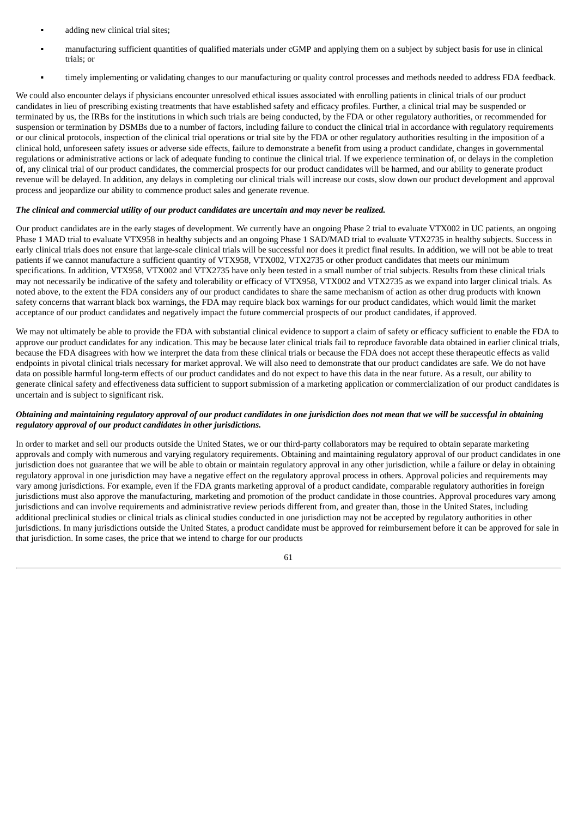- adding new clinical trial sites:
- manufacturing sufficient quantities of qualified materials under cGMP and applying them on a subject by subject basis for use in clinical trials; or
- timely implementing or validating changes to our manufacturing or quality control processes and methods needed to address FDA feedback.

We could also encounter delays if physicians encounter unresolved ethical issues associated with enrolling patients in clinical trials of our product candidates in lieu of prescribing existing treatments that have established safety and efficacy profiles. Further, a clinical trial may be suspended or terminated by us, the IRBs for the institutions in which such trials are being conducted, by the FDA or other regulatory authorities, or recommended for suspension or termination by DSMBs due to a number of factors, including failure to conduct the clinical trial in accordance with regulatory requirements or our clinical protocols, inspection of the clinical trial operations or trial site by the FDA or other regulatory authorities resulting in the imposition of a clinical hold, unforeseen safety issues or adverse side effects, failure to demonstrate a benefit from using a product candidate, changes in governmental regulations or administrative actions or lack of adequate funding to continue the clinical trial. If we experience termination of, or delays in the completion of, any clinical trial of our product candidates, the commercial prospects for our product candidates will be harmed, and our ability to generate product revenue will be delayed. In addition, any delays in completing our clinical trials will increase our costs, slow down our product development and approval process and jeopardize our ability to commence product sales and generate revenue.

## *The clinical and commercial utility of our product candidates are uncertain and may never be realized.*

Our product candidates are in the early stages of development. We currently have an ongoing Phase 2 trial to evaluate VTX002 in UC patients, an ongoing Phase 1 MAD trial to evaluate VTX958 in healthy subjects and an ongoing Phase 1 SAD/MAD trial to evaluate VTX2735 in healthy subjects. Success in early clinical trials does not ensure that large-scale clinical trials will be successful nor does it predict final results. In addition, we will not be able to treat patients if we cannot manufacture a sufficient quantity of VTX958, VTX002, VTX2735 or other product candidates that meets our minimum specifications. In addition, VTX958, VTX002 and VTX2735 have only been tested in a small number of trial subjects. Results from these clinical trials may not necessarily be indicative of the safety and tolerability or efficacy of VTX958, VTX002 and VTX2735 as we expand into larger clinical trials. As noted above, to the extent the FDA considers any of our product candidates to share the same mechanism of action as other drug products with known safety concerns that warrant black box warnings, the FDA may require black box warnings for our product candidates, which would limit the market acceptance of our product candidates and negatively impact the future commercial prospects of our product candidates, if approved.

We may not ultimately be able to provide the FDA with substantial clinical evidence to support a claim of safety or efficacy sufficient to enable the FDA to approve our product candidates for any indication. This may be because later clinical trials fail to reproduce favorable data obtained in earlier clinical trials, because the FDA disagrees with how we interpret the data from these clinical trials or because the FDA does not accept these therapeutic effects as valid endpoints in pivotal clinical trials necessary for market approval. We will also need to demonstrate that our product candidates are safe. We do not have data on possible harmful long-term effects of our product candidates and do not expect to have this data in the near future. As a result, our ability to generate clinical safety and effectiveness data sufficient to support submission of a marketing application or commercialization of our product candidates is uncertain and is subject to significant risk.

## Obtaining and maintaining regulatory approval of our product candidates in one jurisdiction does not mean that we will be successful in obtaining *regulatory approval of our product candidates in other jurisdictions.*

In order to market and sell our products outside the United States, we or our third-party collaborators may be required to obtain separate marketing approvals and comply with numerous and varying regulatory requirements. Obtaining and maintaining regulatory approval of our product candidates in one jurisdiction does not guarantee that we will be able to obtain or maintain regulatory approval in any other jurisdiction, while a failure or delay in obtaining regulatory approval in one jurisdiction may have a negative effect on the regulatory approval process in others. Approval policies and requirements may vary among jurisdictions. For example, even if the FDA grants marketing approval of a product candidate, comparable regulatory authorities in foreign jurisdictions must also approve the manufacturing, marketing and promotion of the product candidate in those countries. Approval procedures vary among jurisdictions and can involve requirements and administrative review periods different from, and greater than, those in the United States, including additional preclinical studies or clinical trials as clinical studies conducted in one jurisdiction may not be accepted by regulatory authorities in other jurisdictions. In many jurisdictions outside the United States, a product candidate must be approved for reimbursement before it can be approved for sale in that jurisdiction. In some cases, the price that we intend to charge for our products

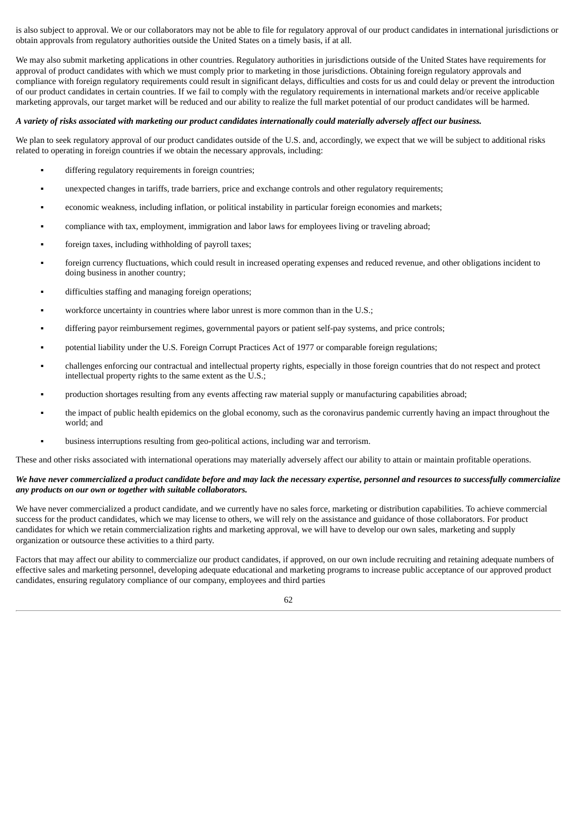is also subject to approval. We or our collaborators may not be able to file for regulatory approval of our product candidates in international jurisdictions or obtain approvals from regulatory authorities outside the United States on a timely basis, if at all.

We may also submit marketing applications in other countries. Regulatory authorities in jurisdictions outside of the United States have requirements for approval of product candidates with which we must comply prior to marketing in those jurisdictions. Obtaining foreign regulatory approvals and compliance with foreign regulatory requirements could result in significant delays, difficulties and costs for us and could delay or prevent the introduction of our product candidates in certain countries. If we fail to comply with the regulatory requirements in international markets and/or receive applicable marketing approvals, our target market will be reduced and our ability to realize the full market potential of our product candidates will be harmed.

#### A variety of risks associated with marketing our product candidates internationally could materially adversely affect our business.

We plan to seek regulatory approval of our product candidates outside of the U.S. and, accordingly, we expect that we will be subject to additional risks related to operating in foreign countries if we obtain the necessary approvals, including:

- differing regulatory requirements in foreign countries;
- unexpected changes in tariffs, trade barriers, price and exchange controls and other regulatory requirements;
- economic weakness, including inflation, or political instability in particular foreign economies and markets;
- compliance with tax, employment, immigration and labor laws for employees living or traveling abroad;
- foreign taxes, including withholding of payroll taxes;
- foreign currency fluctuations, which could result in increased operating expenses and reduced revenue, and other obligations incident to doing business in another country;
- difficulties staffing and managing foreign operations;
- workforce uncertainty in countries where labor unrest is more common than in the U.S.;
- differing payor reimbursement regimes, governmental payors or patient self-pay systems, and price controls;
- potential liability under the U.S. Foreign Corrupt Practices Act of 1977 or comparable foreign regulations;
- challenges enforcing our contractual and intellectual property rights, especially in those foreign countries that do not respect and protect intellectual property rights to the same extent as the U.S.;
- production shortages resulting from any events affecting raw material supply or manufacturing capabilities abroad;
- the impact of public health epidemics on the global economy, such as the coronavirus pandemic currently having an impact throughout the world; and
- business interruptions resulting from geo-political actions, including war and terrorism.

These and other risks associated with international operations may materially adversely affect our ability to attain or maintain profitable operations.

## We have never commercialized a product candidate before and may lack the necessary expertise, personnel and resources to successfully commercialize *any products on our own or together with suitable collaborators.*

We have never commercialized a product candidate, and we currently have no sales force, marketing or distribution capabilities. To achieve commercial success for the product candidates, which we may license to others, we will rely on the assistance and guidance of those collaborators. For product candidates for which we retain commercialization rights and marketing approval, we will have to develop our own sales, marketing and supply organization or outsource these activities to a third party.

Factors that may affect our ability to commercialize our product candidates, if approved, on our own include recruiting and retaining adequate numbers of effective sales and marketing personnel, developing adequate educational and marketing programs to increase public acceptance of our approved product candidates, ensuring regulatory compliance of our company, employees and third parties

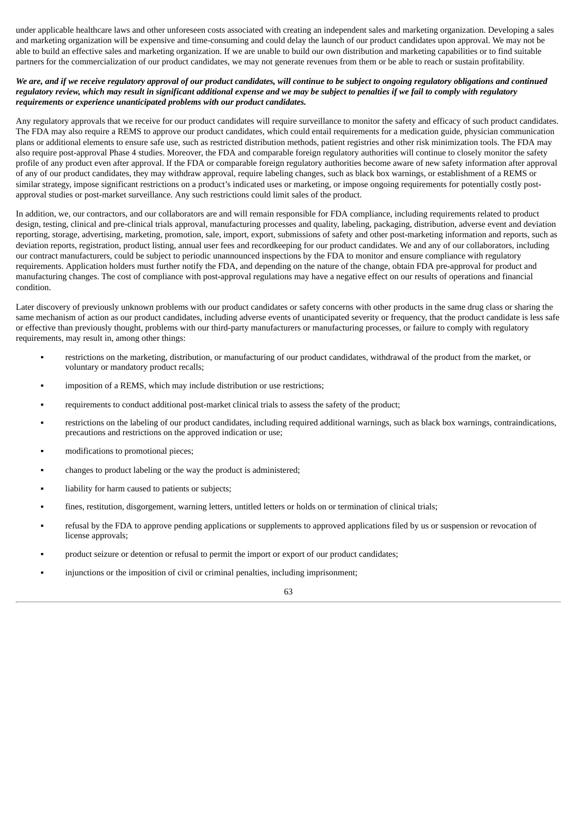under applicable healthcare laws and other unforeseen costs associated with creating an independent sales and marketing organization. Developing a sales and marketing organization will be expensive and time-consuming and could delay the launch of our product candidates upon approval. We may not be able to build an effective sales and marketing organization. If we are unable to build our own distribution and marketing capabilities or to find suitable partners for the commercialization of our product candidates, we may not generate revenues from them or be able to reach or sustain profitability.

## We are, and if we receive regulatory approval of our product candidates, will continue to be subject to ongoing regulatory obligations and continued regulatory review, which may result in significant additional expense and we may be subject to penalties if we fail to comply with regulatory *requirements or experience unanticipated problems with our product candidates.*

Any regulatory approvals that we receive for our product candidates will require surveillance to monitor the safety and efficacy of such product candidates. The FDA may also require a REMS to approve our product candidates, which could entail requirements for a medication guide, physician communication plans or additional elements to ensure safe use, such as restricted distribution methods, patient registries and other risk minimization tools. The FDA may also require post-approval Phase 4 studies. Moreover, the FDA and comparable foreign regulatory authorities will continue to closely monitor the safety profile of any product even after approval. If the FDA or comparable foreign regulatory authorities become aware of new safety information after approval of any of our product candidates, they may withdraw approval, require labeling changes, such as black box warnings, or establishment of a REMS or similar strategy, impose significant restrictions on a product's indicated uses or marketing, or impose ongoing requirements for potentially costly postapproval studies or post-market surveillance. Any such restrictions could limit sales of the product.

In addition, we, our contractors, and our collaborators are and will remain responsible for FDA compliance, including requirements related to product design, testing, clinical and pre-clinical trials approval, manufacturing processes and quality, labeling, packaging, distribution, adverse event and deviation reporting, storage, advertising, marketing, promotion, sale, import, export, submissions of safety and other post-marketing information and reports, such as deviation reports, registration, product listing, annual user fees and recordkeeping for our product candidates. We and any of our collaborators, including our contract manufacturers, could be subject to periodic unannounced inspections by the FDA to monitor and ensure compliance with regulatory requirements. Application holders must further notify the FDA, and depending on the nature of the change, obtain FDA pre-approval for product and manufacturing changes. The cost of compliance with post-approval regulations may have a negative effect on our results of operations and financial condition.

Later discovery of previously unknown problems with our product candidates or safety concerns with other products in the same drug class or sharing the same mechanism of action as our product candidates, including adverse events of unanticipated severity or frequency, that the product candidate is less safe or effective than previously thought, problems with our third-party manufacturers or manufacturing processes, or failure to comply with regulatory requirements, may result in, among other things:

- restrictions on the marketing, distribution, or manufacturing of our product candidates, withdrawal of the product from the market, or voluntary or mandatory product recalls;
- imposition of a REMS, which may include distribution or use restrictions;
- requirements to conduct additional post-market clinical trials to assess the safety of the product:
- restrictions on the labeling of our product candidates, including required additional warnings, such as black box warnings, contraindications, precautions and restrictions on the approved indication or use;
- modifications to promotional pieces;
- changes to product labeling or the way the product is administered;
- liability for harm caused to patients or subjects;
- fines, restitution, disgorgement, warning letters, untitled letters or holds on or termination of clinical trials;
- refusal by the FDA to approve pending applications or supplements to approved applications filed by us or suspension or revocation of license approvals;
- product seizure or detention or refusal to permit the import or export of our product candidates;
- injunctions or the imposition of civil or criminal penalties, including imprisonment;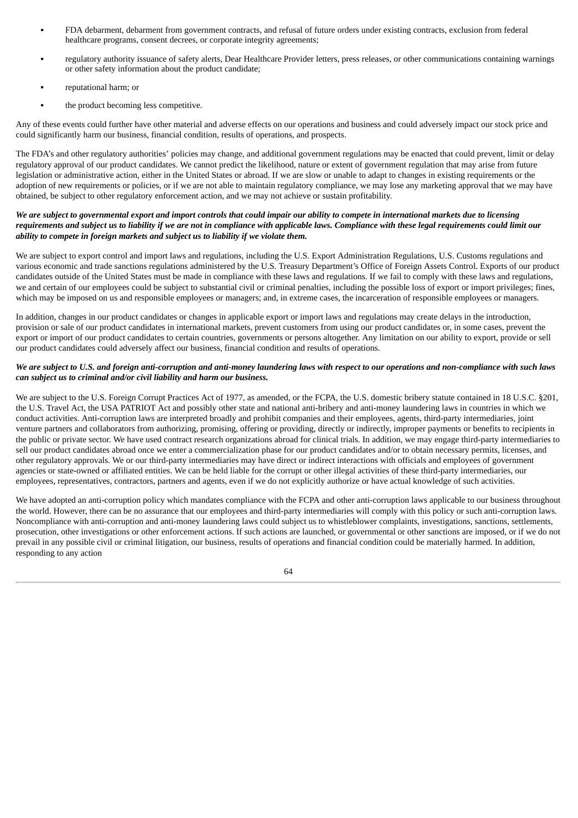- FDA debarment, debarment from government contracts, and refusal of future orders under existing contracts, exclusion from federal healthcare programs, consent decrees, or corporate integrity agreements;
- regulatory authority issuance of safety alerts, Dear Healthcare Provider letters, press releases, or other communications containing warnings or other safety information about the product candidate;
- reputational harm; or
- the product becoming less competitive.

Any of these events could further have other material and adverse effects on our operations and business and could adversely impact our stock price and could significantly harm our business, financial condition, results of operations, and prospects.

The FDA's and other regulatory authorities' policies may change, and additional government regulations may be enacted that could prevent, limit or delay regulatory approval of our product candidates. We cannot predict the likelihood, nature or extent of government regulation that may arise from future legislation or administrative action, either in the United States or abroad. If we are slow or unable to adapt to changes in existing requirements or the adoption of new requirements or policies, or if we are not able to maintain regulatory compliance, we may lose any marketing approval that we may have obtained, be subject to other regulatory enforcement action, and we may not achieve or sustain profitability.

### We are subject to governmental export and import controls that could impair our ability to compete in international markets due to licensing requirements and subject us to liability if we are not in compliance with applicable laws. Compliance with these legal requirements could limit our *ability to compete in foreign markets and subject us to liability if we violate them.*

We are subject to export control and import laws and regulations, including the U.S. Export Administration Regulations, U.S. Customs regulations and various economic and trade sanctions regulations administered by the U.S. Treasury Department's Office of Foreign Assets Control. Exports of our product candidates outside of the United States must be made in compliance with these laws and regulations. If we fail to comply with these laws and regulations, we and certain of our employees could be subject to substantial civil or criminal penalties, including the possible loss of export or import privileges; fines, which may be imposed on us and responsible employees or managers; and, in extreme cases, the incarceration of responsible employees or managers.

In addition, changes in our product candidates or changes in applicable export or import laws and regulations may create delays in the introduction, provision or sale of our product candidates in international markets, prevent customers from using our product candidates or, in some cases, prevent the export or import of our product candidates to certain countries, governments or persons altogether. Any limitation on our ability to export, provide or sell our product candidates could adversely affect our business, financial condition and results of operations.

# We are subject to U.S. and foreign anti-corruption and anti-money laundering laws with respect to our operations and non-compliance with such laws *can subject us to criminal and/or civil liability and harm our business.*

We are subject to the U.S. Foreign Corrupt Practices Act of 1977, as amended, or the FCPA, the U.S. domestic bribery statute contained in 18 U.S.C. §201, the U.S. Travel Act, the USA PATRIOT Act and possibly other state and national anti-bribery and anti-money laundering laws in countries in which we conduct activities. Anti-corruption laws are interpreted broadly and prohibit companies and their employees, agents, third-party intermediaries, joint venture partners and collaborators from authorizing, promising, offering or providing, directly or indirectly, improper payments or benefits to recipients in the public or private sector. We have used contract research organizations abroad for clinical trials. In addition, we may engage third-party intermediaries to sell our product candidates abroad once we enter a commercialization phase for our product candidates and/or to obtain necessary permits, licenses, and other regulatory approvals. We or our third-party intermediaries may have direct or indirect interactions with officials and employees of government agencies or state-owned or affiliated entities. We can be held liable for the corrupt or other illegal activities of these third-party intermediaries, our employees, representatives, contractors, partners and agents, even if we do not explicitly authorize or have actual knowledge of such activities.

We have adopted an anti-corruption policy which mandates compliance with the FCPA and other anti-corruption laws applicable to our business throughout the world. However, there can be no assurance that our employees and third-party intermediaries will comply with this policy or such anti-corruption laws. Noncompliance with anti-corruption and anti-money laundering laws could subject us to whistleblower complaints, investigations, sanctions, settlements, prosecution, other investigations or other enforcement actions. If such actions are launched, or governmental or other sanctions are imposed, or if we do not prevail in any possible civil or criminal litigation, our business, results of operations and financial condition could be materially harmed. In addition, responding to any action

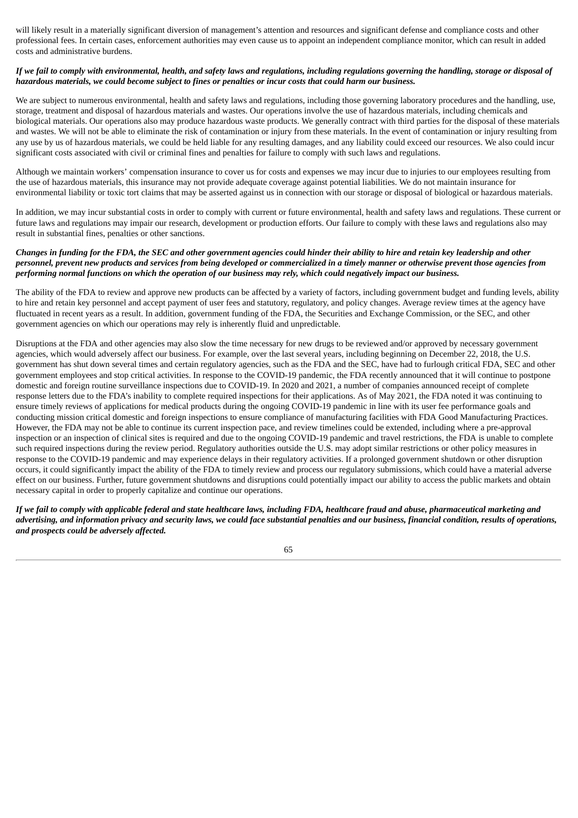will likely result in a materially significant diversion of management's attention and resources and significant defense and compliance costs and other professional fees. In certain cases, enforcement authorities may even cause us to appoint an independent compliance monitor, which can result in added costs and administrative burdens.

## If we fail to comply with environmental, health, and safety laws and regulations, including regulations governing the handling, storage or disposal of hazardous materials, we could become subject to fines or penalties or incur costs that could harm our business.

We are subject to numerous environmental, health and safety laws and regulations, including those governing laboratory procedures and the handling, use, storage, treatment and disposal of hazardous materials and wastes. Our operations involve the use of hazardous materials, including chemicals and biological materials. Our operations also may produce hazardous waste products. We generally contract with third parties for the disposal of these materials and wastes. We will not be able to eliminate the risk of contamination or injury from these materials. In the event of contamination or injury resulting from any use by us of hazardous materials, we could be held liable for any resulting damages, and any liability could exceed our resources. We also could incur significant costs associated with civil or criminal fines and penalties for failure to comply with such laws and regulations.

Although we maintain workers' compensation insurance to cover us for costs and expenses we may incur due to injuries to our employees resulting from the use of hazardous materials, this insurance may not provide adequate coverage against potential liabilities. We do not maintain insurance for environmental liability or toxic tort claims that may be asserted against us in connection with our storage or disposal of biological or hazardous materials.

In addition, we may incur substantial costs in order to comply with current or future environmental, health and safety laws and regulations. These current or future laws and regulations may impair our research, development or production efforts. Our failure to comply with these laws and regulations also may result in substantial fines, penalties or other sanctions.

## Changes in funding for the FDA, the SEC and other government agencies could hinder their ability to hire and retain key leadership and other personnel, prevent new products and services from being developed or commercialized in a timely manner or otherwise prevent those agencies from performing normal functions on which the operation of our business may rely, which could negatively impact our business.

The ability of the FDA to review and approve new products can be affected by a variety of factors, including government budget and funding levels, ability to hire and retain key personnel and accept payment of user fees and statutory, regulatory, and policy changes. Average review times at the agency have fluctuated in recent years as a result. In addition, government funding of the FDA, the Securities and Exchange Commission, or the SEC, and other government agencies on which our operations may rely is inherently fluid and unpredictable.

Disruptions at the FDA and other agencies may also slow the time necessary for new drugs to be reviewed and/or approved by necessary government agencies, which would adversely affect our business. For example, over the last several years, including beginning on December 22, 2018, the U.S. government has shut down several times and certain regulatory agencies, such as the FDA and the SEC, have had to furlough critical FDA, SEC and other government employees and stop critical activities. In response to the COVID-19 pandemic, the FDA recently announced that it will continue to postpone domestic and foreign routine surveillance inspections due to COVID-19. In 2020 and 2021, a number of companies announced receipt of complete response letters due to the FDA's inability to complete required inspections for their applications. As of May 2021, the FDA noted it was continuing to ensure timely reviews of applications for medical products during the ongoing COVID-19 pandemic in line with its user fee performance goals and conducting mission critical domestic and foreign inspections to ensure compliance of manufacturing facilities with FDA Good Manufacturing Practices. However, the FDA may not be able to continue its current inspection pace, and review timelines could be extended, including where a pre-approval inspection or an inspection of clinical sites is required and due to the ongoing COVID-19 pandemic and travel restrictions, the FDA is unable to complete such required inspections during the review period. Regulatory authorities outside the U.S. may adopt similar restrictions or other policy measures in response to the COVID-19 pandemic and may experience delays in their regulatory activities. If a prolonged government shutdown or other disruption occurs, it could significantly impact the ability of the FDA to timely review and process our regulatory submissions, which could have a material adverse effect on our business. Further, future government shutdowns and disruptions could potentially impact our ability to access the public markets and obtain necessary capital in order to properly capitalize and continue our operations.

If we fail to comply with applicable federal and state healthcare laws, including FDA, healthcare fraud and abuse, pharmaceutical marketing and advertising, and information privacy and security laws, we could face substantial penalties and our business, financial condition, results of operations, *and prospects could be adversely affected.*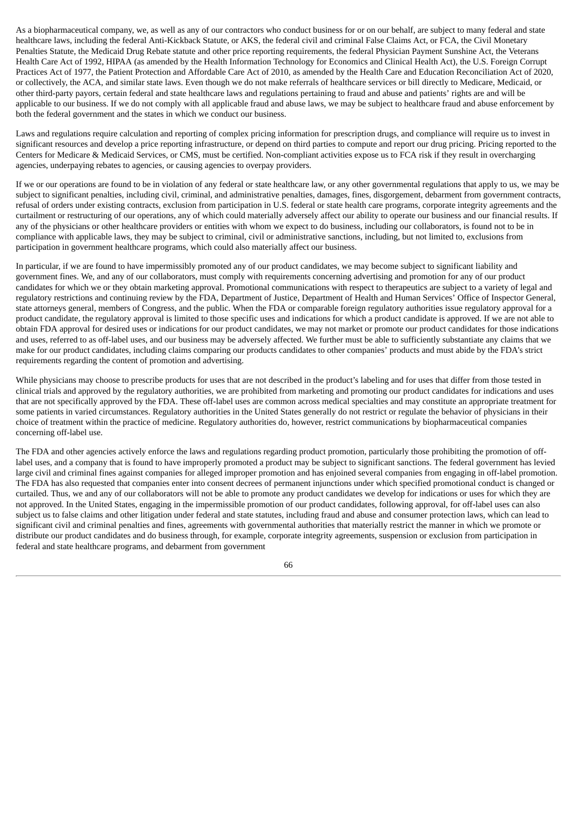As a biopharmaceutical company, we, as well as any of our contractors who conduct business for or on our behalf, are subject to many federal and state healthcare laws, including the federal Anti-Kickback Statute, or AKS, the federal civil and criminal False Claims Act, or FCA, the Civil Monetary Penalties Statute, the Medicaid Drug Rebate statute and other price reporting requirements, the federal Physician Payment Sunshine Act, the Veterans Health Care Act of 1992, HIPAA (as amended by the Health Information Technology for Economics and Clinical Health Act), the U.S. Foreign Corrupt Practices Act of 1977, the Patient Protection and Affordable Care Act of 2010, as amended by the Health Care and Education Reconciliation Act of 2020, or collectively, the ACA, and similar state laws. Even though we do not make referrals of healthcare services or bill directly to Medicare, Medicaid, or other third-party payors, certain federal and state healthcare laws and regulations pertaining to fraud and abuse and patients' rights are and will be applicable to our business. If we do not comply with all applicable fraud and abuse laws, we may be subject to healthcare fraud and abuse enforcement by both the federal government and the states in which we conduct our business.

Laws and regulations require calculation and reporting of complex pricing information for prescription drugs, and compliance will require us to invest in significant resources and develop a price reporting infrastructure, or depend on third parties to compute and report our drug pricing. Pricing reported to the Centers for Medicare & Medicaid Services, or CMS, must be certified. Non-compliant activities expose us to FCA risk if they result in overcharging agencies, underpaying rebates to agencies, or causing agencies to overpay providers.

If we or our operations are found to be in violation of any federal or state healthcare law, or any other governmental regulations that apply to us, we may be subject to significant penalties, including civil, criminal, and administrative penalties, damages, fines, disgorgement, debarment from government contracts, refusal of orders under existing contracts, exclusion from participation in U.S. federal or state health care programs, corporate integrity agreements and the curtailment or restructuring of our operations, any of which could materially adversely affect our ability to operate our business and our financial results. If any of the physicians or other healthcare providers or entities with whom we expect to do business, including our collaborators, is found not to be in compliance with applicable laws, they may be subject to criminal, civil or administrative sanctions, including, but not limited to, exclusions from participation in government healthcare programs, which could also materially affect our business.

In particular, if we are found to have impermissibly promoted any of our product candidates, we may become subject to significant liability and government fines. We, and any of our collaborators, must comply with requirements concerning advertising and promotion for any of our product candidates for which we or they obtain marketing approval. Promotional communications with respect to therapeutics are subject to a variety of legal and regulatory restrictions and continuing review by the FDA, Department of Justice, Department of Health and Human Services' Office of Inspector General, state attorneys general, members of Congress, and the public. When the FDA or comparable foreign regulatory authorities issue regulatory approval for a product candidate, the regulatory approval is limited to those specific uses and indications for which a product candidate is approved. If we are not able to obtain FDA approval for desired uses or indications for our product candidates, we may not market or promote our product candidates for those indications and uses, referred to as off-label uses, and our business may be adversely affected. We further must be able to sufficiently substantiate any claims that we make for our product candidates, including claims comparing our products candidates to other companies' products and must abide by the FDA's strict requirements regarding the content of promotion and advertising.

While physicians may choose to prescribe products for uses that are not described in the product's labeling and for uses that differ from those tested in clinical trials and approved by the regulatory authorities, we are prohibited from marketing and promoting our product candidates for indications and uses that are not specifically approved by the FDA. These off-label uses are common across medical specialties and may constitute an appropriate treatment for some patients in varied circumstances. Regulatory authorities in the United States generally do not restrict or regulate the behavior of physicians in their choice of treatment within the practice of medicine. Regulatory authorities do, however, restrict communications by biopharmaceutical companies concerning off-label use.

The FDA and other agencies actively enforce the laws and regulations regarding product promotion, particularly those prohibiting the promotion of offlabel uses, and a company that is found to have improperly promoted a product may be subject to significant sanctions. The federal government has levied large civil and criminal fines against companies for alleged improper promotion and has enjoined several companies from engaging in off-label promotion. The FDA has also requested that companies enter into consent decrees of permanent injunctions under which specified promotional conduct is changed or curtailed. Thus, we and any of our collaborators will not be able to promote any product candidates we develop for indications or uses for which they are not approved. In the United States, engaging in the impermissible promotion of our product candidates, following approval, for off-label uses can also subject us to false claims and other litigation under federal and state statutes, including fraud and abuse and consumer protection laws, which can lead to significant civil and criminal penalties and fines, agreements with governmental authorities that materially restrict the manner in which we promote or distribute our product candidates and do business through, for example, corporate integrity agreements, suspension or exclusion from participation in federal and state healthcare programs, and debarment from government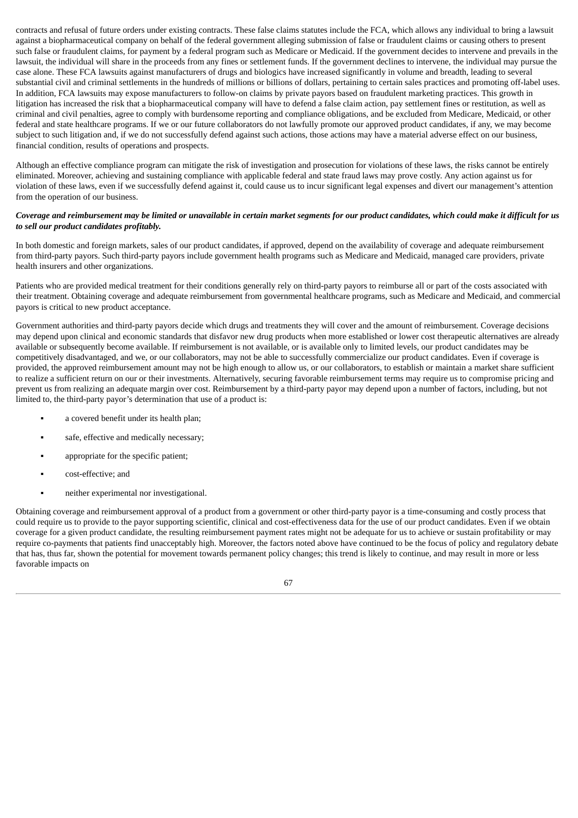contracts and refusal of future orders under existing contracts. These false claims statutes include the FCA, which allows any individual to bring a lawsuit against a biopharmaceutical company on behalf of the federal government alleging submission of false or fraudulent claims or causing others to present such false or fraudulent claims, for payment by a federal program such as Medicare or Medicaid. If the government decides to intervene and prevails in the lawsuit, the individual will share in the proceeds from any fines or settlement funds. If the government declines to intervene, the individual may pursue the case alone. These FCA lawsuits against manufacturers of drugs and biologics have increased significantly in volume and breadth, leading to several substantial civil and criminal settlements in the hundreds of millions or billions of dollars, pertaining to certain sales practices and promoting off-label uses. In addition, FCA lawsuits may expose manufacturers to follow-on claims by private payors based on fraudulent marketing practices. This growth in litigation has increased the risk that a biopharmaceutical company will have to defend a false claim action, pay settlement fines or restitution, as well as criminal and civil penalties, agree to comply with burdensome reporting and compliance obligations, and be excluded from Medicare, Medicaid, or other federal and state healthcare programs. If we or our future collaborators do not lawfully promote our approved product candidates, if any, we may become subject to such litigation and, if we do not successfully defend against such actions, those actions may have a material adverse effect on our business, financial condition, results of operations and prospects.

Although an effective compliance program can mitigate the risk of investigation and prosecution for violations of these laws, the risks cannot be entirely eliminated. Moreover, achieving and sustaining compliance with applicable federal and state fraud laws may prove costly. Any action against us for violation of these laws, even if we successfully defend against it, could cause us to incur significant legal expenses and divert our management's attention from the operation of our business.

## Coverage and reimbursement may be limited or unavailable in certain market segments for our product candidates, which could make it difficult for us *to sell our product candidates profitably.*

In both domestic and foreign markets, sales of our product candidates, if approved, depend on the availability of coverage and adequate reimbursement from third-party payors. Such third-party payors include government health programs such as Medicare and Medicaid, managed care providers, private health insurers and other organizations.

Patients who are provided medical treatment for their conditions generally rely on third-party payors to reimburse all or part of the costs associated with their treatment. Obtaining coverage and adequate reimbursement from governmental healthcare programs, such as Medicare and Medicaid, and commercial payors is critical to new product acceptance.

Government authorities and third-party payors decide which drugs and treatments they will cover and the amount of reimbursement. Coverage decisions may depend upon clinical and economic standards that disfavor new drug products when more established or lower cost therapeutic alternatives are already available or subsequently become available. If reimbursement is not available, or is available only to limited levels, our product candidates may be competitively disadvantaged, and we, or our collaborators, may not be able to successfully commercialize our product candidates. Even if coverage is provided, the approved reimbursement amount may not be high enough to allow us, or our collaborators, to establish or maintain a market share sufficient to realize a sufficient return on our or their investments. Alternatively, securing favorable reimbursement terms may require us to compromise pricing and prevent us from realizing an adequate margin over cost. Reimbursement by a third-party payor may depend upon a number of factors, including, but not limited to, the third-party payor's determination that use of a product is:

- a covered benefit under its health plan;
- safe, effective and medically necessary;
- appropriate for the specific patient;
- cost-effective; and
- neither experimental nor investigational.

Obtaining coverage and reimbursement approval of a product from a government or other third-party payor is a time-consuming and costly process that could require us to provide to the payor supporting scientific, clinical and cost-effectiveness data for the use of our product candidates. Even if we obtain coverage for a given product candidate, the resulting reimbursement payment rates might not be adequate for us to achieve or sustain profitability or may require co-payments that patients find unacceptably high. Moreover, the factors noted above have continued to be the focus of policy and regulatory debate that has, thus far, shown the potential for movement towards permanent policy changes; this trend is likely to continue, and may result in more or less favorable impacts on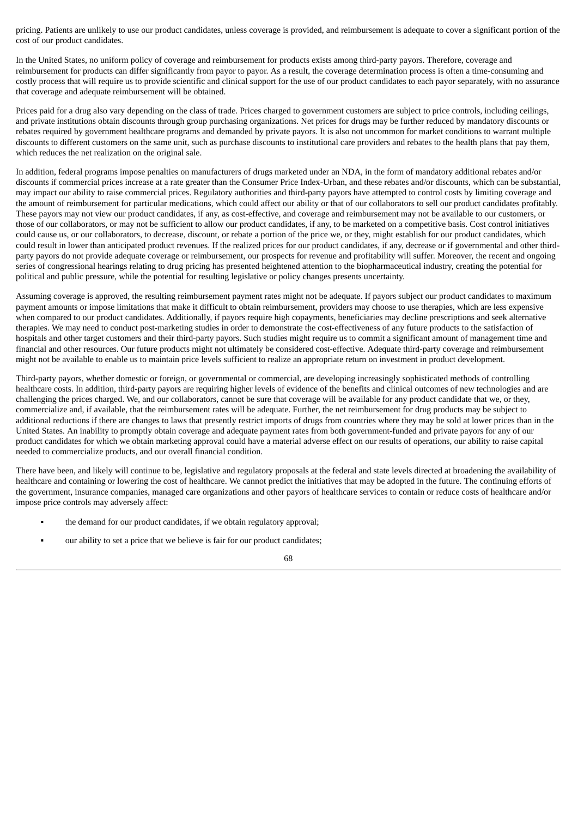pricing. Patients are unlikely to use our product candidates, unless coverage is provided, and reimbursement is adequate to cover a significant portion of the cost of our product candidates.

In the United States, no uniform policy of coverage and reimbursement for products exists among third-party payors. Therefore, coverage and reimbursement for products can differ significantly from payor to payor. As a result, the coverage determination process is often a time-consuming and costly process that will require us to provide scientific and clinical support for the use of our product candidates to each payor separately, with no assurance that coverage and adequate reimbursement will be obtained.

Prices paid for a drug also vary depending on the class of trade. Prices charged to government customers are subject to price controls, including ceilings, and private institutions obtain discounts through group purchasing organizations. Net prices for drugs may be further reduced by mandatory discounts or rebates required by government healthcare programs and demanded by private payors. It is also not uncommon for market conditions to warrant multiple discounts to different customers on the same unit, such as purchase discounts to institutional care providers and rebates to the health plans that pay them, which reduces the net realization on the original sale.

In addition, federal programs impose penalties on manufacturers of drugs marketed under an NDA, in the form of mandatory additional rebates and/or discounts if commercial prices increase at a rate greater than the Consumer Price Index-Urban, and these rebates and/or discounts, which can be substantial, may impact our ability to raise commercial prices. Regulatory authorities and third-party payors have attempted to control costs by limiting coverage and the amount of reimbursement for particular medications, which could affect our ability or that of our collaborators to sell our product candidates profitably. These payors may not view our product candidates, if any, as cost-effective, and coverage and reimbursement may not be available to our customers, or those of our collaborators, or may not be sufficient to allow our product candidates, if any, to be marketed on a competitive basis. Cost control initiatives could cause us, or our collaborators, to decrease, discount, or rebate a portion of the price we, or they, might establish for our product candidates, which could result in lower than anticipated product revenues. If the realized prices for our product candidates, if any, decrease or if governmental and other thirdparty payors do not provide adequate coverage or reimbursement, our prospects for revenue and profitability will suffer. Moreover, the recent and ongoing series of congressional hearings relating to drug pricing has presented heightened attention to the biopharmaceutical industry, creating the potential for political and public pressure, while the potential for resulting legislative or policy changes presents uncertainty.

Assuming coverage is approved, the resulting reimbursement payment rates might not be adequate. If payors subject our product candidates to maximum payment amounts or impose limitations that make it difficult to obtain reimbursement, providers may choose to use therapies, which are less expensive when compared to our product candidates. Additionally, if payors require high copayments, beneficiaries may decline prescriptions and seek alternative therapies. We may need to conduct post-marketing studies in order to demonstrate the cost-effectiveness of any future products to the satisfaction of hospitals and other target customers and their third-party payors. Such studies might require us to commit a significant amount of management time and financial and other resources. Our future products might not ultimately be considered cost-effective. Adequate third-party coverage and reimbursement might not be available to enable us to maintain price levels sufficient to realize an appropriate return on investment in product development.

Third-party payors, whether domestic or foreign, or governmental or commercial, are developing increasingly sophisticated methods of controlling healthcare costs. In addition, third-party payors are requiring higher levels of evidence of the benefits and clinical outcomes of new technologies and are challenging the prices charged. We, and our collaborators, cannot be sure that coverage will be available for any product candidate that we, or they, commercialize and, if available, that the reimbursement rates will be adequate. Further, the net reimbursement for drug products may be subject to additional reductions if there are changes to laws that presently restrict imports of drugs from countries where they may be sold at lower prices than in the United States. An inability to promptly obtain coverage and adequate payment rates from both government-funded and private payors for any of our product candidates for which we obtain marketing approval could have a material adverse effect on our results of operations, our ability to raise capital needed to commercialize products, and our overall financial condition.

There have been, and likely will continue to be, legislative and regulatory proposals at the federal and state levels directed at broadening the availability of healthcare and containing or lowering the cost of healthcare. We cannot predict the initiatives that may be adopted in the future. The continuing efforts of the government, insurance companies, managed care organizations and other payors of healthcare services to contain or reduce costs of healthcare and/or impose price controls may adversely affect:

- the demand for our product candidates, if we obtain regulatory approval;
- our ability to set a price that we believe is fair for our product candidates;

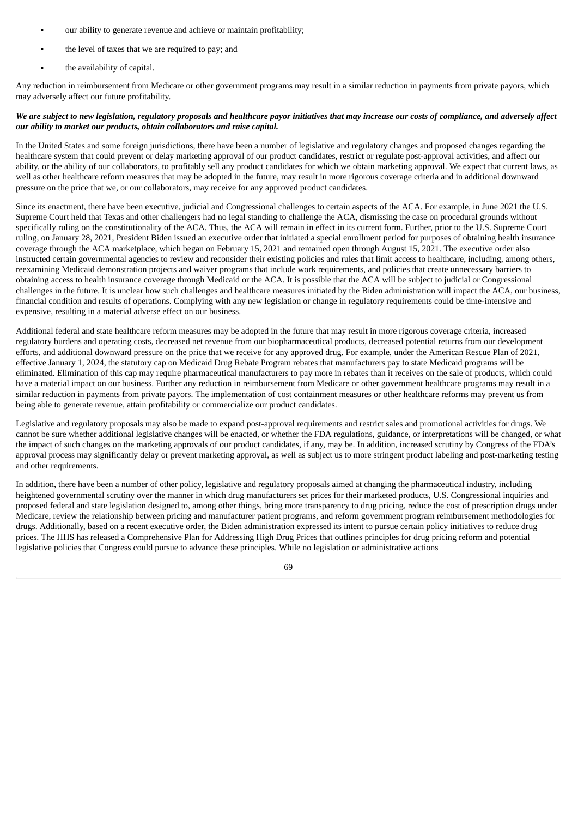- our ability to generate revenue and achieve or maintain profitability;
- the level of taxes that we are required to pay; and
- the availability of capital.

Any reduction in reimbursement from Medicare or other government programs may result in a similar reduction in payments from private payors, which may adversely affect our future profitability.

## We are subject to new legislation, regulatory proposals and healthcare payor initiatives that may increase our costs of compliance, and adversely affect *our ability to market our products, obtain collaborators and raise capital.*

In the United States and some foreign jurisdictions, there have been a number of legislative and regulatory changes and proposed changes regarding the healthcare system that could prevent or delay marketing approval of our product candidates, restrict or regulate post-approval activities, and affect our ability, or the ability of our collaborators, to profitably sell any product candidates for which we obtain marketing approval. We expect that current laws, as well as other healthcare reform measures that may be adopted in the future, may result in more rigorous coverage criteria and in additional downward pressure on the price that we, or our collaborators, may receive for any approved product candidates.

Since its enactment, there have been executive, judicial and Congressional challenges to certain aspects of the ACA. For example, in June 2021 the U.S. Supreme Court held that Texas and other challengers had no legal standing to challenge the ACA, dismissing the case on procedural grounds without specifically ruling on the constitutionality of the ACA. Thus, the ACA will remain in effect in its current form. Further, prior to the U.S. Supreme Court ruling, on January 28, 2021, President Biden issued an executive order that initiated a special enrollment period for purposes of obtaining health insurance coverage through the ACA marketplace, which began on February 15, 2021 and remained open through August 15, 2021. The executive order also instructed certain governmental agencies to review and reconsider their existing policies and rules that limit access to healthcare, including, among others, reexamining Medicaid demonstration projects and waiver programs that include work requirements, and policies that create unnecessary barriers to obtaining access to health insurance coverage through Medicaid or the ACA. It is possible that the ACA will be subject to judicial or Congressional challenges in the future. It is unclear how such challenges and healthcare measures initiated by the Biden administration will impact the ACA, our business, financial condition and results of operations. Complying with any new legislation or change in regulatory requirements could be time-intensive and expensive, resulting in a material adverse effect on our business.

Additional federal and state healthcare reform measures may be adopted in the future that may result in more rigorous coverage criteria, increased regulatory burdens and operating costs, decreased net revenue from our biopharmaceutical products, decreased potential returns from our development efforts, and additional downward pressure on the price that we receive for any approved drug. For example, under the American Rescue Plan of 2021, effective January 1, 2024, the statutory cap on Medicaid Drug Rebate Program rebates that manufacturers pay to state Medicaid programs will be eliminated. Elimination of this cap may require pharmaceutical manufacturers to pay more in rebates than it receives on the sale of products, which could have a material impact on our business. Further any reduction in reimbursement from Medicare or other government healthcare programs may result in a similar reduction in payments from private payors. The implementation of cost containment measures or other healthcare reforms may prevent us from being able to generate revenue, attain profitability or commercialize our product candidates.

Legislative and regulatory proposals may also be made to expand post-approval requirements and restrict sales and promotional activities for drugs. We cannot be sure whether additional legislative changes will be enacted, or whether the FDA regulations, guidance, or interpretations will be changed, or what the impact of such changes on the marketing approvals of our product candidates, if any, may be. In addition, increased scrutiny by Congress of the FDA's approval process may significantly delay or prevent marketing approval, as well as subject us to more stringent product labeling and post-marketing testing and other requirements.

In addition, there have been a number of other policy, legislative and regulatory proposals aimed at changing the pharmaceutical industry, including heightened governmental scrutiny over the manner in which drug manufacturers set prices for their marketed products, U.S. Congressional inquiries and proposed federal and state legislation designed to, among other things, bring more transparency to drug pricing, reduce the cost of prescription drugs under Medicare, review the relationship between pricing and manufacturer patient programs, and reform government program reimbursement methodologies for drugs. Additionally, based on a recent executive order, the Biden administration expressed its intent to pursue certain policy initiatives to reduce drug prices. The HHS has released a Comprehensive Plan for Addressing High Drug Prices that outlines principles for drug pricing reform and potential legislative policies that Congress could pursue to advance these principles. While no legislation or administrative actions

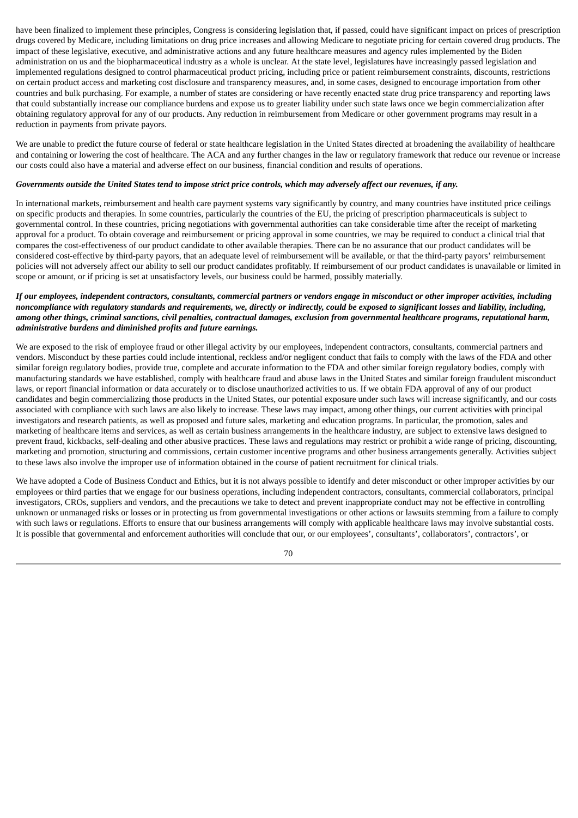have been finalized to implement these principles, Congress is considering legislation that, if passed, could have significant impact on prices of prescription drugs covered by Medicare, including limitations on drug price increases and allowing Medicare to negotiate pricing for certain covered drug products. The impact of these legislative, executive, and administrative actions and any future healthcare measures and agency rules implemented by the Biden administration on us and the biopharmaceutical industry as a whole is unclear. At the state level, legislatures have increasingly passed legislation and implemented regulations designed to control pharmaceutical product pricing, including price or patient reimbursement constraints, discounts, restrictions on certain product access and marketing cost disclosure and transparency measures, and, in some cases, designed to encourage importation from other countries and bulk purchasing. For example, a number of states are considering or have recently enacted state drug price transparency and reporting laws that could substantially increase our compliance burdens and expose us to greater liability under such state laws once we begin commercialization after obtaining regulatory approval for any of our products. Any reduction in reimbursement from Medicare or other government programs may result in a reduction in payments from private payors.

We are unable to predict the future course of federal or state healthcare legislation in the United States directed at broadening the availability of healthcare and containing or lowering the cost of healthcare. The ACA and any further changes in the law or regulatory framework that reduce our revenue or increase our costs could also have a material and adverse effect on our business, financial condition and results of operations.

### Governments outside the United States tend to impose strict price controls, which may adversely affect our revenues, if any.

In international markets, reimbursement and health care payment systems vary significantly by country, and many countries have instituted price ceilings on specific products and therapies. In some countries, particularly the countries of the EU, the pricing of prescription pharmaceuticals is subject to governmental control. In these countries, pricing negotiations with governmental authorities can take considerable time after the receipt of marketing approval for a product. To obtain coverage and reimbursement or pricing approval in some countries, we may be required to conduct a clinical trial that compares the cost-effectiveness of our product candidate to other available therapies. There can be no assurance that our product candidates will be considered cost-effective by third-party payors, that an adequate level of reimbursement will be available, or that the third-party payors' reimbursement policies will not adversely affect our ability to sell our product candidates profitably. If reimbursement of our product candidates is unavailable or limited in scope or amount, or if pricing is set at unsatisfactory levels, our business could be harmed, possibly materially.

## If our employees, independent contractors, consultants, commercial partners or vendors engage in misconduct or other improper activities, including noncompliance with regulatory standards and requirements, we, directly or indirectly, could be exposed to significant losses and liability, including, among other things, criminal sanctions, civil penalties, contractual damages, exclusion from governmental healthcare programs, reputational harm, *administrative burdens and diminished profits and future earnings.*

We are exposed to the risk of employee fraud or other illegal activity by our employees, independent contractors, consultants, commercial partners and vendors. Misconduct by these parties could include intentional, reckless and/or negligent conduct that fails to comply with the laws of the FDA and other similar foreign regulatory bodies, provide true, complete and accurate information to the FDA and other similar foreign regulatory bodies, comply with manufacturing standards we have established, comply with healthcare fraud and abuse laws in the United States and similar foreign fraudulent misconduct laws, or report financial information or data accurately or to disclose unauthorized activities to us. If we obtain FDA approval of any of our product candidates and begin commercializing those products in the United States, our potential exposure under such laws will increase significantly, and our costs associated with compliance with such laws are also likely to increase. These laws may impact, among other things, our current activities with principal investigators and research patients, as well as proposed and future sales, marketing and education programs. In particular, the promotion, sales and marketing of healthcare items and services, as well as certain business arrangements in the healthcare industry, are subject to extensive laws designed to prevent fraud, kickbacks, self-dealing and other abusive practices. These laws and regulations may restrict or prohibit a wide range of pricing, discounting, marketing and promotion, structuring and commissions, certain customer incentive programs and other business arrangements generally. Activities subject to these laws also involve the improper use of information obtained in the course of patient recruitment for clinical trials.

We have adopted a Code of Business Conduct and Ethics, but it is not always possible to identify and deter misconduct or other improper activities by our employees or third parties that we engage for our business operations, including independent contractors, consultants, commercial collaborators, principal investigators, CROs, suppliers and vendors, and the precautions we take to detect and prevent inappropriate conduct may not be effective in controlling unknown or unmanaged risks or losses or in protecting us from governmental investigations or other actions or lawsuits stemming from a failure to comply with such laws or regulations. Efforts to ensure that our business arrangements will comply with applicable healthcare laws may involve substantial costs. It is possible that governmental and enforcement authorities will conclude that our, or our employees', consultants', collaborators', contractors', or

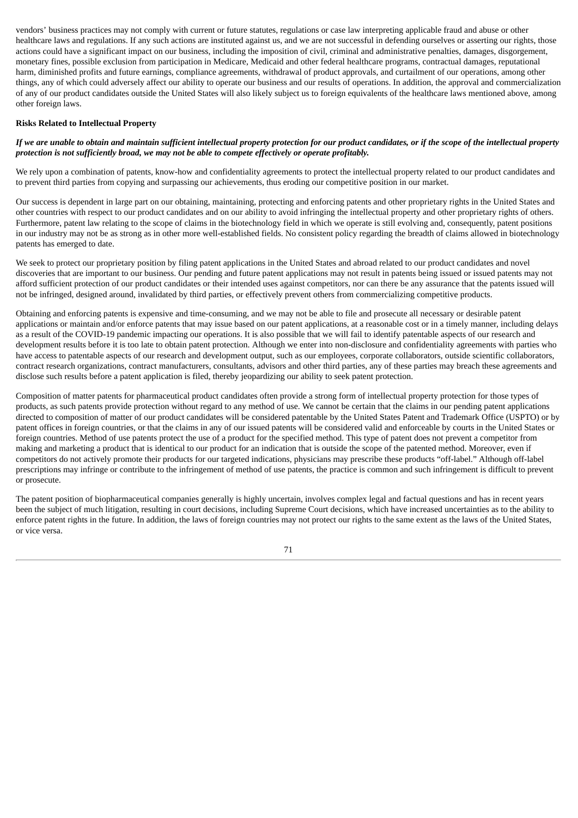vendors' business practices may not comply with current or future statutes, regulations or case law interpreting applicable fraud and abuse or other healthcare laws and regulations. If any such actions are instituted against us, and we are not successful in defending ourselves or asserting our rights, those actions could have a significant impact on our business, including the imposition of civil, criminal and administrative penalties, damages, disgorgement, monetary fines, possible exclusion from participation in Medicare, Medicaid and other federal healthcare programs, contractual damages, reputational harm, diminished profits and future earnings, compliance agreements, withdrawal of product approvals, and curtailment of our operations, among other things, any of which could adversely affect our ability to operate our business and our results of operations. In addition, the approval and commercialization of any of our product candidates outside the United States will also likely subject us to foreign equivalents of the healthcare laws mentioned above, among other foreign laws.

### **Risks Related to Intellectual Property**

## If we are unable to obtain and maintain sufficient intellectual property protection for our product candidates, or if the scope of the intellectual property *protection is not sufficiently broad, we may not be able to compete effectively or operate profitably.*

We rely upon a combination of patents, know-how and confidentiality agreements to protect the intellectual property related to our product candidates and to prevent third parties from copying and surpassing our achievements, thus eroding our competitive position in our market.

Our success is dependent in large part on our obtaining, maintaining, protecting and enforcing patents and other proprietary rights in the United States and other countries with respect to our product candidates and on our ability to avoid infringing the intellectual property and other proprietary rights of others. Furthermore, patent law relating to the scope of claims in the biotechnology field in which we operate is still evolving and, consequently, patent positions in our industry may not be as strong as in other more well-established fields. No consistent policy regarding the breadth of claims allowed in biotechnology patents has emerged to date.

We seek to protect our proprietary position by filing patent applications in the United States and abroad related to our product candidates and novel discoveries that are important to our business. Our pending and future patent applications may not result in patents being issued or issued patents may not afford sufficient protection of our product candidates or their intended uses against competitors, nor can there be any assurance that the patents issued will not be infringed, designed around, invalidated by third parties, or effectively prevent others from commercializing competitive products.

Obtaining and enforcing patents is expensive and time-consuming, and we may not be able to file and prosecute all necessary or desirable patent applications or maintain and/or enforce patents that may issue based on our patent applications, at a reasonable cost or in a timely manner, including delays as a result of the COVID-19 pandemic impacting our operations. It is also possible that we will fail to identify patentable aspects of our research and development results before it is too late to obtain patent protection. Although we enter into non-disclosure and confidentiality agreements with parties who have access to patentable aspects of our research and development output, such as our employees, corporate collaborators, outside scientific collaborators, contract research organizations, contract manufacturers, consultants, advisors and other third parties, any of these parties may breach these agreements and disclose such results before a patent application is filed, thereby jeopardizing our ability to seek patent protection.

Composition of matter patents for pharmaceutical product candidates often provide a strong form of intellectual property protection for those types of products, as such patents provide protection without regard to any method of use. We cannot be certain that the claims in our pending patent applications directed to composition of matter of our product candidates will be considered patentable by the United States Patent and Trademark Office (USPTO) or by patent offices in foreign countries, or that the claims in any of our issued patents will be considered valid and enforceable by courts in the United States or foreign countries. Method of use patents protect the use of a product for the specified method. This type of patent does not prevent a competitor from making and marketing a product that is identical to our product for an indication that is outside the scope of the patented method. Moreover, even if competitors do not actively promote their products for our targeted indications, physicians may prescribe these products "off-label." Although off-label prescriptions may infringe or contribute to the infringement of method of use patents, the practice is common and such infringement is difficult to prevent or prosecute.

The patent position of biopharmaceutical companies generally is highly uncertain, involves complex legal and factual questions and has in recent years been the subject of much litigation, resulting in court decisions, including Supreme Court decisions, which have increased uncertainties as to the ability to enforce patent rights in the future. In addition, the laws of foreign countries may not protect our rights to the same extent as the laws of the United States, or vice versa.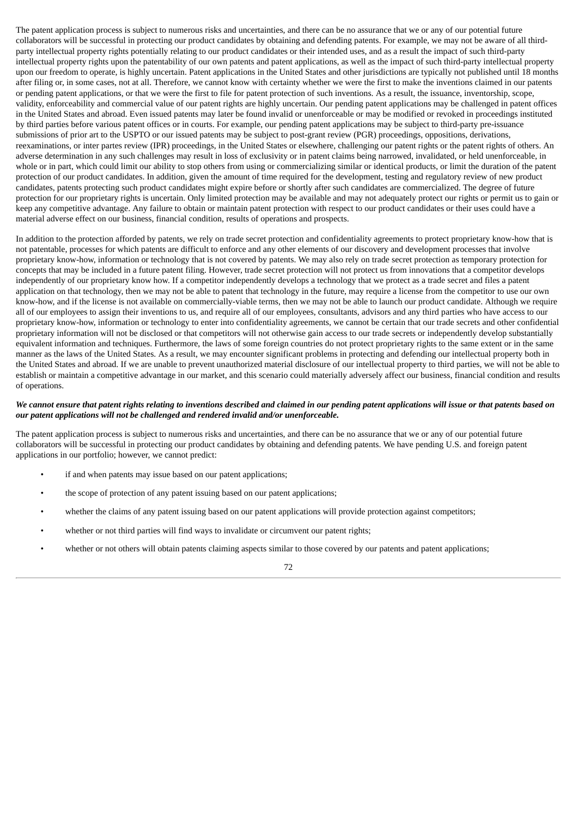The patent application process is subject to numerous risks and uncertainties, and there can be no assurance that we or any of our potential future collaborators will be successful in protecting our product candidates by obtaining and defending patents. For example, we may not be aware of all thirdparty intellectual property rights potentially relating to our product candidates or their intended uses, and as a result the impact of such third-party intellectual property rights upon the patentability of our own patents and patent applications, as well as the impact of such third-party intellectual property upon our freedom to operate, is highly uncertain. Patent applications in the United States and other jurisdictions are typically not published until 18 months after filing or, in some cases, not at all. Therefore, we cannot know with certainty whether we were the first to make the inventions claimed in our patents or pending patent applications, or that we were the first to file for patent protection of such inventions. As a result, the issuance, inventorship, scope, validity, enforceability and commercial value of our patent rights are highly uncertain. Our pending patent applications may be challenged in patent offices in the United States and abroad. Even issued patents may later be found invalid or unenforceable or may be modified or revoked in proceedings instituted by third parties before various patent offices or in courts. For example, our pending patent applications may be subject to third-party pre-issuance submissions of prior art to the USPTO or our issued patents may be subject to post-grant review (PGR) proceedings, oppositions, derivations, reexaminations, or inter partes review (IPR) proceedings, in the United States or elsewhere, challenging our patent rights or the patent rights of others. An adverse determination in any such challenges may result in loss of exclusivity or in patent claims being narrowed, invalidated, or held unenforceable, in whole or in part, which could limit our ability to stop others from using or commercializing similar or identical products, or limit the duration of the patent protection of our product candidates. In addition, given the amount of time required for the development, testing and regulatory review of new product candidates, patents protecting such product candidates might expire before or shortly after such candidates are commercialized. The degree of future protection for our proprietary rights is uncertain. Only limited protection may be available and may not adequately protect our rights or permit us to gain or keep any competitive advantage. Any failure to obtain or maintain patent protection with respect to our product candidates or their uses could have a material adverse effect on our business, financial condition, results of operations and prospects.

In addition to the protection afforded by patents, we rely on trade secret protection and confidentiality agreements to protect proprietary know-how that is not patentable, processes for which patents are difficult to enforce and any other elements of our discovery and development processes that involve proprietary know-how, information or technology that is not covered by patents. We may also rely on trade secret protection as temporary protection for concepts that may be included in a future patent filing. However, trade secret protection will not protect us from innovations that a competitor develops independently of our proprietary know how. If a competitor independently develops a technology that we protect as a trade secret and files a patent application on that technology, then we may not be able to patent that technology in the future, may require a license from the competitor to use our own know-how, and if the license is not available on commercially-viable terms, then we may not be able to launch our product candidate. Although we require all of our employees to assign their inventions to us, and require all of our employees, consultants, advisors and any third parties who have access to our proprietary know-how, information or technology to enter into confidentiality agreements, we cannot be certain that our trade secrets and other confidential proprietary information will not be disclosed or that competitors will not otherwise gain access to our trade secrets or independently develop substantially equivalent information and techniques. Furthermore, the laws of some foreign countries do not protect proprietary rights to the same extent or in the same manner as the laws of the United States. As a result, we may encounter significant problems in protecting and defending our intellectual property both in the United States and abroad. If we are unable to prevent unauthorized material disclosure of our intellectual property to third parties, we will not be able to establish or maintain a competitive advantage in our market, and this scenario could materially adversely affect our business, financial condition and results of operations.

## We cannot ensure that patent rights relating to inventions described and claimed in our pending patent applications will issue or that patents based on *our patent applications will not be challenged and rendered invalid and/or unenforceable.*

The patent application process is subject to numerous risks and uncertainties, and there can be no assurance that we or any of our potential future collaborators will be successful in protecting our product candidates by obtaining and defending patents. We have pending U.S. and foreign patent applications in our portfolio; however, we cannot predict:

- if and when patents may issue based on our patent applications;
- the scope of protection of any patent issuing based on our patent applications;
- whether the claims of any patent issuing based on our patent applications will provide protection against competitors;
- whether or not third parties will find ways to invalidate or circumvent our patent rights;
- whether or not others will obtain patents claiming aspects similar to those covered by our patents and patent applications;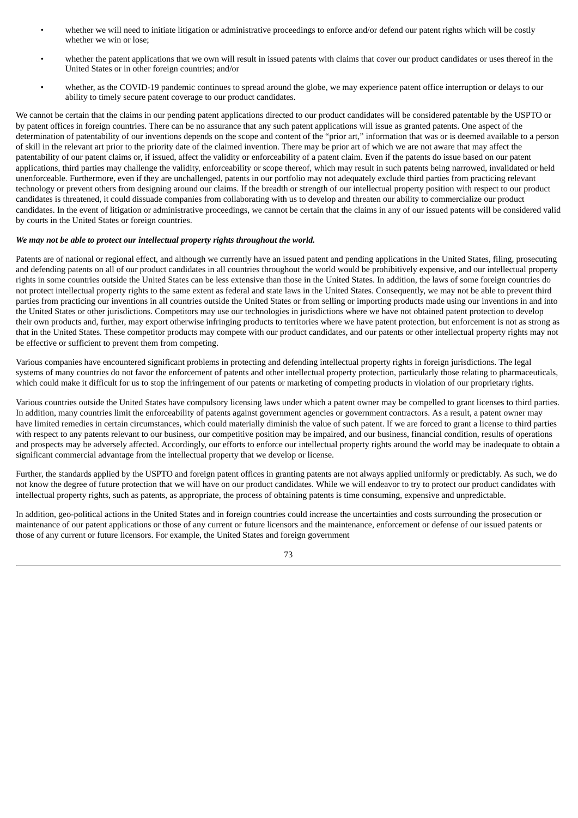- whether we will need to initiate litigation or administrative proceedings to enforce and/or defend our patent rights which will be costly whether we win or lose;
- whether the patent applications that we own will result in issued patents with claims that cover our product candidates or uses thereof in the United States or in other foreign countries; and/or
- whether, as the COVID-19 pandemic continues to spread around the globe, we may experience patent office interruption or delays to our ability to timely secure patent coverage to our product candidates.

We cannot be certain that the claims in our pending patent applications directed to our product candidates will be considered patentable by the USPTO or by patent offices in foreign countries. There can be no assurance that any such patent applications will issue as granted patents. One aspect of the determination of patentability of our inventions depends on the scope and content of the "prior art," information that was or is deemed available to a person of skill in the relevant art prior to the priority date of the claimed invention. There may be prior art of which we are not aware that may affect the patentability of our patent claims or, if issued, affect the validity or enforceability of a patent claim. Even if the patents do issue based on our patent applications, third parties may challenge the validity, enforceability or scope thereof, which may result in such patents being narrowed, invalidated or held unenforceable. Furthermore, even if they are unchallenged, patents in our portfolio may not adequately exclude third parties from practicing relevant technology or prevent others from designing around our claims. If the breadth or strength of our intellectual property position with respect to our product candidates is threatened, it could dissuade companies from collaborating with us to develop and threaten our ability to commercialize our product candidates. In the event of litigation or administrative proceedings, we cannot be certain that the claims in any of our issued patents will be considered valid by courts in the United States or foreign countries.

### *We may not be able to protect our intellectual property rights throughout the world.*

Patents are of national or regional effect, and although we currently have an issued patent and pending applications in the United States, filing, prosecuting and defending patents on all of our product candidates in all countries throughout the world would be prohibitively expensive, and our intellectual property rights in some countries outside the United States can be less extensive than those in the United States. In addition, the laws of some foreign countries do not protect intellectual property rights to the same extent as federal and state laws in the United States. Consequently, we may not be able to prevent third parties from practicing our inventions in all countries outside the United States or from selling or importing products made using our inventions in and into the United States or other jurisdictions. Competitors may use our technologies in jurisdictions where we have not obtained patent protection to develop their own products and, further, may export otherwise infringing products to territories where we have patent protection, but enforcement is not as strong as that in the United States. These competitor products may compete with our product candidates, and our patents or other intellectual property rights may not be effective or sufficient to prevent them from competing.

Various companies have encountered significant problems in protecting and defending intellectual property rights in foreign jurisdictions. The legal systems of many countries do not favor the enforcement of patents and other intellectual property protection, particularly those relating to pharmaceuticals, which could make it difficult for us to stop the infringement of our patents or marketing of competing products in violation of our proprietary rights.

Various countries outside the United States have compulsory licensing laws under which a patent owner may be compelled to grant licenses to third parties. In addition, many countries limit the enforceability of patents against government agencies or government contractors. As a result, a patent owner may have limited remedies in certain circumstances, which could materially diminish the value of such patent. If we are forced to grant a license to third parties with respect to any patents relevant to our business, our competitive position may be impaired, and our business, financial condition, results of operations and prospects may be adversely affected. Accordingly, our efforts to enforce our intellectual property rights around the world may be inadequate to obtain a significant commercial advantage from the intellectual property that we develop or license.

Further, the standards applied by the USPTO and foreign patent offices in granting patents are not always applied uniformly or predictably. As such, we do not know the degree of future protection that we will have on our product candidates. While we will endeavor to try to protect our product candidates with intellectual property rights, such as patents, as appropriate, the process of obtaining patents is time consuming, expensive and unpredictable.

In addition, geo-political actions in the United States and in foreign countries could increase the uncertainties and costs surrounding the prosecution or maintenance of our patent applications or those of any current or future licensors and the maintenance, enforcement or defense of our issued patents or those of any current or future licensors. For example, the United States and foreign government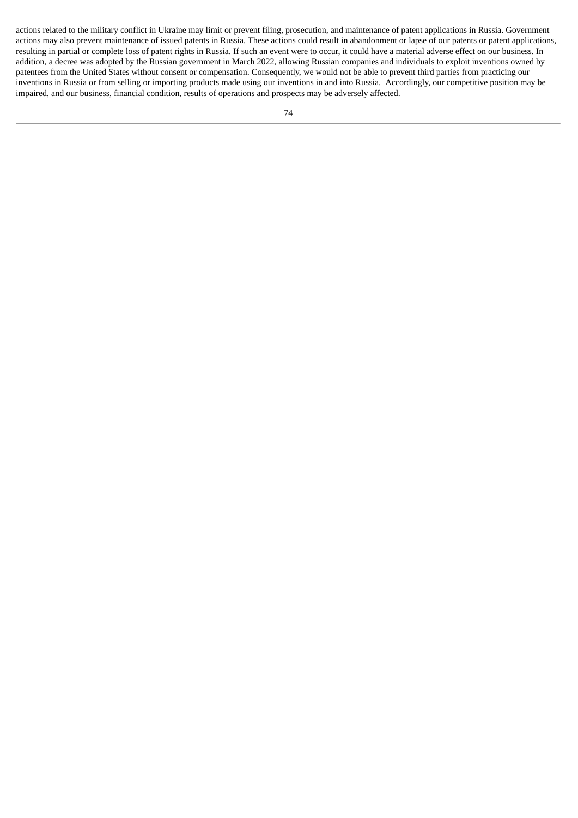actions related to the military conflict in Ukraine may limit or prevent filing, prosecution, and maintenance of patent applications in Russia. Government actions may also prevent maintenance of issued patents in Russia. These actions could result in abandonment or lapse of our patents or patent applications, resulting in partial or complete loss of patent rights in Russia. If such an event were to occur, it could have a material adverse effect on our business. In addition, a decree was adopted by the Russian government in March 2022, allowing Russian companies and individuals to exploit inventions owned by patentees from the United States without consent or compensation. Consequently, we would not be able to prevent third parties from practicing our inventions in Russia or from selling or importing products made using our inventions in and into Russia. Accordingly, our competitive position may be impaired, and our business, financial condition, results of operations and prospects may be adversely affected.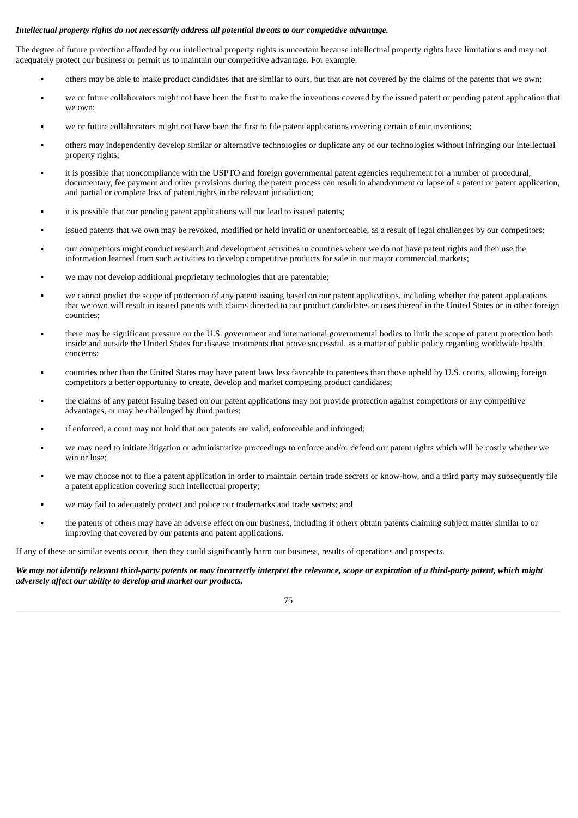### *Intellectual property rights do not necessarily address all potential threats to our competitive advantage.*

The degree of future protection afforded by our intellectual property rights is uncertain because intellectual property rights have limitations and may not adequately protect our business or permit us to maintain our competitive advantage. For example:

- others may be able to make product candidates that are similar to ours, but that are not covered by the claims of the patents that we own;
- we or future collaborators might not have been the first to make the inventions covered by the issued patent or pending patent application that we own;
- we or future collaborators might not have been the first to file patent applications covering certain of our inventions;
- others may independently develop similar or alternative technologies or duplicate any of our technologies without infringing our intellectual property rights;
- it is possible that noncompliance with the USPTO and foreign governmental patent agencies requirement for a number of procedural, documentary, fee payment and other provisions during the patent process can result in abandonment or lapse of a patent or patent application, and partial or complete loss of patent rights in the relevant jurisdiction;
- it is possible that our pending patent applications will not lead to issued patents;
- issued patents that we own may be revoked, modified or held invalid or unenforceable, as a result of legal challenges by our competitors;
- our competitors might conduct research and development activities in countries where we do not have patent rights and then use the information learned from such activities to develop competitive products for sale in our major commercial markets;
- we may not develop additional proprietary technologies that are patentable;
- we cannot predict the scope of protection of any patent issuing based on our patent applications, including whether the patent applications that we own will result in issued patents with claims directed to our product candidates or uses thereof in the United States or in other foreign countries;
- there may be significant pressure on the U.S. government and international governmental bodies to limit the scope of patent protection both inside and outside the United States for disease treatments that prove successful, as a matter of public policy regarding worldwide health concerns;
- countries other than the United States may have patent laws less favorable to patentees than those upheld by U.S. courts, allowing foreign competitors a better opportunity to create, develop and market competing product candidates;
- the claims of any patent issuing based on our patent applications may not provide protection against competitors or any competitive advantages, or may be challenged by third parties;
- if enforced, a court may not hold that our patents are valid, enforceable and infringed;
- we may need to initiate litigation or administrative proceedings to enforce and/or defend our patent rights which will be costly whether we win or lose;
- we may choose not to file a patent application in order to maintain certain trade secrets or know-how, and a third party may subsequently file a patent application covering such intellectual property;
- we may fail to adequately protect and police our trademarks and trade secrets; and
- the patents of others may have an adverse effect on our business, including if others obtain patents claiming subject matter similar to or improving that covered by our patents and patent applications.

If any of these or similar events occur, then they could significantly harm our business, results of operations and prospects.

## We may not identify relevant third-party patents or may incorrectly interpret the relevance, scope or expiration of a third-party patent, which might *adversely affect our ability to develop and market our products.*

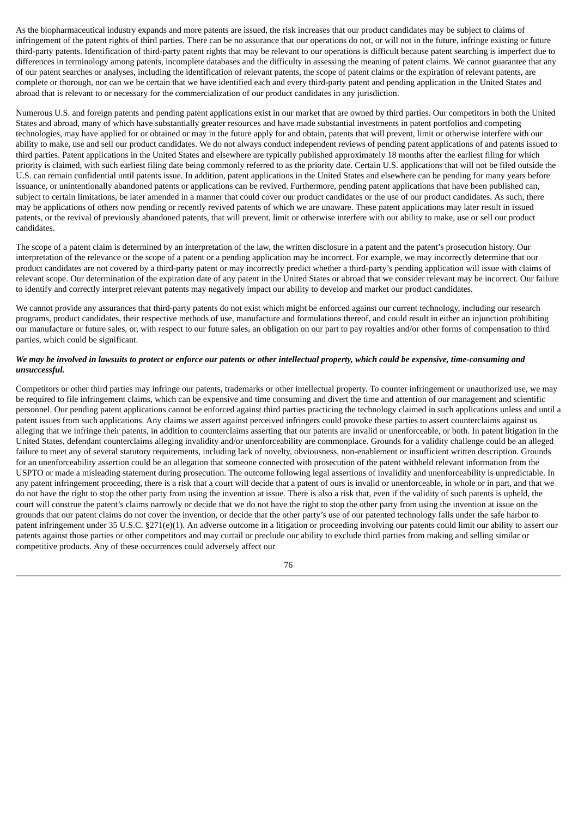As the biopharmaceutical industry expands and more patents are issued, the risk increases that our product candidates may be subject to claims of infringement of the patent rights of third parties. There can be no assurance that our operations do not, or will not in the future, infringe existing or future third-party patents. Identification of third-party patent rights that may be relevant to our operations is difficult because patent searching is imperfect due to differences in terminology among patents, incomplete databases and the difficulty in assessing the meaning of patent claims. We cannot guarantee that any of our patent searches or analyses, including the identification of relevant patents, the scope of patent claims or the expiration of relevant patents, are complete or thorough, nor can we be certain that we have identified each and every third-party patent and pending application in the United States and abroad that is relevant to or necessary for the commercialization of our product candidates in any jurisdiction.

Numerous U.S. and foreign patents and pending patent applications exist in our market that are owned by third parties. Our competitors in both the United States and abroad, many of which have substantially greater resources and have made substantial investments in patent portfolios and competing technologies, may have applied for or obtained or may in the future apply for and obtain, patents that will prevent, limit or otherwise interfere with our ability to make, use and sell our product candidates. We do not always conduct independent reviews of pending patent applications of and patents issued to third parties. Patent applications in the United States and elsewhere are typically published approximately 18 months after the earliest filing for which priority is claimed, with such earliest filing date being commonly referred to as the priority date. Certain U.S. applications that will not be filed outside the U.S. can remain confidential until patents issue. In addition, patent applications in the United States and elsewhere can be pending for many years before issuance, or unintentionally abandoned patents or applications can be revived. Furthermore, pending patent applications that have been published can, subject to certain limitations, be later amended in a manner that could cover our product candidates or the use of our product candidates. As such, there may be applications of others now pending or recently revived patents of which we are unaware. These patent applications may later result in issued patents, or the revival of previously abandoned patents, that will prevent, limit or otherwise interfere with our ability to make, use or sell our product candidates.

The scope of a patent claim is determined by an interpretation of the law, the written disclosure in a patent and the patent's prosecution history. Our interpretation of the relevance or the scope of a patent or a pending application may be incorrect. For example, we may incorrectly determine that our product candidates are not covered by a third-party patent or may incorrectly predict whether a third-party's pending application will issue with claims of relevant scope. Our determination of the expiration date of any patent in the United States or abroad that we consider relevant may be incorrect. Our failure to identify and correctly interpret relevant patents may negatively impact our ability to develop and market our product candidates.

We cannot provide any assurances that third-party patents do not exist which might be enforced against our current technology, including our research programs, product candidates, their respective methods of use, manufacture and formulations thereof, and could result in either an injunction prohibiting our manufacture or future sales, or, with respect to our future sales, an obligation on our part to pay royalties and/or other forms of compensation to third parties, which could be significant.

### We may be involved in lawsuits to protect or enforce our patents or other intellectual property, which could be expensive, time-consuming and *unsuccessful.*

Competitors or other third parties may infringe our patents, trademarks or other intellectual property. To counter infringement or unauthorized use, we may be required to file infringement claims, which can be expensive and time consuming and divert the time and attention of our management and scientific personnel. Our pending patent applications cannot be enforced against third parties practicing the technology claimed in such applications unless and until a patent issues from such applications. Any claims we assert against perceived infringers could provoke these parties to assert counterclaims against us alleging that we infringe their patents, in addition to counterclaims asserting that our patents are invalid or unenforceable, or both. In patent litigation in the United States, defendant counterclaims alleging invalidity and/or unenforceability are commonplace. Grounds for a validity challenge could be an alleged failure to meet any of several statutory requirements, including lack of novelty, obviousness, non-enablement or insufficient written description. Grounds for an unenforceability assertion could be an allegation that someone connected with prosecution of the patent withheld relevant information from the USPTO or made a misleading statement during prosecution. The outcome following legal assertions of invalidity and unenforceability is unpredictable. In any patent infringement proceeding, there is a risk that a court will decide that a patent of ours is invalid or unenforceable, in whole or in part, and that we do not have the right to stop the other party from using the invention at issue. There is also a risk that, even if the validity of such patents is upheld, the court will construe the patent's claims narrowly or decide that we do not have the right to stop the other party from using the invention at issue on the grounds that our patent claims do not cover the invention, or decide that the other party's use of our patented technology falls under the safe harbor to patent infringement under 35 U.S.C. §271(e)(1). An adverse outcome in a litigation or proceeding involving our patents could limit our ability to assert our patents against those parties or other competitors and may curtail or preclude our ability to exclude third parties from making and selling similar or competitive products. Any of these occurrences could adversely affect our

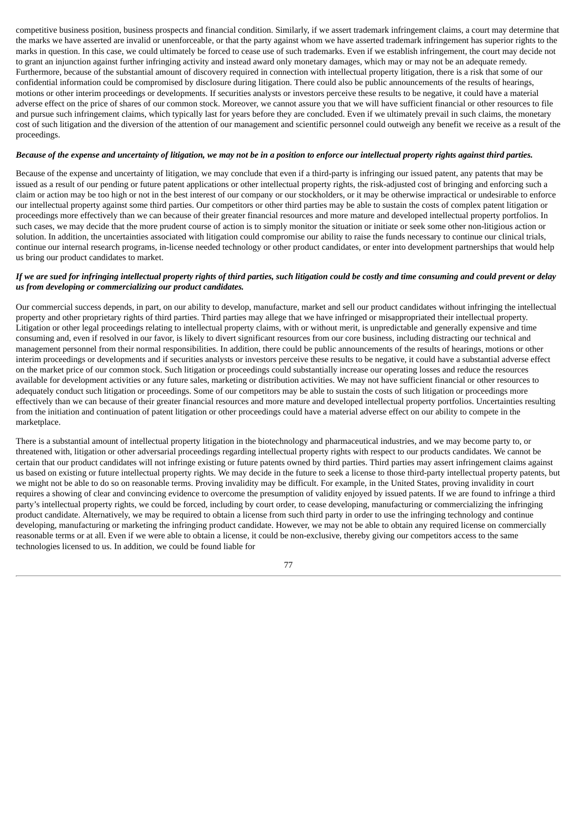competitive business position, business prospects and financial condition. Similarly, if we assert trademark infringement claims, a court may determine that the marks we have asserted are invalid or unenforceable, or that the party against whom we have asserted trademark infringement has superior rights to the marks in question. In this case, we could ultimately be forced to cease use of such trademarks. Even if we establish infringement, the court may decide not to grant an injunction against further infringing activity and instead award only monetary damages, which may or may not be an adequate remedy. Furthermore, because of the substantial amount of discovery required in connection with intellectual property litigation, there is a risk that some of our confidential information could be compromised by disclosure during litigation. There could also be public announcements of the results of hearings, motions or other interim proceedings or developments. If securities analysts or investors perceive these results to be negative, it could have a material adverse effect on the price of shares of our common stock. Moreover, we cannot assure you that we will have sufficient financial or other resources to file and pursue such infringement claims, which typically last for years before they are concluded. Even if we ultimately prevail in such claims, the monetary cost of such litigation and the diversion of the attention of our management and scientific personnel could outweigh any benefit we receive as a result of the proceedings.

#### Because of the expense and uncertainty of litigation, we may not be in a position to enforce our intellectual property rights against third parties.

Because of the expense and uncertainty of litigation, we may conclude that even if a third-party is infringing our issued patent, any patents that may be issued as a result of our pending or future patent applications or other intellectual property rights, the risk-adjusted cost of bringing and enforcing such a claim or action may be too high or not in the best interest of our company or our stockholders, or it may be otherwise impractical or undesirable to enforce our intellectual property against some third parties. Our competitors or other third parties may be able to sustain the costs of complex patent litigation or proceedings more effectively than we can because of their greater financial resources and more mature and developed intellectual property portfolios. In such cases, we may decide that the more prudent course of action is to simply monitor the situation or initiate or seek some other non-litigious action or solution. In addition, the uncertainties associated with litigation could compromise our ability to raise the funds necessary to continue our clinical trials, continue our internal research programs, in-license needed technology or other product candidates, or enter into development partnerships that would help us bring our product candidates to market.

## If we are sued for infringing intellectual property rights of third parties, such litigation could be costly and time consuming and could prevent or delay *us from developing or commercializing our product candidates.*

Our commercial success depends, in part, on our ability to develop, manufacture, market and sell our product candidates without infringing the intellectual property and other proprietary rights of third parties. Third parties may allege that we have infringed or misappropriated their intellectual property. Litigation or other legal proceedings relating to intellectual property claims, with or without merit, is unpredictable and generally expensive and time consuming and, even if resolved in our favor, is likely to divert significant resources from our core business, including distracting our technical and management personnel from their normal responsibilities. In addition, there could be public announcements of the results of hearings, motions or other interim proceedings or developments and if securities analysts or investors perceive these results to be negative, it could have a substantial adverse effect on the market price of our common stock. Such litigation or proceedings could substantially increase our operating losses and reduce the resources available for development activities or any future sales, marketing or distribution activities. We may not have sufficient financial or other resources to adequately conduct such litigation or proceedings. Some of our competitors may be able to sustain the costs of such litigation or proceedings more effectively than we can because of their greater financial resources and more mature and developed intellectual property portfolios. Uncertainties resulting from the initiation and continuation of patent litigation or other proceedings could have a material adverse effect on our ability to compete in the marketplace.

There is a substantial amount of intellectual property litigation in the biotechnology and pharmaceutical industries, and we may become party to, or threatened with, litigation or other adversarial proceedings regarding intellectual property rights with respect to our products candidates. We cannot be certain that our product candidates will not infringe existing or future patents owned by third parties. Third parties may assert infringement claims against us based on existing or future intellectual property rights. We may decide in the future to seek a license to those third-party intellectual property patents, but we might not be able to do so on reasonable terms. Proving invalidity may be difficult. For example, in the United States, proving invalidity in court requires a showing of clear and convincing evidence to overcome the presumption of validity enjoyed by issued patents. If we are found to infringe a third party's intellectual property rights, we could be forced, including by court order, to cease developing, manufacturing or commercializing the infringing product candidate. Alternatively, we may be required to obtain a license from such third party in order to use the infringing technology and continue developing, manufacturing or marketing the infringing product candidate. However, we may not be able to obtain any required license on commercially reasonable terms or at all. Even if we were able to obtain a license, it could be non-exclusive, thereby giving our competitors access to the same technologies licensed to us. In addition, we could be found liable for

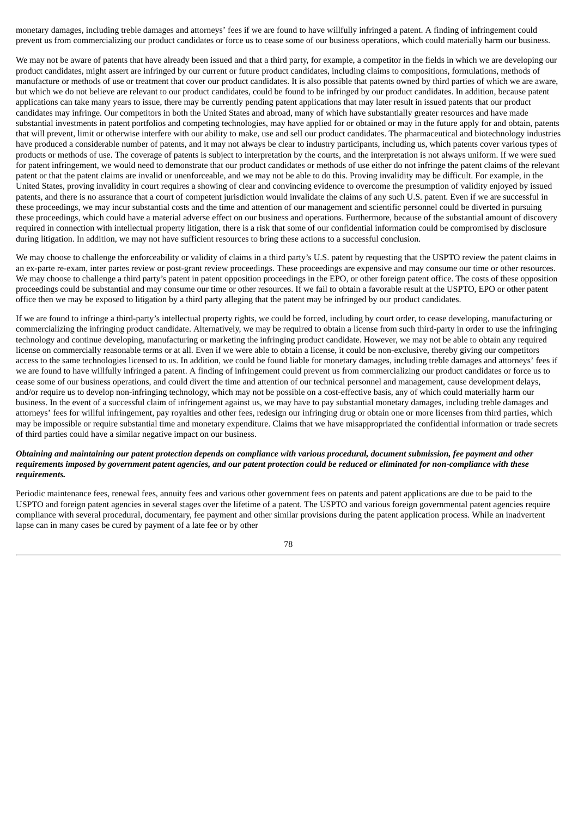monetary damages, including treble damages and attorneys' fees if we are found to have willfully infringed a patent. A finding of infringement could prevent us from commercializing our product candidates or force us to cease some of our business operations, which could materially harm our business.

We may not be aware of patents that have already been issued and that a third party, for example, a competitor in the fields in which we are developing our product candidates, might assert are infringed by our current or future product candidates, including claims to compositions, formulations, methods of manufacture or methods of use or treatment that cover our product candidates. It is also possible that patents owned by third parties of which we are aware, but which we do not believe are relevant to our product candidates, could be found to be infringed by our product candidates. In addition, because patent applications can take many years to issue, there may be currently pending patent applications that may later result in issued patents that our product candidates may infringe. Our competitors in both the United States and abroad, many of which have substantially greater resources and have made substantial investments in patent portfolios and competing technologies, may have applied for or obtained or may in the future apply for and obtain, patents that will prevent, limit or otherwise interfere with our ability to make, use and sell our product candidates. The pharmaceutical and biotechnology industries have produced a considerable number of patents, and it may not always be clear to industry participants, including us, which patents cover various types of products or methods of use. The coverage of patents is subject to interpretation by the courts, and the interpretation is not always uniform. If we were sued for patent infringement, we would need to demonstrate that our product candidates or methods of use either do not infringe the patent claims of the relevant patent or that the patent claims are invalid or unenforceable, and we may not be able to do this. Proving invalidity may be difficult. For example, in the United States, proving invalidity in court requires a showing of clear and convincing evidence to overcome the presumption of validity enjoyed by issued patents, and there is no assurance that a court of competent jurisdiction would invalidate the claims of any such U.S. patent. Even if we are successful in these proceedings, we may incur substantial costs and the time and attention of our management and scientific personnel could be diverted in pursuing these proceedings, which could have a material adverse effect on our business and operations. Furthermore, because of the substantial amount of discovery required in connection with intellectual property litigation, there is a risk that some of our confidential information could be compromised by disclosure during litigation. In addition, we may not have sufficient resources to bring these actions to a successful conclusion.

We may choose to challenge the enforceability or validity of claims in a third party's U.S. patent by requesting that the USPTO review the patent claims in an ex-parte re-exam, inter partes review or post-grant review proceedings. These proceedings are expensive and may consume our time or other resources. We may choose to challenge a third party's patent in patent opposition proceedings in the EPO, or other foreign patent office. The costs of these opposition proceedings could be substantial and may consume our time or other resources. If we fail to obtain a favorable result at the USPTO, EPO or other patent office then we may be exposed to litigation by a third party alleging that the patent may be infringed by our product candidates.

If we are found to infringe a third-party's intellectual property rights, we could be forced, including by court order, to cease developing, manufacturing or commercializing the infringing product candidate. Alternatively, we may be required to obtain a license from such third-party in order to use the infringing technology and continue developing, manufacturing or marketing the infringing product candidate. However, we may not be able to obtain any required license on commercially reasonable terms or at all. Even if we were able to obtain a license, it could be non-exclusive, thereby giving our competitors access to the same technologies licensed to us. In addition, we could be found liable for monetary damages, including treble damages and attorneys' fees if we are found to have willfully infringed a patent. A finding of infringement could prevent us from commercializing our product candidates or force us to cease some of our business operations, and could divert the time and attention of our technical personnel and management, cause development delays, and/or require us to develop non-infringing technology, which may not be possible on a cost-effective basis, any of which could materially harm our business. In the event of a successful claim of infringement against us, we may have to pay substantial monetary damages, including treble damages and attorneys' fees for willful infringement, pay royalties and other fees, redesign our infringing drug or obtain one or more licenses from third parties, which may be impossible or require substantial time and monetary expenditure. Claims that we have misappropriated the confidential information or trade secrets of third parties could have a similar negative impact on our business.

### Obtaining and maintaining our patent protection depends on compliance with various procedural, document submission, fee payment and other requirements imposed by government patent gaencies, and our patent protection could be reduced or eliminated for non-compliance with these *requirements.*

Periodic maintenance fees, renewal fees, annuity fees and various other government fees on patents and patent applications are due to be paid to the USPTO and foreign patent agencies in several stages over the lifetime of a patent. The USPTO and various foreign governmental patent agencies require compliance with several procedural, documentary, fee payment and other similar provisions during the patent application process. While an inadvertent lapse can in many cases be cured by payment of a late fee or by other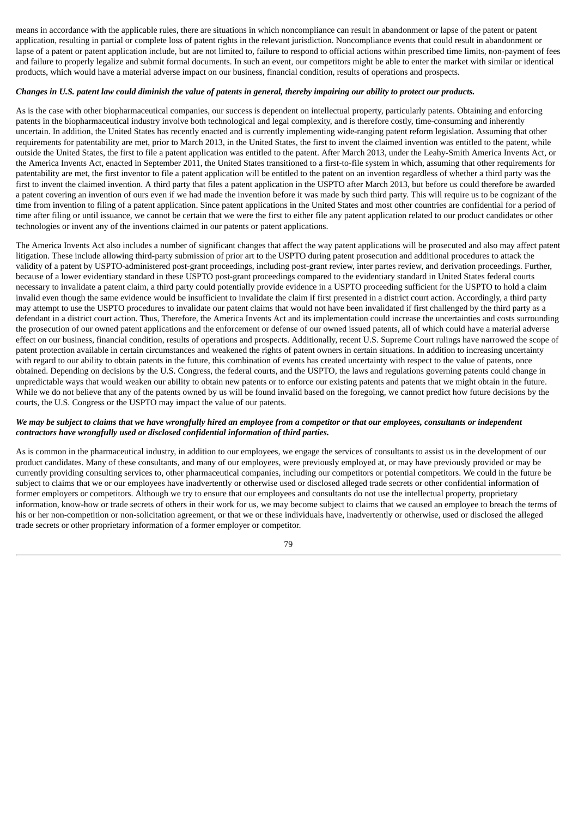means in accordance with the applicable rules, there are situations in which noncompliance can result in abandonment or lapse of the patent or patent application, resulting in partial or complete loss of patent rights in the relevant jurisdiction. Noncompliance events that could result in abandonment or lapse of a patent or patent application include, but are not limited to, failure to respond to official actions within prescribed time limits, non-payment of fees and failure to properly legalize and submit formal documents. In such an event, our competitors might be able to enter the market with similar or identical products, which would have a material adverse impact on our business, financial condition, results of operations and prospects.

## Changes in U.S. patent law could diminish the value of patents in general, thereby impairing our ability to protect our products.

As is the case with other biopharmaceutical companies, our success is dependent on intellectual property, particularly patents. Obtaining and enforcing patents in the biopharmaceutical industry involve both technological and legal complexity, and is therefore costly, time-consuming and inherently uncertain. In addition, the United States has recently enacted and is currently implementing wide-ranging patent reform legislation. Assuming that other requirements for patentability are met, prior to March 2013, in the United States, the first to invent the claimed invention was entitled to the patent, while outside the United States, the first to file a patent application was entitled to the patent. After March 2013, under the Leahy-Smith America Invents Act, or the America Invents Act, enacted in September 2011, the United States transitioned to a first-to-file system in which, assuming that other requirements for patentability are met, the first inventor to file a patent application will be entitled to the patent on an invention regardless of whether a third party was the first to invent the claimed invention. A third party that files a patent application in the USPTO after March 2013, but before us could therefore be awarded a patent covering an invention of ours even if we had made the invention before it was made by such third party. This will require us to be cognizant of the time from invention to filing of a patent application. Since patent applications in the United States and most other countries are confidential for a period of time after filing or until issuance, we cannot be certain that we were the first to either file any patent application related to our product candidates or other technologies or invent any of the inventions claimed in our patents or patent applications.

The America Invents Act also includes a number of significant changes that affect the way patent applications will be prosecuted and also may affect patent litigation. These include allowing third-party submission of prior art to the USPTO during patent prosecution and additional procedures to attack the validity of a patent by USPTO-administered post-grant proceedings, including post-grant review, inter partes review, and derivation proceedings. Further, because of a lower evidentiary standard in these USPTO post-grant proceedings compared to the evidentiary standard in United States federal courts necessary to invalidate a patent claim, a third party could potentially provide evidence in a USPTO proceeding sufficient for the USPTO to hold a claim invalid even though the same evidence would be insufficient to invalidate the claim if first presented in a district court action. Accordingly, a third party may attempt to use the USPTO procedures to invalidate our patent claims that would not have been invalidated if first challenged by the third party as a defendant in a district court action. Thus, Therefore, the America Invents Act and its implementation could increase the uncertainties and costs surrounding the prosecution of our owned patent applications and the enforcement or defense of our owned issued patents, all of which could have a material adverse effect on our business, financial condition, results of operations and prospects. Additionally, recent U.S. Supreme Court rulings have narrowed the scope of patent protection available in certain circumstances and weakened the rights of patent owners in certain situations. In addition to increasing uncertainty with regard to our ability to obtain patents in the future, this combination of events has created uncertainty with respect to the value of patents, once obtained. Depending on decisions by the U.S. Congress, the federal courts, and the USPTO, the laws and regulations governing patents could change in unpredictable ways that would weaken our ability to obtain new patents or to enforce our existing patents and patents that we might obtain in the future. While we do not believe that any of the patents owned by us will be found invalid based on the foregoing, we cannot predict how future decisions by the courts, the U.S. Congress or the USPTO may impact the value of our patents.

### We may be subject to claims that we have wrongfully hired an employee from a competitor or that our employees, consultants or independent *contractors have wrongfully used or disclosed confidential information of third parties.*

As is common in the pharmaceutical industry, in addition to our employees, we engage the services of consultants to assist us in the development of our product candidates. Many of these consultants, and many of our employees, were previously employed at, or may have previously provided or may be currently providing consulting services to, other pharmaceutical companies, including our competitors or potential competitors. We could in the future be subject to claims that we or our employees have inadvertently or otherwise used or disclosed alleged trade secrets or other confidential information of former employers or competitors. Although we try to ensure that our employees and consultants do not use the intellectual property, proprietary information, know-how or trade secrets of others in their work for us, we may become subject to claims that we caused an employee to breach the terms of his or her non-competition or non-solicitation agreement, or that we or these individuals have, inadvertently or otherwise, used or disclosed the alleged trade secrets or other proprietary information of a former employer or competitor.

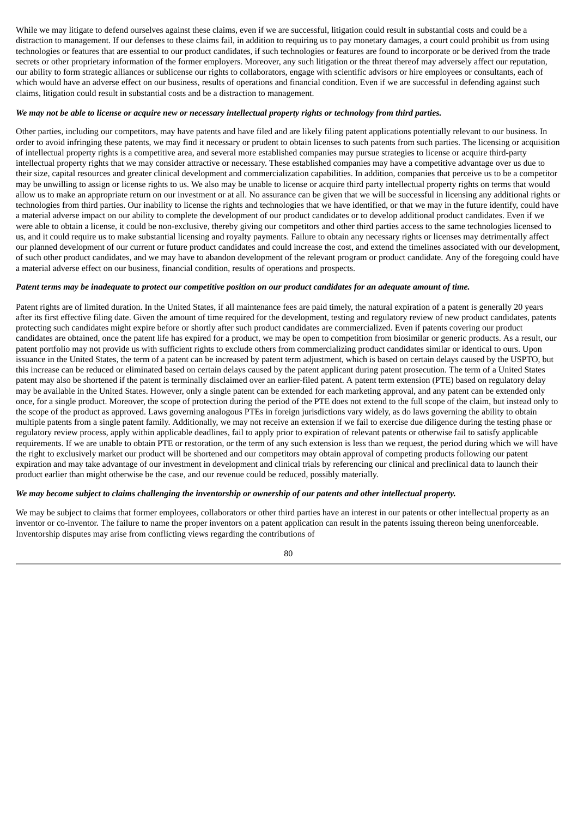While we may litigate to defend ourselves against these claims, even if we are successful, litigation could result in substantial costs and could be a distraction to management. If our defenses to these claims fail, in addition to requiring us to pay monetary damages, a court could prohibit us from using technologies or features that are essential to our product candidates, if such technologies or features are found to incorporate or be derived from the trade secrets or other proprietary information of the former employers. Moreover, any such litigation or the threat thereof may adversely affect our reputation, our ability to form strategic alliances or sublicense our rights to collaborators, engage with scientific advisors or hire employees or consultants, each of which would have an adverse effect on our business, results of operations and financial condition. Even if we are successful in defending against such claims, litigation could result in substantial costs and be a distraction to management.

## We may not be able to license or acquire new or necessary intellectual property rights or technology from third parties.

Other parties, including our competitors, may have patents and have filed and are likely filing patent applications potentially relevant to our business. In order to avoid infringing these patents, we may find it necessary or prudent to obtain licenses to such patents from such parties. The licensing or acquisition of intellectual property rights is a competitive area, and several more established companies may pursue strategies to license or acquire third-party intellectual property rights that we may consider attractive or necessary. These established companies may have a competitive advantage over us due to their size, capital resources and greater clinical development and commercialization capabilities. In addition, companies that perceive us to be a competitor may be unwilling to assign or license rights to us. We also may be unable to license or acquire third party intellectual property rights on terms that would allow us to make an appropriate return on our investment or at all. No assurance can be given that we will be successful in licensing any additional rights or technologies from third parties. Our inability to license the rights and technologies that we have identified, or that we may in the future identify, could have a material adverse impact on our ability to complete the development of our product candidates or to develop additional product candidates. Even if we were able to obtain a license, it could be non-exclusive, thereby giving our competitors and other third parties access to the same technologies licensed to us, and it could require us to make substantial licensing and royalty payments. Failure to obtain any necessary rights or licenses may detrimentally affect our planned development of our current or future product candidates and could increase the cost, and extend the timelines associated with our development, of such other product candidates, and we may have to abandon development of the relevant program or product candidate. Any of the foregoing could have a material adverse effect on our business, financial condition, results of operations and prospects.

## Patent terms may be inadequate to protect our competitive position on our product candidates for an adequate amount of time.

Patent rights are of limited duration. In the United States, if all maintenance fees are paid timely, the natural expiration of a patent is generally 20 years after its first effective filing date. Given the amount of time required for the development, testing and regulatory review of new product candidates, patents protecting such candidates might expire before or shortly after such product candidates are commercialized. Even if patents covering our product candidates are obtained, once the patent life has expired for a product, we may be open to competition from biosimilar or generic products. As a result, our patent portfolio may not provide us with sufficient rights to exclude others from commercializing product candidates similar or identical to ours. Upon issuance in the United States, the term of a patent can be increased by patent term adjustment, which is based on certain delays caused by the USPTO, but this increase can be reduced or eliminated based on certain delays caused by the patent applicant during patent prosecution. The term of a United States patent may also be shortened if the patent is terminally disclaimed over an earlier-filed patent. A patent term extension (PTE) based on regulatory delay may be available in the United States. However, only a single patent can be extended for each marketing approval, and any patent can be extended only once, for a single product. Moreover, the scope of protection during the period of the PTE does not extend to the full scope of the claim, but instead only to the scope of the product as approved. Laws governing analogous PTEs in foreign jurisdictions vary widely, as do laws governing the ability to obtain multiple patents from a single patent family. Additionally, we may not receive an extension if we fail to exercise due diligence during the testing phase or regulatory review process, apply within applicable deadlines, fail to apply prior to expiration of relevant patents or otherwise fail to satisfy applicable requirements. If we are unable to obtain PTE or restoration, or the term of any such extension is less than we request, the period during which we will have the right to exclusively market our product will be shortened and our competitors may obtain approval of competing products following our patent expiration and may take advantage of our investment in development and clinical trials by referencing our clinical and preclinical data to launch their product earlier than might otherwise be the case, and our revenue could be reduced, possibly materially.

#### We may become subject to claims challenging the inventorship or ownership of our patents and other intellectual property.

We may be subject to claims that former employees, collaborators or other third parties have an interest in our patents or other intellectual property as an inventor or co-inventor. The failure to name the proper inventors on a patent application can result in the patents issuing thereon being unenforceable. Inventorship disputes may arise from conflicting views regarding the contributions of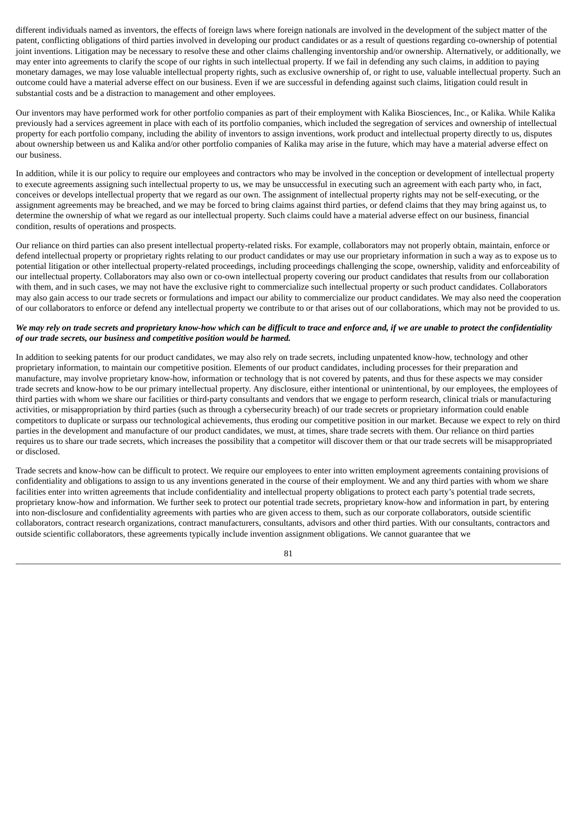different individuals named as inventors, the effects of foreign laws where foreign nationals are involved in the development of the subject matter of the patent, conflicting obligations of third parties involved in developing our product candidates or as a result of questions regarding co-ownership of potential joint inventions. Litigation may be necessary to resolve these and other claims challenging inventorship and/or ownership. Alternatively, or additionally, we may enter into agreements to clarify the scope of our rights in such intellectual property. If we fail in defending any such claims, in addition to paying monetary damages, we may lose valuable intellectual property rights, such as exclusive ownership of, or right to use, valuable intellectual property. Such an outcome could have a material adverse effect on our business. Even if we are successful in defending against such claims, litigation could result in substantial costs and be a distraction to management and other employees.

Our inventors may have performed work for other portfolio companies as part of their employment with Kalika Biosciences, Inc., or Kalika. While Kalika previously had a services agreement in place with each of its portfolio companies, which included the segregation of services and ownership of intellectual property for each portfolio company, including the ability of inventors to assign inventions, work product and intellectual property directly to us, disputes about ownership between us and Kalika and/or other portfolio companies of Kalika may arise in the future, which may have a material adverse effect on our business.

In addition, while it is our policy to require our employees and contractors who may be involved in the conception or development of intellectual property to execute agreements assigning such intellectual property to us, we may be unsuccessful in executing such an agreement with each party who, in fact, conceives or develops intellectual property that we regard as our own. The assignment of intellectual property rights may not be self-executing, or the assignment agreements may be breached, and we may be forced to bring claims against third parties, or defend claims that they may bring against us, to determine the ownership of what we regard as our intellectual property. Such claims could have a material adverse effect on our business, financial condition, results of operations and prospects.

Our reliance on third parties can also present intellectual property-related risks. For example, collaborators may not properly obtain, maintain, enforce or defend intellectual property or proprietary rights relating to our product candidates or may use our proprietary information in such a way as to expose us to potential litigation or other intellectual property-related proceedings, including proceedings challenging the scope, ownership, validity and enforceability of our intellectual property. Collaborators may also own or co-own intellectual property covering our product candidates that results from our collaboration with them, and in such cases, we may not have the exclusive right to commercialize such intellectual property or such product candidates. Collaborators may also gain access to our trade secrets or formulations and impact our ability to commercialize our product candidates. We may also need the cooperation of our collaborators to enforce or defend any intellectual property we contribute to or that arises out of our collaborations, which may not be provided to us.

## We may rely on trade secrets and proprietary know-how which can be difficult to trace and enforce and, if we are unable to protect the confidentiality *of our trade secrets, our business and competitive position would be harmed.*

In addition to seeking patents for our product candidates, we may also rely on trade secrets, including unpatented know-how, technology and other proprietary information, to maintain our competitive position. Elements of our product candidates, including processes for their preparation and manufacture, may involve proprietary know-how, information or technology that is not covered by patents, and thus for these aspects we may consider trade secrets and know-how to be our primary intellectual property. Any disclosure, either intentional or unintentional, by our employees, the employees of third parties with whom we share our facilities or third-party consultants and vendors that we engage to perform research, clinical trials or manufacturing activities, or misappropriation by third parties (such as through a cybersecurity breach) of our trade secrets or proprietary information could enable competitors to duplicate or surpass our technological achievements, thus eroding our competitive position in our market. Because we expect to rely on third parties in the development and manufacture of our product candidates, we must, at times, share trade secrets with them. Our reliance on third parties requires us to share our trade secrets, which increases the possibility that a competitor will discover them or that our trade secrets will be misappropriated or disclosed.

Trade secrets and know-how can be difficult to protect. We require our employees to enter into written employment agreements containing provisions of confidentiality and obligations to assign to us any inventions generated in the course of their employment. We and any third parties with whom we share facilities enter into written agreements that include confidentiality and intellectual property obligations to protect each party's potential trade secrets, proprietary know-how and information. We further seek to protect our potential trade secrets, proprietary know-how and information in part, by entering into non-disclosure and confidentiality agreements with parties who are given access to them, such as our corporate collaborators, outside scientific collaborators, contract research organizations, contract manufacturers, consultants, advisors and other third parties. With our consultants, contractors and outside scientific collaborators, these agreements typically include invention assignment obligations. We cannot guarantee that we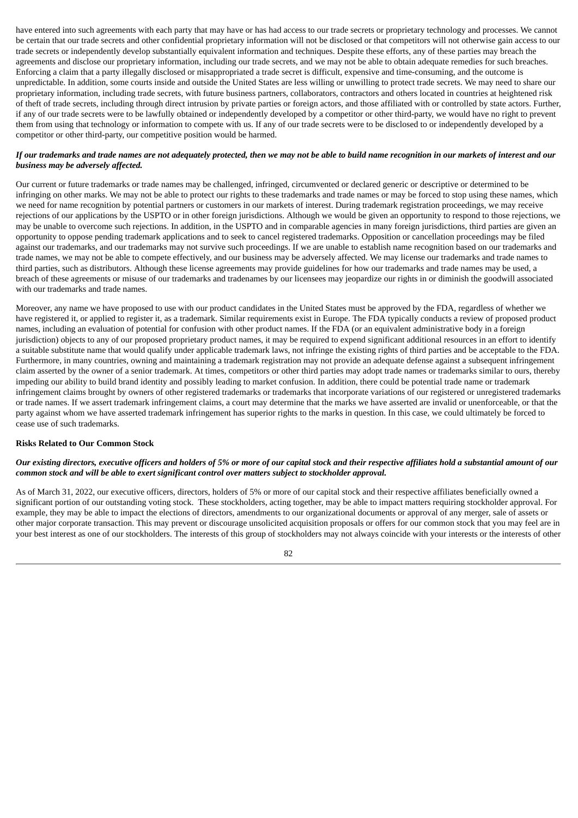have entered into such agreements with each party that may have or has had access to our trade secrets or proprietary technology and processes. We cannot be certain that our trade secrets and other confidential proprietary information will not be disclosed or that competitors will not otherwise gain access to our trade secrets or independently develop substantially equivalent information and techniques. Despite these efforts, any of these parties may breach the agreements and disclose our proprietary information, including our trade secrets, and we may not be able to obtain adequate remedies for such breaches. Enforcing a claim that a party illegally disclosed or misappropriated a trade secret is difficult, expensive and time-consuming, and the outcome is unpredictable. In addition, some courts inside and outside the United States are less willing or unwilling to protect trade secrets. We may need to share our proprietary information, including trade secrets, with future business partners, collaborators, contractors and others located in countries at heightened risk of theft of trade secrets, including through direct intrusion by private parties or foreign actors, and those affiliated with or controlled by state actors. Further, if any of our trade secrets were to be lawfully obtained or independently developed by a competitor or other third-party, we would have no right to prevent them from using that technology or information to compete with us. If any of our trade secrets were to be disclosed to or independently developed by a competitor or other third-party, our competitive position would be harmed.

## If our trademarks and trade names are not adequately protected, then we may not be able to build name recognition in our markets of interest and our *business may be adversely affected.*

Our current or future trademarks or trade names may be challenged, infringed, circumvented or declared generic or descriptive or determined to be infringing on other marks. We may not be able to protect our rights to these trademarks and trade names or may be forced to stop using these names, which we need for name recognition by potential partners or customers in our markets of interest. During trademark registration proceedings, we may receive rejections of our applications by the USPTO or in other foreign jurisdictions. Although we would be given an opportunity to respond to those rejections, we may be unable to overcome such rejections. In addition, in the USPTO and in comparable agencies in many foreign jurisdictions, third parties are given an opportunity to oppose pending trademark applications and to seek to cancel registered trademarks. Opposition or cancellation proceedings may be filed against our trademarks, and our trademarks may not survive such proceedings. If we are unable to establish name recognition based on our trademarks and trade names, we may not be able to compete effectively, and our business may be adversely affected. We may license our trademarks and trade names to third parties, such as distributors. Although these license agreements may provide guidelines for how our trademarks and trade names may be used, a breach of these agreements or misuse of our trademarks and tradenames by our licensees may jeopardize our rights in or diminish the goodwill associated with our trademarks and trade names.

Moreover, any name we have proposed to use with our product candidates in the United States must be approved by the FDA, regardless of whether we have registered it, or applied to register it, as a trademark. Similar requirements exist in Europe. The FDA typically conducts a review of proposed product names, including an evaluation of potential for confusion with other product names. If the FDA (or an equivalent administrative body in a foreign jurisdiction) objects to any of our proposed proprietary product names, it may be required to expend significant additional resources in an effort to identify a suitable substitute name that would qualify under applicable trademark laws, not infringe the existing rights of third parties and be acceptable to the FDA. Furthermore, in many countries, owning and maintaining a trademark registration may not provide an adequate defense against a subsequent infringement claim asserted by the owner of a senior trademark. At times, competitors or other third parties may adopt trade names or trademarks similar to ours, thereby impeding our ability to build brand identity and possibly leading to market confusion. In addition, there could be potential trade name or trademark infringement claims brought by owners of other registered trademarks or trademarks that incorporate variations of our registered or unregistered trademarks or trade names. If we assert trademark infringement claims, a court may determine that the marks we have asserted are invalid or unenforceable, or that the party against whom we have asserted trademark infringement has superior rights to the marks in question. In this case, we could ultimately be forced to cease use of such trademarks.

## **Risks Related to Our Common Stock**

### Our existing directors, executive officers and holders of 5% or more of our capital stock and their respective affiliates hold a substantial amount of our *common stock and will be able to exert significant control over matters subject to stockholder approval.*

As of March 31, 2022, our executive officers, directors, holders of 5% or more of our capital stock and their respective affiliates beneficially owned a significant portion of our outstanding voting stock. These stockholders, acting together, may be able to impact matters requiring stockholder approval. For example, they may be able to impact the elections of directors, amendments to our organizational documents or approval of any merger, sale of assets or other major corporate transaction. This may prevent or discourage unsolicited acquisition proposals or offers for our common stock that you may feel are in your best interest as one of our stockholders. The interests of this group of stockholders may not always coincide with your interests or the interests of other

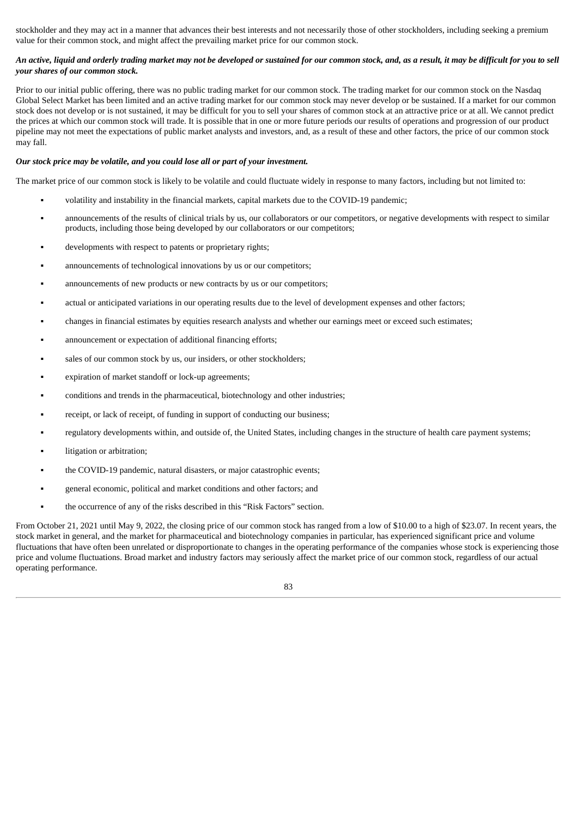stockholder and they may act in a manner that advances their best interests and not necessarily those of other stockholders, including seeking a premium value for their common stock, and might affect the prevailing market price for our common stock.

### An active, liquid and orderly trading market may not be developed or sustained for our common stock, and, as a result, it may be difficult for you to sell *your shares of our common stock.*

Prior to our initial public offering, there was no public trading market for our common stock. The trading market for our common stock on the Nasdaq Global Select Market has been limited and an active trading market for our common stock may never develop or be sustained. If a market for our common stock does not develop or is not sustained, it may be difficult for you to sell your shares of common stock at an attractive price or at all. We cannot predict the prices at which our common stock will trade. It is possible that in one or more future periods our results of operations and progression of our product pipeline may not meet the expectations of public market analysts and investors, and, as a result of these and other factors, the price of our common stock may fall.

#### *Our stock price may be volatile, and you could lose all or part of your investment.*

The market price of our common stock is likely to be volatile and could fluctuate widely in response to many factors, including but not limited to:

- volatility and instability in the financial markets, capital markets due to the COVID-19 pandemic;
- announcements of the results of clinical trials by us, our collaborators or our competitors, or negative developments with respect to similar products, including those being developed by our collaborators or our competitors;
- developments with respect to patents or proprietary rights;
- announcements of technological innovations by us or our competitors;
- announcements of new products or new contracts by us or our competitors;
- actual or anticipated variations in our operating results due to the level of development expenses and other factors;
- changes in financial estimates by equities research analysts and whether our earnings meet or exceed such estimates;
- announcement or expectation of additional financing efforts;
- sales of our common stock by us, our insiders, or other stockholders;
- expiration of market standoff or lock-up agreements;
- conditions and trends in the pharmaceutical, biotechnology and other industries;
- receipt, or lack of receipt, of funding in support of conducting our business;
- regulatory developments within, and outside of, the United States, including changes in the structure of health care payment systems;
- litigation or arbitration;
- the COVID-19 pandemic, natural disasters, or major catastrophic events;
- general economic, political and market conditions and other factors; and
- the occurrence of any of the risks described in this "Risk Factors" section.

From October 21, 2021 until May 9, 2022, the closing price of our common stock has ranged from a low of \$10.00 to a high of \$23.07. In recent years, the stock market in general, and the market for pharmaceutical and biotechnology companies in particular, has experienced significant price and volume fluctuations that have often been unrelated or disproportionate to changes in the operating performance of the companies whose stock is experiencing those price and volume fluctuations. Broad market and industry factors may seriously affect the market price of our common stock, regardless of our actual operating performance.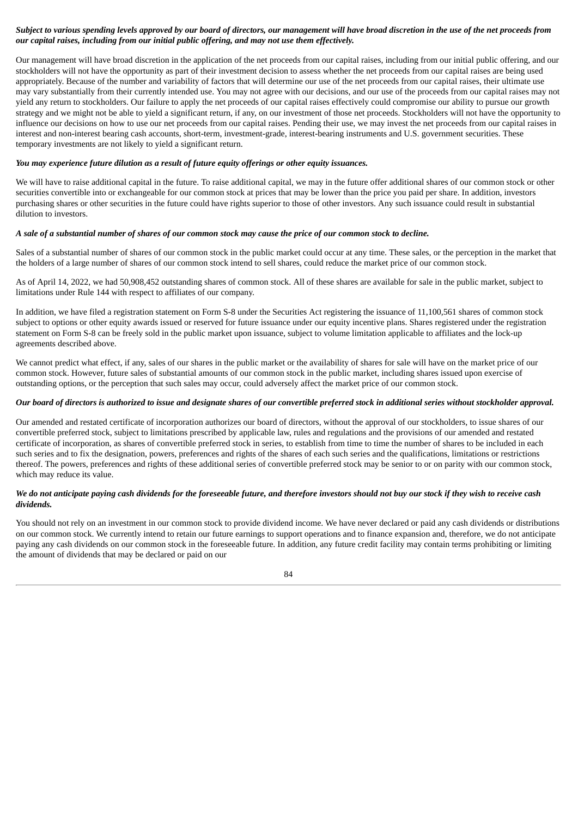## Subject to various spending levels approved by our board of directors, our mangaement will have broad discretion in the use of the net proceeds from *our capital raises, including from our initial public offering, and may not use them effectively.*

Our management will have broad discretion in the application of the net proceeds from our capital raises, including from our initial public offering, and our stockholders will not have the opportunity as part of their investment decision to assess whether the net proceeds from our capital raises are being used appropriately. Because of the number and variability of factors that will determine our use of the net proceeds from our capital raises, their ultimate use may vary substantially from their currently intended use. You may not agree with our decisions, and our use of the proceeds from our capital raises may not yield any return to stockholders. Our failure to apply the net proceeds of our capital raises effectively could compromise our ability to pursue our growth strategy and we might not be able to yield a significant return, if any, on our investment of those net proceeds. Stockholders will not have the opportunity to influence our decisions on how to use our net proceeds from our capital raises. Pending their use, we may invest the net proceeds from our capital raises in interest and non-interest bearing cash accounts, short-term, investment-grade, interest-bearing instruments and U.S. government securities. These temporary investments are not likely to yield a significant return.

### *You may experience future dilution as a result of future equity offerings or other equity issuances.*

We will have to raise additional capital in the future. To raise additional capital, we may in the future offer additional shares of our common stock or other securities convertible into or exchangeable for our common stock at prices that may be lower than the price you paid per share. In addition, investors purchasing shares or other securities in the future could have rights superior to those of other investors. Any such issuance could result in substantial dilution to investors.

### A sale of a substantial number of shares of our common stock may cause the price of our common stock to decline.

Sales of a substantial number of shares of our common stock in the public market could occur at any time. These sales, or the perception in the market that the holders of a large number of shares of our common stock intend to sell shares, could reduce the market price of our common stock.

As of April 14, 2022, we had 50,908,452 outstanding shares of common stock. All of these shares are available for sale in the public market, subject to limitations under Rule 144 with respect to affiliates of our company.

In addition, we have filed a registration statement on Form S-8 under the Securities Act registering the issuance of 11,100,561 shares of common stock subject to options or other equity awards issued or reserved for future issuance under our equity incentive plans. Shares registered under the registration statement on Form S-8 can be freely sold in the public market upon issuance, subject to volume limitation applicable to affiliates and the lock-up agreements described above.

We cannot predict what effect, if any, sales of our shares in the public market or the availability of shares for sale will have on the market price of our common stock. However, future sales of substantial amounts of our common stock in the public market, including shares issued upon exercise of outstanding options, or the perception that such sales may occur, could adversely affect the market price of our common stock.

### Our board of directors is authorized to issue and designate shares of our convertible preferred stock in additional series without stockholder approval.

Our amended and restated certificate of incorporation authorizes our board of directors, without the approval of our stockholders, to issue shares of our convertible preferred stock, subject to limitations prescribed by applicable law, rules and regulations and the provisions of our amended and restated certificate of incorporation, as shares of convertible preferred stock in series, to establish from time to time the number of shares to be included in each such series and to fix the designation, powers, preferences and rights of the shares of each such series and the qualifications, limitations or restrictions thereof. The powers, preferences and rights of these additional series of convertible preferred stock may be senior to or on parity with our common stock, which may reduce its value.

## We do not anticipate paying cash dividends for the foreseeable future, and therefore investors should not buy our stock if they wish to receive cash *dividends.*

You should not rely on an investment in our common stock to provide dividend income. We have never declared or paid any cash dividends or distributions on our common stock. We currently intend to retain our future earnings to support operations and to finance expansion and, therefore, we do not anticipate paying any cash dividends on our common stock in the foreseeable future. In addition, any future credit facility may contain terms prohibiting or limiting the amount of dividends that may be declared or paid on our

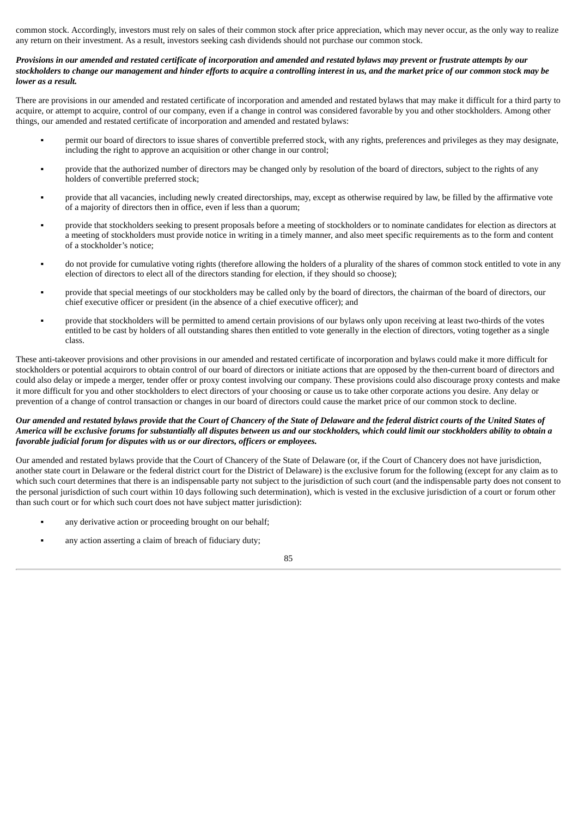common stock. Accordingly, investors must rely on sales of their common stock after price appreciation, which may never occur, as the only way to realize any return on their investment. As a result, investors seeking cash dividends should not purchase our common stock.

## Provisions in our amended and restated certificate of incorporation and amended and restated bylaws may prevent or frustrate attempts by our stockholders to change our management and hinder efforts to acquire a controlling interest in us, and the market price of our common stock may be *lower as a result.*

There are provisions in our amended and restated certificate of incorporation and amended and restated bylaws that may make it difficult for a third party to acquire, or attempt to acquire, control of our company, even if a change in control was considered favorable by you and other stockholders. Among other things, our amended and restated certificate of incorporation and amended and restated bylaws:

- permit our board of directors to issue shares of convertible preferred stock, with any rights, preferences and privileges as they may designate, including the right to approve an acquisition or other change in our control;
- provide that the authorized number of directors may be changed only by resolution of the board of directors, subject to the rights of any holders of convertible preferred stock;
- provide that all vacancies, including newly created directorships, may, except as otherwise required by law, be filled by the affirmative vote of a majority of directors then in office, even if less than a quorum;
- provide that stockholders seeking to present proposals before a meeting of stockholders or to nominate candidates for election as directors at a meeting of stockholders must provide notice in writing in a timely manner, and also meet specific requirements as to the form and content of a stockholder's notice;
- do not provide for cumulative voting rights (therefore allowing the holders of a plurality of the shares of common stock entitled to vote in any election of directors to elect all of the directors standing for election, if they should so choose);
- provide that special meetings of our stockholders may be called only by the board of directors, the chairman of the board of directors, our chief executive officer or president (in the absence of a chief executive officer); and
- provide that stockholders will be permitted to amend certain provisions of our bylaws only upon receiving at least two-thirds of the votes entitled to be cast by holders of all outstanding shares then entitled to vote generally in the election of directors, voting together as a single class.

These anti-takeover provisions and other provisions in our amended and restated certificate of incorporation and bylaws could make it more difficult for stockholders or potential acquirors to obtain control of our board of directors or initiate actions that are opposed by the then-current board of directors and could also delay or impede a merger, tender offer or proxy contest involving our company. These provisions could also discourage proxy contests and make it more difficult for you and other stockholders to elect directors of your choosing or cause us to take other corporate actions you desire. Any delay or prevention of a change of control transaction or changes in our board of directors could cause the market price of our common stock to decline.

## Our amended and restated bylaws provide that the Court of Chancery of the State of Delaware and the federal district courts of the United States of America will be exclusive forums for substantially all disputes between us and our stockholders, which could limit our stockholders ability to obtain a *favorable judicial forum for disputes with us or our directors, officers or employees.*

Our amended and restated bylaws provide that the Court of Chancery of the State of Delaware (or, if the Court of Chancery does not have jurisdiction, another state court in Delaware or the federal district court for the District of Delaware) is the exclusive forum for the following (except for any claim as to which such court determines that there is an indispensable party not subject to the jurisdiction of such court (and the indispensable party does not consent to the personal jurisdiction of such court within 10 days following such determination), which is vested in the exclusive jurisdiction of a court or forum other than such court or for which such court does not have subject matter jurisdiction):

- any derivative action or proceeding brought on our behalf;
- any action asserting a claim of breach of fiduciary duty;

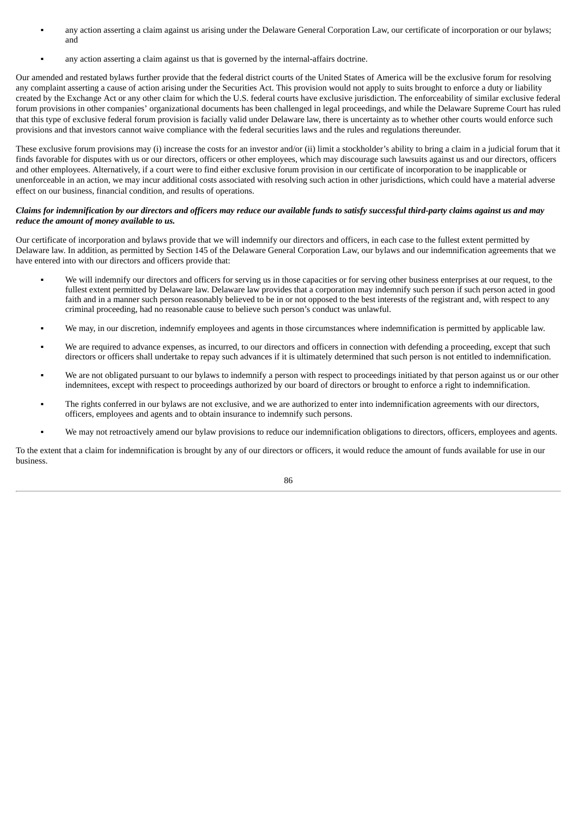- any action asserting a claim against us arising under the Delaware General Corporation Law, our certificate of incorporation or our bylaws; and
- any action asserting a claim against us that is governed by the internal-affairs doctrine.

Our amended and restated bylaws further provide that the federal district courts of the United States of America will be the exclusive forum for resolving any complaint asserting a cause of action arising under the Securities Act. This provision would not apply to suits brought to enforce a duty or liability created by the Exchange Act or any other claim for which the U.S. federal courts have exclusive jurisdiction. The enforceability of similar exclusive federal forum provisions in other companies' organizational documents has been challenged in legal proceedings, and while the Delaware Supreme Court has ruled that this type of exclusive federal forum provision is facially valid under Delaware law, there is uncertainty as to whether other courts would enforce such provisions and that investors cannot waive compliance with the federal securities laws and the rules and regulations thereunder.

These exclusive forum provisions may (i) increase the costs for an investor and/or (ii) limit a stockholder's ability to bring a claim in a judicial forum that it finds favorable for disputes with us or our directors, officers or other employees, which may discourage such lawsuits against us and our directors, officers and other employees. Alternatively, if a court were to find either exclusive forum provision in our certificate of incorporation to be inapplicable or unenforceable in an action, we may incur additional costs associated with resolving such action in other jurisdictions, which could have a material adverse effect on our business, financial condition, and results of operations.

### Claims for indemnification by our directors and officers may reduce our available funds to satisfy successful third-party claims against us and may *reduce the amount of money available to us.*

Our certificate of incorporation and bylaws provide that we will indemnify our directors and officers, in each case to the fullest extent permitted by Delaware law. In addition, as permitted by Section 145 of the Delaware General Corporation Law, our bylaws and our indemnification agreements that we have entered into with our directors and officers provide that:

- We will indemnify our directors and officers for serving us in those capacities or for serving other business enterprises at our request, to the fullest extent permitted by Delaware law. Delaware law provides that a corporation may indemnify such person if such person acted in good faith and in a manner such person reasonably believed to be in or not opposed to the best interests of the registrant and, with respect to any criminal proceeding, had no reasonable cause to believe such person's conduct was unlawful.
- We may, in our discretion, indemnify employees and agents in those circumstances where indemnification is permitted by applicable law.
- We are required to advance expenses, as incurred, to our directors and officers in connection with defending a proceeding, except that such directors or officers shall undertake to repay such advances if it is ultimately determined that such person is not entitled to indemnification.
- We are not obligated pursuant to our bylaws to indemnify a person with respect to proceedings initiated by that person against us or our other indemnitees, except with respect to proceedings authorized by our board of directors or brought to enforce a right to indemnification.
- The rights conferred in our bylaws are not exclusive, and we are authorized to enter into indemnification agreements with our directors, officers, employees and agents and to obtain insurance to indemnify such persons.
- We may not retroactively amend our bylaw provisions to reduce our indemnification obligations to directors, officers, employees and agents.

To the extent that a claim for indemnification is brought by any of our directors or officers, it would reduce the amount of funds available for use in our business.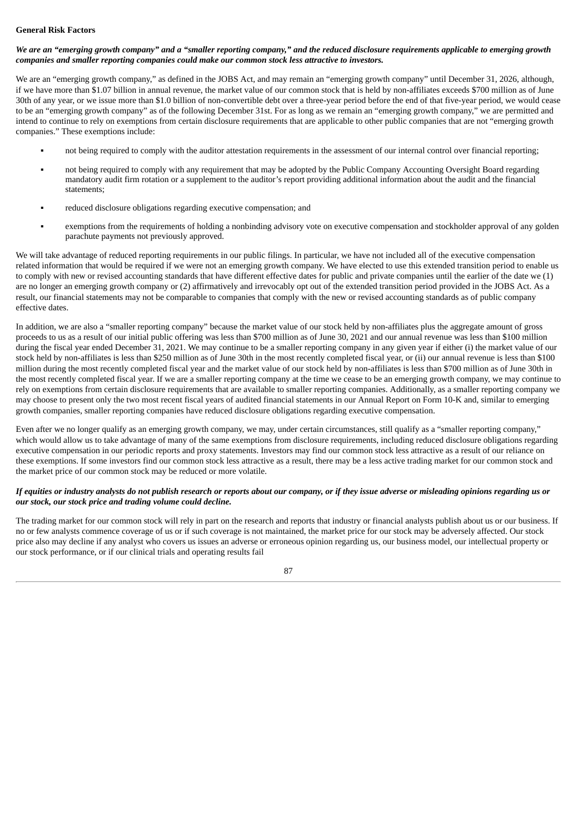## **General Risk Factors**

## We are an "emeraina arowth company" and a "smaller reportina company." and the reduced disclosure reauirements applicable to emeraina arowth *companies and smaller reporting companies could make our common stock less attractive to investors.*

We are an "emerging growth company," as defined in the JOBS Act, and may remain an "emerging growth company" until December 31, 2026, although, if we have more than \$1.07 billion in annual revenue, the market value of our common stock that is held by non-affiliates exceeds \$700 million as of June 30th of any year, or we issue more than \$1.0 billion of non-convertible debt over a three-year period before the end of that five-year period, we would cease to be an "emerging growth company" as of the following December 31st. For as long as we remain an "emerging growth company," we are permitted and intend to continue to rely on exemptions from certain disclosure requirements that are applicable to other public companies that are not "emerging growth companies." These exemptions include:

- not being required to comply with the auditor attestation requirements in the assessment of our internal control over financial reporting;
- not being required to comply with any requirement that may be adopted by the Public Company Accounting Oversight Board regarding mandatory audit firm rotation or a supplement to the auditor's report providing additional information about the audit and the financial statements;
- reduced disclosure obligations regarding executive compensation; and
- exemptions from the requirements of holding a nonbinding advisory vote on executive compensation and stockholder approval of any golden parachute payments not previously approved.

We will take advantage of reduced reporting requirements in our public filings. In particular, we have not included all of the executive compensation related information that would be required if we were not an emerging growth company. We have elected to use this extended transition period to enable us to comply with new or revised accounting standards that have different effective dates for public and private companies until the earlier of the date we (1) are no longer an emerging growth company or (2) affirmatively and irrevocably opt out of the extended transition period provided in the JOBS Act. As a result, our financial statements may not be comparable to companies that comply with the new or revised accounting standards as of public company effective dates.

In addition, we are also a "smaller reporting company" because the market value of our stock held by non-affiliates plus the aggregate amount of gross proceeds to us as a result of our initial public offering was less than \$700 million as of June 30, 2021 and our annual revenue was less than \$100 million during the fiscal year ended December 31, 2021. We may continue to be a smaller reporting company in any given year if either (i) the market value of our stock held by non-affiliates is less than \$250 million as of June 30th in the most recently completed fiscal year, or (ii) our annual revenue is less than \$100 million during the most recently completed fiscal year and the market value of our stock held by non-affiliates is less than \$700 million as of June 30th in the most recently completed fiscal year. If we are a smaller reporting company at the time we cease to be an emerging growth company, we may continue to rely on exemptions from certain disclosure requirements that are available to smaller reporting companies. Additionally, as a smaller reporting company we may choose to present only the two most recent fiscal years of audited financial statements in our Annual Report on Form 10-K and, similar to emerging growth companies, smaller reporting companies have reduced disclosure obligations regarding executive compensation.

Even after we no longer qualify as an emerging growth company, we may, under certain circumstances, still qualify as a "smaller reporting company," which would allow us to take advantage of many of the same exemptions from disclosure requirements, including reduced disclosure obligations regarding executive compensation in our periodic reports and proxy statements. Investors may find our common stock less attractive as a result of our reliance on these exemptions. If some investors find our common stock less attractive as a result, there may be a less active trading market for our common stock and the market price of our common stock may be reduced or more volatile.

## If equities or industry analysts do not publish research or reports about our company, or if they issue adverse or misleading opinions regarding us or *our stock, our stock price and trading volume could decline.*

The trading market for our common stock will rely in part on the research and reports that industry or financial analysts publish about us or our business. If no or few analysts commence coverage of us or if such coverage is not maintained, the market price for our stock may be adversely affected. Our stock price also may decline if any analyst who covers us issues an adverse or erroneous opinion regarding us, our business model, our intellectual property or our stock performance, or if our clinical trials and operating results fail

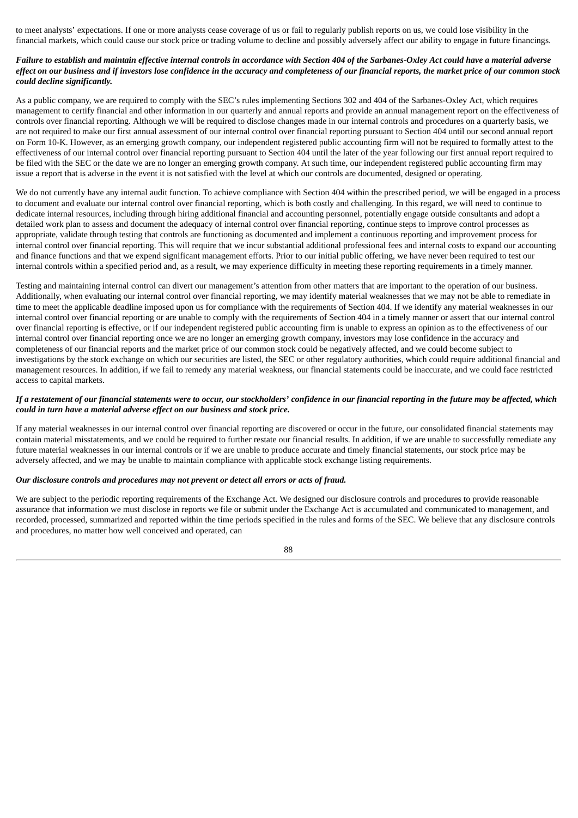to meet analysts' expectations. If one or more analysts cease coverage of us or fail to regularly publish reports on us, we could lose visibility in the financial markets, which could cause our stock price or trading volume to decline and possibly adversely affect our ability to engage in future financings.

## Failure to establish and maintain effective internal controls in accordance with Section 404 of the Sarbanes-Oxlev Act could have a material adverse effect on our business and if investors lose confidence in the accuracy and completeness of our financial reports, the market price of our common stock *could decline significantly.*

As a public company, we are required to comply with the SEC's rules implementing Sections 302 and 404 of the Sarbanes-Oxley Act, which requires management to certify financial and other information in our quarterly and annual reports and provide an annual management report on the effectiveness of controls over financial reporting. Although we will be required to disclose changes made in our internal controls and procedures on a quarterly basis, we are not required to make our first annual assessment of our internal control over financial reporting pursuant to Section 404 until our second annual report on Form 10-K. However, as an emerging growth company, our independent registered public accounting firm will not be required to formally attest to the effectiveness of our internal control over financial reporting pursuant to Section 404 until the later of the year following our first annual report required to be filed with the SEC or the date we are no longer an emerging growth company. At such time, our independent registered public accounting firm may issue a report that is adverse in the event it is not satisfied with the level at which our controls are documented, designed or operating.

We do not currently have any internal audit function. To achieve compliance with Section 404 within the prescribed period, we will be engaged in a process to document and evaluate our internal control over financial reporting, which is both costly and challenging. In this regard, we will need to continue to dedicate internal resources, including through hiring additional financial and accounting personnel, potentially engage outside consultants and adopt a detailed work plan to assess and document the adequacy of internal control over financial reporting, continue steps to improve control processes as appropriate, validate through testing that controls are functioning as documented and implement a continuous reporting and improvement process for internal control over financial reporting. This will require that we incur substantial additional professional fees and internal costs to expand our accounting and finance functions and that we expend significant management efforts. Prior to our initial public offering, we have never been required to test our internal controls within a specified period and, as a result, we may experience difficulty in meeting these reporting requirements in a timely manner.

Testing and maintaining internal control can divert our management's attention from other matters that are important to the operation of our business. Additionally, when evaluating our internal control over financial reporting, we may identify material weaknesses that we may not be able to remediate in time to meet the applicable deadline imposed upon us for compliance with the requirements of Section 404. If we identify any material weaknesses in our internal control over financial reporting or are unable to comply with the requirements of Section 404 in a timely manner or assert that our internal control over financial reporting is effective, or if our independent registered public accounting firm is unable to express an opinion as to the effectiveness of our internal control over financial reporting once we are no longer an emerging growth company, investors may lose confidence in the accuracy and completeness of our financial reports and the market price of our common stock could be negatively affected, and we could become subject to investigations by the stock exchange on which our securities are listed, the SEC or other regulatory authorities, which could require additional financial and management resources. In addition, if we fail to remedy any material weakness, our financial statements could be inaccurate, and we could face restricted access to capital markets.

### If a restatement of our financial statements were to occur, our stockholders' confidence in our financial reporting in the future may be affected, which *could in turn have a material adverse effect on our business and stock price.*

If any material weaknesses in our internal control over financial reporting are discovered or occur in the future, our consolidated financial statements may contain material misstatements, and we could be required to further restate our financial results. In addition, if we are unable to successfully remediate any future material weaknesses in our internal controls or if we are unable to produce accurate and timely financial statements, our stock price may be adversely affected, and we may be unable to maintain compliance with applicable stock exchange listing requirements.

#### *Our disclosure controls and procedures may not prevent or detect all errors or acts of fraud.*

We are subject to the periodic reporting requirements of the Exchange Act. We designed our disclosure controls and procedures to provide reasonable assurance that information we must disclose in reports we file or submit under the Exchange Act is accumulated and communicated to management, and recorded, processed, summarized and reported within the time periods specified in the rules and forms of the SEC. We believe that any disclosure controls and procedures, no matter how well conceived and operated, can

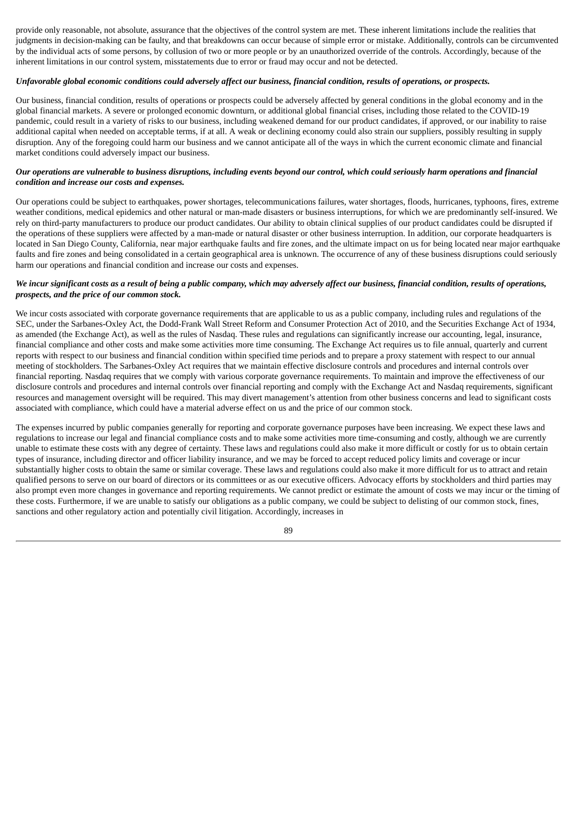provide only reasonable, not absolute, assurance that the objectives of the control system are met. These inherent limitations include the realities that judgments in decision-making can be faulty, and that breakdowns can occur because of simple error or mistake. Additionally, controls can be circumvented by the individual acts of some persons, by collusion of two or more people or by an unauthorized override of the controls. Accordingly, because of the inherent limitations in our control system, misstatements due to error or fraud may occur and not be detected.

#### Unfavorable global economic conditions could adversely affect our business, financial condition, results of operations, or prospects.

Our business, financial condition, results of operations or prospects could be adversely affected by general conditions in the global economy and in the global financial markets. A severe or prolonged economic downturn, or additional global financial crises, including those related to the COVID-19 pandemic, could result in a variety of risks to our business, including weakened demand for our product candidates, if approved, or our inability to raise additional capital when needed on acceptable terms, if at all. A weak or declining economy could also strain our suppliers, possibly resulting in supply disruption. Any of the foregoing could harm our business and we cannot anticipate all of the ways in which the current economic climate and financial market conditions could adversely impact our business.

## Our operations are vulnerable to business disruptions, including events beyond our control, which could seriously harm operations and financial *condition and increase our costs and expenses.*

Our operations could be subject to earthquakes, power shortages, telecommunications failures, water shortages, floods, hurricanes, typhoons, fires, extreme weather conditions, medical epidemics and other natural or man-made disasters or business interruptions, for which we are predominantly self-insured. We rely on third-party manufacturers to produce our product candidates. Our ability to obtain clinical supplies of our product candidates could be disrupted if the operations of these suppliers were affected by a man-made or natural disaster or other business interruption. In addition, our corporate headquarters is located in San Diego County, California, near major earthquake faults and fire zones, and the ultimate impact on us for being located near major earthquake faults and fire zones and being consolidated in a certain geographical area is unknown. The occurrence of any of these business disruptions could seriously harm our operations and financial condition and increase our costs and expenses.

### We incur significant costs as a result of being a public company, which may adversely affect our business, financial condition, results of operations, *prospects, and the price of our common stock.*

We incur costs associated with corporate governance requirements that are applicable to us as a public company, including rules and regulations of the SEC, under the Sarbanes-Oxley Act, the Dodd-Frank Wall Street Reform and Consumer Protection Act of 2010, and the Securities Exchange Act of 1934, as amended (the Exchange Act), as well as the rules of Nasdaq. These rules and regulations can significantly increase our accounting, legal, insurance, financial compliance and other costs and make some activities more time consuming. The Exchange Act requires us to file annual, quarterly and current reports with respect to our business and financial condition within specified time periods and to prepare a proxy statement with respect to our annual meeting of stockholders. The Sarbanes-Oxley Act requires that we maintain effective disclosure controls and procedures and internal controls over financial reporting. Nasdaq requires that we comply with various corporate governance requirements. To maintain and improve the effectiveness of our disclosure controls and procedures and internal controls over financial reporting and comply with the Exchange Act and Nasdaq requirements, significant resources and management oversight will be required. This may divert management's attention from other business concerns and lead to significant costs associated with compliance, which could have a material adverse effect on us and the price of our common stock.

The expenses incurred by public companies generally for reporting and corporate governance purposes have been increasing. We expect these laws and regulations to increase our legal and financial compliance costs and to make some activities more time-consuming and costly, although we are currently unable to estimate these costs with any degree of certainty. These laws and regulations could also make it more difficult or costly for us to obtain certain types of insurance, including director and officer liability insurance, and we may be forced to accept reduced policy limits and coverage or incur substantially higher costs to obtain the same or similar coverage. These laws and regulations could also make it more difficult for us to attract and retain qualified persons to serve on our board of directors or its committees or as our executive officers. Advocacy efforts by stockholders and third parties may also prompt even more changes in governance and reporting requirements. We cannot predict or estimate the amount of costs we may incur or the timing of these costs. Furthermore, if we are unable to satisfy our obligations as a public company, we could be subject to delisting of our common stock, fines, sanctions and other regulatory action and potentially civil litigation. Accordingly, increases in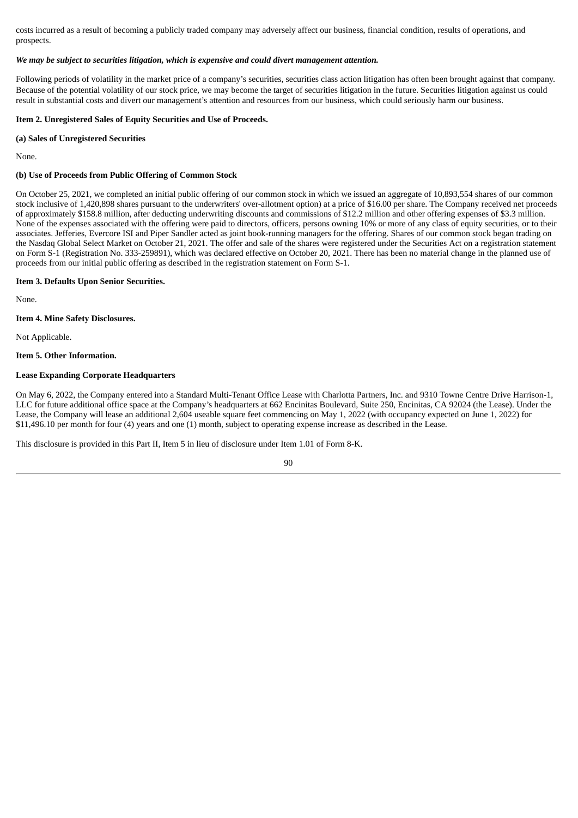costs incurred as a result of becoming a publicly traded company may adversely affect our business, financial condition, results of operations, and prospects.

### *We may be subject to securities litigation, which is expensive and could divert management attention.*

Following periods of volatility in the market price of a company's securities, securities class action litigation has often been brought against that company. Because of the potential volatility of our stock price, we may become the target of securities litigation in the future. Securities litigation against us could result in substantial costs and divert our management's attention and resources from our business, which could seriously harm our business.

## **Item 2. Unregistered Sales of Equity Securities and Use of Proceeds.**

### **(a) Sales of Unregistered Securities**

None.

## **(b) Use of Proceeds from Public Offering of Common Stock**

On October 25, 2021, we completed an initial public offering of our common stock in which we issued an aggregate of 10,893,554 shares of our common stock inclusive of 1,420,898 shares pursuant to the underwriters' over-allotment option) at a price of \$16.00 per share. The Company received net proceeds of approximately \$158.8 million, after deducting underwriting discounts and commissions of \$12.2 million and other offering expenses of \$3.3 million. None of the expenses associated with the offering were paid to directors, officers, persons owning 10% or more of any class of equity securities, or to their associates. Jefferies, Evercore ISI and Piper Sandler acted as joint book-running managers for the offering. Shares of our common stock began trading on the Nasdaq Global Select Market on October 21, 2021. The offer and sale of the shares were registered under the Securities Act on a registration statement on Form S-1 (Registration No. 333-259891), which was declared effective on October 20, 2021. There has been no material change in the planned use of proceeds from our initial public offering as described in the registration statement on Form S-1.

#### **Item 3. Defaults Upon Senior Securities.**

None.

#### **Item 4. Mine Safety Disclosures.**

Not Applicable.

## **Item 5. Other Information.**

### **Lease Expanding Corporate Headquarters**

On May 6, 2022, the Company entered into a Standard Multi-Tenant Office Lease with Charlotta Partners, Inc. and 9310 Towne Centre Drive Harrison-1, LLC for future additional office space at the Company's headquarters at 662 Encinitas Boulevard, Suite 250, Encinitas, CA 92024 (the Lease). Under the Lease, the Company will lease an additional 2,604 useable square feet commencing on May 1, 2022 (with occupancy expected on June 1, 2022) for \$11,496.10 per month for four (4) years and one (1) month, subject to operating expense increase as described in the Lease.

This disclosure is provided in this Part II, Item 5 in lieu of disclosure under Item 1.01 of Form 8-K.

90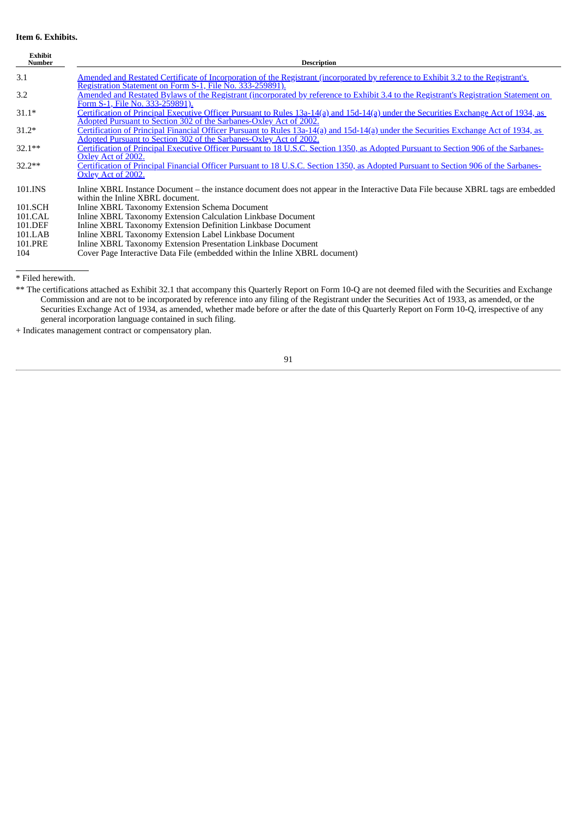# **Item 6. Exhibits.**

| <b>Exhibit</b><br><b>Number</b> | <b>Description</b>                                                                                                                                                                                         |
|---------------------------------|------------------------------------------------------------------------------------------------------------------------------------------------------------------------------------------------------------|
| 3.1                             | Amended and Restated Certificate of Incorporation of the Registrant (incorporated by reference to Exhibit 3.2 to the Registrant's<br>Registration Statement on Form S-1, File No. 333-259891).             |
| 3.2                             | Amended and Restated Bylaws of the Registrant (incorporated by reference to Exhibit 3.4 to the Registrant's Registration Statement on<br>Form S-1, File No. 333-259891).                                   |
| $31.1*$                         | Certification of Principal Executive Officer Pursuant to Rules 13a-14(a) and 15d-14(a) under the Securities Exchange Act of 1934, as<br>Adopted Pursuant to Section 302 of the Sarbanes-Oxley Act of 2002. |
| $31.2*$                         | Certification of Principal Financial Officer Pursuant to Rules 13a-14(a) and 15d-14(a) under the Securities Exchange Act of 1934, as<br>Adopted Pursuant to Section 302 of the Sarbanes-Oxley Act of 2002. |
| $32.1***$                       | Certification of Principal Executive Officer Pursuant to 18 U.S.C. Section 1350, as Adopted Pursuant to Section 906 of the Sarbanes-<br>Oxley Act of 2002.                                                 |
| $32.2**$                        | Certification of Principal Financial Officer Pursuant to 18 U.S.C. Section 1350, as Adopted Pursuant to Section 906 of the Sarbanes-<br>Oxley Act of 2002.                                                 |
| 101.INS                         | Inline XBRL Instance Document – the instance document does not appear in the Interactive Data File because XBRL tags are embedded<br>within the Inline XBRL document.                                      |
| 101.SCH                         | Inline XBRL Taxonomy Extension Schema Document                                                                                                                                                             |
| 101.CAL                         | Inline XBRL Taxonomy Extension Calculation Linkbase Document                                                                                                                                               |
| 101.DEF                         | Inline XBRL Taxonomy Extension Definition Linkbase Document                                                                                                                                                |
| 101.LAB                         | Inline XBRL Taxonomy Extension Label Linkbase Document                                                                                                                                                     |
| 101.PRE                         | Inline XBRL Taxonomy Extension Presentation Linkbase Document                                                                                                                                              |
| 104                             | Cover Page Interactive Data File (embedded within the Inline XBRL document)                                                                                                                                |

\* Filed herewith.

\*\* The certifications attached as Exhibit 32.1 that accompany this Quarterly Report on Form 10-Q are not deemed filed with the Securities and Exchange Commission and are not to be incorporated by reference into any filing of the Registrant under the Securities Act of 1933, as amended, or the Securities Exchange Act of 1934, as amended, whether made before or after the date of this Quarterly Report on Form 10-Q, irrespective of any general incorporation language contained in such filing.

+ Indicates management contract or compensatory plan.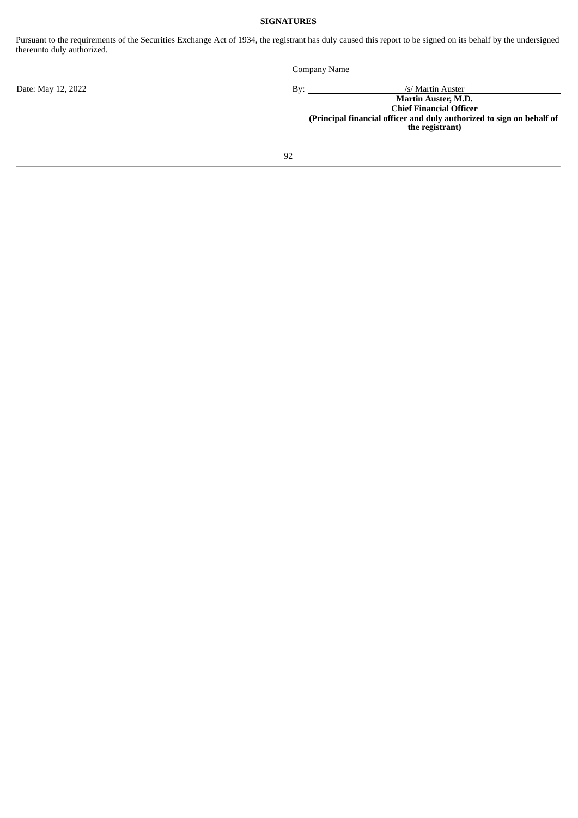## **SIGNATURES**

Pursuant to the requirements of the Securities Exchange Act of 1934, the registrant has duly caused this report to be signed on its behalf by the undersigned thereunto duly authorized.

Company Name

Date: May 12, 2022 <br>By: <u>/s/ Martin Auster</u> **Martin Auster, M.D. Chief Financial Officer (Principal financial officer and duly authorized to sign on behalf of the registrant)**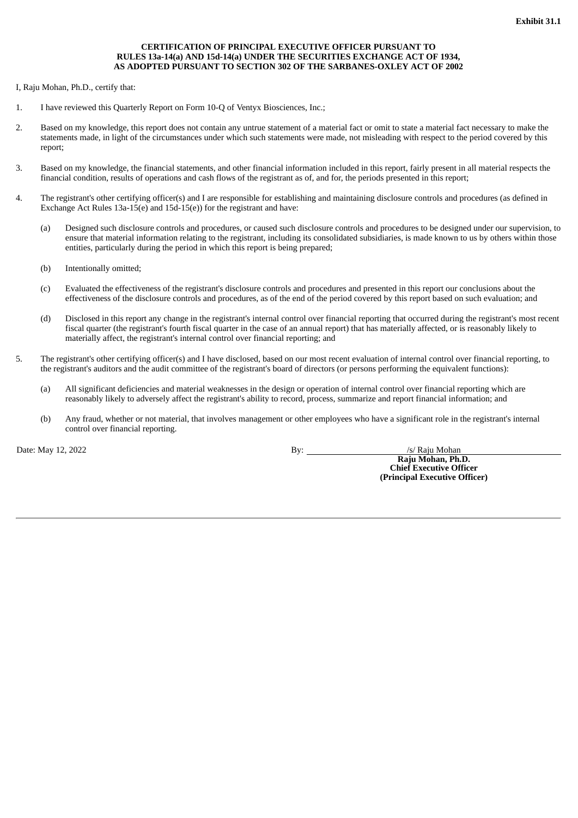## **CERTIFICATION OF PRINCIPAL EXECUTIVE OFFICER PURSUANT TO RULES 13a-14(a) AND 15d-14(a) UNDER THE SECURITIES EXCHANGE ACT OF 1934, AS ADOPTED PURSUANT TO SECTION 302 OF THE SARBANES-OXLEY ACT OF 2002**

<span id="page-96-0"></span>I, Raju Mohan, Ph.D., certify that:

- 1. I have reviewed this Quarterly Report on Form 10-Q of Ventyx Biosciences, Inc.;
- 2. Based on my knowledge, this report does not contain any untrue statement of a material fact or omit to state a material fact necessary to make the statements made, in light of the circumstances under which such statements were made, not misleading with respect to the period covered by this report;
- 3. Based on my knowledge, the financial statements, and other financial information included in this report, fairly present in all material respects the financial condition, results of operations and cash flows of the registrant as of, and for, the periods presented in this report;
- 4. The registrant's other certifying officer(s) and I are responsible for establishing and maintaining disclosure controls and procedures (as defined in Exchange Act Rules  $13a-15(e)$  and  $15d-15(e)$ ) for the registrant and have:
	- (a) Designed such disclosure controls and procedures, or caused such disclosure controls and procedures to be designed under our supervision, to ensure that material information relating to the registrant, including its consolidated subsidiaries, is made known to us by others within those entities, particularly during the period in which this report is being prepared;
	- (b) Intentionally omitted;
	- (c) Evaluated the effectiveness of the registrant's disclosure controls and procedures and presented in this report our conclusions about the effectiveness of the disclosure controls and procedures, as of the end of the period covered by this report based on such evaluation; and
	- (d) Disclosed in this report any change in the registrant's internal control over financial reporting that occurred during the registrant's most recent fiscal quarter (the registrant's fourth fiscal quarter in the case of an annual report) that has materially affected, or is reasonably likely to materially affect, the registrant's internal control over financial reporting; and
- 5. The registrant's other certifying officer(s) and I have disclosed, based on our most recent evaluation of internal control over financial reporting, to the registrant's auditors and the audit committee of the registrant's board of directors (or persons performing the equivalent functions):
	- (a) All significant deficiencies and material weaknesses in the design or operation of internal control over financial reporting which are reasonably likely to adversely affect the registrant's ability to record, process, summarize and report financial information; and
	- (b) Any fraud, whether or not material, that involves management or other employees who have a significant role in the registrant's internal control over financial reporting.

Date: May 12, 2022 By:

**Raju Mohan, Ph.D. Chief Executive Officer (Principal Executive Officer)**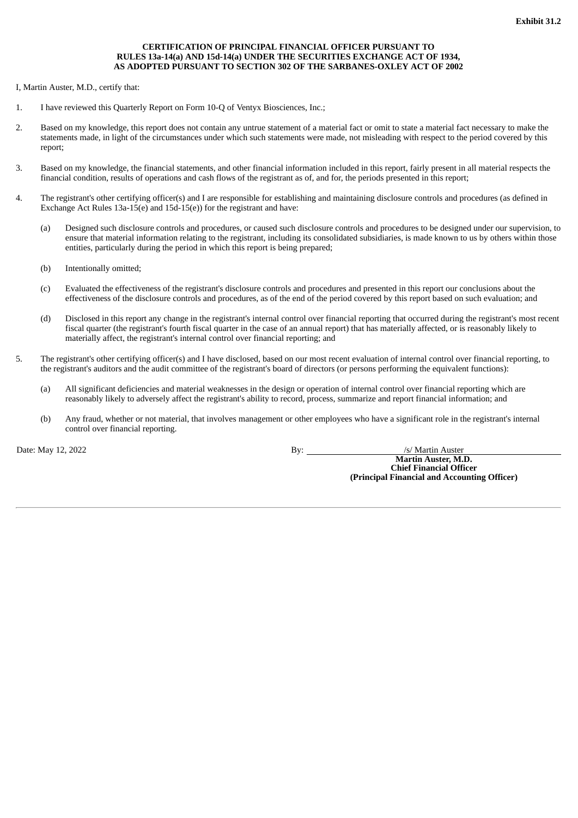## **CERTIFICATION OF PRINCIPAL FINANCIAL OFFICER PURSUANT TO RULES 13a-14(a) AND 15d-14(a) UNDER THE SECURITIES EXCHANGE ACT OF 1934, AS ADOPTED PURSUANT TO SECTION 302 OF THE SARBANES-OXLEY ACT OF 2002**

<span id="page-97-0"></span>I, Martin Auster, M.D., certify that:

- 1. I have reviewed this Quarterly Report on Form 10-Q of Ventyx Biosciences, Inc.;
- 2. Based on my knowledge, this report does not contain any untrue statement of a material fact or omit to state a material fact necessary to make the statements made, in light of the circumstances under which such statements were made, not misleading with respect to the period covered by this report;
- 3. Based on my knowledge, the financial statements, and other financial information included in this report, fairly present in all material respects the financial condition, results of operations and cash flows of the registrant as of, and for, the periods presented in this report;
- 4. The registrant's other certifying officer(s) and I are responsible for establishing and maintaining disclosure controls and procedures (as defined in Exchange Act Rules  $13a-15(e)$  and  $15d-15(e)$ ) for the registrant and have:
	- (a) Designed such disclosure controls and procedures, or caused such disclosure controls and procedures to be designed under our supervision, to ensure that material information relating to the registrant, including its consolidated subsidiaries, is made known to us by others within those entities, particularly during the period in which this report is being prepared;
	- (b) Intentionally omitted;
	- (c) Evaluated the effectiveness of the registrant's disclosure controls and procedures and presented in this report our conclusions about the effectiveness of the disclosure controls and procedures, as of the end of the period covered by this report based on such evaluation; and
	- (d) Disclosed in this report any change in the registrant's internal control over financial reporting that occurred during the registrant's most recent fiscal quarter (the registrant's fourth fiscal quarter in the case of an annual report) that has materially affected, or is reasonably likely to materially affect, the registrant's internal control over financial reporting; and
- 5. The registrant's other certifying officer(s) and I have disclosed, based on our most recent evaluation of internal control over financial reporting, to the registrant's auditors and the audit committee of the registrant's board of directors (or persons performing the equivalent functions):
	- (a) All significant deficiencies and material weaknesses in the design or operation of internal control over financial reporting which are reasonably likely to adversely affect the registrant's ability to record, process, summarize and report financial information; and
	- (b) Any fraud, whether or not material, that involves management or other employees who have a significant role in the registrant's internal control over financial reporting.

Date: May 12, 2022 By: /s/ Martin Auster /s/ Martin Auster /s/ Martin Auster /s/ Martin Auster /s/ Martin Auster

**Martin Auster, M.D. Chief Financial Officer (Principal Financial and Accounting Officer)**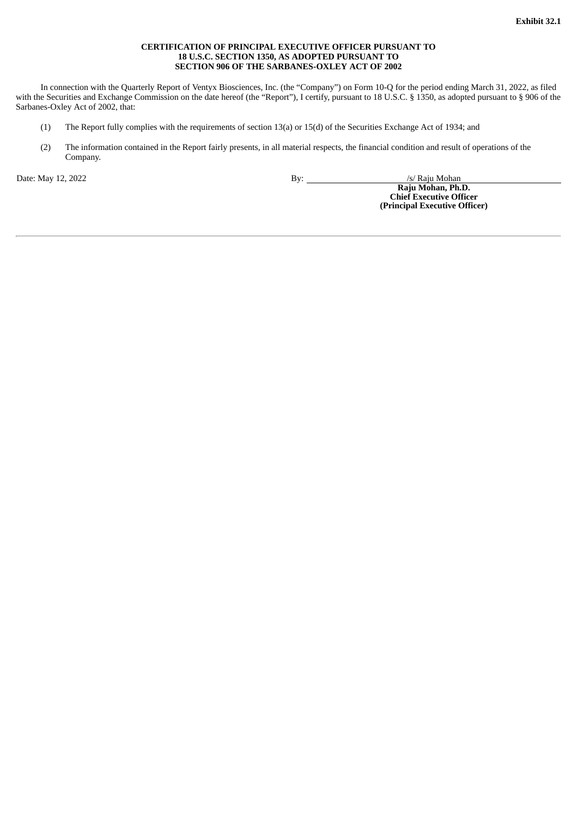### **CERTIFICATION OF PRINCIPAL EXECUTIVE OFFICER PURSUANT TO 18 U.S.C. SECTION 1350, AS ADOPTED PURSUANT TO SECTION 906 OF THE SARBANES-OXLEY ACT OF 2002**

<span id="page-98-0"></span>In connection with the Quarterly Report of Ventyx Biosciences, Inc. (the "Company") on Form 10-Q for the period ending March 31, 2022, as filed with the Securities and Exchange Commission on the date hereof (the "Report"), I certify, pursuant to 18 U.S.C. § 1350, as adopted pursuant to § 906 of the Sarbanes-Oxley Act of 2002, that:

- (1) The Report fully complies with the requirements of section 13(a) or 15(d) of the Securities Exchange Act of 1934; and
- (2) The information contained in the Report fairly presents, in all material respects, the financial condition and result of operations of the Company.

Date: May 12, 2022 <br>By: <u>/s/ Raju Mohan</u> **Raju Mohan, Ph.D. Chief Executive Officer (Principal Executive Officer)**